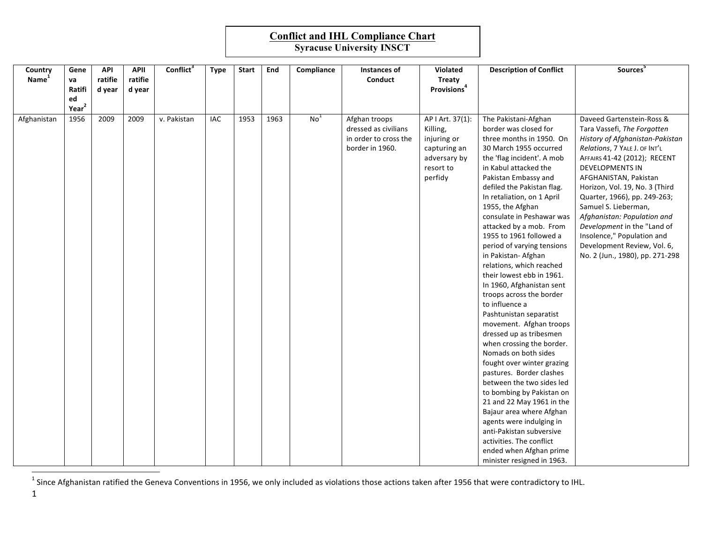## **Conflict and IHL Compliance Chart**

| Country           | Gene              | <b>API</b> | <b>APII</b> | Conflict <sup>3</sup> | <b>Type</b> | <b>Start</b> | End  | Compliance      | Instances of          | Violated                | <b>Description of Conflict</b>                         | Sources <sup>5</sup>            |
|-------------------|-------------------|------------|-------------|-----------------------|-------------|--------------|------|-----------------|-----------------------|-------------------------|--------------------------------------------------------|---------------------------------|
| Name <sup>1</sup> | va                | ratifie    | ratifie     |                       |             |              |      |                 | Conduct               | <b>Treaty</b>           |                                                        |                                 |
|                   | Ratifi            | d year     | d year      |                       |             |              |      |                 |                       | Provisions <sup>4</sup> |                                                        |                                 |
|                   | ed                |            |             |                       |             |              |      |                 |                       |                         |                                                        |                                 |
|                   | Year <sup>2</sup> |            |             |                       |             |              |      |                 |                       |                         |                                                        |                                 |
| Afghanistan       | 1956              | 2009       | 2009        | v. Pakistan           | IAC         | 1953         | 1963 | No <sup>1</sup> | Afghan troops         | AP I Art. 37(1):        | The Pakistani-Afghan                                   | Daveed Gartenstein-Ross &       |
|                   |                   |            |             |                       |             |              |      |                 | dressed as civilians  | Killing,                | border was closed for                                  | Tara Vassefi, The Forgotten     |
|                   |                   |            |             |                       |             |              |      |                 | in order to cross the | injuring or             | three months in 1950. On                               | History of Afghanistan-Pakistan |
|                   |                   |            |             |                       |             |              |      |                 | border in 1960.       | capturing an            | 30 March 1955 occurred                                 | Relations, 7 YALE J. OF INT'L   |
|                   |                   |            |             |                       |             |              |      |                 |                       | adversary by            | the 'flag incident'. A mob                             | AFFAIRS 41-42 (2012); RECENT    |
|                   |                   |            |             |                       |             |              |      |                 |                       | resort to               | in Kabul attacked the                                  | <b>DEVELOPMENTS IN</b>          |
|                   |                   |            |             |                       |             |              |      |                 |                       | perfidy                 | Pakistan Embassy and                                   | AFGHANISTAN, Pakistan           |
|                   |                   |            |             |                       |             |              |      |                 |                       |                         | defiled the Pakistan flag.                             | Horizon, Vol. 19, No. 3 (Third  |
|                   |                   |            |             |                       |             |              |      |                 |                       |                         | In retaliation, on 1 April                             | Quarter, 1966), pp. 249-263;    |
|                   |                   |            |             |                       |             |              |      |                 |                       |                         | 1955, the Afghan                                       | Samuel S. Lieberman,            |
|                   |                   |            |             |                       |             |              |      |                 |                       |                         | consulate in Peshawar was                              | Afghanistan: Population and     |
|                   |                   |            |             |                       |             |              |      |                 |                       |                         | attacked by a mob. From                                | Development in the "Land of     |
|                   |                   |            |             |                       |             |              |      |                 |                       |                         | 1955 to 1961 followed a                                | Insolence," Population and      |
|                   |                   |            |             |                       |             |              |      |                 |                       |                         | period of varying tensions                             | Development Review, Vol. 6,     |
|                   |                   |            |             |                       |             |              |      |                 |                       |                         | in Pakistan- Afghan                                    | No. 2 (Jun., 1980), pp. 271-298 |
|                   |                   |            |             |                       |             |              |      |                 |                       |                         | relations, which reached                               |                                 |
|                   |                   |            |             |                       |             |              |      |                 |                       |                         | their lowest ebb in 1961.                              |                                 |
|                   |                   |            |             |                       |             |              |      |                 |                       |                         | In 1960, Afghanistan sent                              |                                 |
|                   |                   |            |             |                       |             |              |      |                 |                       |                         | troops across the border                               |                                 |
|                   |                   |            |             |                       |             |              |      |                 |                       |                         | to influence a                                         |                                 |
|                   |                   |            |             |                       |             |              |      |                 |                       |                         | Pashtunistan separatist                                |                                 |
|                   |                   |            |             |                       |             |              |      |                 |                       |                         | movement. Afghan troops                                |                                 |
|                   |                   |            |             |                       |             |              |      |                 |                       |                         | dressed up as tribesmen                                |                                 |
|                   |                   |            |             |                       |             |              |      |                 |                       |                         | when crossing the border.                              |                                 |
|                   |                   |            |             |                       |             |              |      |                 |                       |                         | Nomads on both sides                                   |                                 |
|                   |                   |            |             |                       |             |              |      |                 |                       |                         | fought over winter grazing                             |                                 |
|                   |                   |            |             |                       |             |              |      |                 |                       |                         | pastures. Border clashes<br>between the two sides led  |                                 |
|                   |                   |            |             |                       |             |              |      |                 |                       |                         |                                                        |                                 |
|                   |                   |            |             |                       |             |              |      |                 |                       |                         | to bombing by Pakistan on<br>21 and 22 May 1961 in the |                                 |
|                   |                   |            |             |                       |             |              |      |                 |                       |                         | Bajaur area where Afghan                               |                                 |
|                   |                   |            |             |                       |             |              |      |                 |                       |                         | agents were indulging in                               |                                 |
|                   |                   |            |             |                       |             |              |      |                 |                       |                         | anti-Pakistan subversive                               |                                 |
|                   |                   |            |             |                       |             |              |      |                 |                       |                         | activities. The conflict                               |                                 |
|                   |                   |            |             |                       |             |              |      |                 |                       |                         | ended when Afghan prime                                |                                 |
|                   |                   |            |             |                       |             |              |      |                 |                       |                         | minister resigned in 1963.                             |                                 |

<sup>1</sup> Since Afghanistan ratified the Geneva Conventions in 1956, we only included as violations those actions taken after 1956 that were contradictory to IHL.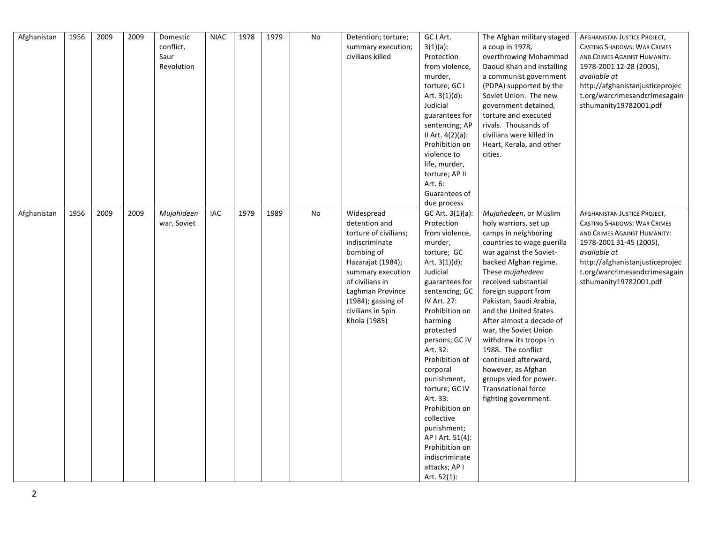| Afghanistan | 1956 | 2009 | 2009 | Domestic<br>conflict,<br>Saur<br>Revolution | <b>NIAC</b> | 1978 | 1979 | No | Detention; torture;<br>summary execution;<br>civilians killed                                                                                                                                                                       | GC I Art.<br>$3(1)(a)$ :<br>Protection<br>from violence,<br>murder,<br>torture; GC I<br>Art. $3(1)(d)$ :<br>Judicial<br>guarantees for<br>sentencing; AP<br>II Art. $4(2)(a)$ :<br>Prohibition on<br>violence to<br>life, murder,<br>torture; AP II<br>Art. 6:<br>Guarantees of<br>due process                                                                                                                                                          | The Afghan military staged<br>a coup in 1978,<br>overthrowing Mohammad<br>Daoud Khan and installing<br>a communist government<br>(PDPA) supported by the<br>Soviet Union. The new<br>government detained,<br>torture and executed<br>rivals. Thousands of<br>civilians were killed in<br>Heart, Kerala, and other<br>cities.                                                                                                                                                                                         | <b>AFGHANISTAN JUSTICE PROJECT,</b><br><b>CASTING SHADOWS: WAR CRIMES</b><br>AND CRIMES AGAINST HUMANITY:<br>1978-2001 12-28 (2005),<br>available at<br>http://afghanistanjusticeprojec<br>t.org/warcrimesandcrimesagain<br>sthumanity19782001.pdf |
|-------------|------|------|------|---------------------------------------------|-------------|------|------|----|-------------------------------------------------------------------------------------------------------------------------------------------------------------------------------------------------------------------------------------|---------------------------------------------------------------------------------------------------------------------------------------------------------------------------------------------------------------------------------------------------------------------------------------------------------------------------------------------------------------------------------------------------------------------------------------------------------|----------------------------------------------------------------------------------------------------------------------------------------------------------------------------------------------------------------------------------------------------------------------------------------------------------------------------------------------------------------------------------------------------------------------------------------------------------------------------------------------------------------------|----------------------------------------------------------------------------------------------------------------------------------------------------------------------------------------------------------------------------------------------------|
| Afghanistan | 1956 | 2009 | 2009 | Mujahideen<br>war, Soviet                   | IAC         | 1979 | 1989 | No | Widespread<br>detention and<br>torture of civilians;<br>indiscriminate<br>bombing of<br>Hazarajat (1984);<br>summary execution<br>of civilians in<br>Laghman Province<br>$(1984)$ ; gassing of<br>civilians in Spin<br>Khola (1985) | GC Art. 3(1)(a):<br>Protection<br>from violence,<br>murder,<br>torture; GC<br>Art. $3(1)(d)$ :<br>Judicial<br>guarantees for<br>sentencing; GC<br>IV Art. 27:<br>Prohibition on<br>harming<br>protected<br>persons; GC IV<br>Art. 32:<br>Prohibition of<br>corporal<br>punishment,<br>torture; GC IV<br>Art. 33:<br>Prohibition on<br>collective<br>punishment;<br>AP   Art. 51(4):<br>Prohibition on<br>indiscriminate<br>attacks; AP I<br>Art. 52(1): | Mujahedeen, or Muslim<br>holy warriors, set up<br>camps in neighboring<br>countries to wage guerilla<br>war against the Soviet-<br>backed Afghan regime.<br>These mujahedeen<br>received substantial<br>foreign support from<br>Pakistan, Saudi Arabia,<br>and the United States.<br>After almost a decade of<br>war, the Soviet Union<br>withdrew its troops in<br>1988. The conflict<br>continued afterward,<br>however, as Afghan<br>groups vied for power.<br><b>Transnational force</b><br>fighting government. | AFGHANISTAN JUSTICE PROJECT,<br><b>CASTING SHADOWS: WAR CRIMES</b><br>AND CRIMES AGAINST HUMANITY:<br>1978-2001 31-45 (2005),<br>available at<br>http://afghanistanjusticeprojec<br>t.org/warcrimesandcrimesagain<br>sthumanity19782001.pdf        |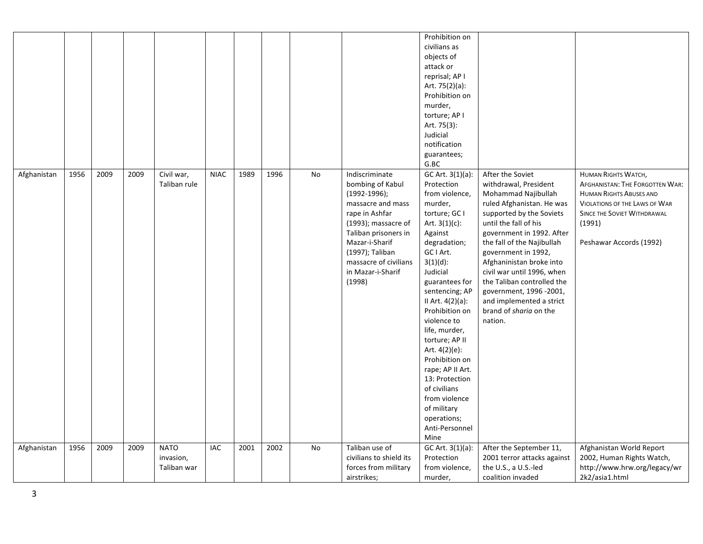|             |      |      |      |                                         |             |      |      |           |                                                                                                                                                                                                                                         | Prohibition on<br>civilians as<br>objects of<br>attack or<br>reprisal; AP I<br>Art. 75(2)(a):<br>Prohibition on<br>murder,<br>torture; AP I<br>Art. 75(3):<br>Judicial<br>notification<br>guarantees;<br>G.BC                                                                                                                                                                                                                                                        |                                                                                                                                                                                                                                                                                                                                                                                                                          |                                                                                                                                                                                                             |
|-------------|------|------|------|-----------------------------------------|-------------|------|------|-----------|-----------------------------------------------------------------------------------------------------------------------------------------------------------------------------------------------------------------------------------------|----------------------------------------------------------------------------------------------------------------------------------------------------------------------------------------------------------------------------------------------------------------------------------------------------------------------------------------------------------------------------------------------------------------------------------------------------------------------|--------------------------------------------------------------------------------------------------------------------------------------------------------------------------------------------------------------------------------------------------------------------------------------------------------------------------------------------------------------------------------------------------------------------------|-------------------------------------------------------------------------------------------------------------------------------------------------------------------------------------------------------------|
| Afghanistan | 1956 | 2009 | 2009 | Civil war,<br>Taliban rule              | <b>NIAC</b> | 1989 | 1996 | <b>No</b> | Indiscriminate<br>bombing of Kabul<br>$(1992-1996);$<br>massacre and mass<br>rape in Ashfar<br>(1993); massacre of<br>Taliban prisoners in<br>Mazar-i-Sharif<br>(1997); Taliban<br>massacre of civilians<br>in Mazar-i-Sharif<br>(1998) | GC Art. 3(1)(a):<br>Protection<br>from violence,<br>murder,<br>torture; GC I<br>Art. $3(1)(c)$ :<br>Against<br>degradation;<br>GC I Art.<br>$3(1)(d)$ :<br>Judicial<br>guarantees for<br>sentencing; AP<br>II Art. $4(2)(a)$ :<br>Prohibition on<br>violence to<br>life, murder,<br>torture; AP II<br>Art. 4(2)(e):<br>Prohibition on<br>rape; AP II Art.<br>13: Protection<br>of civilians<br>from violence<br>of military<br>operations;<br>Anti-Personnel<br>Mine | After the Soviet<br>withdrawal, President<br>Mohammad Najibullah<br>ruled Afghanistan. He was<br>supported by the Soviets<br>until the fall of his<br>government in 1992. After<br>the fall of the Najibullah<br>government in 1992,<br>Afghaninistan broke into<br>civil war until 1996, when<br>the Taliban controlled the<br>government, 1996 -2001,<br>and implemented a strict<br>brand of sharia on the<br>nation. | <b>HUMAN RIGHTS WATCH,</b><br>AFGHANISTAN: THE FORGOTTEN WAR:<br><b>HUMAN RIGHTS ABUSES AND</b><br><b>VIOLATIONS OF THE LAWS OF WAR</b><br>SINCE THE SOVIET WITHDRAWAL<br>(1991)<br>Peshawar Accords (1992) |
| Afghanistan | 1956 | 2009 | 2009 | <b>NATO</b><br>invasion,<br>Taliban war | IAC         | 2001 | 2002 | No        | Taliban use of<br>civilians to shield its<br>forces from military<br>airstrikes;                                                                                                                                                        | GC Art. 3(1)(a):<br>Protection<br>from violence,<br>murder,                                                                                                                                                                                                                                                                                                                                                                                                          | After the September 11,<br>2001 terror attacks against<br>the U.S., a U.S.-led<br>coalition invaded                                                                                                                                                                                                                                                                                                                      | Afghanistan World Report<br>2002, Human Rights Watch,<br>http://www.hrw.org/legacy/wr<br>2k2/asia1.html                                                                                                     |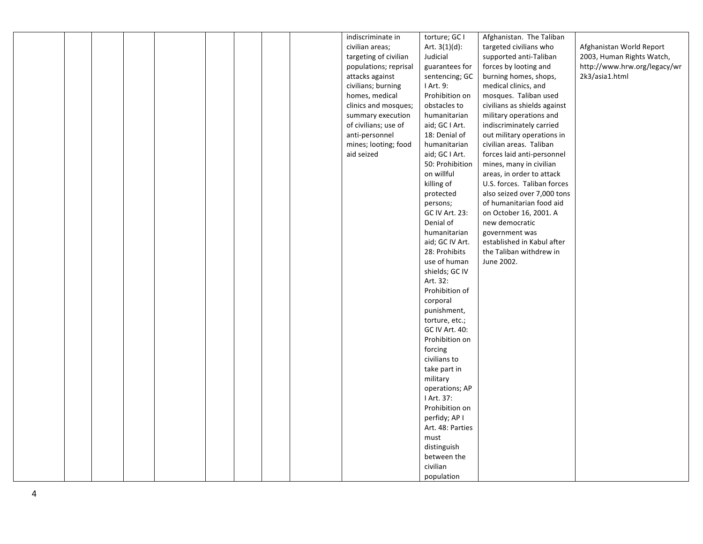|  |  |  |  | indiscriminate in     | torture; GC I                | Afghanistan. The Taliban     |                              |
|--|--|--|--|-----------------------|------------------------------|------------------------------|------------------------------|
|  |  |  |  | civilian areas;       | Art. $3(1)(d)$ :             | targeted civilians who       | Afghanistan World Report     |
|  |  |  |  | targeting of civilian | Judicial                     | supported anti-Taliban       | 2003, Human Rights Watch,    |
|  |  |  |  | populations; reprisal | guarantees for               | forces by looting and        | http://www.hrw.org/legacy/wr |
|  |  |  |  | attacks against       | sentencing; GC               | burning homes, shops,        | 2k3/asia1.html               |
|  |  |  |  | civilians; burning    | I Art. 9:                    | medical clinics, and         |                              |
|  |  |  |  | homes, medical        | Prohibition on               | mosques. Taliban used        |                              |
|  |  |  |  | clinics and mosques;  | obstacles to                 | civilians as shields against |                              |
|  |  |  |  | summary execution     | humanitarian                 | military operations and      |                              |
|  |  |  |  | of civilians; use of  | aid; GC I Art.               | indiscriminately carried     |                              |
|  |  |  |  | anti-personnel        | 18: Denial of                | out military operations in   |                              |
|  |  |  |  | mines; looting; food  | humanitarian                 | civilian areas. Taliban      |                              |
|  |  |  |  | aid seized            | aid; GC I Art.               | forces laid anti-personnel   |                              |
|  |  |  |  |                       | 50: Prohibition              | mines, many in civilian      |                              |
|  |  |  |  |                       | on willful                   | areas, in order to attack    |                              |
|  |  |  |  |                       | killing of                   | U.S. forces. Taliban forces  |                              |
|  |  |  |  |                       | protected                    | also seized over 7,000 tons  |                              |
|  |  |  |  |                       | persons;                     | of humanitarian food aid     |                              |
|  |  |  |  |                       | GC IV Art. 23:               | on October 16, 2001. A       |                              |
|  |  |  |  |                       | Denial of                    | new democratic               |                              |
|  |  |  |  |                       | humanitarian                 | government was               |                              |
|  |  |  |  |                       | aid; GC IV Art.              | established in Kabul after   |                              |
|  |  |  |  |                       | 28: Prohibits                | the Taliban withdrew in      |                              |
|  |  |  |  |                       | use of human                 | June 2002.                   |                              |
|  |  |  |  |                       | shields; GC IV               |                              |                              |
|  |  |  |  |                       | Art. 32:                     |                              |                              |
|  |  |  |  |                       | Prohibition of               |                              |                              |
|  |  |  |  |                       | corporal                     |                              |                              |
|  |  |  |  |                       | punishment,                  |                              |                              |
|  |  |  |  |                       | torture, etc.;               |                              |                              |
|  |  |  |  |                       | GC IV Art. 40:               |                              |                              |
|  |  |  |  |                       | Prohibition on               |                              |                              |
|  |  |  |  |                       | forcing                      |                              |                              |
|  |  |  |  |                       | civilians to                 |                              |                              |
|  |  |  |  |                       | take part in                 |                              |                              |
|  |  |  |  |                       | military                     |                              |                              |
|  |  |  |  |                       | operations; AP               |                              |                              |
|  |  |  |  |                       | I Art. 37:<br>Prohibition on |                              |                              |
|  |  |  |  |                       | perfidy; AP I                |                              |                              |
|  |  |  |  |                       | Art. 48: Parties             |                              |                              |
|  |  |  |  |                       | must                         |                              |                              |
|  |  |  |  |                       | distinguish                  |                              |                              |
|  |  |  |  |                       | between the                  |                              |                              |
|  |  |  |  |                       | civilian                     |                              |                              |
|  |  |  |  |                       | population                   |                              |                              |
|  |  |  |  |                       |                              |                              |                              |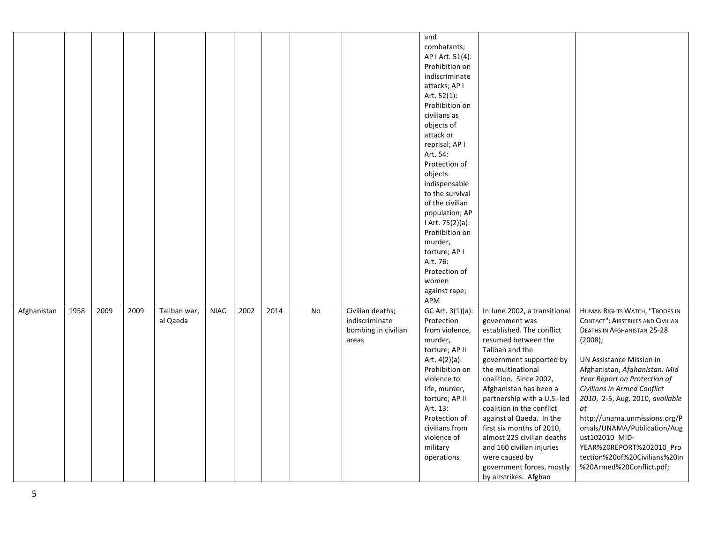|             |      |      |      |                          |             |      |      |    |                                                                    | and<br>combatants;<br>AP   Art. 51(4):<br>Prohibition on<br>indiscriminate<br>attacks; AP I<br>Art. 52(1):<br>Prohibition on<br>civilians as<br>objects of<br>attack or<br>reprisal; AP I<br>Art. 54:<br>Protection of<br>objects<br>indispensable<br>to the survival<br>of the civilian |                                                                                                                                                                                                                                                                                                                                                                                                                                                                                   |                                                                                                                                                                                                                                                                                                                                                                                                                                                                              |
|-------------|------|------|------|--------------------------|-------------|------|------|----|--------------------------------------------------------------------|------------------------------------------------------------------------------------------------------------------------------------------------------------------------------------------------------------------------------------------------------------------------------------------|-----------------------------------------------------------------------------------------------------------------------------------------------------------------------------------------------------------------------------------------------------------------------------------------------------------------------------------------------------------------------------------------------------------------------------------------------------------------------------------|------------------------------------------------------------------------------------------------------------------------------------------------------------------------------------------------------------------------------------------------------------------------------------------------------------------------------------------------------------------------------------------------------------------------------------------------------------------------------|
|             |      |      |      |                          |             |      |      |    |                                                                    | population; AP<br>I Art. 75(2)(a):<br>Prohibition on<br>murder,<br>torture; AP I<br>Art. 76:                                                                                                                                                                                             |                                                                                                                                                                                                                                                                                                                                                                                                                                                                                   |                                                                                                                                                                                                                                                                                                                                                                                                                                                                              |
|             |      |      |      |                          |             |      |      |    |                                                                    | Protection of<br>women<br>against rape;<br>APM                                                                                                                                                                                                                                           |                                                                                                                                                                                                                                                                                                                                                                                                                                                                                   |                                                                                                                                                                                                                                                                                                                                                                                                                                                                              |
| Afghanistan | 1958 | 2009 | 2009 | Taliban war,<br>al Qaeda | <b>NIAC</b> | 2002 | 2014 | No | Civilian deaths;<br>indiscriminate<br>bombing in civilian<br>areas | GC Art. 3(1)(a):<br>Protection<br>from violence,<br>murder,<br>torture; AP II<br>Art. $4(2)(a)$ :<br>Prohibition on<br>violence to<br>life, murder,<br>torture; AP II<br>Art. 13:<br>Protection of<br>civilians from<br>violence of<br>military<br>operations                            | In June 2002, a transitional<br>government was<br>established. The conflict<br>resumed between the<br>Taliban and the<br>government supported by<br>the multinational<br>coalition. Since 2002,<br>Afghanistan has been a<br>partnership with a U.S.-led<br>coalition in the conflict<br>against al Qaeda. In the<br>first six months of 2010,<br>almost 225 civilian deaths<br>and 160 civilian injuries<br>were caused by<br>government forces, mostly<br>by airstrikes. Afghan | HUMAN RIGHTS WATCH, "TROOPS IN<br><b>CONTACT": AIRSTRIKES AND CIVILIAN</b><br><b>DEATHS IN AFGHANISTAN 25-28</b><br>(2008);<br>UN Assistance Mission in<br>Afghanistan, Afghanistan: Mid<br>Year Report on Protection of<br>Civilians in Armed Conflict<br>2010, 2-5, Aug. 2010, available<br>at<br>http://unama.unmissions.org/P<br>ortals/UNAMA/Publication/Aug<br>ust102010_MID-<br>YEAR%20REPORT%202010_Pro<br>tection%20of%20Civilians%20in<br>%20Armed%20Conflict.pdf; |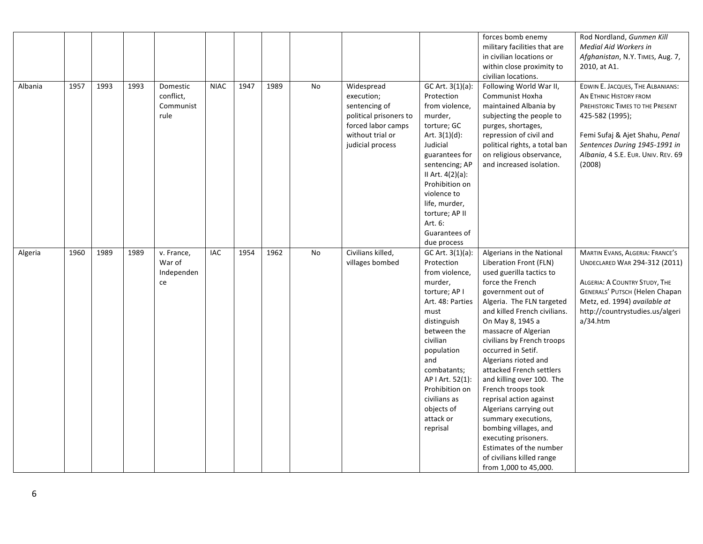|         |      |      |      |                                            |             |      |      |    |                                                                                                                                   |                                                                                                                                                                                                                                                                                     | forces bomb enemy<br>military facilities that are<br>in civilian locations or<br>within close proximity to<br>civilian locations.                                                                                                                                                                                                                                                                                                                                                                                                                                                                          | Rod Nordland, Gunmen Kill<br><b>Medial Aid Workers in</b><br>Afghanistan, N.Y. TIMES, Aug. 7,<br>2010, at A1.                                                                                                                        |
|---------|------|------|------|--------------------------------------------|-------------|------|------|----|-----------------------------------------------------------------------------------------------------------------------------------|-------------------------------------------------------------------------------------------------------------------------------------------------------------------------------------------------------------------------------------------------------------------------------------|------------------------------------------------------------------------------------------------------------------------------------------------------------------------------------------------------------------------------------------------------------------------------------------------------------------------------------------------------------------------------------------------------------------------------------------------------------------------------------------------------------------------------------------------------------------------------------------------------------|--------------------------------------------------------------------------------------------------------------------------------------------------------------------------------------------------------------------------------------|
| Albania | 1957 | 1993 | 1993 | Domestic<br>conflict,<br>Communist<br>rule | <b>NIAC</b> | 1947 | 1989 | No | Widespread<br>execution;<br>sentencing of<br>political prisoners to<br>forced labor camps<br>without trial or<br>judicial process | GC Art. 3(1)(a):<br>Protection<br>from violence,<br>murder,<br>torture; GC<br>Art. $3(1)(d)$ :<br>Judicial<br>guarantees for<br>sentencing; AP<br>II Art. 4(2)(a):<br>Prohibition on<br>violence to<br>life, murder,<br>torture; AP II<br>Art. 6:<br>Guarantees of<br>due process   | Following World War II,<br>Communist Hoxha<br>maintained Albania by<br>subjecting the people to<br>purges, shortages,<br>repression of civil and<br>political rights, a total ban<br>on religious observance,<br>and increased isolation.                                                                                                                                                                                                                                                                                                                                                                  | EDWIN E. JACQUES, THE ALBANIANS:<br>AN ETHNIC HISTORY FROM<br>PREHISTORIC TIMES TO THE PRESENT<br>425-582 (1995);<br>Femi Sufaj & Ajet Shahu, Penal<br>Sentences During 1945-1991 in<br>Albania, 4 S.E. EUR. UNIV. REV. 69<br>(2008) |
| Algeria | 1960 | 1989 | 1989 | v. France,<br>War of<br>Independen<br>ce   | IAC         | 1954 | 1962 | No | Civilians killed,<br>villages bombed                                                                                              | GC Art. 3(1)(a):<br>Protection<br>from violence,<br>murder,<br>torture; AP I<br>Art. 48: Parties<br>must<br>distinguish<br>between the<br>civilian<br>population<br>and<br>combatants;<br>AP   Art. 52(1):<br>Prohibition on<br>civilians as<br>objects of<br>attack or<br>reprisal | Algerians in the National<br>Liberation Front (FLN)<br>used guerilla tactics to<br>force the French<br>government out of<br>Algeria. The FLN targeted<br>and killed French civilians.<br>On May 8, 1945 a<br>massacre of Algerian<br>civilians by French troops<br>occurred in Setif.<br>Algerians rioted and<br>attacked French settlers<br>and killing over 100. The<br>French troops took<br>reprisal action against<br>Algerians carrying out<br>summary executions,<br>bombing villages, and<br>executing prisoners.<br>Estimates of the number<br>of civilians killed range<br>from 1,000 to 45,000. | MARTIN EVANS, ALGERIA: FRANCE'S<br>UNDECLARED WAR 294-312 (2011)<br>ALGERIA: A COUNTRY STUDY, THE<br><b>GENERALS' PUTSCH (Helen Chapan</b><br>Metz, ed. 1994) available at<br>http://countrystudies.us/algeri<br>a/34.htm            |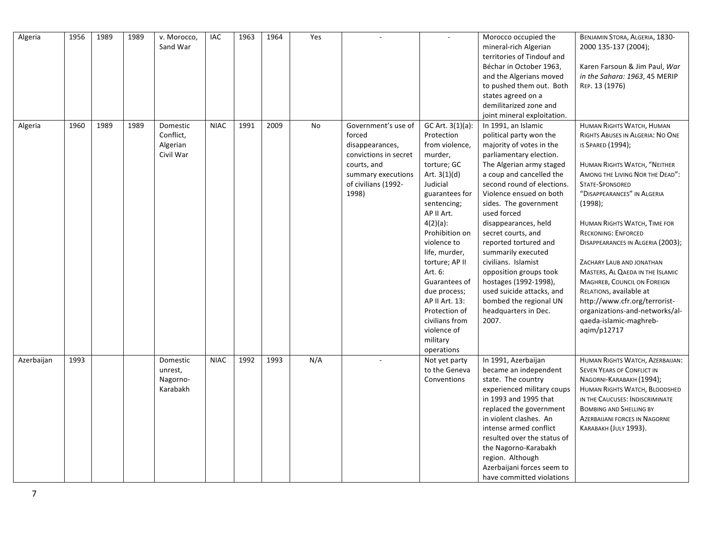| Algeria    | 1956 | 1989 | 1989 | v. Morocco,<br>Sand War                        | IAC         | 1963 | 1964 | Yes | ÷.                                                                                                                                             | $\mathbf{r}$                                                                                                                                                                                                                                                                                                                                                                         | Morocco occupied the<br>mineral-rich Algerian<br>territories of Tindouf and<br>Béchar in October 1963,<br>and the Algerians moved<br>to pushed them out. Both<br>states agreed on a<br>demilitarized zone and<br>joint mineral exploitation.                                                                                                                                                                                                                                                                                  | BENJAMIN STORA, ALGERIA, 1830-<br>2000 135-137 (2004);<br>Karen Farsoun & Jim Paul, War<br>in the Sahara: 1963, 45 MERIP<br>REP. 13 (1976)                                                                                                                                                                                                                                                                                                                                                                                                                                 |
|------------|------|------|------|------------------------------------------------|-------------|------|------|-----|------------------------------------------------------------------------------------------------------------------------------------------------|--------------------------------------------------------------------------------------------------------------------------------------------------------------------------------------------------------------------------------------------------------------------------------------------------------------------------------------------------------------------------------------|-------------------------------------------------------------------------------------------------------------------------------------------------------------------------------------------------------------------------------------------------------------------------------------------------------------------------------------------------------------------------------------------------------------------------------------------------------------------------------------------------------------------------------|----------------------------------------------------------------------------------------------------------------------------------------------------------------------------------------------------------------------------------------------------------------------------------------------------------------------------------------------------------------------------------------------------------------------------------------------------------------------------------------------------------------------------------------------------------------------------|
| Algeria    | 1960 | 1989 | 1989 | Domestic<br>Conflict,<br>Algerian<br>Civil War | <b>NIAC</b> | 1991 | 2009 | No  | Government's use of<br>forced<br>disappearances,<br>convictions in secret<br>courts, and<br>summary executions<br>of civilians (1992-<br>1998) | GC Art. 3(1)(a):<br>Protection<br>from violence,<br>murder,<br>torture; GC<br>Art. $3(1)(d)$<br>Judicial<br>guarantees for<br>sentencing;<br>AP II Art.<br>$4(2)(a)$ :<br>Prohibition on<br>violence to<br>life, murder,<br>torture; AP II<br>Art. 6:<br>Guarantees of<br>due process;<br>AP II Art. 13:<br>Protection of<br>civilians from<br>violence of<br>military<br>operations | In 1991, an Islamic<br>political party won the<br>majority of votes in the<br>parliamentary election.<br>The Algerian army staged<br>a coup and cancelled the<br>second round of elections.<br>Violence ensued on both<br>sides. The government<br>used forced<br>disappearances, held<br>secret courts, and<br>reported tortured and<br>summarily executed<br>civilians. Islamist<br>opposition groups took<br>hostages (1992-1998),<br>used suicide attacks, and<br>bombed the regional UN<br>headquarters in Dec.<br>2007. | HUMAN RIGHTS WATCH, HUMAN<br>RIGHTS ABUSES IN ALGERIA: NO ONE<br>IS SPARED (1994);<br>HUMAN RIGHTS WATCH, "NEITHER<br>AMONG THE LIVING NOR THE DEAD":<br><b>STATE-SPONSORED</b><br>"DISAPPEARANCES" IN ALGERIA<br>(1998);<br>HUMAN RIGHTS WATCH, TIME FOR<br><b>RECKONING: ENFORCED</b><br>DISAPPEARANCES IN ALGERIA (2003);<br>ZACHARY LAUB AND JONATHAN<br>MASTERS, AL QAEDA IN THE ISLAMIC<br><b>MAGHREB, COUNCIL ON FOREIGN</b><br>RELATIONS, available at<br>http://www.cfr.org/terrorist-<br>organizations-and-networks/al-<br>qaeda-islamic-maghreb-<br>agim/p12717 |
| Azerbaijan | 1993 |      |      | Domestic<br>unrest,<br>Nagorno-<br>Karabakh    | <b>NIAC</b> | 1992 | 1993 | N/A |                                                                                                                                                | Not yet party<br>to the Geneva<br>Conventions                                                                                                                                                                                                                                                                                                                                        | In 1991, Azerbaijan<br>became an independent<br>state. The country<br>experienced military coups<br>in 1993 and 1995 that<br>replaced the government<br>in violent clashes. An<br>intense armed conflict<br>resulted over the status of<br>the Nagorno-Karabakh<br>region. Although<br>Azerbaijani forces seem to<br>have committed violations                                                                                                                                                                                | HUMAN RIGHTS WATCH, AZERBAIJAN:<br><b>SEVEN YEARS OF CONFLICT IN</b><br>NAGORNI-KARABAKH (1994);<br>HUMAN RIGHTS WATCH, BLOODSHED<br>IN THE CAUCUSES: INDISCRIMINATE<br><b>BOMBING AND SHELLING BY</b><br><b>AZERBAIJANI FORCES IN NAGORNE</b><br>KARABAKH (JULY 1993).                                                                                                                                                                                                                                                                                                    |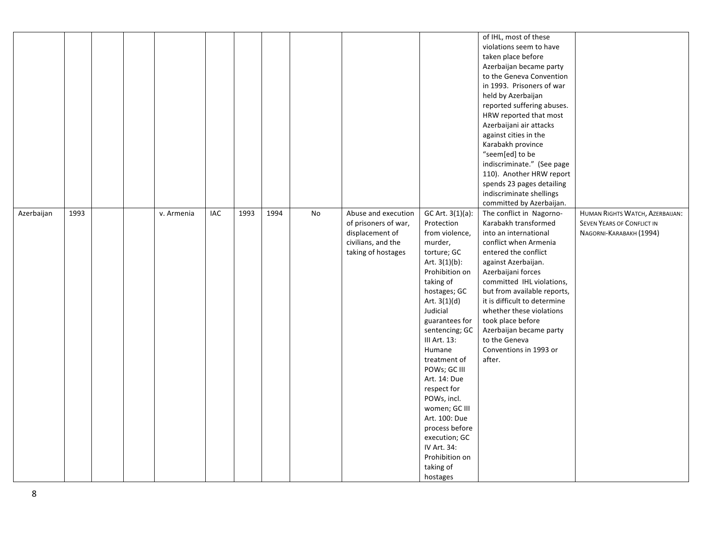|            |      |  |            |            |      |      |    |                                                                                                            |                                                                                                                                                                                                                                                                                                                                                                                                                                                        | of IHL, most of these<br>violations seem to have<br>taken place before<br>Azerbaijan became party<br>to the Geneva Convention<br>in 1993. Prisoners of war<br>held by Azerbaijan<br>reported suffering abuses.<br>HRW reported that most<br>Azerbaijani air attacks<br>against cities in the<br>Karabakh province<br>"seem[ed] to be<br>indiscriminate." (See page<br>110). Another HRW report<br>spends 23 pages detailing<br>indiscriminate shellings<br>committed by Azerbaijan. |                                                                                                 |
|------------|------|--|------------|------------|------|------|----|------------------------------------------------------------------------------------------------------------|--------------------------------------------------------------------------------------------------------------------------------------------------------------------------------------------------------------------------------------------------------------------------------------------------------------------------------------------------------------------------------------------------------------------------------------------------------|-------------------------------------------------------------------------------------------------------------------------------------------------------------------------------------------------------------------------------------------------------------------------------------------------------------------------------------------------------------------------------------------------------------------------------------------------------------------------------------|-------------------------------------------------------------------------------------------------|
| Azerbaijan | 1993 |  | v. Armenia | <b>IAC</b> | 1993 | 1994 | No | Abuse and execution<br>of prisoners of war,<br>displacement of<br>civilians, and the<br>taking of hostages | GC Art. 3(1)(a):<br>Protection<br>from violence,<br>murder,<br>torture; GC<br>Art. $3(1)(b)$ :<br>Prohibition on<br>taking of<br>hostages; GC<br>Art. $3(1)(d)$<br>Judicial<br>guarantees for<br>sentencing; GC<br>III Art. 13:<br>Humane<br>treatment of<br>POWs; GC III<br>Art. 14: Due<br>respect for<br>POWs, incl.<br>women; GC III<br>Art. 100: Due<br>process before<br>execution; GC<br>IV Art. 34:<br>Prohibition on<br>taking of<br>hostages | The conflict in Nagorno-<br>Karabakh transformed<br>into an international<br>conflict when Armenia<br>entered the conflict<br>against Azerbaijan.<br>Azerbaijani forces<br>committed IHL violations,<br>but from available reports,<br>it is difficult to determine<br>whether these violations<br>took place before<br>Azerbaijan became party<br>to the Geneva<br>Conventions in 1993 or<br>after.                                                                                | HUMAN RIGHTS WATCH, AZERBAIJAN:<br><b>SEVEN YEARS OF CONFLICT IN</b><br>NAGORNI-KARABAKH (1994) |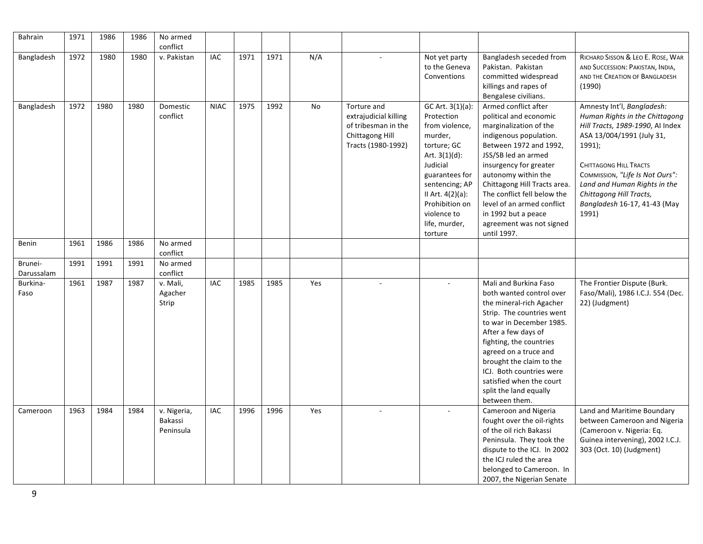| Bahrain               | 1971 | 1986 | 1986 | No armed<br>conflict                |             |      |      |           |                                                                                                             |                                                                                                                                                                                                                                 |                                                                                                                                                                                                                                                                                                                                                                     |                                                                                                                                                                                                                                                                                                                    |
|-----------------------|------|------|------|-------------------------------------|-------------|------|------|-----------|-------------------------------------------------------------------------------------------------------------|---------------------------------------------------------------------------------------------------------------------------------------------------------------------------------------------------------------------------------|---------------------------------------------------------------------------------------------------------------------------------------------------------------------------------------------------------------------------------------------------------------------------------------------------------------------------------------------------------------------|--------------------------------------------------------------------------------------------------------------------------------------------------------------------------------------------------------------------------------------------------------------------------------------------------------------------|
| Bangladesh            | 1972 | 1980 | 1980 | v. Pakistan                         | <b>IAC</b>  | 1971 | 1971 | N/A       |                                                                                                             | Not yet party<br>to the Geneva<br>Conventions                                                                                                                                                                                   | Bangladesh seceded from<br>Pakistan. Pakistan<br>committed widespread<br>killings and rapes of<br>Bengalese civilians.                                                                                                                                                                                                                                              | RICHARD SISSON & LEO E. ROSE, WAR<br>AND SUCCESSION: PAKISTAN, INDIA,<br>AND THE CREATION OF BANGLADESH<br>(1990)                                                                                                                                                                                                  |
| Bangladesh            | 1972 | 1980 | 1980 | Domestic<br>conflict                | <b>NIAC</b> | 1975 | 1992 | <b>No</b> | Torture and<br>extrajudicial killing<br>of tribesman in the<br><b>Chittagong Hill</b><br>Tracts (1980-1992) | GC Art. 3(1)(a):<br>Protection<br>from violence,<br>murder,<br>torture; GC<br>Art. $3(1)(d)$ :<br>Judicial<br>guarantees for<br>sentencing; AP<br>II Art. 4(2)(a):<br>Prohibition on<br>violence to<br>life, murder,<br>torture | Armed conflict after<br>political and economic<br>marginalization of the<br>indigenous population.<br>Between 1972 and 1992,<br>JSS/SB led an armed<br>insurgency for greater<br>autonomy within the<br>Chittagong Hill Tracts area.<br>The conflict fell below the<br>level of an armed conflict<br>in 1992 but a peace<br>agreement was not signed<br>until 1997. | Amnesty Int'l, Bangladesh:<br>Human Rights in the Chittagong<br>Hill Tracts, 1989-1990, Al Index<br>ASA 13/004/1991 (July 31,<br>$1991$ );<br><b>CHITTAGONG HILL TRACTS</b><br>COMMISSION, "Life Is Not Ours":<br>Land and Human Rights in the<br>Chittagong Hill Tracts,<br>Bangladesh 16-17, 41-43 (May<br>1991) |
| Benin                 | 1961 | 1986 | 1986 | No armed<br>conflict                |             |      |      |           |                                                                                                             |                                                                                                                                                                                                                                 |                                                                                                                                                                                                                                                                                                                                                                     |                                                                                                                                                                                                                                                                                                                    |
| Brunei-<br>Darussalam | 1991 | 1991 | 1991 | No armed<br>conflict                |             |      |      |           |                                                                                                             |                                                                                                                                                                                                                                 |                                                                                                                                                                                                                                                                                                                                                                     |                                                                                                                                                                                                                                                                                                                    |
| Burkina-<br>Faso      | 1961 | 1987 | 1987 | v. Mali,<br>Agacher<br>Strip        | <b>IAC</b>  | 1985 | 1985 | Yes       |                                                                                                             |                                                                                                                                                                                                                                 | Mali and Burkina Faso<br>both wanted control over<br>the mineral-rich Agacher<br>Strip. The countries went<br>to war in December 1985.<br>After a few days of<br>fighting, the countries<br>agreed on a truce and<br>brought the claim to the<br>ICJ. Both countries were<br>satisfied when the court<br>split the land equally<br>between them.                    | The Frontier Dispute (Burk.<br>Faso/Mali), 1986 I.C.J. 554 (Dec.<br>22) (Judgment)                                                                                                                                                                                                                                 |
| Cameroon              | 1963 | 1984 | 1984 | v. Nigeria,<br>Bakassi<br>Peninsula | IAC         | 1996 | 1996 | Yes       |                                                                                                             |                                                                                                                                                                                                                                 | Cameroon and Nigeria<br>fought over the oil-rights<br>of the oil rich Bakassi<br>Peninsula. They took the<br>dispute to the ICJ. In 2002<br>the ICJ ruled the area<br>belonged to Cameroon. In<br>2007, the Nigerian Senate                                                                                                                                         | Land and Maritime Boundary<br>between Cameroon and Nigeria<br>(Cameroon v. Nigeria: Eq.<br>Guinea intervening), 2002 I.C.J.<br>303 (Oct. 10) (Judgment)                                                                                                                                                            |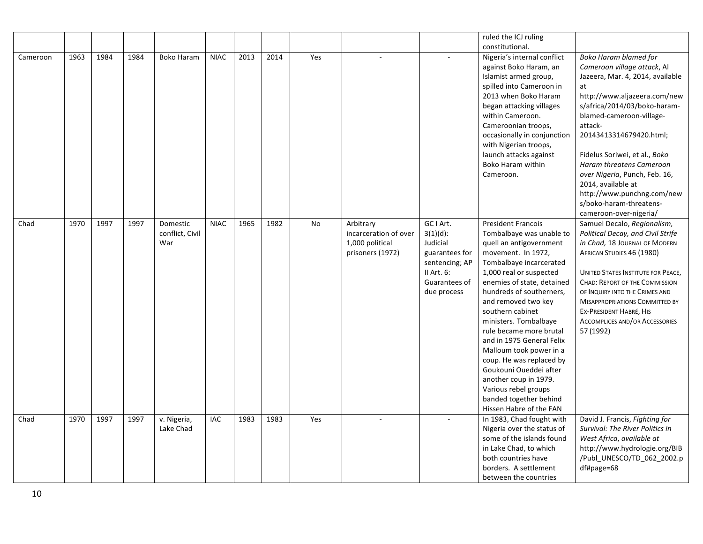|          |      |      |      |                          |             |      |      |     |                       |                              | ruled the ICJ ruling                                    |                                                                   |
|----------|------|------|------|--------------------------|-------------|------|------|-----|-----------------------|------------------------------|---------------------------------------------------------|-------------------------------------------------------------------|
|          |      |      |      |                          |             |      |      |     |                       |                              | constitutional.                                         |                                                                   |
| Cameroon | 1963 | 1984 | 1984 | <b>Boko Haram</b>        | <b>NIAC</b> | 2013 | 2014 | Yes |                       |                              | Nigeria's internal conflict                             | <b>Boko Haram blamed for</b>                                      |
|          |      |      |      |                          |             |      |      |     |                       |                              | against Boko Haram, an                                  | Cameroon village attack, Al                                       |
|          |      |      |      |                          |             |      |      |     |                       |                              | Islamist armed group,                                   | Jazeera, Mar. 4, 2014, available                                  |
|          |      |      |      |                          |             |      |      |     |                       |                              | spilled into Cameroon in                                | at                                                                |
|          |      |      |      |                          |             |      |      |     |                       |                              | 2013 when Boko Haram                                    | http://www.aljazeera.com/new                                      |
|          |      |      |      |                          |             |      |      |     |                       |                              | began attacking villages                                | s/africa/2014/03/boko-haram-                                      |
|          |      |      |      |                          |             |      |      |     |                       |                              | within Cameroon.                                        | blamed-cameroon-village-                                          |
|          |      |      |      |                          |             |      |      |     |                       |                              | Cameroonian troops,                                     | attack-                                                           |
|          |      |      |      |                          |             |      |      |     |                       |                              | occasionally in conjunction<br>with Nigerian troops,    | 20143413314679420.html;                                           |
|          |      |      |      |                          |             |      |      |     |                       |                              | launch attacks against                                  | Fidelus Soriwei, et al., Boko                                     |
|          |      |      |      |                          |             |      |      |     |                       |                              | Boko Haram within                                       | Haram threatens Cameroon                                          |
|          |      |      |      |                          |             |      |      |     |                       |                              | Cameroon.                                               | over Nigeria, Punch, Feb. 16,                                     |
|          |      |      |      |                          |             |      |      |     |                       |                              |                                                         | 2014, available at                                                |
|          |      |      |      |                          |             |      |      |     |                       |                              |                                                         | http://www.punchng.com/new                                        |
|          |      |      |      |                          |             |      |      |     |                       |                              |                                                         | s/boko-haram-threatens-                                           |
|          |      |      |      |                          |             |      |      |     |                       |                              |                                                         | cameroon-over-nigeria/                                            |
| Chad     | 1970 | 1997 | 1997 | Domestic                 | <b>NIAC</b> | 1965 | 1982 | No  | Arbitrary             | GC I Art.                    | <b>President Francois</b>                               | Samuel Decalo, Regionalism,                                       |
|          |      |      |      | conflict, Civil          |             |      |      |     | incarceration of over | $3(1)(d)$ :                  | Tombalbaye was unable to                                | Political Decay, and Civil Strife                                 |
|          |      |      |      | War                      |             |      |      |     | 1,000 political       | Judicial                     | quell an antigovernment                                 | in Chad, 18 JOURNAL OF MODERN                                     |
|          |      |      |      |                          |             |      |      |     | prisoners (1972)      | guarantees for               | movement. In 1972,                                      | AFRICAN STUDIES 46 (1980)                                         |
|          |      |      |      |                          |             |      |      |     |                       | sentencing; AP<br>II Art. 6: | Tombalbaye incarcerated<br>1,000 real or suspected      | <b>UNITED STATES INSTITUTE FOR PEACE,</b>                         |
|          |      |      |      |                          |             |      |      |     |                       | Guarantees of                | enemies of state, detained                              | <b>CHAD: REPORT OF THE COMMISSION</b>                             |
|          |      |      |      |                          |             |      |      |     |                       | due process                  | hundreds of southerners,                                | OF INQUIRY INTO THE CRIMES AND                                    |
|          |      |      |      |                          |             |      |      |     |                       |                              | and removed two key                                     | <b>MISAPPROPRIATIONS COMMITTED BY</b>                             |
|          |      |      |      |                          |             |      |      |     |                       |                              | southern cabinet                                        | EX-PRESIDENT HABRÉ, HIS                                           |
|          |      |      |      |                          |             |      |      |     |                       |                              | ministers. Tombalbaye                                   | <b>ACCOMPLICES AND/OR ACCESSORIES</b>                             |
|          |      |      |      |                          |             |      |      |     |                       |                              | rule became more brutal                                 | 57 (1992)                                                         |
|          |      |      |      |                          |             |      |      |     |                       |                              | and in 1975 General Felix                               |                                                                   |
|          |      |      |      |                          |             |      |      |     |                       |                              | Malloum took power in a                                 |                                                                   |
|          |      |      |      |                          |             |      |      |     |                       |                              | coup. He was replaced by                                |                                                                   |
|          |      |      |      |                          |             |      |      |     |                       |                              | Goukouni Oueddei after                                  |                                                                   |
|          |      |      |      |                          |             |      |      |     |                       |                              | another coup in 1979.                                   |                                                                   |
|          |      |      |      |                          |             |      |      |     |                       |                              | Various rebel groups                                    |                                                                   |
|          |      |      |      |                          |             |      |      |     |                       |                              | banded together behind                                  |                                                                   |
|          | 1970 | 1997 |      |                          | <b>IAC</b>  | 1983 | 1983 | Yes |                       |                              | Hissen Habre of the FAN                                 |                                                                   |
| Chad     |      |      | 1997 | v. Nigeria,<br>Lake Chad |             |      |      |     |                       |                              | In 1983, Chad fought with<br>Nigeria over the status of | David J. Francis, Fighting for<br>Survival: The River Politics in |
|          |      |      |      |                          |             |      |      |     |                       |                              | some of the islands found                               | West Africa, available at                                         |
|          |      |      |      |                          |             |      |      |     |                       |                              | in Lake Chad, to which                                  | http://www.hydrologie.org/BIB                                     |
|          |      |      |      |                          |             |      |      |     |                       |                              | both countries have                                     | /Publ_UNESCO/TD_062_2002.p                                        |
|          |      |      |      |                          |             |      |      |     |                       |                              | borders. A settlement                                   | df#page=68                                                        |
|          |      |      |      |                          |             |      |      |     |                       |                              | between the countries                                   |                                                                   |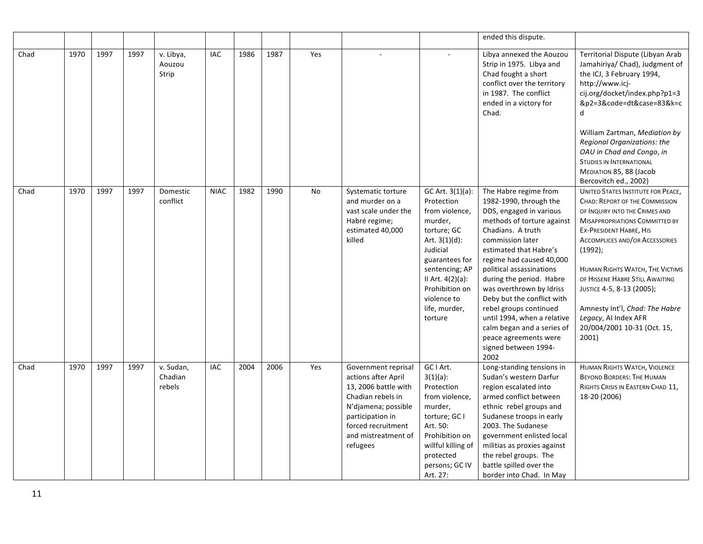|      |      |      |      |                                |             |      |      |     |                                                                                                                                                                                             |                                                                                                                                                                                                                                    | ended this dispute.                                                                                                                                                                                                                                                                                                                                                                                                                                                       |                                                                                                                                                                                                                                                                                                                                                                                                                                                      |
|------|------|------|------|--------------------------------|-------------|------|------|-----|---------------------------------------------------------------------------------------------------------------------------------------------------------------------------------------------|------------------------------------------------------------------------------------------------------------------------------------------------------------------------------------------------------------------------------------|---------------------------------------------------------------------------------------------------------------------------------------------------------------------------------------------------------------------------------------------------------------------------------------------------------------------------------------------------------------------------------------------------------------------------------------------------------------------------|------------------------------------------------------------------------------------------------------------------------------------------------------------------------------------------------------------------------------------------------------------------------------------------------------------------------------------------------------------------------------------------------------------------------------------------------------|
| Chad | 1970 | 1997 | 1997 | v. Libya,<br>Aouzou<br>Strip   | <b>IAC</b>  | 1986 | 1987 | Yes |                                                                                                                                                                                             |                                                                                                                                                                                                                                    | Libya annexed the Aouzou<br>Strip in 1975. Libya and<br>Chad fought a short<br>conflict over the territory<br>in 1987. The conflict<br>ended in a victory for<br>Chad.                                                                                                                                                                                                                                                                                                    | Territorial Dispute (Libyan Arab<br>Jamahiriya/ Chad), Judgment of<br>the ICJ, 3 February 1994,<br>http://www.icj-<br>cij.org/docket/index.php?p1=3<br>&p2=3&code=dt&case=83&k=c<br>q<br>William Zartman, Mediation by<br>Regional Organizations: the<br>OAU in Chad and Congo, in<br><b>STUDIES IN INTERNATIONAL</b><br>MEDIATION 85, 88 (Jacob<br>Bercovitch ed., 2002)                                                                            |
| Chad | 1970 | 1997 | 1997 | Domestic<br>conflict           | <b>NIAC</b> | 1982 | 1990 | No  | Systematic torture<br>and murder on a<br>vast scale under the<br>Habré regime;<br>estimated 40,000<br>killed                                                                                | GC Art. 3(1)(a):<br>Protection<br>from violence,<br>murder,<br>torture; GC<br>Art. $3(1)(d)$ :<br>Judicial<br>guarantees for<br>sentencing; AP<br>II Art. $4(2)(a)$ :<br>Prohibition on<br>violence to<br>life, murder,<br>torture | The Habre regime from<br>1982-1990, through the<br>DDS, engaged in various<br>methods of torture against<br>Chadians. A truth<br>commission later<br>estimated that Habre's<br>regime had caused 40,000<br>political assassinations<br>during the period. Habre<br>was overthrown by Idriss<br>Deby but the conflict with<br>rebel groups continued<br>until 1994, when a relative<br>calm began and a series of<br>peace agreements were<br>signed between 1994-<br>2002 | <b>UNITED STATES INSTITUTE FOR PEACE,</b><br><b>CHAD: REPORT OF THE COMMISSION</b><br>OF INQUIRY INTO THE CRIMES AND<br><b>MISAPPROPRIATIONS COMMITTED BY</b><br>EX-PRESIDENT HABRÉ, HIS<br><b>ACCOMPLICES AND/OR ACCESSORIES</b><br>$(1992)$ ;<br>HUMAN RIGHTS WATCH, THE VICTIMS<br>OF HISSENE HABRE STILL AWAITING<br>JUSTICE 4-5, 8-13 (2005);<br>Amnesty Int'l, Chad: The Habre<br>Legacy, AI Index AFR<br>20/004/2001 10-31 (Oct. 15,<br>2001) |
| Chad | 1970 | 1997 | 1997 | v. Sudan,<br>Chadian<br>rebels | IAC         | 2004 | 2006 | Yes | Government reprisal<br>actions after April<br>13, 2006 battle with<br>Chadian rebels in<br>N'djamena; possible<br>participation in<br>forced recruitment<br>and mistreatment of<br>refugees | GC I Art.<br>$3(1)(a)$ :<br>Protection<br>from violence,<br>murder,<br>torture; GC I<br>Art. 50:<br>Prohibition on<br>willful killing of<br>protected<br>persons; GC IV<br>Art. 27:                                                | Long-standing tensions in<br>Sudan's western Darfur<br>region escalated into<br>armed conflict between<br>ethnic rebel groups and<br>Sudanese troops in early<br>2003. The Sudanese<br>government enlisted local<br>militias as proxies against<br>the rebel groups. The<br>battle spilled over the<br>border into Chad. In May                                                                                                                                           | <b>HUMAN RIGHTS WATCH, VIOLENCE</b><br><b>BEYOND BORDERS: THE HUMAN</b><br>RIGHTS CRISIS IN EASTERN CHAD 11,<br>18-20 (2006)                                                                                                                                                                                                                                                                                                                         |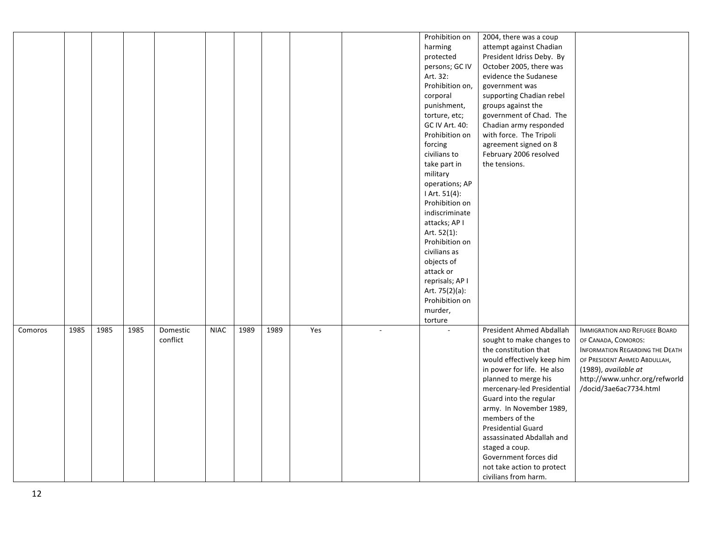|         |      |      |      |          |             |      |      |     |        | Prohibition on  | 2004, there was a coup     |                                      |
|---------|------|------|------|----------|-------------|------|------|-----|--------|-----------------|----------------------------|--------------------------------------|
|         |      |      |      |          |             |      |      |     |        | harming         | attempt against Chadian    |                                      |
|         |      |      |      |          |             |      |      |     |        | protected       | President Idriss Deby. By  |                                      |
|         |      |      |      |          |             |      |      |     |        | persons; GC IV  | October 2005, there was    |                                      |
|         |      |      |      |          |             |      |      |     |        | Art. 32:        | evidence the Sudanese      |                                      |
|         |      |      |      |          |             |      |      |     |        | Prohibition on, | government was             |                                      |
|         |      |      |      |          |             |      |      |     |        | corporal        | supporting Chadian rebel   |                                      |
|         |      |      |      |          |             |      |      |     |        | punishment,     | groups against the         |                                      |
|         |      |      |      |          |             |      |      |     |        | torture, etc;   | government of Chad. The    |                                      |
|         |      |      |      |          |             |      |      |     |        | GC IV Art. 40:  | Chadian army responded     |                                      |
|         |      |      |      |          |             |      |      |     |        | Prohibition on  | with force. The Tripoli    |                                      |
|         |      |      |      |          |             |      |      |     |        | forcing         | agreement signed on 8      |                                      |
|         |      |      |      |          |             |      |      |     |        | civilians to    | February 2006 resolved     |                                      |
|         |      |      |      |          |             |      |      |     |        | take part in    | the tensions.              |                                      |
|         |      |      |      |          |             |      |      |     |        | military        |                            |                                      |
|         |      |      |      |          |             |      |      |     |        | operations; AP  |                            |                                      |
|         |      |      |      |          |             |      |      |     |        | I Art. 51(4):   |                            |                                      |
|         |      |      |      |          |             |      |      |     |        | Prohibition on  |                            |                                      |
|         |      |      |      |          |             |      |      |     |        | indiscriminate  |                            |                                      |
|         |      |      |      |          |             |      |      |     |        |                 |                            |                                      |
|         |      |      |      |          |             |      |      |     |        | attacks; AP I   |                            |                                      |
|         |      |      |      |          |             |      |      |     |        | Art. 52(1):     |                            |                                      |
|         |      |      |      |          |             |      |      |     |        | Prohibition on  |                            |                                      |
|         |      |      |      |          |             |      |      |     |        | civilians as    |                            |                                      |
|         |      |      |      |          |             |      |      |     |        | objects of      |                            |                                      |
|         |      |      |      |          |             |      |      |     |        | attack or       |                            |                                      |
|         |      |      |      |          |             |      |      |     |        | reprisals; AP I |                            |                                      |
|         |      |      |      |          |             |      |      |     |        | Art. 75(2)(a):  |                            |                                      |
|         |      |      |      |          |             |      |      |     |        | Prohibition on  |                            |                                      |
|         |      |      |      |          |             |      |      |     |        | murder,         |                            |                                      |
|         |      |      |      |          |             |      |      |     |        | torture         |                            |                                      |
| Comoros | 1985 | 1985 | 1985 | Domestic | <b>NIAC</b> | 1989 | 1989 | Yes | $\sim$ |                 | President Ahmed Abdallah   | <b>IMMIGRATION AND REFUGEE BOARD</b> |
|         |      |      |      | conflict |             |      |      |     |        |                 | sought to make changes to  | OF CANADA, COMOROS:                  |
|         |      |      |      |          |             |      |      |     |        |                 | the constitution that      | INFORMATION REGARDING THE DEATH      |
|         |      |      |      |          |             |      |      |     |        |                 | would effectively keep him | OF PRESIDENT AHMED ABDULLAH,         |
|         |      |      |      |          |             |      |      |     |        |                 | in power for life. He also | (1989), available at                 |
|         |      |      |      |          |             |      |      |     |        |                 | planned to merge his       | http://www.unhcr.org/refworld        |
|         |      |      |      |          |             |      |      |     |        |                 | mercenary-led Presidential | /docid/3ae6ac7734.html               |
|         |      |      |      |          |             |      |      |     |        |                 | Guard into the regular     |                                      |
|         |      |      |      |          |             |      |      |     |        |                 | army. In November 1989,    |                                      |
|         |      |      |      |          |             |      |      |     |        |                 | members of the             |                                      |
|         |      |      |      |          |             |      |      |     |        |                 | <b>Presidential Guard</b>  |                                      |
|         |      |      |      |          |             |      |      |     |        |                 | assassinated Abdallah and  |                                      |
|         |      |      |      |          |             |      |      |     |        |                 | staged a coup.             |                                      |
|         |      |      |      |          |             |      |      |     |        |                 | Government forces did      |                                      |
|         |      |      |      |          |             |      |      |     |        |                 | not take action to protect |                                      |
|         |      |      |      |          |             |      |      |     |        |                 | civilians from harm.       |                                      |
|         |      |      |      |          |             |      |      |     |        |                 |                            |                                      |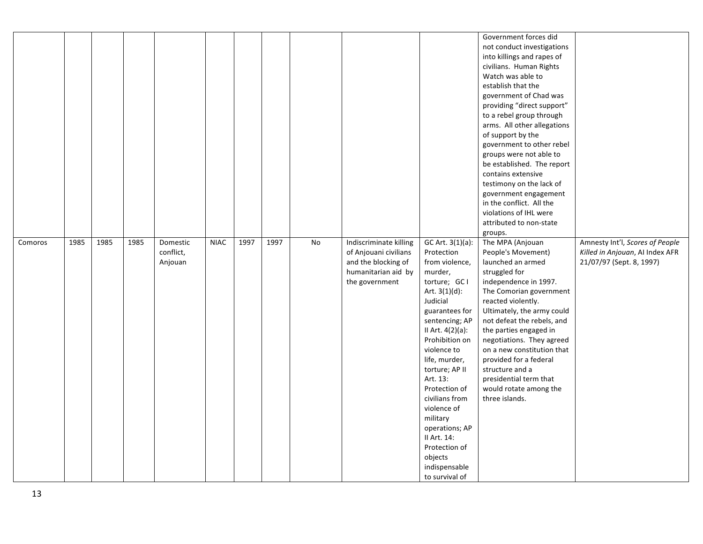|         |      |      |      |                                  |             |      |      |    |                                                                                                                 |                                                                                                                                                                                                                                                                                                                                                                                                                   | Government forces did<br>not conduct investigations<br>into killings and rapes of<br>civilians. Human Rights<br>Watch was able to<br>establish that the<br>government of Chad was<br>providing "direct support"<br>to a rebel group through<br>arms. All other allegations<br>of support by the<br>government to other rebel<br>groups were not able to<br>be established. The report<br>contains extensive<br>testimony on the lack of<br>government engagement<br>in the conflict. All the<br>violations of IHL were<br>attributed to non-state<br>groups. |                                                                                                |
|---------|------|------|------|----------------------------------|-------------|------|------|----|-----------------------------------------------------------------------------------------------------------------|-------------------------------------------------------------------------------------------------------------------------------------------------------------------------------------------------------------------------------------------------------------------------------------------------------------------------------------------------------------------------------------------------------------------|--------------------------------------------------------------------------------------------------------------------------------------------------------------------------------------------------------------------------------------------------------------------------------------------------------------------------------------------------------------------------------------------------------------------------------------------------------------------------------------------------------------------------------------------------------------|------------------------------------------------------------------------------------------------|
| Comoros | 1985 | 1985 | 1985 | Domestic<br>conflict,<br>Anjouan | <b>NIAC</b> | 1997 | 1997 | No | Indiscriminate killing<br>of Anjouani civilians<br>and the blocking of<br>humanitarian aid by<br>the government | GC Art. 3(1)(a):<br>Protection<br>from violence,<br>murder,<br>torture; GCI<br>Art. $3(1)(d)$ :<br>Judicial<br>guarantees for<br>sentencing; AP<br>II Art. 4(2)(a):<br>Prohibition on<br>violence to<br>life, murder,<br>torture; AP II<br>Art. 13:<br>Protection of<br>civilians from<br>violence of<br>military<br>operations; AP<br>II Art. 14:<br>Protection of<br>objects<br>indispensable<br>to survival of | The MPA (Anjouan<br>People's Movement)<br>launched an armed<br>struggled for<br>independence in 1997.<br>The Comorian government<br>reacted violently.<br>Ultimately, the army could<br>not defeat the rebels, and<br>the parties engaged in<br>negotiations. They agreed<br>on a new constitution that<br>provided for a federal<br>structure and a<br>presidential term that<br>would rotate among the<br>three islands.                                                                                                                                   | Amnesty Int'l, Scores of People<br>Killed in Anjouan, AI Index AFR<br>21/07/97 (Sept. 8, 1997) |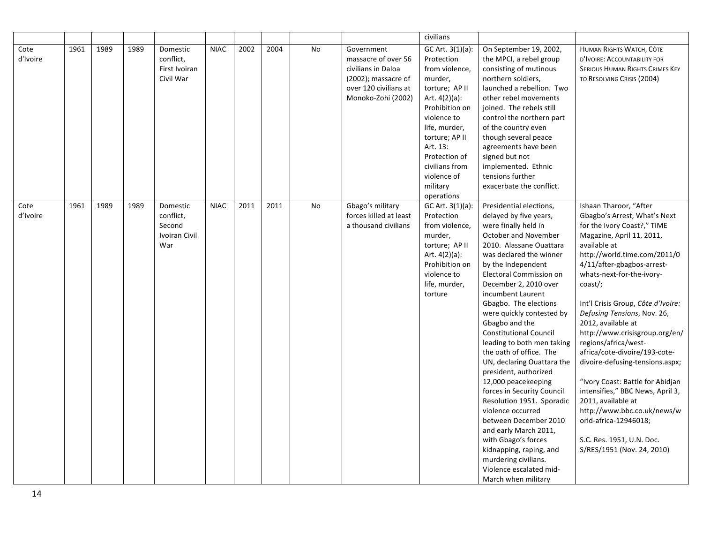| Cote<br>d'Ivoire | 1961 | 1989 | 1989 | Domestic<br>conflict,<br>First Ivoiran<br>Civil War     | <b>NIAC</b> | 2002 | 2004 | <b>No</b> | Government<br>massacre of over 56<br>civilians in Daloa<br>(2002); massacre of<br>over 120 civilians at<br>Monoko-Zohi (2002) | civilians<br>GC Art. 3(1)(a):<br>Protection<br>from violence,<br>murder,<br>torture; AP II<br>Art. $4(2)(a)$ :<br>Prohibition on<br>violence to<br>life, murder,<br>torture; AP II<br>Art. 13:<br>Protection of<br>civilians from<br>violence of<br>military | On September 19, 2002,<br>the MPCI, a rebel group<br>consisting of mutinous<br>northern soldiers,<br>launched a rebellion. Two<br>other rebel movements<br>joined. The rebels still<br>control the northern part<br>of the country even<br>though several peace<br>agreements have been<br>signed but not<br>implemented. Ethnic<br>tensions further<br>exacerbate the conflict.                                                                                                                                                                                                                                                                                                                                                                                     | HUMAN RIGHTS WATCH, CÔTE<br>D'IVOIRE: ACCOUNTABILITY FOR<br><b>SERIOUS HUMAN RIGHTS CRIMES KEY</b><br>TO RESOLVING CRISIS (2004)                                                                                                                                                                                                                                                                                                                                                                                                                                                                                                                                                   |
|------------------|------|------|------|---------------------------------------------------------|-------------|------|------|-----------|-------------------------------------------------------------------------------------------------------------------------------|--------------------------------------------------------------------------------------------------------------------------------------------------------------------------------------------------------------------------------------------------------------|----------------------------------------------------------------------------------------------------------------------------------------------------------------------------------------------------------------------------------------------------------------------------------------------------------------------------------------------------------------------------------------------------------------------------------------------------------------------------------------------------------------------------------------------------------------------------------------------------------------------------------------------------------------------------------------------------------------------------------------------------------------------|------------------------------------------------------------------------------------------------------------------------------------------------------------------------------------------------------------------------------------------------------------------------------------------------------------------------------------------------------------------------------------------------------------------------------------------------------------------------------------------------------------------------------------------------------------------------------------------------------------------------------------------------------------------------------------|
| Cote<br>d'Ivoire | 1961 | 1989 | 1989 | Domestic<br>conflict,<br>Second<br>Ivoiran Civil<br>War | <b>NIAC</b> | 2011 | 2011 | No        | Gbago's military<br>forces killed at least<br>a thousand civilians                                                            | operations<br>GC Art. 3(1)(a):<br>Protection<br>from violence,<br>murder,<br>torture; AP II<br>Art. $4(2)(a)$ :<br>Prohibition on<br>violence to<br>life, murder,<br>torture                                                                                 | Presidential elections,<br>delayed by five years,<br>were finally held in<br>October and November<br>2010. Alassane Ouattara<br>was declared the winner<br>by the Independent<br>Electoral Commission on<br>December 2, 2010 over<br>incumbent Laurent<br>Gbagbo. The elections<br>were quickly contested by<br>Gbagbo and the<br><b>Constitutional Council</b><br>leading to both men taking<br>the oath of office. The<br>UN, declaring Ouattara the<br>president, authorized<br>12,000 peacekeeping<br>forces in Security Council<br>Resolution 1951. Sporadic<br>violence occurred<br>between December 2010<br>and early March 2011,<br>with Gbago's forces<br>kidnapping, raping, and<br>murdering civilians.<br>Violence escalated mid-<br>March when military | Ishaan Tharoor, "After<br>Gbagbo's Arrest, What's Next<br>for the Ivory Coast?," TIME<br>Magazine, April 11, 2011,<br>available at<br>http://world.time.com/2011/0<br>4/11/after-gbagbos-arrest-<br>whats-next-for-the-ivory-<br>coast/;<br>Int'l Crisis Group, Côte d'Ivoire:<br>Defusing Tensions, Nov. 26,<br>2012, available at<br>http://www.crisisgroup.org/en/<br>regions/africa/west-<br>africa/cote-divoire/193-cote-<br>divoire-defusing-tensions.aspx;<br>"Ivory Coast: Battle for Abidjan<br>intensifies," BBC News, April 3,<br>2011, available at<br>http://www.bbc.co.uk/news/w<br>orld-africa-12946018;<br>S.C. Res. 1951, U.N. Doc.<br>S/RES/1951 (Nov. 24, 2010) |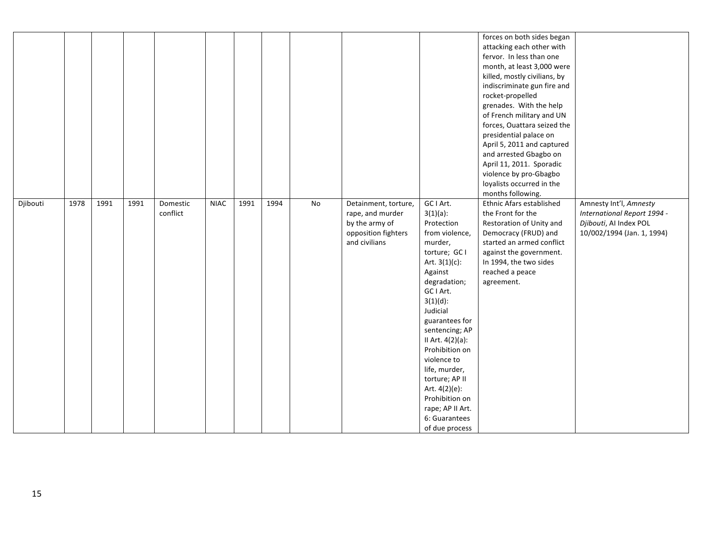|          |      |      |      |                      |             |      |      |    |                                                                                                    |                                                                                                                                                                                                                                                                                                                                                                                                   | forces on both sides began<br>attacking each other with<br>fervor. In less than one<br>month, at least 3,000 were<br>killed, mostly civilians, by<br>indiscriminate gun fire and<br>rocket-propelled<br>grenades. With the help<br>of French military and UN<br>forces, Ouattara seized the<br>presidential palace on<br>April 5, 2011 and captured<br>and arrested Gbagbo on<br>April 11, 2011. Sporadic<br>violence by pro-Gbagbo<br>loyalists occurred in the<br>months following. |                                                                                                               |
|----------|------|------|------|----------------------|-------------|------|------|----|----------------------------------------------------------------------------------------------------|---------------------------------------------------------------------------------------------------------------------------------------------------------------------------------------------------------------------------------------------------------------------------------------------------------------------------------------------------------------------------------------------------|---------------------------------------------------------------------------------------------------------------------------------------------------------------------------------------------------------------------------------------------------------------------------------------------------------------------------------------------------------------------------------------------------------------------------------------------------------------------------------------|---------------------------------------------------------------------------------------------------------------|
| Djibouti | 1978 | 1991 | 1991 | Domestic<br>conflict | <b>NIAC</b> | 1991 | 1994 | No | Detainment, torture,<br>rape, and murder<br>by the army of<br>opposition fighters<br>and civilians | GC I Art.<br>$3(1)(a)$ :<br>Protection<br>from violence,<br>murder,<br>torture; GC I<br>Art. $3(1)(c)$ :<br>Against<br>degradation;<br>GC I Art.<br>$3(1)(d)$ :<br>Judicial<br>guarantees for<br>sentencing; AP<br>II Art. 4(2)(a):<br>Prohibition on<br>violence to<br>life, murder,<br>torture; AP II<br>Art. 4(2)(e):<br>Prohibition on<br>rape; AP II Art.<br>6: Guarantees<br>of due process | Ethnic Afars established<br>the Front for the<br>Restoration of Unity and<br>Democracy (FRUD) and<br>started an armed conflict<br>against the government.<br>In 1994, the two sides<br>reached a peace<br>agreement.                                                                                                                                                                                                                                                                  | Amnesty Int'l, Amnesty<br>International Report 1994 -<br>Djibouti, Al Index POL<br>10/002/1994 (Jan. 1, 1994) |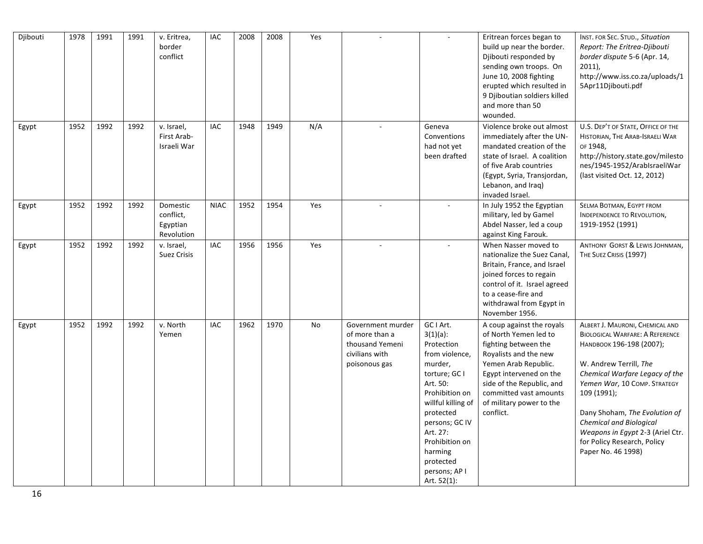| Djibouti | 1978 | 1991 | 1991 | v. Eritrea,<br>border<br>conflict               | IAC         | 2008 | 2008 | Yes |                                                                                           | $\overline{\phantom{a}}$                                                                                                                                                                                                                                      | Eritrean forces began to<br>build up near the border.<br>Djibouti responded by<br>sending own troops. On<br>June 10, 2008 fighting<br>erupted which resulted in<br>9 Djiboutian soldiers killed<br>and more than 50<br>wounded.                        | INST. FOR SEC. STUD., Situation<br>Report: The Eritrea-Djibouti<br>border dispute 5-6 (Apr. 14,<br>$2011$ ),<br>http://www.iss.co.za/uploads/1<br>5Apr11Djibouti.pdf                                                                                                                                                                                                         |
|----------|------|------|------|-------------------------------------------------|-------------|------|------|-----|-------------------------------------------------------------------------------------------|---------------------------------------------------------------------------------------------------------------------------------------------------------------------------------------------------------------------------------------------------------------|--------------------------------------------------------------------------------------------------------------------------------------------------------------------------------------------------------------------------------------------------------|------------------------------------------------------------------------------------------------------------------------------------------------------------------------------------------------------------------------------------------------------------------------------------------------------------------------------------------------------------------------------|
| Egypt    | 1952 | 1992 | 1992 | v. Israel,<br>First Arab-<br>Israeli War        | <b>IAC</b>  | 1948 | 1949 | N/A |                                                                                           | Geneva<br>Conventions<br>had not yet<br>been drafted                                                                                                                                                                                                          | Violence broke out almost<br>immediately after the UN-<br>mandated creation of the<br>state of Israel. A coalition<br>of five Arab countries<br>(Egypt, Syria, Transjordan,<br>Lebanon, and Iraq)<br>invaded Israel.                                   | U.S. DEP'T OF STATE, OFFICE OF THE<br>HISTORIAN, THE ARAB-ISRAELI WAR<br>OF 1948,<br>http://history.state.gov/milesto<br>nes/1945-1952/ArabIsraeliWar<br>(last visited Oct. 12, 2012)                                                                                                                                                                                        |
| Egypt    | 1952 | 1992 | 1992 | Domestic<br>conflict,<br>Egyptian<br>Revolution | <b>NIAC</b> | 1952 | 1954 | Yes |                                                                                           |                                                                                                                                                                                                                                                               | In July 1952 the Egyptian<br>military, led by Gamel<br>Abdel Nasser, led a coup<br>against King Farouk.                                                                                                                                                | SELMA BOTMAN, EGYPT FROM<br>INDEPENDENCE TO REVOLUTION,<br>1919-1952 (1991)                                                                                                                                                                                                                                                                                                  |
| Egypt    | 1952 | 1992 | 1992 | v. Israel,<br><b>Suez Crisis</b>                | <b>IAC</b>  | 1956 | 1956 | Yes | $\sim$                                                                                    |                                                                                                                                                                                                                                                               | When Nasser moved to<br>nationalize the Suez Canal,<br>Britain, France, and Israel<br>joined forces to regain<br>control of it. Israel agreed<br>to a cease-fire and<br>withdrawal from Egypt in<br>November 1956.                                     | ANTHONY GORST & LEWIS JOHNMAN,<br>THE SUEZ CRISIS (1997)                                                                                                                                                                                                                                                                                                                     |
| Egypt    | 1952 | 1992 | 1992 | v. North<br>Yemen                               | <b>IAC</b>  | 1962 | 1970 | No  | Government murder<br>of more than a<br>thousand Yemeni<br>civilians with<br>poisonous gas | GC I Art.<br>$3(1)(a)$ :<br>Protection<br>from violence,<br>murder,<br>torture; GC I<br>Art. 50:<br>Prohibition on<br>willful killing of<br>protected<br>persons; GC IV<br>Art. 27:<br>Prohibition on<br>harming<br>protected<br>persons; AP I<br>Art. 52(1): | A coup against the royals<br>of North Yemen led to<br>fighting between the<br>Royalists and the new<br>Yemen Arab Republic.<br>Egypt intervened on the<br>side of the Republic, and<br>committed vast amounts<br>of military power to the<br>conflict. | ALBERT J. MAURONI, CHEMICAL AND<br><b>BIOLOGICAL WARFARE: A REFERENCE</b><br>НАМОВООК 196-198 (2007);<br>W. Andrew Terrill, The<br>Chemical Warfare Legacy of the<br>Yemen War, 10 COMP. STRATEGY<br>109 (1991);<br>Dany Shoham, The Evolution of<br><b>Chemical and Biological</b><br>Weapons in Egypt 2-3 (Ariel Ctr.<br>for Policy Research, Policy<br>Paper No. 46 1998) |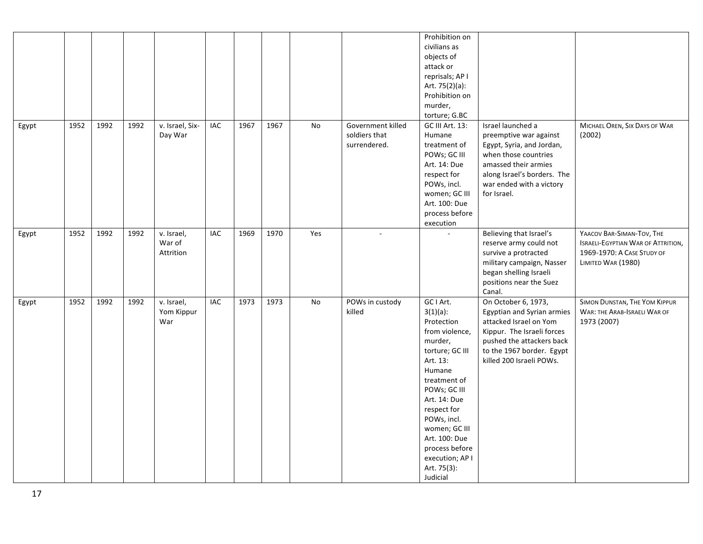|       |      |      |      |                                   |     |      |      |     |                                                    | Prohibition on<br>civilians as<br>objects of<br>attack or<br>reprisals; AP I<br>Art. 75(2)(a):<br>Prohibition on<br>murder,<br>torture; G.BC                                                                                                                                                 |                                                                                                                                                                                                    |                                                                                                                            |
|-------|------|------|------|-----------------------------------|-----|------|------|-----|----------------------------------------------------|----------------------------------------------------------------------------------------------------------------------------------------------------------------------------------------------------------------------------------------------------------------------------------------------|----------------------------------------------------------------------------------------------------------------------------------------------------------------------------------------------------|----------------------------------------------------------------------------------------------------------------------------|
| Egypt | 1952 | 1992 | 1992 | v. Israel, Six-<br>Day War        | IAC | 1967 | 1967 | No  | Government killed<br>soldiers that<br>surrendered. | GC III Art. 13:<br>Humane<br>treatment of<br>POWs; GC III<br>Art. 14: Due<br>respect for<br>POWs, incl.<br>women; GC III<br>Art. 100: Due<br>process before<br>execution                                                                                                                     | Israel launched a<br>preemptive war against<br>Egypt, Syria, and Jordan,<br>when those countries<br>amassed their armies<br>along Israel's borders. The<br>war ended with a victory<br>for Israel. | MICHAEL OREN, SIX DAYS OF WAR<br>(2002)                                                                                    |
| Egypt | 1952 | 1992 | 1992 | v. Israel,<br>War of<br>Attrition | IAC | 1969 | 1970 | Yes | $\mathcal{L}_{\mathcal{A}}$                        | $\sim$                                                                                                                                                                                                                                                                                       | Believing that Israel's<br>reserve army could not<br>survive a protracted<br>military campaign, Nasser<br>began shelling Israeli<br>positions near the Suez<br>Canal.                              | YAACOV BAR-SIMAN-TOV, THE<br><b>ISRAELI-EGYPTIAN WAR OF ATTRITION,</b><br>1969-1970: A CASE STUDY OF<br>LIMITED WAR (1980) |
| Egypt | 1952 | 1992 | 1992 | v. Israel,<br>Yom Kippur<br>War   | IAC | 1973 | 1973 | No  | POWs in custody<br>killed                          | GC I Art.<br>$3(1)(a)$ :<br>Protection<br>from violence,<br>murder,<br>torture; GC III<br>Art. 13:<br>Humane<br>treatment of<br>POWs; GC III<br>Art. 14: Due<br>respect for<br>POWs, incl.<br>women; GC III<br>Art. 100: Due<br>process before<br>execution; AP I<br>Art. 75(3):<br>Judicial | On October 6, 1973,<br>Egyptian and Syrian armies<br>attacked Israel on Yom<br>Kippur. The Israeli forces<br>pushed the attackers back<br>to the 1967 border. Egypt<br>killed 200 Israeli POWs.    | SIMON DUNSTAN, THE YOM KIPPUR<br>WAR: THE ARAB-ISRAELI WAR OF<br>1973 (2007)                                               |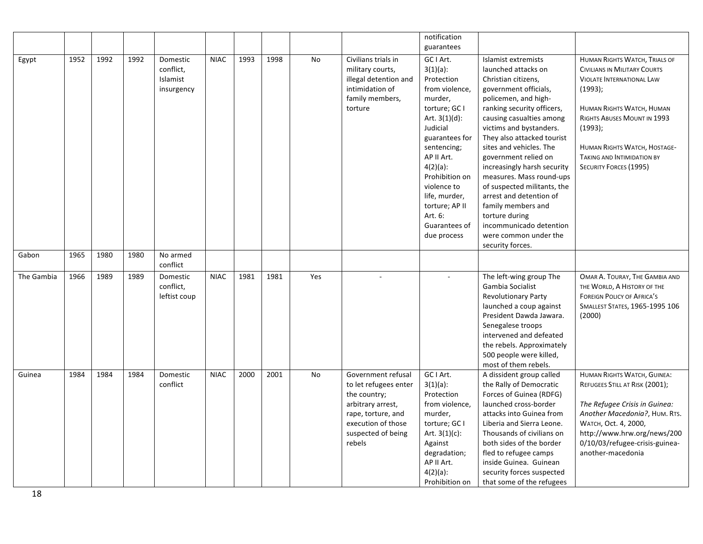|            |      |      |      |                                                 |             |      |      |     |                                                                                                                                                              | notification                                                                                                                                                                                                                                                         |                                                                                                                                                                                                                                                                                                                                                                                                                                     |                                                                                                                                                                                                                                                                                           |
|------------|------|------|------|-------------------------------------------------|-------------|------|------|-----|--------------------------------------------------------------------------------------------------------------------------------------------------------------|----------------------------------------------------------------------------------------------------------------------------------------------------------------------------------------------------------------------------------------------------------------------|-------------------------------------------------------------------------------------------------------------------------------------------------------------------------------------------------------------------------------------------------------------------------------------------------------------------------------------------------------------------------------------------------------------------------------------|-------------------------------------------------------------------------------------------------------------------------------------------------------------------------------------------------------------------------------------------------------------------------------------------|
| Egypt      | 1952 | 1992 | 1992 | Domestic<br>conflict,<br>Islamist<br>insurgency | <b>NIAC</b> | 1993 | 1998 | No  | Civilians trials in<br>military courts,<br>illegal detention and<br>intimidation of<br>family members,<br>torture                                            | guarantees<br>GC I Art.<br>$3(1)(a)$ :<br>Protection<br>from violence,<br>murder,<br>torture; GC I<br>Art. $3(1)(d)$ :<br>Judicial<br>guarantees for<br>sentencing;<br>AP II Art.<br>$4(2)(a)$ :<br>Prohibition on<br>violence to<br>life, murder,<br>torture; AP II | Islamist extremists<br>launched attacks on<br>Christian citizens,<br>government officials,<br>policemen, and high-<br>ranking security officers,<br>causing casualties among<br>victims and bystanders.<br>They also attacked tourist<br>sites and vehicles. The<br>government relied on<br>increasingly harsh security<br>measures. Mass round-ups<br>of suspected militants, the<br>arrest and detention of<br>family members and | HUMAN RIGHTS WATCH, TRIALS OF<br>CIVILIANS IN MILITARY COURTS<br><b>VIOLATE INTERNATIONAL LAW</b><br>(1993);<br>HUMAN RIGHTS WATCH, HUMAN<br>RIGHTS ABUSES MOUNT IN 1993<br>(1993);<br>HUMAN RIGHTS WATCH, HOSTAGE-<br><b>TAKING AND INTIMIDATION BY</b><br><b>SECURITY FORCES (1995)</b> |
|            |      |      |      |                                                 |             |      |      |     |                                                                                                                                                              | Art. 6:<br>Guarantees of<br>due process                                                                                                                                                                                                                              | torture during<br>incommunicado detention<br>were common under the<br>security forces.                                                                                                                                                                                                                                                                                                                                              |                                                                                                                                                                                                                                                                                           |
| Gabon      | 1965 | 1980 | 1980 | No armed<br>conflict                            |             |      |      |     |                                                                                                                                                              |                                                                                                                                                                                                                                                                      |                                                                                                                                                                                                                                                                                                                                                                                                                                     |                                                                                                                                                                                                                                                                                           |
| The Gambia | 1966 | 1989 | 1989 | Domestic<br>conflict,<br>leftist coup           | <b>NIAC</b> | 1981 | 1981 | Yes | ÷                                                                                                                                                            |                                                                                                                                                                                                                                                                      | The left-wing group The<br>Gambia Socialist<br><b>Revolutionary Party</b><br>launched a coup against<br>President Dawda Jawara.<br>Senegalese troops<br>intervened and defeated<br>the rebels. Approximately<br>500 people were killed,<br>most of them rebels.                                                                                                                                                                     | OMAR A. TOURAY, THE GAMBIA AND<br>THE WORLD, A HISTORY OF THE<br><b>FOREIGN POLICY OF AFRICA'S</b><br>SMALLEST STATES, 1965-1995 106<br>(2000)                                                                                                                                            |
| Guinea     | 1984 | 1984 | 1984 | Domestic<br>conflict                            | <b>NIAC</b> | 2000 | 2001 | No  | Government refusal<br>to let refugees enter<br>the country;<br>arbitrary arrest,<br>rape, torture, and<br>execution of those<br>suspected of being<br>rebels | GC I Art.<br>$3(1)(a)$ :<br>Protection<br>from violence,<br>murder,<br>torture; GC I<br>Art. $3(1)(c)$ :<br>Against<br>degradation;<br>AP II Art.<br>$4(2)(a)$ :<br>Prohibition on                                                                                   | A dissident group called<br>the Rally of Democratic<br>Forces of Guinea (RDFG)<br>launched cross-border<br>attacks into Guinea from<br>Liberia and Sierra Leone.<br>Thousands of civilians on<br>both sides of the border<br>fled to refugee camps<br>inside Guinea. Guinean<br>security forces suspected<br>that some of the refugees                                                                                              | HUMAN RIGHTS WATCH, GUINEA:<br>REFUGEES STILL AT RISK (2001);<br>The Refugee Crisis in Guinea:<br>Another Macedonia?, HUM. RTS.<br>WATCH, Oct. 4, 2000,<br>http://www.hrw.org/news/200<br>0/10/03/refugee-crisis-guinea-<br>another-macedonia                                             |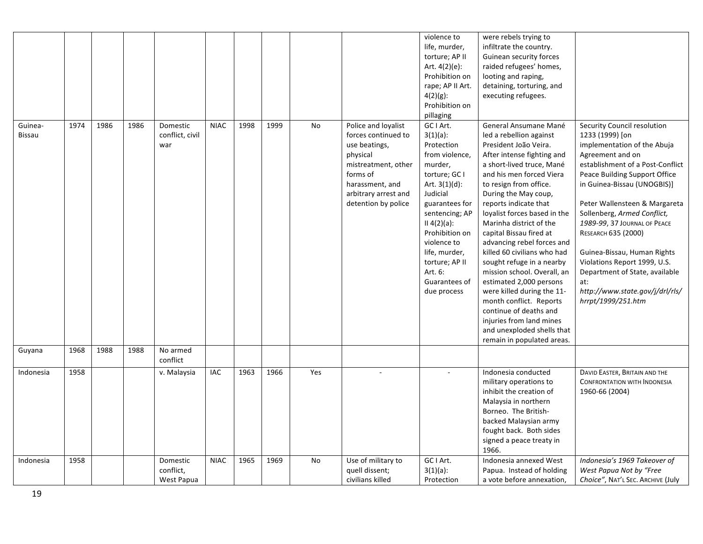|               |      |      |      |                 |             |      |      |     |                      | violence to      | were rebels trying to        |                                     |
|---------------|------|------|------|-----------------|-------------|------|------|-----|----------------------|------------------|------------------------------|-------------------------------------|
|               |      |      |      |                 |             |      |      |     |                      | life, murder,    | infiltrate the country.      |                                     |
|               |      |      |      |                 |             |      |      |     |                      | torture; AP II   | Guinean security forces      |                                     |
|               |      |      |      |                 |             |      |      |     |                      | Art. $4(2)(e)$ : | raided refugees' homes,      |                                     |
|               |      |      |      |                 |             |      |      |     |                      | Prohibition on   | looting and raping,          |                                     |
|               |      |      |      |                 |             |      |      |     |                      | rape; AP II Art. | detaining, torturing, and    |                                     |
|               |      |      |      |                 |             |      |      |     |                      | $4(2)(g)$ :      | executing refugees.          |                                     |
|               |      |      |      |                 |             |      |      |     |                      | Prohibition on   |                              |                                     |
|               |      |      |      |                 |             |      |      |     |                      |                  |                              |                                     |
|               |      |      |      |                 | <b>NIAC</b> |      |      |     | Police and loyalist  | pillaging        |                              |                                     |
| Guinea-       | 1974 | 1986 | 1986 | Domestic        |             | 1998 | 1999 | No  |                      | GC I Art.        | General Ansumane Mané        | Security Council resolution         |
| <b>Bissau</b> |      |      |      | conflict, civil |             |      |      |     | forces continued to  | $3(1)(a)$ :      | led a rebellion against      | 1233 (1999) [on                     |
|               |      |      |      | war             |             |      |      |     | use beatings,        | Protection       | President João Veira.        | implementation of the Abuja         |
|               |      |      |      |                 |             |      |      |     | physical             | from violence,   | After intense fighting and   | Agreement and on                    |
|               |      |      |      |                 |             |      |      |     | mistreatment, other  | murder,          | a short-lived truce, Mané    | establishment of a Post-Conflict    |
|               |      |      |      |                 |             |      |      |     | forms of             | torture; GC I    | and his men forced Viera     | Peace Building Support Office       |
|               |      |      |      |                 |             |      |      |     | harassment, and      | Art. $3(1)(d)$ : | to resign from office.       | in Guinea-Bissau (UNOGBIS)]         |
|               |      |      |      |                 |             |      |      |     | arbitrary arrest and | Judicial         | During the May coup,         |                                     |
|               |      |      |      |                 |             |      |      |     | detention by police  | guarantees for   | reports indicate that        | Peter Wallensteen & Margareta       |
|               |      |      |      |                 |             |      |      |     |                      | sentencing; AP   | loyalist forces based in the | Sollenberg, Armed Conflict,         |
|               |      |      |      |                 |             |      |      |     |                      | II 4(2)(a):      | Marinha district of the      | 1989-99, 37 JOURNAL OF PEACE        |
|               |      |      |      |                 |             |      |      |     |                      | Prohibition on   | capital Bissau fired at      | RESEARCH 635 (2000)                 |
|               |      |      |      |                 |             |      |      |     |                      | violence to      | advancing rebel forces and   |                                     |
|               |      |      |      |                 |             |      |      |     |                      | life, murder,    | killed 60 civilians who had  | Guinea-Bissau, Human Rights         |
|               |      |      |      |                 |             |      |      |     |                      | torture; AP II   | sought refuge in a nearby    | Violations Report 1999, U.S.        |
|               |      |      |      |                 |             |      |      |     |                      | Art. 6:          | mission school. Overall, an  | Department of State, available      |
|               |      |      |      |                 |             |      |      |     |                      | Guarantees of    | estimated 2,000 persons      | at:                                 |
|               |      |      |      |                 |             |      |      |     |                      | due process      | were killed during the 11-   | http://www.state.gov/j/drl/rls/     |
|               |      |      |      |                 |             |      |      |     |                      |                  | month conflict. Reports      | hrrpt/1999/251.htm                  |
|               |      |      |      |                 |             |      |      |     |                      |                  | continue of deaths and       |                                     |
|               |      |      |      |                 |             |      |      |     |                      |                  | injuries from land mines     |                                     |
|               |      |      |      |                 |             |      |      |     |                      |                  | and unexploded shells that   |                                     |
|               |      |      |      |                 |             |      |      |     |                      |                  | remain in populated areas.   |                                     |
| Guyana        | 1968 | 1988 | 1988 | No armed        |             |      |      |     |                      |                  |                              |                                     |
|               |      |      |      | conflict        |             |      |      |     |                      |                  |                              |                                     |
| Indonesia     | 1958 |      |      | v. Malaysia     | IAC         | 1963 | 1966 | Yes |                      |                  | Indonesia conducted          | DAVID EASTER, BRITAIN AND THE       |
|               |      |      |      |                 |             |      |      |     |                      |                  | military operations to       | <b>CONFRONTATION WITH INDONESIA</b> |
|               |      |      |      |                 |             |      |      |     |                      |                  | inhibit the creation of      | 1960-66 (2004)                      |
|               |      |      |      |                 |             |      |      |     |                      |                  | Malaysia in northern         |                                     |
|               |      |      |      |                 |             |      |      |     |                      |                  | Borneo. The British-         |                                     |
|               |      |      |      |                 |             |      |      |     |                      |                  | backed Malaysian army        |                                     |
|               |      |      |      |                 |             |      |      |     |                      |                  | fought back. Both sides      |                                     |
|               |      |      |      |                 |             |      |      |     |                      |                  | signed a peace treaty in     |                                     |
|               |      |      |      |                 |             |      |      |     |                      |                  | 1966.                        |                                     |
| Indonesia     | 1958 |      |      | Domestic        | <b>NIAC</b> | 1965 | 1969 | No  | Use of military to   | GC I Art.        | Indonesia annexed West       | Indonesia's 1969 Takeover of        |
|               |      |      |      | conflict,       |             |      |      |     | quell dissent;       | $3(1)(a)$ :      | Papua. Instead of holding    | West Papua Not by "Free             |
|               |      |      |      | West Papua      |             |      |      |     | civilians killed     | Protection       | a vote before annexation,    | Choice", NAT'L SEC. ARCHIVE (July   |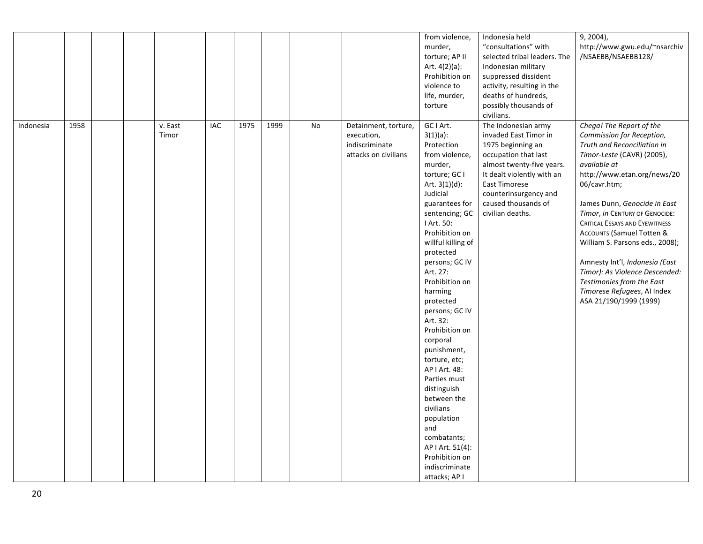|           |      |  |                  |            |      |      |           |                                                                              | from violence,<br>murder,<br>torture; AP II<br>Art. $4(2)(a)$ :<br>Prohibition on<br>violence to<br>life, murder,<br>torture                                                                                                                                                                                                                                                                                                                                                                                                                                                             | Indonesia held<br>"consultations" with<br>selected tribal leaders. The<br>Indonesian military<br>suppressed dissident<br>activity, resulting in the<br>deaths of hundreds,<br>possibly thousands of<br>civilians.                                | $9, 2004$ ),<br>http://www.gwu.edu/~nsarchiv<br>/NSAEBB/NSAEBB128/                                                                                                                                                                                                                                                                                                                                                                                                                                                                |
|-----------|------|--|------------------|------------|------|------|-----------|------------------------------------------------------------------------------|------------------------------------------------------------------------------------------------------------------------------------------------------------------------------------------------------------------------------------------------------------------------------------------------------------------------------------------------------------------------------------------------------------------------------------------------------------------------------------------------------------------------------------------------------------------------------------------|--------------------------------------------------------------------------------------------------------------------------------------------------------------------------------------------------------------------------------------------------|-----------------------------------------------------------------------------------------------------------------------------------------------------------------------------------------------------------------------------------------------------------------------------------------------------------------------------------------------------------------------------------------------------------------------------------------------------------------------------------------------------------------------------------|
| Indonesia | 1958 |  | v. East<br>Timor | <b>IAC</b> | 1975 | 1999 | <b>No</b> | Detainment, torture,<br>execution,<br>indiscriminate<br>attacks on civilians | GC I Art.<br>$3(1)(a)$ :<br>Protection<br>from violence,<br>murder,<br>torture; GC I<br>Art. $3(1)(d)$ :<br>Judicial<br>guarantees for<br>sentencing; GC<br>I Art. 50:<br>Prohibition on<br>willful killing of<br>protected<br>persons; GC IV<br>Art. 27:<br>Prohibition on<br>harming<br>protected<br>persons; GC IV<br>Art. 32:<br>Prohibition on<br>corporal<br>punishment,<br>torture, etc;<br>AP I Art. 48:<br>Parties must<br>distinguish<br>between the<br>civilians<br>population<br>and<br>combatants;<br>AP I Art. 51(4):<br>Prohibition on<br>indiscriminate<br>attacks; AP I | The Indonesian army<br>invaded East Timor in<br>1975 beginning an<br>occupation that last<br>almost twenty-five years.<br>It dealt violently with an<br><b>East Timorese</b><br>counterinsurgency and<br>caused thousands of<br>civilian deaths. | Chega! The Report of the<br>Commission for Reception,<br>Truth and Reconciliation in<br>Timor-Leste (CAVR) (2005),<br>available at<br>http://www.etan.org/news/20<br>06/cavr.htm;<br>James Dunn, Genocide in East<br>Timor, in CENTURY OF GENOCIDE:<br><b>CRITICAL ESSAYS AND EYEWITNESS</b><br><b>ACCOUNTS (Samuel Totten &amp;</b><br>William S. Parsons eds., 2008);<br>Amnesty Int'l, Indonesia (East<br>Timor): As Violence Descended:<br>Testimonies from the East<br>Timorese Refugees, AI Index<br>ASA 21/190/1999 (1999) |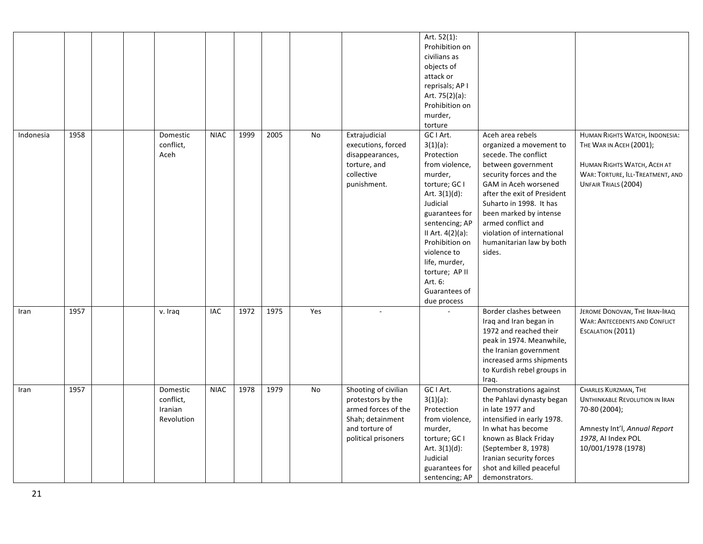|           |      |  |                                                |             |      |      |     |                                                                                                                               | Art. 52(1):<br>Prohibition on<br>civilians as<br>objects of<br>attack or<br>reprisals; AP I<br>Art. 75(2)(a):<br>Prohibition on<br>murder,<br>torture                                                                                                                                       |                                                                                                                                                                                                                                                                                                                            |                                                                                                                                                            |
|-----------|------|--|------------------------------------------------|-------------|------|------|-----|-------------------------------------------------------------------------------------------------------------------------------|---------------------------------------------------------------------------------------------------------------------------------------------------------------------------------------------------------------------------------------------------------------------------------------------|----------------------------------------------------------------------------------------------------------------------------------------------------------------------------------------------------------------------------------------------------------------------------------------------------------------------------|------------------------------------------------------------------------------------------------------------------------------------------------------------|
| Indonesia | 1958 |  | Domestic<br>conflict,<br>Aceh                  | <b>NIAC</b> | 1999 | 2005 | No  | Extrajudicial<br>executions, forced<br>disappearances,<br>torture, and<br>collective<br>punishment.                           | GC I Art.<br>$3(1)(a)$ :<br>Protection<br>from violence,<br>murder,<br>torture; GC I<br>Art. $3(1)(d)$ :<br>Judicial<br>guarantees for<br>sentencing; AP<br>II Art. 4(2)(a):<br>Prohibition on<br>violence to<br>life, murder,<br>torture; AP II<br>Art. 6:<br>Guarantees of<br>due process | Aceh area rebels<br>organized a movement to<br>secede. The conflict<br>between government<br>security forces and the<br>GAM in Aceh worsened<br>after the exit of President<br>Suharto in 1998. It has<br>been marked by intense<br>armed conflict and<br>violation of international<br>humanitarian law by both<br>sides. | HUMAN RIGHTS WATCH, INDONESIA:<br>THE WAR IN ACEH (2001);<br>HUMAN RIGHTS WATCH, ACEH AT<br>WAR: TORTURE, ILL-TREATMENT, AND<br>UNFAIR TRIALS (2004)       |
| Iran      | 1957 |  | v. Iraq                                        | IAC         | 1972 | 1975 | Yes |                                                                                                                               |                                                                                                                                                                                                                                                                                             | Border clashes between<br>Iraq and Iran began in<br>1972 and reached their<br>peak in 1974. Meanwhile,<br>the Iranian government<br>increased arms shipments<br>to Kurdish rebel groups in<br>Iraq.                                                                                                                        | JEROME DONOVAN, THE IRAN-IRAQ<br><b>WAR: ANTECEDENTS AND CONFLICT</b><br>ESCALATION (2011)                                                                 |
| Iran      | 1957 |  | Domestic<br>conflict,<br>Iranian<br>Revolution | <b>NIAC</b> | 1978 | 1979 | No  | Shooting of civilian<br>protestors by the<br>armed forces of the<br>Shah; detainment<br>and torture of<br>political prisoners | GC I Art.<br>$3(1)(a)$ :<br>Protection<br>from violence,<br>murder,<br>torture; GC I<br>Art. $3(1)(d)$ :<br>Judicial<br>guarantees for<br>sentencing; AP                                                                                                                                    | Demonstrations against<br>the Pahlavi dynasty began<br>in late 1977 and<br>intensified in early 1978.<br>In what has become<br>known as Black Friday<br>(September 8, 1978)<br>Iranian security forces<br>shot and killed peaceful<br>demonstrators.                                                                       | CHARLES KURZMAN, THE<br><b>UNTHINKABLE REVOLUTION IN IRAN</b><br>70-80 (2004);<br>Amnesty Int'l, Annual Report<br>1978, AI Index POL<br>10/001/1978 (1978) |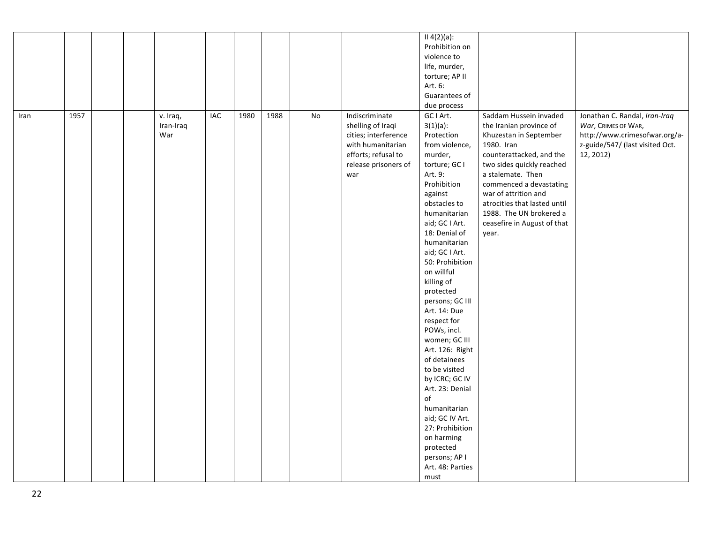|      |      |                              |     |      |      |    |                                                                                                                                        | II 4(2)(a):<br>Prohibition on<br>violence to<br>life, murder,<br>torture; AP II<br>Art. 6:<br>Guarantees of<br>due process                                                                                                                                                                                                                                                                                                                                                                                                                                                                                |                                                                                                                                                                                                                                                                                                                               |                                                                                                                                       |
|------|------|------------------------------|-----|------|------|----|----------------------------------------------------------------------------------------------------------------------------------------|-----------------------------------------------------------------------------------------------------------------------------------------------------------------------------------------------------------------------------------------------------------------------------------------------------------------------------------------------------------------------------------------------------------------------------------------------------------------------------------------------------------------------------------------------------------------------------------------------------------|-------------------------------------------------------------------------------------------------------------------------------------------------------------------------------------------------------------------------------------------------------------------------------------------------------------------------------|---------------------------------------------------------------------------------------------------------------------------------------|
| Iran | 1957 | v. Iraq,<br>Iran-Iraq<br>War | IAC | 1980 | 1988 | No | Indiscriminate<br>shelling of Iraqi<br>cities; interference<br>with humanitarian<br>efforts; refusal to<br>release prisoners of<br>war | GC I Art.<br>$3(1)(a)$ :<br>Protection<br>from violence,<br>murder,<br>torture; GC I<br>Art. 9:<br>Prohibition<br>against<br>obstacles to<br>humanitarian<br>aid; GC I Art.<br>18: Denial of<br>humanitarian<br>aid; GC I Art.<br>50: Prohibition<br>on willful<br>killing of<br>protected<br>persons; GC III<br>Art. 14: Due<br>respect for<br>POWs, incl.<br>women; GC III<br>Art. 126: Right<br>of detainees<br>to be visited<br>by ICRC; GC IV<br>Art. 23: Denial<br>of<br>humanitarian<br>aid; GC IV Art.<br>27: Prohibition<br>on harming<br>protected<br>persons; AP I<br>Art. 48: Parties<br>must | Saddam Hussein invaded<br>the Iranian province of<br>Khuzestan in September<br>1980. Iran<br>counterattacked, and the<br>two sides quickly reached<br>a stalemate. Then<br>commenced a devastating<br>war of attrition and<br>atrocities that lasted until<br>1988. The UN brokered a<br>ceasefire in August of that<br>year. | Jonathan C. Randal, Iran-Iraq<br>War, CRIMES OF WAR,<br>http://www.crimesofwar.org/a-<br>z-guide/547/ (last visited Oct.<br>12, 2012) |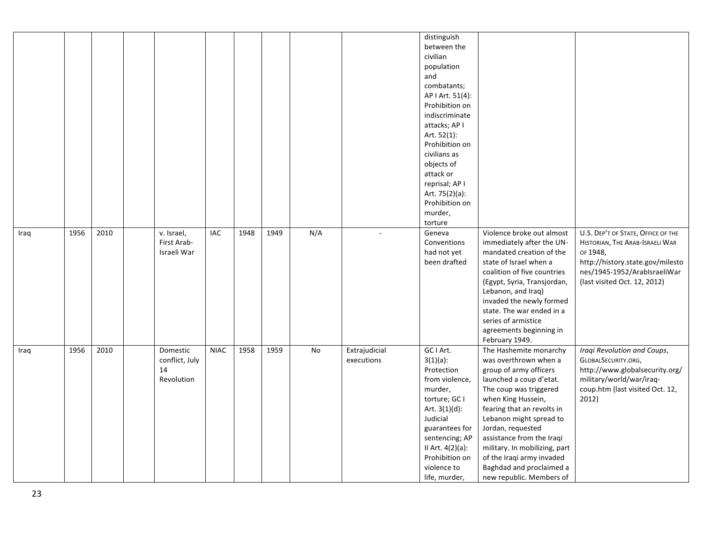|      |      |      |                |             |      |      |     |               | distinguish      |                                                   |                                    |
|------|------|------|----------------|-------------|------|------|-----|---------------|------------------|---------------------------------------------------|------------------------------------|
|      |      |      |                |             |      |      |     |               | between the      |                                                   |                                    |
|      |      |      |                |             |      |      |     |               | civilian         |                                                   |                                    |
|      |      |      |                |             |      |      |     |               | population       |                                                   |                                    |
|      |      |      |                |             |      |      |     |               | and              |                                                   |                                    |
|      |      |      |                |             |      |      |     |               | combatants;      |                                                   |                                    |
|      |      |      |                |             |      |      |     |               | AP I Art. 51(4): |                                                   |                                    |
|      |      |      |                |             |      |      |     |               | Prohibition on   |                                                   |                                    |
|      |      |      |                |             |      |      |     |               | indiscriminate   |                                                   |                                    |
|      |      |      |                |             |      |      |     |               | attacks; AP I    |                                                   |                                    |
|      |      |      |                |             |      |      |     |               | Art. 52(1):      |                                                   |                                    |
|      |      |      |                |             |      |      |     |               | Prohibition on   |                                                   |                                    |
|      |      |      |                |             |      |      |     |               | civilians as     |                                                   |                                    |
|      |      |      |                |             |      |      |     |               | objects of       |                                                   |                                    |
|      |      |      |                |             |      |      |     |               | attack or        |                                                   |                                    |
|      |      |      |                |             |      |      |     |               | reprisal; AP I   |                                                   |                                    |
|      |      |      |                |             |      |      |     |               | Art. 75(2)(a):   |                                                   |                                    |
|      |      |      |                |             |      |      |     |               | Prohibition on   |                                                   |                                    |
|      |      |      |                |             |      |      |     |               | murder,          |                                                   |                                    |
|      |      |      |                |             |      |      |     |               | torture          |                                                   |                                    |
| Iraq | 1956 | 2010 | v. Israel,     | IAC         | 1948 | 1949 | N/A | $\sim$        | Geneva           | Violence broke out almost                         | U.S. DEP'T OF STATE, OFFICE OF THE |
|      |      |      | First Arab-    |             |      |      |     |               | Conventions      | immediately after the UN-                         | HISTORIAN, THE ARAB-ISRAELI WAR    |
|      |      |      | Israeli War    |             |      |      |     |               | had not yet      | mandated creation of the                          | OF 1948,                           |
|      |      |      |                |             |      |      |     |               | been drafted     | state of Israel when a                            | http://history.state.gov/milesto   |
|      |      |      |                |             |      |      |     |               |                  | coalition of five countries                       | nes/1945-1952/ArabIsraeliWar       |
|      |      |      |                |             |      |      |     |               |                  |                                                   |                                    |
|      |      |      |                |             |      |      |     |               |                  | (Egypt, Syria, Transjordan,<br>Lebanon, and Iraq) | (last visited Oct. 12, 2012)       |
|      |      |      |                |             |      |      |     |               |                  | invaded the newly formed                          |                                    |
|      |      |      |                |             |      |      |     |               |                  |                                                   |                                    |
|      |      |      |                |             |      |      |     |               |                  | state. The war ended in a                         |                                    |
|      |      |      |                |             |      |      |     |               |                  | series of armistice                               |                                    |
|      |      |      |                |             |      |      |     |               |                  | agreements beginning in                           |                                    |
|      |      |      |                |             |      |      |     |               |                  | February 1949.                                    |                                    |
| Iraq | 1956 | 2010 | Domestic       | <b>NIAC</b> | 1958 | 1959 | No  | Extrajudicial | GC I Art.        | The Hashemite monarchy                            | Iraqi Revolution and Coups,        |
|      |      |      | conflict, July |             |      |      |     | executions    | $3(1)(a)$ :      | was overthrown when a                             | GLOBALSECURITY.ORG,                |
|      |      |      | 14             |             |      |      |     |               | Protection       | group of army officers                            | http://www.globalsecurity.org/     |
|      |      |      | Revolution     |             |      |      |     |               | from violence,   | launched a coup d'etat.                           | military/world/war/iraq-           |
|      |      |      |                |             |      |      |     |               | murder,          | The coup was triggered                            | coup.htm (last visited Oct. 12,    |
|      |      |      |                |             |      |      |     |               | torture; GC I    | when King Hussein,                                | 2012)                              |
|      |      |      |                |             |      |      |     |               | Art. $3(1)(d)$ : | fearing that an revolts in                        |                                    |
|      |      |      |                |             |      |      |     |               | Judicial         | Lebanon might spread to                           |                                    |
|      |      |      |                |             |      |      |     |               | guarantees for   | Jordan, requested                                 |                                    |
|      |      |      |                |             |      |      |     |               | sentencing; AP   | assistance from the Iraqi                         |                                    |
|      |      |      |                |             |      |      |     |               | II Art. 4(2)(a): | military. In mobilizing, part                     |                                    |
|      |      |      |                |             |      |      |     |               | Prohibition on   | of the Iraqi army invaded                         |                                    |
|      |      |      |                |             |      |      |     |               | violence to      | Baghdad and proclaimed a                          |                                    |
|      |      |      |                |             |      |      |     |               | life, murder,    | new republic. Members of                          |                                    |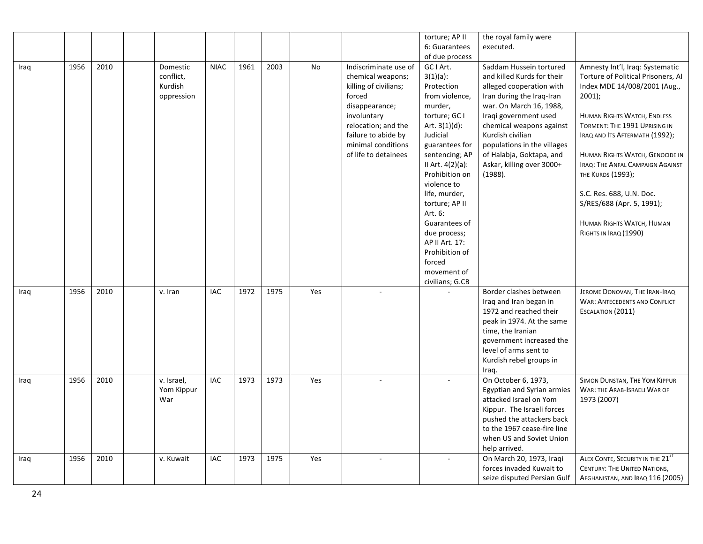|      |      |      |            |             |      |      |     |                       | torture; AP II   | the royal family were       |                                      |
|------|------|------|------------|-------------|------|------|-----|-----------------------|------------------|-----------------------------|--------------------------------------|
|      |      |      |            |             |      |      |     |                       | 6: Guarantees    | executed.                   |                                      |
|      |      |      |            |             |      |      |     |                       | of due process   |                             |                                      |
| Iraq | 1956 | 2010 | Domestic   | <b>NIAC</b> | 1961 | 2003 | No  | Indiscriminate use of | GC I Art.        | Saddam Hussein tortured     | Amnesty Int'l, Iraq: Systematic      |
|      |      |      | conflict,  |             |      |      |     | chemical weapons;     | $3(1)(a)$ :      | and killed Kurds for their  | Torture of Political Prisoners, AI   |
|      |      |      | Kurdish    |             |      |      |     | killing of civilians; | Protection       | alleged cooperation with    | Index MDE 14/008/2001 (Aug.,         |
|      |      |      | oppression |             |      |      |     | forced                | from violence,   | Iran during the Iraq-Iran   | $2001$ );                            |
|      |      |      |            |             |      |      |     | disappearance;        | murder,          | war. On March 16, 1988,     |                                      |
|      |      |      |            |             |      |      |     | involuntary           | torture; GC I    | Iraqi government used       | HUMAN RIGHTS WATCH, ENDLESS          |
|      |      |      |            |             |      |      |     | relocation; and the   | Art. $3(1)(d)$ : | chemical weapons against    | TORMENT: THE 1991 UPRISING IN        |
|      |      |      |            |             |      |      |     | failure to abide by   | Judicial         | Kurdish civilian            | IRAQ AND ITS AFTERMATH (1992);       |
|      |      |      |            |             |      |      |     | minimal conditions    | guarantees for   | populations in the villages |                                      |
|      |      |      |            |             |      |      |     | of life to detainees  | sentencing; AP   | of Halabja, Goktapa, and    | HUMAN RIGHTS WATCH, GENOCIDE IN      |
|      |      |      |            |             |      |      |     |                       | II Art. 4(2)(a): | Askar, killing over 3000+   | IRAQ: THE ANFAL CAMPAIGN AGAINST     |
|      |      |      |            |             |      |      |     |                       | Prohibition on   | (1988).                     | THE KURDS (1993);                    |
|      |      |      |            |             |      |      |     |                       | violence to      |                             |                                      |
|      |      |      |            |             |      |      |     |                       | life, murder,    |                             | S.C. Res. 688, U.N. Doc.             |
|      |      |      |            |             |      |      |     |                       | torture; AP II   |                             | S/RES/688 (Apr. 5, 1991);            |
|      |      |      |            |             |      |      |     |                       | Art. 6:          |                             |                                      |
|      |      |      |            |             |      |      |     |                       | Guarantees of    |                             | HUMAN RIGHTS WATCH, HUMAN            |
|      |      |      |            |             |      |      |     |                       | due process;     |                             | RIGHTS IN IRAQ (1990)                |
|      |      |      |            |             |      |      |     |                       | AP II Art. 17:   |                             |                                      |
|      |      |      |            |             |      |      |     |                       | Prohibition of   |                             |                                      |
|      |      |      |            |             |      |      |     |                       | forced           |                             |                                      |
|      |      |      |            |             |      |      |     |                       | movement of      |                             |                                      |
|      |      |      |            |             |      |      |     |                       | civilians; G.CB  |                             |                                      |
| Iraq | 1956 | 2010 | v. Iran    | IAC         | 1972 | 1975 | Yes | $\overline{a}$        |                  | Border clashes between      | JEROME DONOVAN, THE IRAN-IRAQ        |
|      |      |      |            |             |      |      |     |                       |                  | Iraq and Iran began in      | <b>WAR: ANTECEDENTS AND CONFLICT</b> |
|      |      |      |            |             |      |      |     |                       |                  | 1972 and reached their      | ESCALATION (2011)                    |
|      |      |      |            |             |      |      |     |                       |                  | peak in 1974. At the same   |                                      |
|      |      |      |            |             |      |      |     |                       |                  | time, the Iranian           |                                      |
|      |      |      |            |             |      |      |     |                       |                  | government increased the    |                                      |
|      |      |      |            |             |      |      |     |                       |                  | level of arms sent to       |                                      |
|      |      |      |            |             |      |      |     |                       |                  | Kurdish rebel groups in     |                                      |
|      |      |      |            |             |      |      |     |                       |                  | Iraq.                       |                                      |
| Iraq | 1956 | 2010 | v. Israel, | <b>IAC</b>  | 1973 | 1973 | Yes |                       |                  | On October 6, 1973,         | SIMON DUNSTAN, THE YOM KIPPUR        |
|      |      |      | Yom Kippur |             |      |      |     |                       |                  | Egyptian and Syrian armies  | WAR: THE ARAB-ISRAELI WAR OF         |
|      |      |      | War        |             |      |      |     |                       |                  | attacked Israel on Yom      | 1973 (2007)                          |
|      |      |      |            |             |      |      |     |                       |                  | Kippur. The Israeli forces  |                                      |
|      |      |      |            |             |      |      |     |                       |                  | pushed the attackers back   |                                      |
|      |      |      |            |             |      |      |     |                       |                  | to the 1967 cease-fire line |                                      |
|      |      |      |            |             |      |      |     |                       |                  | when US and Soviet Union    |                                      |
|      |      |      |            |             |      |      |     |                       |                  | help arrived.               |                                      |
| Iraq | 1956 | 2010 | v. Kuwait  | IAC         | 1973 | 1975 | Yes |                       |                  | On March 20, 1973, Iraqi    | ALEX CONTE, SECURITY IN THE 21ST     |
|      |      |      |            |             |      |      |     |                       |                  | forces invaded Kuwait to    | <b>CENTURY: THE UNITED NATIONS,</b>  |
|      |      |      |            |             |      |      |     |                       |                  | seize disputed Persian Gulf | AFGHANISTAN, AND IRAQ 116 (2005)     |
|      |      |      |            |             |      |      |     |                       |                  |                             |                                      |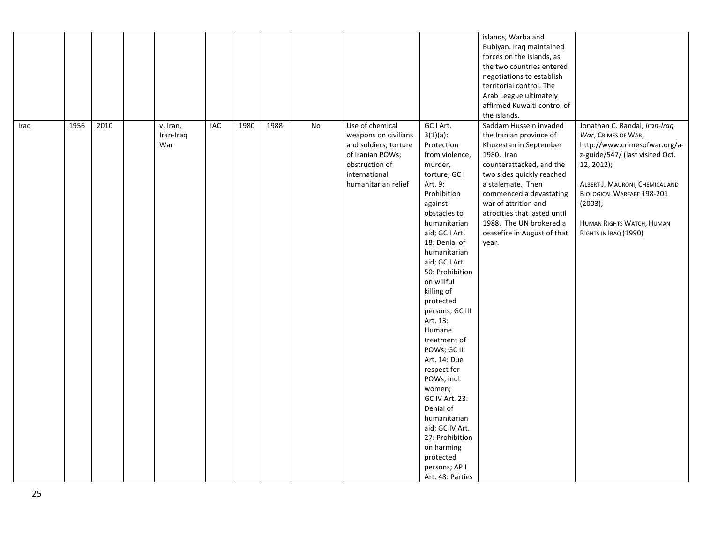|      |      |      |                              |            |      |      |    |                                                                                                                                                |                                                                                                                                                                                                                                                                                                                                                                                                                                                                                                                                                                                  | islands, Warba and<br>Bubiyan. Iraq maintained<br>forces on the islands, as<br>the two countries entered<br>negotiations to establish<br>territorial control. The<br>Arab League ultimately<br>affirmed Kuwaiti control of<br>the islands.                                                                                    |                                                                                                                                                                                                                                                                          |
|------|------|------|------------------------------|------------|------|------|----|------------------------------------------------------------------------------------------------------------------------------------------------|----------------------------------------------------------------------------------------------------------------------------------------------------------------------------------------------------------------------------------------------------------------------------------------------------------------------------------------------------------------------------------------------------------------------------------------------------------------------------------------------------------------------------------------------------------------------------------|-------------------------------------------------------------------------------------------------------------------------------------------------------------------------------------------------------------------------------------------------------------------------------------------------------------------------------|--------------------------------------------------------------------------------------------------------------------------------------------------------------------------------------------------------------------------------------------------------------------------|
| Iraq | 1956 | 2010 | v. Iran,<br>Iran-Iraq<br>War | <b>IAC</b> | 1980 | 1988 | No | Use of chemical<br>weapons on civilians<br>and soldiers; torture<br>of Iranian POWs;<br>obstruction of<br>international<br>humanitarian relief | GC I Art.<br>$3(1)(a)$ :<br>Protection<br>from violence,<br>murder,<br>torture; GC I<br>Art. 9:<br>Prohibition<br>against<br>obstacles to<br>humanitarian<br>aid; GC I Art.<br>18: Denial of<br>humanitarian<br>aid; GC I Art.<br>50: Prohibition<br>on willful<br>killing of<br>protected<br>persons; GC III<br>Art. 13:<br>Humane<br>treatment of<br>POWs; GC III<br>Art. 14: Due<br>respect for<br>POWs, incl.<br>women;<br>GC IV Art. 23:<br>Denial of<br>humanitarian<br>aid; GC IV Art.<br>27: Prohibition<br>on harming<br>protected<br>persons; AP I<br>Art. 48: Parties | Saddam Hussein invaded<br>the Iranian province of<br>Khuzestan in September<br>1980. Iran<br>counterattacked, and the<br>two sides quickly reached<br>a stalemate. Then<br>commenced a devastating<br>war of attrition and<br>atrocities that lasted until<br>1988. The UN brokered a<br>ceasefire in August of that<br>year. | Jonathan C. Randal, Iran-Iraq<br>War, CRIMES OF WAR,<br>http://www.crimesofwar.org/a-<br>z-guide/547/ (last visited Oct.<br>12, 2012);<br>ALBERT J. MAURONI, CHEMICAL AND<br>BIOLOGICAL WARFARE 198-201<br>(2003);<br>HUMAN RIGHTS WATCH, HUMAN<br>RIGHTS IN IRAQ (1990) |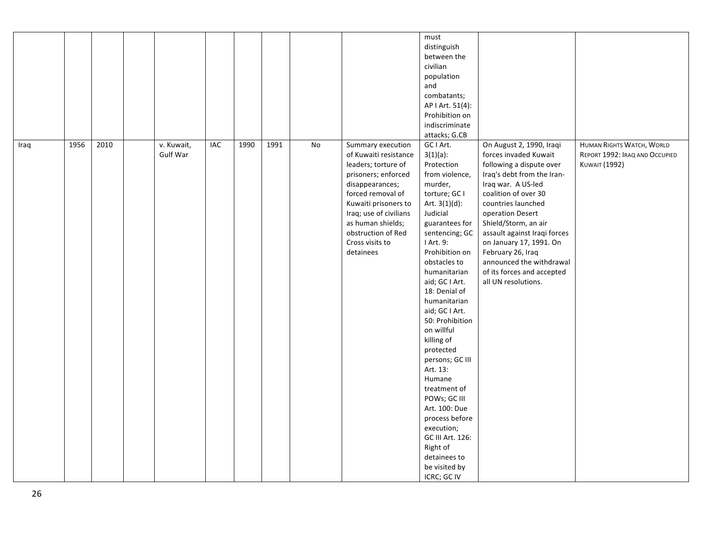|      |      |      |                        |            |      |      |    |                                                                                                                                                                                                                                                               | must<br>distinguish<br>between the<br>civilian<br>population<br>and<br>combatants;<br>AP   Art. 51(4):<br>Prohibition on<br>indiscriminate<br>attacks; G.CB                                                                                                                                                                                                                                                                                                                                                                                                        |                                                                                                                                                                                                                                                                                                                                                                                              |                                                                                            |
|------|------|------|------------------------|------------|------|------|----|---------------------------------------------------------------------------------------------------------------------------------------------------------------------------------------------------------------------------------------------------------------|--------------------------------------------------------------------------------------------------------------------------------------------------------------------------------------------------------------------------------------------------------------------------------------------------------------------------------------------------------------------------------------------------------------------------------------------------------------------------------------------------------------------------------------------------------------------|----------------------------------------------------------------------------------------------------------------------------------------------------------------------------------------------------------------------------------------------------------------------------------------------------------------------------------------------------------------------------------------------|--------------------------------------------------------------------------------------------|
| Iraq | 1956 | 2010 | v. Kuwait,<br>Gulf War | <b>IAC</b> | 1990 | 1991 | No | Summary execution<br>of Kuwaiti resistance<br>leaders; torture of<br>prisoners; enforced<br>disappearances;<br>forced removal of<br>Kuwaiti prisoners to<br>Iraq; use of civilians<br>as human shields;<br>obstruction of Red<br>Cross visits to<br>detainees | GC I Art.<br>$3(1)(a)$ :<br>Protection<br>from violence,<br>murder,<br>torture; GC I<br>Art. $3(1)(d)$ :<br>Judicial<br>guarantees for<br>sentencing; GC<br>I Art. 9:<br>Prohibition on<br>obstacles to<br>humanitarian<br>aid; GC I Art.<br>18: Denial of<br>humanitarian<br>aid; GC I Art.<br>50: Prohibition<br>on willful<br>killing of<br>protected<br>persons; GC III<br>Art. 13:<br>Humane<br>treatment of<br>POWs; GC III<br>Art. 100: Due<br>process before<br>execution;<br>GC III Art. 126:<br>Right of<br>detainees to<br>be visited by<br>ICRC; GC IV | On August 2, 1990, Iraqi<br>forces invaded Kuwait<br>following a dispute over<br>Iraq's debt from the Iran-<br>Iraq war. A US-led<br>coalition of over 30<br>countries launched<br>operation Desert<br>Shield/Storm, an air<br>assault against Iraqi forces<br>on January 17, 1991. On<br>February 26, Iraq<br>announced the withdrawal<br>of its forces and accepted<br>all UN resolutions. | <b>HUMAN RIGHTS WATCH, WORLD</b><br>REPORT 1992: IRAQ AND OCCUPIED<br><b>KUWAIT (1992)</b> |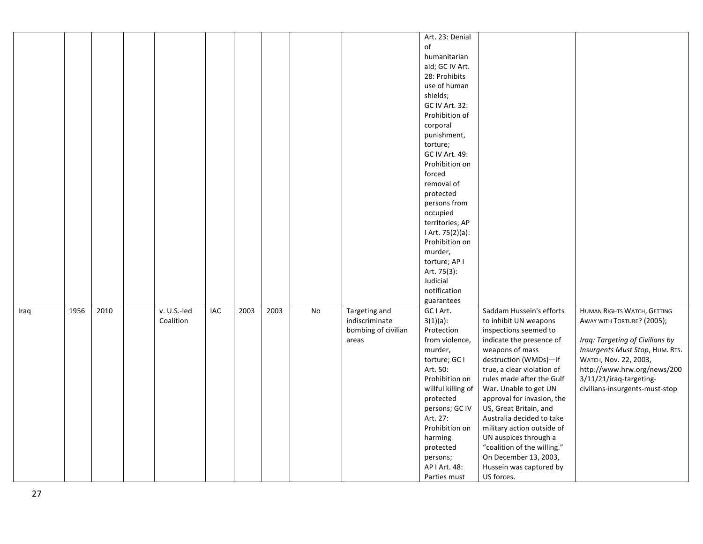|      |      |      |             |     |      |      |    |                     | Art. 23: Denial    |                             |                                    |
|------|------|------|-------------|-----|------|------|----|---------------------|--------------------|-----------------------------|------------------------------------|
|      |      |      |             |     |      |      |    |                     | of                 |                             |                                    |
|      |      |      |             |     |      |      |    |                     | humanitarian       |                             |                                    |
|      |      |      |             |     |      |      |    |                     | aid; GC IV Art.    |                             |                                    |
|      |      |      |             |     |      |      |    |                     | 28: Prohibits      |                             |                                    |
|      |      |      |             |     |      |      |    |                     | use of human       |                             |                                    |
|      |      |      |             |     |      |      |    |                     | shields;           |                             |                                    |
|      |      |      |             |     |      |      |    |                     | GC IV Art. 32:     |                             |                                    |
|      |      |      |             |     |      |      |    |                     | Prohibition of     |                             |                                    |
|      |      |      |             |     |      |      |    |                     | corporal           |                             |                                    |
|      |      |      |             |     |      |      |    |                     | punishment,        |                             |                                    |
|      |      |      |             |     |      |      |    |                     | torture;           |                             |                                    |
|      |      |      |             |     |      |      |    |                     | GC IV Art. 49:     |                             |                                    |
|      |      |      |             |     |      |      |    |                     | Prohibition on     |                             |                                    |
|      |      |      |             |     |      |      |    |                     | forced             |                             |                                    |
|      |      |      |             |     |      |      |    |                     | removal of         |                             |                                    |
|      |      |      |             |     |      |      |    |                     | protected          |                             |                                    |
|      |      |      |             |     |      |      |    |                     | persons from       |                             |                                    |
|      |      |      |             |     |      |      |    |                     | occupied           |                             |                                    |
|      |      |      |             |     |      |      |    |                     | territories; AP    |                             |                                    |
|      |      |      |             |     |      |      |    |                     | I Art. 75(2)(a):   |                             |                                    |
|      |      |      |             |     |      |      |    |                     | Prohibition on     |                             |                                    |
|      |      |      |             |     |      |      |    |                     | murder,            |                             |                                    |
|      |      |      |             |     |      |      |    |                     | torture; AP I      |                             |                                    |
|      |      |      |             |     |      |      |    |                     | Art. 75(3):        |                             |                                    |
|      |      |      |             |     |      |      |    |                     | Judicial           |                             |                                    |
|      |      |      |             |     |      |      |    |                     | notification       |                             |                                    |
|      |      |      |             |     |      |      |    |                     | guarantees         |                             |                                    |
| Iraq | 1956 | 2010 | v. U.S.-led | IAC | 2003 | 2003 | No | Targeting and       | GC I Art.          | Saddam Hussein's efforts    | <b>HUMAN RIGHTS WATCH, GETTING</b> |
|      |      |      | Coalition   |     |      |      |    | indiscriminate      | $3(1)(a)$ :        | to inhibit UN weapons       | AWAY WITH TORTURE? (2005);         |
|      |      |      |             |     |      |      |    | bombing of civilian | Protection         | inspections seemed to       |                                    |
|      |      |      |             |     |      |      |    | areas               | from violence,     | indicate the presence of    | Iraq: Targeting of Civilians by    |
|      |      |      |             |     |      |      |    |                     | murder,            | weapons of mass             | Insurgents Must Stop, HUM. RTS.    |
|      |      |      |             |     |      |      |    |                     | torture; GC I      | destruction (WMDs)-if       | WATCH, Nov. 22, 2003,              |
|      |      |      |             |     |      |      |    |                     | Art. 50:           | true, a clear violation of  | http://www.hrw.org/news/200        |
|      |      |      |             |     |      |      |    |                     | Prohibition on     | rules made after the Gulf   | 3/11/21/iraq-targeting-            |
|      |      |      |             |     |      |      |    |                     | willful killing of | War. Unable to get UN       | civilians-insurgents-must-stop     |
|      |      |      |             |     |      |      |    |                     | protected          | approval for invasion, the  |                                    |
|      |      |      |             |     |      |      |    |                     | persons; GC IV     | US, Great Britain, and      |                                    |
|      |      |      |             |     |      |      |    |                     | Art. 27:           | Australia decided to take   |                                    |
|      |      |      |             |     |      |      |    |                     | Prohibition on     |                             |                                    |
|      |      |      |             |     |      |      |    |                     |                    | military action outside of  |                                    |
|      |      |      |             |     |      |      |    |                     | harming            | UN auspices through a       |                                    |
|      |      |      |             |     |      |      |    |                     | protected          | "coalition of the willing." |                                    |
|      |      |      |             |     |      |      |    |                     | persons;           | On December 13, 2003,       |                                    |
|      |      |      |             |     |      |      |    |                     | AP I Art. 48:      | Hussein was captured by     |                                    |
|      |      |      |             |     |      |      |    |                     | Parties must       | US forces.                  |                                    |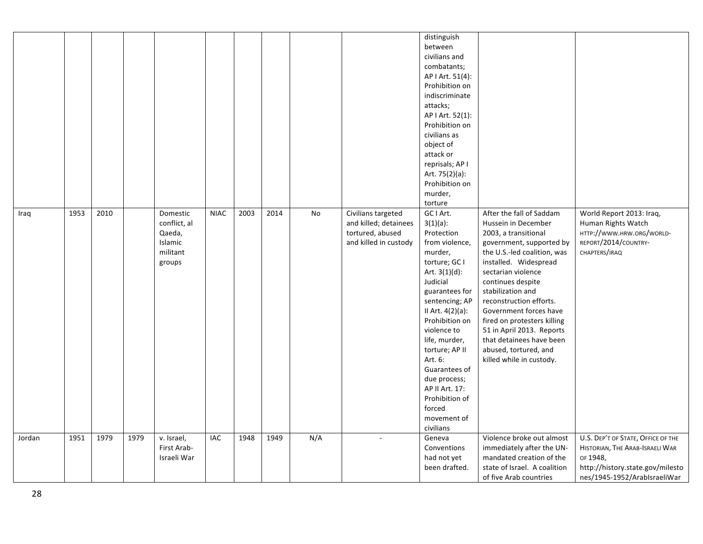|        |      |      |      |                                                                     |             |      |      |     |                                                                                          | distinguish<br>between<br>civilians and<br>combatants;<br>AP I Art. 51(4):<br>Prohibition on<br>indiscriminate<br>attacks;<br>AP I Art. 52(1):<br>Prohibition on<br>civilians as<br>object of<br>attack or<br>reprisals; AP I<br>Art. 75(2)(a):<br>Prohibition on<br>murder,<br>torture                                                                                |                                                                                                                                                                                                                                                                                                                                                                                                                               |                                                                                                                                                       |
|--------|------|------|------|---------------------------------------------------------------------|-------------|------|------|-----|------------------------------------------------------------------------------------------|------------------------------------------------------------------------------------------------------------------------------------------------------------------------------------------------------------------------------------------------------------------------------------------------------------------------------------------------------------------------|-------------------------------------------------------------------------------------------------------------------------------------------------------------------------------------------------------------------------------------------------------------------------------------------------------------------------------------------------------------------------------------------------------------------------------|-------------------------------------------------------------------------------------------------------------------------------------------------------|
| Iraq   | 1953 | 2010 |      | Domestic<br>conflict, al<br>Qaeda,<br>Islamic<br>militant<br>groups | <b>NIAC</b> | 2003 | 2014 | No  | Civilians targeted<br>and killed; detainees<br>tortured, abused<br>and killed in custody | GC I Art.<br>$3(1)(a)$ :<br>Protection<br>from violence,<br>murder,<br>torture; GC I<br>Art. $3(1)(d)$ :<br>Judicial<br>guarantees for<br>sentencing; AP<br>II Art. 4(2)(a):<br>Prohibition on<br>violence to<br>life, murder,<br>torture; AP II<br>Art. 6:<br>Guarantees of<br>due process;<br>AP II Art. 17:<br>Prohibition of<br>forced<br>movement of<br>civilians | After the fall of Saddam<br>Hussein in December<br>2003, a transitional<br>government, supported by<br>the U.S.-led coalition, was<br>installed. Widespread<br>sectarian violence<br>continues despite<br>stabilization and<br>reconstruction efforts.<br>Government forces have<br>fired on protesters killing<br>51 in April 2013. Reports<br>that detainees have been<br>abused, tortured, and<br>killed while in custody. | World Report 2013: Iraq,<br>Human Rights Watch<br>HTTP://WWW.HRW.ORG/WORLD-<br>REPORT/2014/COUNTRY-<br>CHAPTERS/IRAQ                                  |
| Jordan | 1951 | 1979 | 1979 | v. Israel,<br>First Arab-<br>Israeli War                            | IAC         | 1948 | 1949 | N/A |                                                                                          | Geneva<br>Conventions<br>had not yet<br>been drafted.                                                                                                                                                                                                                                                                                                                  | Violence broke out almost<br>immediately after the UN-<br>mandated creation of the<br>state of Israel. A coalition<br>of five Arab countries                                                                                                                                                                                                                                                                                  | U.S. DEP'T OF STATE, OFFICE OF THE<br>HISTORIAN, THE ARAB-ISRAELI WAR<br>OF 1948,<br>http://history.state.gov/milesto<br>nes/1945-1952/ArabIsraeliWar |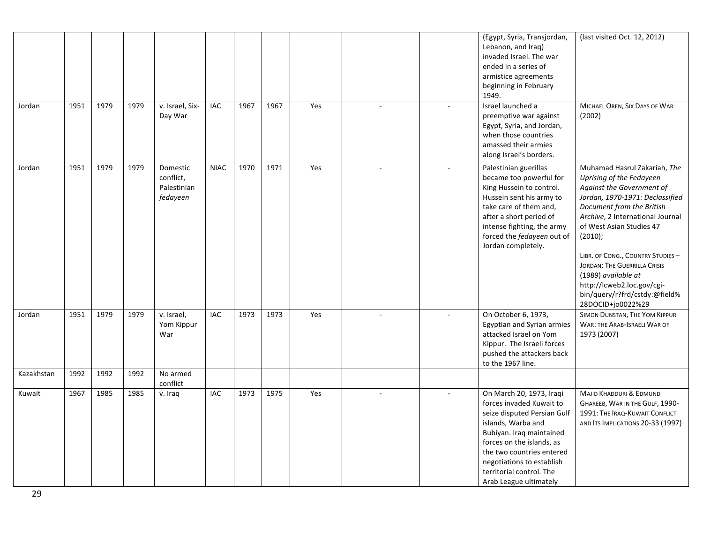| Jordan     | 1951 | 1979 | 1979 | v. Israel, Six-<br>Day War                       | <b>IAC</b>  | 1967 | 1967 | Yes | $\overline{\phantom{a}}$ | $\overline{\phantom{a}}$ | (Egypt, Syria, Transjordan,<br>Lebanon, and Iraq)<br>invaded Israel. The war<br>ended in a series of<br>armistice agreements<br>beginning in February<br>1949.<br>Israel launched a<br>preemptive war against<br>Egypt, Syria, and Jordan,<br>when those countries<br>amassed their armies<br>along Israel's borders. | (last visited Oct. 12, 2012)<br>MICHAEL OREN, SIX DAYS OF WAR<br>(2002)                                                                                                                                                                                                                                                                                                                                         |
|------------|------|------|------|--------------------------------------------------|-------------|------|------|-----|--------------------------|--------------------------|-----------------------------------------------------------------------------------------------------------------------------------------------------------------------------------------------------------------------------------------------------------------------------------------------------------------------|-----------------------------------------------------------------------------------------------------------------------------------------------------------------------------------------------------------------------------------------------------------------------------------------------------------------------------------------------------------------------------------------------------------------|
| Jordan     | 1951 | 1979 | 1979 | Domestic<br>conflict,<br>Palestinian<br>fedayeen | <b>NIAC</b> | 1970 | 1971 | Yes | $\sim$                   | $\sim$                   | Palestinian guerillas<br>became too powerful for<br>King Hussein to control.<br>Hussein sent his army to<br>take care of them and,<br>after a short period of<br>intense fighting, the army<br>forced the fedayeen out of<br>Jordan completely.                                                                       | Muhamad Hasrul Zakariah, The<br>Uprising of the Fedayeen<br>Against the Government of<br>Jordan, 1970-1971: Declassified<br>Document from the British<br>Archive, 2 International Journal<br>of West Asian Studies 47<br>(2010);<br>LIBR. OF CONG., COUNTRY STUDIES-<br>JORDAN: THE GUERRILLA CRISIS<br>(1989) available at<br>http://lcweb2.loc.gov/cgi-<br>bin/query/r?frd/cstdy:@field%<br>28DOCID+jo0022%29 |
| Jordan     | 1951 | 1979 | 1979 | v. Israel,<br>Yom Kippur<br>War                  | <b>IAC</b>  | 1973 | 1973 | Yes |                          |                          | On October 6, 1973,<br>Egyptian and Syrian armies<br>attacked Israel on Yom<br>Kippur. The Israeli forces<br>pushed the attackers back<br>to the 1967 line.                                                                                                                                                           | SIMON DUNSTAN, THE YOM KIPPUR<br><b>WAR: THE ARAB-ISRAELI WAR OF</b><br>1973 (2007)                                                                                                                                                                                                                                                                                                                             |
| Kazakhstan | 1992 | 1992 | 1992 | No armed<br>conflict                             |             |      |      |     |                          |                          |                                                                                                                                                                                                                                                                                                                       |                                                                                                                                                                                                                                                                                                                                                                                                                 |
| Kuwait     | 1967 | 1985 | 1985 | v. Iraq                                          | IAC         | 1973 | 1975 | Yes |                          |                          | On March 20, 1973, Iraqi<br>forces invaded Kuwait to<br>seize disputed Persian Gulf<br>islands, Warba and<br>Bubiyan. Iraq maintained<br>forces on the islands, as<br>the two countries entered<br>negotiations to establish<br>territorial control. The<br>Arab League ultimately                                    | MAJID KHADDURI & EDMUND<br>GHAREEB, WAR IN THE GULF, 1990-<br>1991: THE IRAQ-KUWAIT CONFLICT<br>AND ITS IMPLICATIONS 20-33 (1997)                                                                                                                                                                                                                                                                               |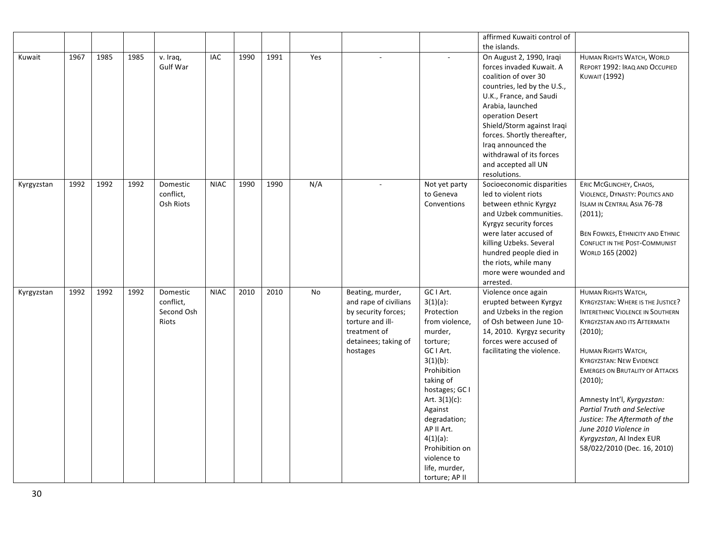|            |      |      |      |                             |             |      |      |     |                       |                             | affirmed Kuwaiti control of                          |                                                             |
|------------|------|------|------|-----------------------------|-------------|------|------|-----|-----------------------|-----------------------------|------------------------------------------------------|-------------------------------------------------------------|
|            |      |      |      |                             |             |      |      |     |                       |                             | the islands.                                         |                                                             |
| Kuwait     | 1967 | 1985 | 1985 | v. Iraq,<br><b>Gulf War</b> | IAC         | 1990 | 1991 | Yes |                       |                             | On August 2, 1990, Iraqi<br>forces invaded Kuwait. A | HUMAN RIGHTS WATCH, WORLD<br>REPORT 1992: IRAQ AND OCCUPIED |
|            |      |      |      |                             |             |      |      |     |                       |                             | coalition of over 30                                 | <b>KUWAIT (1992)</b>                                        |
|            |      |      |      |                             |             |      |      |     |                       |                             | countries, led by the U.S.,                          |                                                             |
|            |      |      |      |                             |             |      |      |     |                       |                             | U.K., France, and Saudi                              |                                                             |
|            |      |      |      |                             |             |      |      |     |                       |                             | Arabia, launched<br>operation Desert                 |                                                             |
|            |      |      |      |                             |             |      |      |     |                       |                             | Shield/Storm against Iraqi                           |                                                             |
|            |      |      |      |                             |             |      |      |     |                       |                             | forces. Shortly thereafter,                          |                                                             |
|            |      |      |      |                             |             |      |      |     |                       |                             | Iraq announced the                                   |                                                             |
|            |      |      |      |                             |             |      |      |     |                       |                             | withdrawal of its forces                             |                                                             |
|            |      |      |      |                             |             |      |      |     |                       |                             | and accepted all UN                                  |                                                             |
|            |      |      |      |                             |             |      |      |     |                       |                             | resolutions.                                         |                                                             |
| Kyrgyzstan | 1992 | 1992 | 1992 | Domestic                    | <b>NIAC</b> | 1990 | 1990 | N/A |                       | Not yet party               | Socioeconomic disparities                            | ERIC MCGLINCHEY, CHAOS,                                     |
|            |      |      |      | conflict,                   |             |      |      |     |                       | to Geneva                   | led to violent riots                                 | <b>VIOLENCE, DYNASTY: POLITICS AND</b>                      |
|            |      |      |      | Osh Riots                   |             |      |      |     |                       | Conventions                 | between ethnic Kyrgyz                                | <b>ISLAM IN CENTRAL ASIA 76-78</b>                          |
|            |      |      |      |                             |             |      |      |     |                       |                             | and Uzbek communities.                               | (2011);                                                     |
|            |      |      |      |                             |             |      |      |     |                       |                             | Kyrgyz security forces                               |                                                             |
|            |      |      |      |                             |             |      |      |     |                       |                             | were later accused of                                | BEN FOWKES, ETHNICITY AND ETHNIC                            |
|            |      |      |      |                             |             |      |      |     |                       |                             | killing Uzbeks. Several<br>hundred people died in    | CONFLICT IN THE POST-COMMUNIST                              |
|            |      |      |      |                             |             |      |      |     |                       |                             | the riots, while many                                | WORLD 165 (2002)                                            |
|            |      |      |      |                             |             |      |      |     |                       |                             | more were wounded and                                |                                                             |
|            |      |      |      |                             |             |      |      |     |                       |                             | arrested.                                            |                                                             |
| Kyrgyzstan | 1992 | 1992 | 1992 | Domestic                    | <b>NIAC</b> | 2010 | 2010 | No  | Beating, murder,      | GC I Art.                   | Violence once again                                  | <b>HUMAN RIGHTS WATCH,</b>                                  |
|            |      |      |      | conflict,                   |             |      |      |     | and rape of civilians | $3(1)(a)$ :                 | erupted between Kyrgyz                               | KYRGYZSTAN: WHERE IS THE JUSTICE?                           |
|            |      |      |      | Second Osh                  |             |      |      |     | by security forces;   | Protection                  | and Uzbeks in the region                             | <b>INTERETHNIC VIOLENCE IN SOUTHERN</b>                     |
|            |      |      |      | Riots                       |             |      |      |     | torture and ill-      | from violence,              | of Osh between June 10-                              | <b>KYRGYZSTAN AND ITS AFTERMATH</b>                         |
|            |      |      |      |                             |             |      |      |     | treatment of          | murder,                     | 14, 2010. Kyrgyz security                            | (2010);                                                     |
|            |      |      |      |                             |             |      |      |     | detainees; taking of  | torture;                    | forces were accused of                               |                                                             |
|            |      |      |      |                             |             |      |      |     | hostages              | GC I Art.                   | facilitating the violence.                           | <b>HUMAN RIGHTS WATCH,</b>                                  |
|            |      |      |      |                             |             |      |      |     |                       | $3(1)(b)$ :                 |                                                      | <b>KYRGYZSTAN: NEW EVIDENCE</b>                             |
|            |      |      |      |                             |             |      |      |     |                       | Prohibition                 |                                                      | <b>EMERGES ON BRUTALITY OF ATTACKS</b>                      |
|            |      |      |      |                             |             |      |      |     |                       | taking of<br>hostages; GC I |                                                      | (2010);                                                     |
|            |      |      |      |                             |             |      |      |     |                       | Art. $3(1)(c)$ :            |                                                      | Amnesty Int'l, Kyrgyzstan:                                  |
|            |      |      |      |                             |             |      |      |     |                       | Against                     |                                                      | <b>Partial Truth and Selective</b>                          |
|            |      |      |      |                             |             |      |      |     |                       | degradation;                |                                                      | Justice: The Aftermath of the                               |
|            |      |      |      |                             |             |      |      |     |                       | AP II Art.                  |                                                      | June 2010 Violence in                                       |
|            |      |      |      |                             |             |      |      |     |                       | $4(1)(a)$ :                 |                                                      | Kyrgyzstan, AI Index EUR                                    |
|            |      |      |      |                             |             |      |      |     |                       | Prohibition on              |                                                      | 58/022/2010 (Dec. 16, 2010)                                 |
|            |      |      |      |                             |             |      |      |     |                       | violence to                 |                                                      |                                                             |
|            |      |      |      |                             |             |      |      |     |                       | life, murder,               |                                                      |                                                             |
|            |      |      |      |                             |             |      |      |     |                       | torture; AP II              |                                                      |                                                             |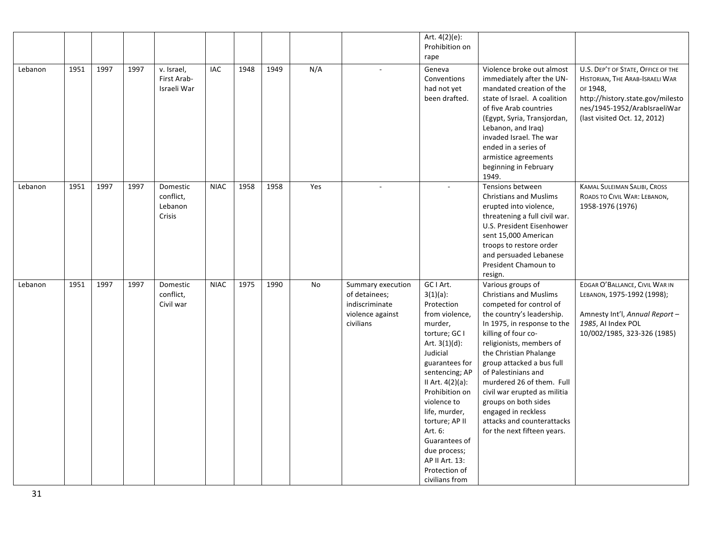|         |      |      |      |                                            |             |      |      |     |                                                                                       | Art. 4(2)(e):<br>Prohibition on<br>rape                                                                                                                                                                                                                                                                                                           |                                                                                                                                                                                                                                                                                                                                                                                                                                                     |                                                                                                                                                                                       |
|---------|------|------|------|--------------------------------------------|-------------|------|------|-----|---------------------------------------------------------------------------------------|---------------------------------------------------------------------------------------------------------------------------------------------------------------------------------------------------------------------------------------------------------------------------------------------------------------------------------------------------|-----------------------------------------------------------------------------------------------------------------------------------------------------------------------------------------------------------------------------------------------------------------------------------------------------------------------------------------------------------------------------------------------------------------------------------------------------|---------------------------------------------------------------------------------------------------------------------------------------------------------------------------------------|
| Lebanon | 1951 | 1997 | 1997 | v. Israel,<br>First Arab-<br>Israeli War   | IAC         | 1948 | 1949 | N/A |                                                                                       | Geneva<br>Conventions<br>had not yet<br>been drafted.                                                                                                                                                                                                                                                                                             | Violence broke out almost<br>immediately after the UN-<br>mandated creation of the<br>state of Israel. A coalition<br>of five Arab countries<br>(Egypt, Syria, Transjordan,<br>Lebanon, and Iraq)<br>invaded Israel. The war<br>ended in a series of<br>armistice agreements<br>beginning in February<br>1949.                                                                                                                                      | U.S. DEP'T OF STATE, OFFICE OF THE<br>HISTORIAN, THE ARAB-ISRAELI WAR<br>OF 1948,<br>http://history.state.gov/milesto<br>nes/1945-1952/ArabIsraeliWar<br>(last visited Oct. 12, 2012) |
| Lebanon | 1951 | 1997 | 1997 | Domestic<br>conflict,<br>Lebanon<br>Crisis | <b>NIAC</b> | 1958 | 1958 | Yes | $\sim$                                                                                | $\overline{\phantom{a}}$                                                                                                                                                                                                                                                                                                                          | Tensions between<br><b>Christians and Muslims</b><br>erupted into violence,<br>threatening a full civil war.<br>U.S. President Eisenhower<br>sent 15,000 American<br>troops to restore order<br>and persuaded Lebanese<br>President Chamoun to<br>resign.                                                                                                                                                                                           | KAMAL SULEIMAN SALIBI, CROSS<br>ROADS TO CIVIL WAR: LEBANON,<br>1958-1976 (1976)                                                                                                      |
| Lebanon | 1951 | 1997 | 1997 | Domestic<br>conflict,<br>Civil war         | <b>NIAC</b> | 1975 | 1990 | No  | Summary execution<br>of detainees;<br>indiscriminate<br>violence against<br>civilians | GC I Art.<br>$3(1)(a)$ :<br>Protection<br>from violence,<br>murder,<br>torture; GC I<br>Art. $3(1)(d)$ :<br>Judicial<br>guarantees for<br>sentencing; AP<br>II Art. 4(2)(a):<br>Prohibition on<br>violence to<br>life, murder,<br>torture; AP II<br>Art. 6:<br>Guarantees of<br>due process;<br>AP II Art. 13:<br>Protection of<br>civilians from | Various groups of<br><b>Christians and Muslims</b><br>competed for control of<br>the country's leadership.<br>In 1975, in response to the<br>killing of four co-<br>religionists, members of<br>the Christian Phalange<br>group attacked a bus full<br>of Palestinians and<br>murdered 26 of them. Full<br>civil war erupted as militia<br>groups on both sides<br>engaged in reckless<br>attacks and counterattacks<br>for the next fifteen years. | EDGAR O'BALLANCE, CIVIL WAR IN<br>LEBANON, 1975-1992 (1998);<br>Amnesty Int'l, Annual Report -<br>1985, AI Index POL<br>10/002/1985, 323-326 (1985)                                   |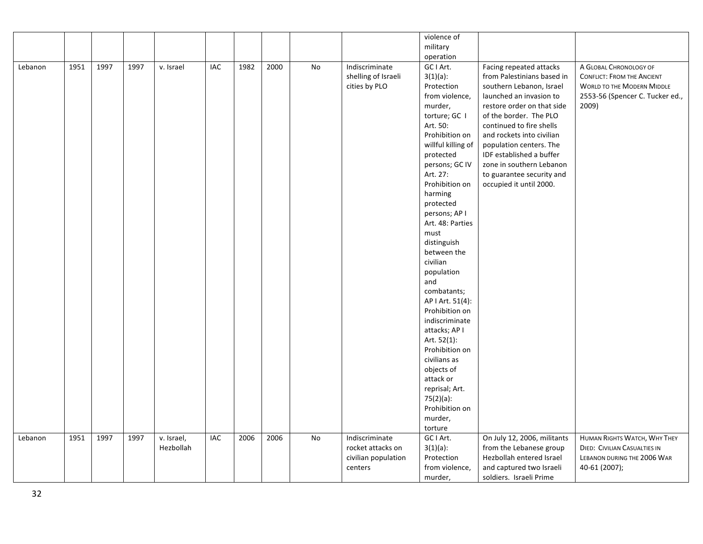| violence of                                                                                                                                            |                                     |
|--------------------------------------------------------------------------------------------------------------------------------------------------------|-------------------------------------|
| military                                                                                                                                               |                                     |
| operation                                                                                                                                              |                                     |
| 1951<br>1997<br>1997<br>IAC<br>1982<br>2000<br>No<br>Indiscriminate<br>GC I Art.<br>Facing repeated attacks<br>Lebanon<br>v. Israel                    | A GLOBAL CHRONOLOGY OF              |
| shelling of Israeli<br>$3(1)(a)$ :<br>from Palestinians based in                                                                                       | <b>CONFLICT: FROM THE ANCIENT</b>   |
| cities by PLO<br>Protection<br>southern Lebanon, Israel                                                                                                | <b>WORLD TO THE MODERN MIDDLE</b>   |
| from violence,<br>launched an invasion to                                                                                                              | 2553-56 (Spencer C. Tucker ed.,     |
| murder,<br>restore order on that side                                                                                                                  | 2009)                               |
| of the border. The PLO<br>torture; GC I                                                                                                                |                                     |
| Art. 50:<br>continued to fire shells                                                                                                                   |                                     |
| Prohibition on<br>and rockets into civilian                                                                                                            |                                     |
| willful killing of<br>population centers. The                                                                                                          |                                     |
| protected<br>IDF established a buffer                                                                                                                  |                                     |
| zone in southern Lebanon<br>persons; GC IV                                                                                                             |                                     |
| Art. 27:<br>to guarantee security and                                                                                                                  |                                     |
| Prohibition on<br>occupied it until 2000.                                                                                                              |                                     |
| harming                                                                                                                                                |                                     |
| protected                                                                                                                                              |                                     |
| persons; AP I                                                                                                                                          |                                     |
| Art. 48: Parties                                                                                                                                       |                                     |
| must                                                                                                                                                   |                                     |
| distinguish                                                                                                                                            |                                     |
| between the                                                                                                                                            |                                     |
| civilian                                                                                                                                               |                                     |
| population                                                                                                                                             |                                     |
| and                                                                                                                                                    |                                     |
| combatants;                                                                                                                                            |                                     |
| AP   Art. 51(4):                                                                                                                                       |                                     |
| Prohibition on                                                                                                                                         |                                     |
| indiscriminate                                                                                                                                         |                                     |
| attacks; AP I                                                                                                                                          |                                     |
| Art. 52(1):                                                                                                                                            |                                     |
| Prohibition on                                                                                                                                         |                                     |
| civilians as                                                                                                                                           |                                     |
| objects of                                                                                                                                             |                                     |
| attack or                                                                                                                                              |                                     |
| reprisal; Art.                                                                                                                                         |                                     |
| $75(2)(a)$ :                                                                                                                                           |                                     |
| Prohibition on                                                                                                                                         |                                     |
| murder,                                                                                                                                                |                                     |
| torture                                                                                                                                                |                                     |
| 1997<br>2006<br>2006<br>GC I Art.<br>1951<br>1997<br>v. Israel,<br><b>IAC</b><br><b>No</b><br>Indiscriminate<br>On July 12, 2006, militants<br>Lebanon | HUMAN RIGHTS WATCH, WHY THEY        |
| Hezbollah<br>rocket attacks on<br>$3(1)(a)$ :<br>from the Lebanese group                                                                               | <b>DIED: CIVILIAN CASUALTIES IN</b> |
| Protection<br>Hezbollah entered Israel<br>civilian population                                                                                          | LEBANON DURING THE 2006 WAR         |
| from violence,<br>centers<br>and captured two Israeli                                                                                                  |                                     |
|                                                                                                                                                        | 40-61 (2007);                       |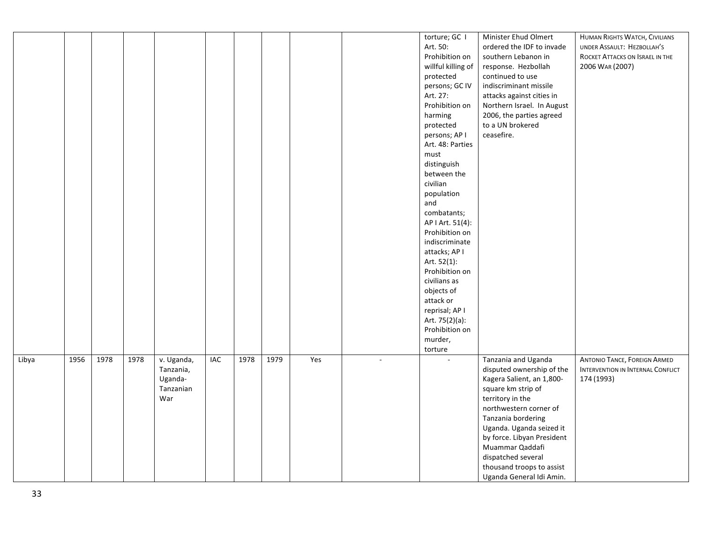|       |      |      |      |                          |                             |      |      |     |        | torture; GC I      | Minister Ehud Olmert       | HUMAN RIGHTS WATCH, CIVILIANS       |
|-------|------|------|------|--------------------------|-----------------------------|------|------|-----|--------|--------------------|----------------------------|-------------------------------------|
|       |      |      |      |                          |                             |      |      |     |        | Art. 50:           | ordered the IDF to invade  | UNDER ASSAULT: HEZBOLLAH'S          |
|       |      |      |      |                          |                             |      |      |     |        | Prohibition on     | southern Lebanon in        | ROCKET ATTACKS ON ISRAEL IN THE     |
|       |      |      |      |                          |                             |      |      |     |        | willful killing of | response. Hezbollah        | 2006 WAR (2007)                     |
|       |      |      |      |                          |                             |      |      |     |        | protected          | continued to use           |                                     |
|       |      |      |      |                          |                             |      |      |     |        | persons; GC IV     | indiscriminant missile     |                                     |
|       |      |      |      |                          |                             |      |      |     |        | Art. 27:           | attacks against cities in  |                                     |
|       |      |      |      |                          |                             |      |      |     |        | Prohibition on     | Northern Israel. In August |                                     |
|       |      |      |      |                          |                             |      |      |     |        | harming            | 2006, the parties agreed   |                                     |
|       |      |      |      |                          |                             |      |      |     |        | protected          | to a UN brokered           |                                     |
|       |      |      |      |                          |                             |      |      |     |        | persons; AP I      | ceasefire.                 |                                     |
|       |      |      |      |                          |                             |      |      |     |        | Art. 48: Parties   |                            |                                     |
|       |      |      |      |                          |                             |      |      |     |        | must               |                            |                                     |
|       |      |      |      |                          |                             |      |      |     |        | distinguish        |                            |                                     |
|       |      |      |      |                          |                             |      |      |     |        | between the        |                            |                                     |
|       |      |      |      |                          |                             |      |      |     |        | civilian           |                            |                                     |
|       |      |      |      |                          |                             |      |      |     |        |                    |                            |                                     |
|       |      |      |      |                          |                             |      |      |     |        | population<br>and  |                            |                                     |
|       |      |      |      |                          |                             |      |      |     |        |                    |                            |                                     |
|       |      |      |      |                          |                             |      |      |     |        | combatants;        |                            |                                     |
|       |      |      |      |                          |                             |      |      |     |        | AP I Art. 51(4):   |                            |                                     |
|       |      |      |      |                          |                             |      |      |     |        | Prohibition on     |                            |                                     |
|       |      |      |      |                          |                             |      |      |     |        | indiscriminate     |                            |                                     |
|       |      |      |      |                          |                             |      |      |     |        | attacks; AP I      |                            |                                     |
|       |      |      |      |                          |                             |      |      |     |        | Art. 52(1):        |                            |                                     |
|       |      |      |      |                          |                             |      |      |     |        | Prohibition on     |                            |                                     |
|       |      |      |      |                          |                             |      |      |     |        | civilians as       |                            |                                     |
|       |      |      |      |                          |                             |      |      |     |        | objects of         |                            |                                     |
|       |      |      |      |                          |                             |      |      |     |        | attack or          |                            |                                     |
|       |      |      |      |                          |                             |      |      |     |        | reprisal; AP I     |                            |                                     |
|       |      |      |      |                          |                             |      |      |     |        | Art. 75(2)(a):     |                            |                                     |
|       |      |      |      |                          |                             |      |      |     |        | Prohibition on     |                            |                                     |
|       |      |      |      |                          |                             |      |      |     |        | murder,            |                            |                                     |
|       |      |      |      |                          |                             |      |      |     |        | torture            |                            |                                     |
| Libya | 1956 | 1978 | 1978 | $\overline{v}$ . Uganda, | $\ensuremath{\mathsf{IAC}}$ | 1978 | 1979 | Yes | $\sim$ | ÷.                 | Tanzania and Uganda        | <b>ANTONIO TANCE, FOREIGN ARMED</b> |
|       |      |      |      | Tanzania,                |                             |      |      |     |        |                    | disputed ownership of the  | INTERVENTION IN INTERNAL CONFLICT   |
|       |      |      |      | Uganda-                  |                             |      |      |     |        |                    | Kagera Salient, an 1,800-  | 174 (1993)                          |
|       |      |      |      | Tanzanian                |                             |      |      |     |        |                    | square km strip of         |                                     |
|       |      |      |      | War                      |                             |      |      |     |        |                    | territory in the           |                                     |
|       |      |      |      |                          |                             |      |      |     |        |                    | northwestern corner of     |                                     |
|       |      |      |      |                          |                             |      |      |     |        |                    | Tanzania bordering         |                                     |
|       |      |      |      |                          |                             |      |      |     |        |                    |                            |                                     |
|       |      |      |      |                          |                             |      |      |     |        |                    | Uganda. Uganda seized it   |                                     |
|       |      |      |      |                          |                             |      |      |     |        |                    | by force. Libyan President |                                     |
|       |      |      |      |                          |                             |      |      |     |        |                    | Muammar Qaddafi            |                                     |
|       |      |      |      |                          |                             |      |      |     |        |                    | dispatched several         |                                     |
|       |      |      |      |                          |                             |      |      |     |        |                    | thousand troops to assist  |                                     |
|       |      |      |      |                          |                             |      |      |     |        |                    | Uganda General Idi Amin.   |                                     |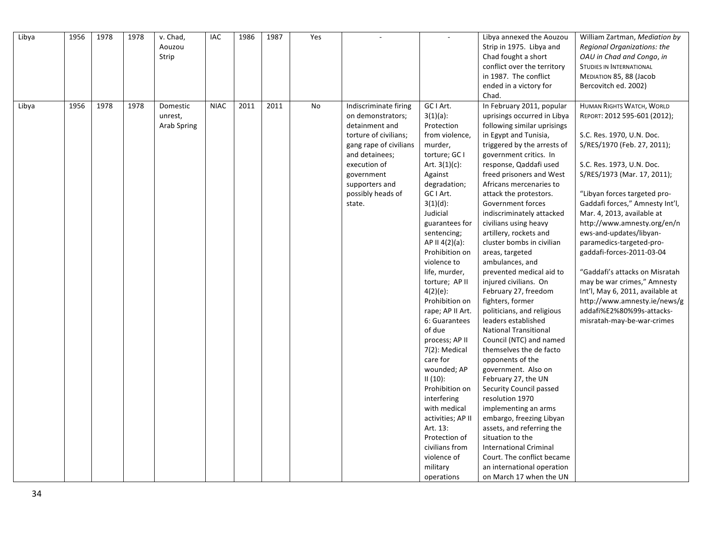| Libya | 1956 | 1978 | 1978 | v. Chad,<br>Aouzou | IAC         | 1986 | 1987 | Yes |                        |                   | Libya annexed the Aouzou<br>Strip in 1975. Libya and | William Zartman, Mediation by<br>Regional Organizations: the |
|-------|------|------|------|--------------------|-------------|------|------|-----|------------------------|-------------------|------------------------------------------------------|--------------------------------------------------------------|
|       |      |      |      | Strip              |             |      |      |     |                        |                   | Chad fought a short                                  | OAU in Chad and Congo, in                                    |
|       |      |      |      |                    |             |      |      |     |                        |                   | conflict over the territory                          | <b>STUDIES IN INTERNATIONAL</b>                              |
|       |      |      |      |                    |             |      |      |     |                        |                   | in 1987. The conflict                                | MEDIATION 85, 88 (Jacob                                      |
|       |      |      |      |                    |             |      |      |     |                        |                   | ended in a victory for                               | Bercovitch ed. 2002)                                         |
|       |      |      |      |                    |             |      |      |     |                        |                   | Chad.                                                |                                                              |
|       | 1956 | 1978 | 1978 | Domestic           | <b>NIAC</b> | 2011 | 2011 | No  |                        | GC I Art.         | In February 2011, popular                            |                                                              |
| Libya |      |      |      |                    |             |      |      |     | Indiscriminate firing  |                   |                                                      | HUMAN RIGHTS WATCH, WORLD                                    |
|       |      |      |      | unrest,            |             |      |      |     | on demonstrators;      | $3(1)(a)$ :       | uprisings occurred in Libya                          | REPORT: 2012 595-601 (2012);                                 |
|       |      |      |      | Arab Spring        |             |      |      |     | detainment and         | Protection        | following similar uprisings                          |                                                              |
|       |      |      |      |                    |             |      |      |     | torture of civilians;  | from violence,    | in Egypt and Tunisia,                                | S.C. Res. 1970, U.N. Doc.                                    |
|       |      |      |      |                    |             |      |      |     | gang rape of civilians | murder,           | triggered by the arrests of                          | S/RES/1970 (Feb. 27, 2011);                                  |
|       |      |      |      |                    |             |      |      |     | and detainees;         | torture; GC I     | government critics. In                               |                                                              |
|       |      |      |      |                    |             |      |      |     | execution of           | Art. $3(1)(c)$ :  | response, Qaddafi used                               | S.C. Res. 1973, U.N. Doc.                                    |
|       |      |      |      |                    |             |      |      |     | government             | Against           | freed prisoners and West                             | S/RES/1973 (Mar. 17, 2011);                                  |
|       |      |      |      |                    |             |      |      |     | supporters and         | degradation;      | Africans mercenaries to                              |                                                              |
|       |      |      |      |                    |             |      |      |     | possibly heads of      | GC I Art.         | attack the protestors.                               | "Libyan forces targeted pro-                                 |
|       |      |      |      |                    |             |      |      |     | state.                 | $3(1)(d)$ :       | Government forces                                    | Gaddafi forces," Amnesty Int'l,                              |
|       |      |      |      |                    |             |      |      |     |                        | Judicial          | indiscriminately attacked                            | Mar. 4, 2013, available at                                   |
|       |      |      |      |                    |             |      |      |     |                        | guarantees for    | civilians using heavy                                | http://www.amnesty.org/en/n                                  |
|       |      |      |      |                    |             |      |      |     |                        | sentencing;       | artillery, rockets and                               | ews-and-updates/libyan-                                      |
|       |      |      |      |                    |             |      |      |     |                        | AP II 4(2)(a):    | cluster bombs in civilian                            | paramedics-targeted-pro-                                     |
|       |      |      |      |                    |             |      |      |     |                        | Prohibition on    | areas, targeted                                      | gaddafi-forces-2011-03-04                                    |
|       |      |      |      |                    |             |      |      |     |                        | violence to       | ambulances, and                                      |                                                              |
|       |      |      |      |                    |             |      |      |     |                        | life, murder,     | prevented medical aid to                             | "Gaddafi's attacks on Misratah                               |
|       |      |      |      |                    |             |      |      |     |                        | torture; AP II    | injured civilians. On                                | may be war crimes," Amnesty                                  |
|       |      |      |      |                    |             |      |      |     |                        | $4(2)(e)$ :       | February 27, freedom                                 | Int'l, May 6, 2011, available at                             |
|       |      |      |      |                    |             |      |      |     |                        | Prohibition on    | fighters, former                                     | http://www.amnesty.ie/news/g                                 |
|       |      |      |      |                    |             |      |      |     |                        | rape; AP II Art.  | politicians, and religious                           | addafi%E2%80%99s-attacks-                                    |
|       |      |      |      |                    |             |      |      |     |                        | 6: Guarantees     | leaders established                                  | misratah-may-be-war-crimes                                   |
|       |      |      |      |                    |             |      |      |     |                        | of due            | <b>National Transitional</b>                         |                                                              |
|       |      |      |      |                    |             |      |      |     |                        | process; AP II    | Council (NTC) and named                              |                                                              |
|       |      |      |      |                    |             |      |      |     |                        | 7(2): Medical     | themselves the de facto                              |                                                              |
|       |      |      |      |                    |             |      |      |     |                        | care for          | opponents of the                                     |                                                              |
|       |      |      |      |                    |             |      |      |     |                        | wounded; AP       | government. Also on                                  |                                                              |
|       |      |      |      |                    |             |      |      |     |                        | $II(10)$ :        | February 27, the UN                                  |                                                              |
|       |      |      |      |                    |             |      |      |     |                        | Prohibition on    | Security Council passed                              |                                                              |
|       |      |      |      |                    |             |      |      |     |                        | interfering       | resolution 1970                                      |                                                              |
|       |      |      |      |                    |             |      |      |     |                        | with medical      | implementing an arms                                 |                                                              |
|       |      |      |      |                    |             |      |      |     |                        | activities; AP II | embargo, freezing Libyan                             |                                                              |
|       |      |      |      |                    |             |      |      |     |                        | Art. 13:          | assets, and referring the                            |                                                              |
|       |      |      |      |                    |             |      |      |     |                        | Protection of     | situation to the                                     |                                                              |
|       |      |      |      |                    |             |      |      |     |                        | civilians from    | <b>International Criminal</b>                        |                                                              |
|       |      |      |      |                    |             |      |      |     |                        | violence of       | Court. The conflict became                           |                                                              |
|       |      |      |      |                    |             |      |      |     |                        | military          | an international operation                           |                                                              |
|       |      |      |      |                    |             |      |      |     |                        | operations        | on March 17 when the UN                              |                                                              |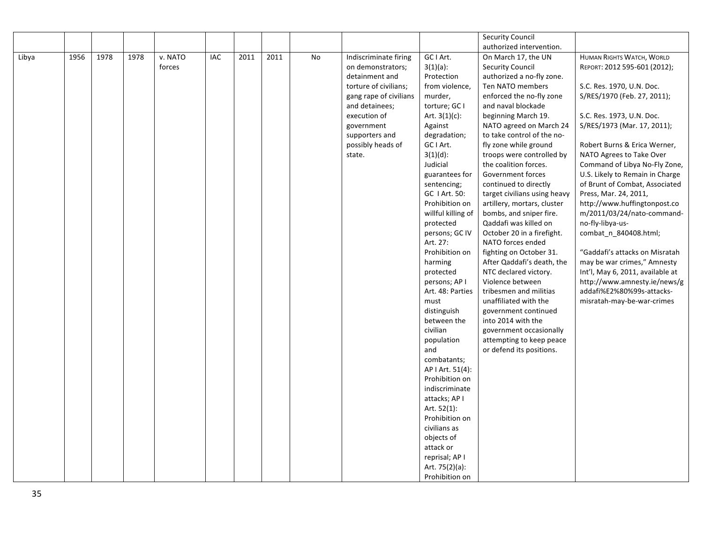|       |      |      |      |         |     |      |      |    |                        |                         | <b>Security Council</b>                              |                                  |
|-------|------|------|------|---------|-----|------|------|----|------------------------|-------------------------|------------------------------------------------------|----------------------------------|
|       |      |      |      |         |     |      |      |    |                        |                         | authorized intervention.                             |                                  |
| Libya | 1956 | 1978 | 1978 | v. NATO | IAC | 2011 | 2011 | No | Indiscriminate firing  | GC I Art.               | On March 17, the UN                                  | HUMAN RIGHTS WATCH, WORLD        |
|       |      |      |      | forces  |     |      |      |    | on demonstrators;      | $3(1)(a)$ :             | <b>Security Council</b>                              | REPORT: 2012 595-601 (2012);     |
|       |      |      |      |         |     |      |      |    | detainment and         | Protection              | authorized a no-fly zone.                            |                                  |
|       |      |      |      |         |     |      |      |    | torture of civilians;  | from violence,          | Ten NATO members                                     | S.C. Res. 1970, U.N. Doc.        |
|       |      |      |      |         |     |      |      |    | gang rape of civilians | murder,                 | enforced the no-fly zone                             | S/RES/1970 (Feb. 27, 2011);      |
|       |      |      |      |         |     |      |      |    | and detainees;         | torture; GC I           | and naval blockade                                   |                                  |
|       |      |      |      |         |     |      |      |    | execution of           | Art. $3(1)(c)$ :        | beginning March 19.                                  | S.C. Res. 1973, U.N. Doc.        |
|       |      |      |      |         |     |      |      |    | government             | Against                 | NATO agreed on March 24                              | S/RES/1973 (Mar. 17, 2011);      |
|       |      |      |      |         |     |      |      |    | supporters and         | degradation;            | to take control of the no-                           |                                  |
|       |      |      |      |         |     |      |      |    | possibly heads of      | GC I Art.               | fly zone while ground                                | Robert Burns & Erica Werner,     |
|       |      |      |      |         |     |      |      |    | state.                 | $3(1)(d)$ :             | troops were controlled by                            | NATO Agrees to Take Over         |
|       |      |      |      |         |     |      |      |    |                        | Judicial                | the coalition forces.                                | Command of Libya No-Fly Zone,    |
|       |      |      |      |         |     |      |      |    |                        | guarantees for          | Government forces                                    | U.S. Likely to Remain in Charge  |
|       |      |      |      |         |     |      |      |    |                        | sentencing;             | continued to directly                                | of Brunt of Combat, Associated   |
|       |      |      |      |         |     |      |      |    |                        | GC 1 Art. 50:           | target civilians using heavy                         | Press, Mar. 24, 2011,            |
|       |      |      |      |         |     |      |      |    |                        | Prohibition on          | artillery, mortars, cluster                          | http://www.huffingtonpost.co     |
|       |      |      |      |         |     |      |      |    |                        | willful killing of      | bombs, and sniper fire.                              | m/2011/03/24/nato-command-       |
|       |      |      |      |         |     |      |      |    |                        | protected               | Qaddafi was killed on                                | no-fly-libya-us-                 |
|       |      |      |      |         |     |      |      |    |                        | persons; GC IV          | October 20 in a firefight.                           | combat n 840408.html;            |
|       |      |      |      |         |     |      |      |    |                        | Art. 27:                | NATO forces ended                                    |                                  |
|       |      |      |      |         |     |      |      |    |                        | Prohibition on          | fighting on October 31.                              | "Gaddafi's attacks on Misratah   |
|       |      |      |      |         |     |      |      |    |                        | harming                 | After Qaddafi's death, the                           | may be war crimes," Amnesty      |
|       |      |      |      |         |     |      |      |    |                        | protected               | NTC declared victory.                                | Int'l, May 6, 2011, available at |
|       |      |      |      |         |     |      |      |    |                        | persons; AP I           | Violence between                                     | http://www.amnesty.ie/news/g     |
|       |      |      |      |         |     |      |      |    |                        | Art. 48: Parties        | tribesmen and militias                               | addafi%E2%80%99s-attacks-        |
|       |      |      |      |         |     |      |      |    |                        | must                    | unaffiliated with the                                | misratah-may-be-war-crimes       |
|       |      |      |      |         |     |      |      |    |                        | distinguish             | government continued                                 |                                  |
|       |      |      |      |         |     |      |      |    |                        | between the<br>civilian | into 2014 with the                                   |                                  |
|       |      |      |      |         |     |      |      |    |                        |                         | government occasionally                              |                                  |
|       |      |      |      |         |     |      |      |    |                        | population<br>and       | attempting to keep peace<br>or defend its positions. |                                  |
|       |      |      |      |         |     |      |      |    |                        | combatants;             |                                                      |                                  |
|       |      |      |      |         |     |      |      |    |                        | AP I Art. 51(4):        |                                                      |                                  |
|       |      |      |      |         |     |      |      |    |                        | Prohibition on          |                                                      |                                  |
|       |      |      |      |         |     |      |      |    |                        | indiscriminate          |                                                      |                                  |
|       |      |      |      |         |     |      |      |    |                        | attacks; AP I           |                                                      |                                  |
|       |      |      |      |         |     |      |      |    |                        | Art. 52(1):             |                                                      |                                  |
|       |      |      |      |         |     |      |      |    |                        | Prohibition on          |                                                      |                                  |
|       |      |      |      |         |     |      |      |    |                        | civilians as            |                                                      |                                  |
|       |      |      |      |         |     |      |      |    |                        | objects of              |                                                      |                                  |
|       |      |      |      |         |     |      |      |    |                        | attack or               |                                                      |                                  |
|       |      |      |      |         |     |      |      |    |                        | reprisal; AP I          |                                                      |                                  |
|       |      |      |      |         |     |      |      |    |                        | Art. 75(2)(a):          |                                                      |                                  |
|       |      |      |      |         |     |      |      |    |                        | Prohibition on          |                                                      |                                  |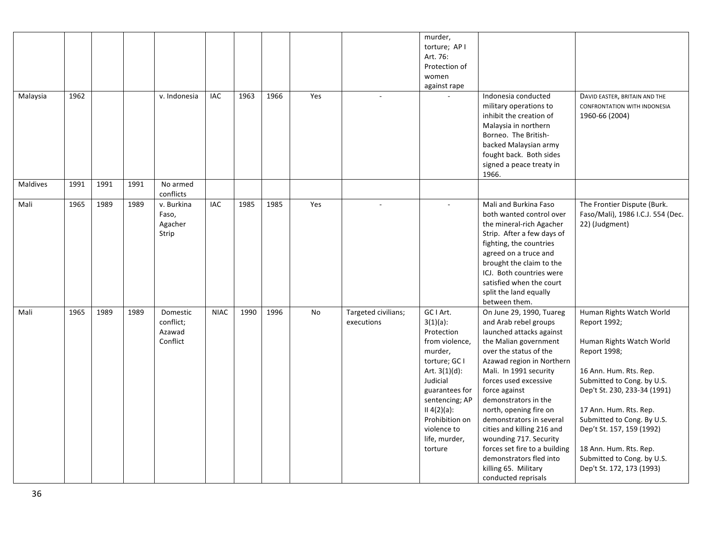| Malaysia        | 1962 |      |      | v. Indonesia                                | IAC            | 1963 | 1966 | Yes |                                   | murder,<br>torture; AP I<br>Art. 76:<br>Protection of<br>women<br>against rape                                                                                                                                                       | Indonesia conducted<br>military operations to<br>inhibit the creation of<br>Malaysia in northern<br>Borneo. The British-<br>backed Malaysian army<br>fought back. Both sides<br>signed a peace treaty in<br>1966.                                                                                                                                                                                                                                                                  | DAVID EASTER, BRITAIN AND THE<br>CONFRONTATION WITH INDONESIA<br>1960-66 (2004)                                                                                                                                                                                                                                                                        |
|-----------------|------|------|------|---------------------------------------------|----------------|------|------|-----|-----------------------------------|--------------------------------------------------------------------------------------------------------------------------------------------------------------------------------------------------------------------------------------|------------------------------------------------------------------------------------------------------------------------------------------------------------------------------------------------------------------------------------------------------------------------------------------------------------------------------------------------------------------------------------------------------------------------------------------------------------------------------------|--------------------------------------------------------------------------------------------------------------------------------------------------------------------------------------------------------------------------------------------------------------------------------------------------------------------------------------------------------|
| <b>Maldives</b> | 1991 | 1991 | 1991 | No armed<br>conflicts                       |                |      |      |     |                                   |                                                                                                                                                                                                                                      |                                                                                                                                                                                                                                                                                                                                                                                                                                                                                    |                                                                                                                                                                                                                                                                                                                                                        |
| Mali            | 1965 | 1989 | 1989 | v. Burkina<br>Faso,<br>Agacher<br>Strip     | $\mathsf{IAC}$ | 1985 | 1985 | Yes |                                   | ÷.                                                                                                                                                                                                                                   | Mali and Burkina Faso<br>both wanted control over<br>the mineral-rich Agacher<br>Strip. After a few days of<br>fighting, the countries<br>agreed on a truce and<br>brought the claim to the<br>ICJ. Both countries were<br>satisfied when the court<br>split the land equally<br>between them.                                                                                                                                                                                     | The Frontier Dispute (Burk.<br>Faso/Mali), 1986 I.C.J. 554 (Dec.<br>22) (Judgment)                                                                                                                                                                                                                                                                     |
| Mali            | 1965 | 1989 | 1989 | Domestic<br>conflict;<br>Azawad<br>Conflict | <b>NIAC</b>    | 1990 | 1996 | No  | Targeted civilians;<br>executions | GC I Art.<br>$3(1)(a)$ :<br>Protection<br>from violence,<br>murder,<br>torture; GC I<br>Art. $3(1)(d)$ :<br>Judicial<br>guarantees for<br>sentencing; AP<br>II 4(2)(a):<br>Prohibition on<br>violence to<br>life, murder,<br>torture | On June 29, 1990, Tuareg<br>and Arab rebel groups<br>launched attacks against<br>the Malian government<br>over the status of the<br>Azawad region in Northern<br>Mali. In 1991 security<br>forces used excessive<br>force against<br>demonstrators in the<br>north, opening fire on<br>demonstrators in several<br>cities and killing 216 and<br>wounding 717. Security<br>forces set fire to a building<br>demonstrators fled into<br>killing 65. Military<br>conducted reprisals | Human Rights Watch World<br>Report 1992;<br>Human Rights Watch World<br>Report 1998;<br>16 Ann. Hum. Rts. Rep.<br>Submitted to Cong. by U.S.<br>Dep't St. 230, 233-34 (1991)<br>17 Ann. Hum. Rts. Rep.<br>Submitted to Cong. By U.S.<br>Dep't St. 157, 159 (1992)<br>18 Ann. Hum. Rts. Rep.<br>Submitted to Cong. by U.S.<br>Dep't St. 172, 173 (1993) |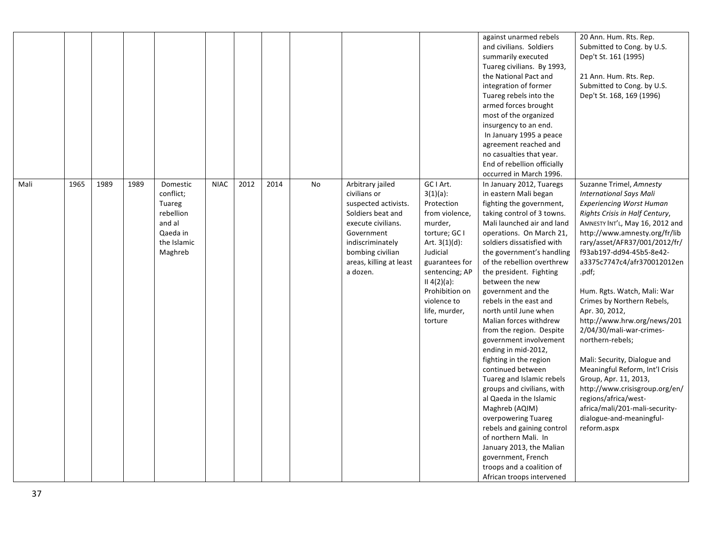|      |      |      |      |                                                                                              |             |      |      |    |                                                                                                                                                                                                  |                                                                                                                                                                                                                                      | against unarmed rebels<br>and civilians. Soldiers<br>summarily executed<br>Tuareg civilians. By 1993,<br>the National Pact and<br>integration of former<br>Tuareg rebels into the<br>armed forces brought<br>most of the organized<br>insurgency to an end.<br>In January 1995 a peace<br>agreement reached and<br>no casualties that year.<br>End of rebellion officially<br>occurred in March 1996.                                                                                                                                                                                                                                                                                                                                                                                                                                        | 20 Ann. Hum. Rts. Rep.<br>Submitted to Cong. by U.S.<br>Dep't St. 161 (1995)<br>21 Ann. Hum. Rts. Rep.<br>Submitted to Cong. by U.S.<br>Dep't St. 168, 169 (1996)                                                                                                                                                                                                                                                                                                                                                                                                                                                                                                                                        |
|------|------|------|------|----------------------------------------------------------------------------------------------|-------------|------|------|----|--------------------------------------------------------------------------------------------------------------------------------------------------------------------------------------------------|--------------------------------------------------------------------------------------------------------------------------------------------------------------------------------------------------------------------------------------|----------------------------------------------------------------------------------------------------------------------------------------------------------------------------------------------------------------------------------------------------------------------------------------------------------------------------------------------------------------------------------------------------------------------------------------------------------------------------------------------------------------------------------------------------------------------------------------------------------------------------------------------------------------------------------------------------------------------------------------------------------------------------------------------------------------------------------------------|----------------------------------------------------------------------------------------------------------------------------------------------------------------------------------------------------------------------------------------------------------------------------------------------------------------------------------------------------------------------------------------------------------------------------------------------------------------------------------------------------------------------------------------------------------------------------------------------------------------------------------------------------------------------------------------------------------|
| Mali | 1965 | 1989 | 1989 | Domestic<br>conflict;<br>Tuareg<br>rebellion<br>and al<br>Qaeda in<br>the Islamic<br>Maghreb | <b>NIAC</b> | 2012 | 2014 | No | Arbitrary jailed<br>civilians or<br>suspected activists.<br>Soldiers beat and<br>execute civilians.<br>Government<br>indiscriminately<br>bombing civilian<br>areas, killing at least<br>a dozen. | GC I Art.<br>$3(1)(a)$ :<br>Protection<br>from violence,<br>murder,<br>torture; GC I<br>Art. $3(1)(d)$ :<br>Judicial<br>guarantees for<br>sentencing; AP<br>II 4(2)(a):<br>Prohibition on<br>violence to<br>life, murder,<br>torture | In January 2012, Tuaregs<br>in eastern Mali began<br>fighting the government,<br>taking control of 3 towns.<br>Mali launched air and land<br>operations. On March 21,<br>soldiers dissatisfied with<br>the government's handling<br>of the rebellion overthrew<br>the president. Fighting<br>between the new<br>government and the<br>rebels in the east and<br>north until June when<br>Malian forces withdrew<br>from the region. Despite<br>government involvement<br>ending in mid-2012,<br>fighting in the region<br>continued between<br>Tuareg and Islamic rebels<br>groups and civilians, with<br>al Qaeda in the Islamic<br>Maghreb (AQIM)<br>overpowering Tuareg<br>rebels and gaining control<br>of northern Mali. In<br>January 2013, the Malian<br>government, French<br>troops and a coalition of<br>African troops intervened | Suzanne Trimel, Amnesty<br><b>International Says Mali</b><br><b>Experiencing Worst Human</b><br>Rights Crisis in Half Century,<br>AMNESTY INT'L, May 16, 2012 and<br>http://www.amnesty.org/fr/lib<br>rary/asset/AFR37/001/2012/fr/<br>f93ab197-dd94-45b5-8e42-<br>a3375c7747c4/afr370012012en<br>.pdf;<br>Hum. Rgts. Watch, Mali: War<br>Crimes by Northern Rebels,<br>Apr. 30, 2012,<br>http://www.hrw.org/news/201<br>2/04/30/mali-war-crimes-<br>northern-rebels;<br>Mali: Security, Dialogue and<br>Meaningful Reform, Int'l Crisis<br>Group, Apr. 11, 2013,<br>http://www.crisisgroup.org/en/<br>regions/africa/west-<br>africa/mali/201-mali-security-<br>dialogue-and-meaningful-<br>reform.aspx |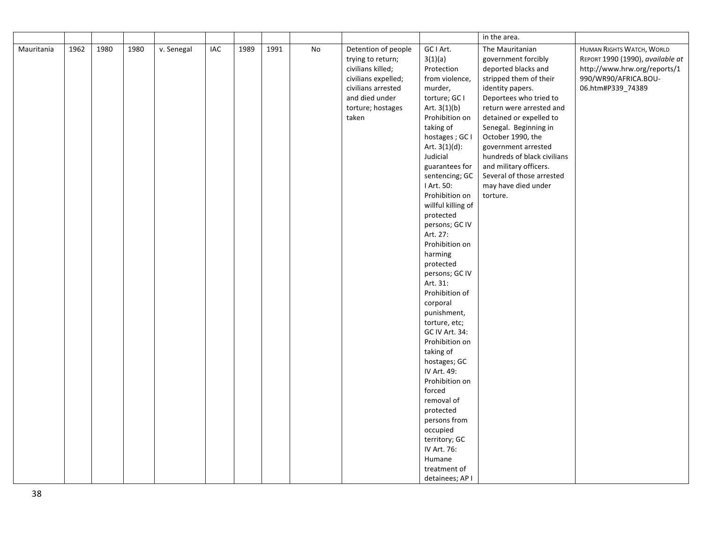| in the area.<br>1962<br>1980<br>1980<br>IAC<br>1989<br>1991<br>No<br>GC I Art.<br><b>HUMAN RIGHTS WATCH, WORLD</b><br>Mauritania<br>v. Senegal<br>Detention of people<br>The Mauritanian<br>3(1)(a)<br>government forcibly<br>REPORT 1990 (1990), available at<br>trying to return;<br>civilians killed;<br>Protection<br>deported blacks and<br>http://www.hrw.org/reports/1<br>civilians expelled;<br>from violence,<br>stripped them of their<br>990/WR90/AFRICA.BOU-<br>civilians arrested<br>murder,<br>06.htm#P339_74389<br>identity papers.<br>and died under<br>torture; GC I<br>Deportees who tried to<br>Art. $3(1)(b)$<br>return were arrested and<br>torture; hostages<br>Prohibition on<br>taken<br>detained or expelled to<br>taking of<br>Senegal. Beginning in<br>hostages ; GC I<br>October 1990, the<br>Art. $3(1)(d)$ :<br>government arrested<br>Judicial<br>hundreds of black civilians<br>and military officers.<br>guarantees for<br>sentencing; GC<br>Several of those arrested<br>I Art. 50:<br>may have died under<br>Prohibition on<br>torture.<br>willful killing of |  |
|--------------------------------------------------------------------------------------------------------------------------------------------------------------------------------------------------------------------------------------------------------------------------------------------------------------------------------------------------------------------------------------------------------------------------------------------------------------------------------------------------------------------------------------------------------------------------------------------------------------------------------------------------------------------------------------------------------------------------------------------------------------------------------------------------------------------------------------------------------------------------------------------------------------------------------------------------------------------------------------------------------------------------------------------------------------------------------------------------|--|
|                                                                                                                                                                                                                                                                                                                                                                                                                                                                                                                                                                                                                                                                                                                                                                                                                                                                                                                                                                                                                                                                                                  |  |
|                                                                                                                                                                                                                                                                                                                                                                                                                                                                                                                                                                                                                                                                                                                                                                                                                                                                                                                                                                                                                                                                                                  |  |
|                                                                                                                                                                                                                                                                                                                                                                                                                                                                                                                                                                                                                                                                                                                                                                                                                                                                                                                                                                                                                                                                                                  |  |
|                                                                                                                                                                                                                                                                                                                                                                                                                                                                                                                                                                                                                                                                                                                                                                                                                                                                                                                                                                                                                                                                                                  |  |
|                                                                                                                                                                                                                                                                                                                                                                                                                                                                                                                                                                                                                                                                                                                                                                                                                                                                                                                                                                                                                                                                                                  |  |
|                                                                                                                                                                                                                                                                                                                                                                                                                                                                                                                                                                                                                                                                                                                                                                                                                                                                                                                                                                                                                                                                                                  |  |
|                                                                                                                                                                                                                                                                                                                                                                                                                                                                                                                                                                                                                                                                                                                                                                                                                                                                                                                                                                                                                                                                                                  |  |
|                                                                                                                                                                                                                                                                                                                                                                                                                                                                                                                                                                                                                                                                                                                                                                                                                                                                                                                                                                                                                                                                                                  |  |
|                                                                                                                                                                                                                                                                                                                                                                                                                                                                                                                                                                                                                                                                                                                                                                                                                                                                                                                                                                                                                                                                                                  |  |
|                                                                                                                                                                                                                                                                                                                                                                                                                                                                                                                                                                                                                                                                                                                                                                                                                                                                                                                                                                                                                                                                                                  |  |
|                                                                                                                                                                                                                                                                                                                                                                                                                                                                                                                                                                                                                                                                                                                                                                                                                                                                                                                                                                                                                                                                                                  |  |
|                                                                                                                                                                                                                                                                                                                                                                                                                                                                                                                                                                                                                                                                                                                                                                                                                                                                                                                                                                                                                                                                                                  |  |
|                                                                                                                                                                                                                                                                                                                                                                                                                                                                                                                                                                                                                                                                                                                                                                                                                                                                                                                                                                                                                                                                                                  |  |
|                                                                                                                                                                                                                                                                                                                                                                                                                                                                                                                                                                                                                                                                                                                                                                                                                                                                                                                                                                                                                                                                                                  |  |
|                                                                                                                                                                                                                                                                                                                                                                                                                                                                                                                                                                                                                                                                                                                                                                                                                                                                                                                                                                                                                                                                                                  |  |
|                                                                                                                                                                                                                                                                                                                                                                                                                                                                                                                                                                                                                                                                                                                                                                                                                                                                                                                                                                                                                                                                                                  |  |
|                                                                                                                                                                                                                                                                                                                                                                                                                                                                                                                                                                                                                                                                                                                                                                                                                                                                                                                                                                                                                                                                                                  |  |
| protected                                                                                                                                                                                                                                                                                                                                                                                                                                                                                                                                                                                                                                                                                                                                                                                                                                                                                                                                                                                                                                                                                        |  |
| persons; GC IV                                                                                                                                                                                                                                                                                                                                                                                                                                                                                                                                                                                                                                                                                                                                                                                                                                                                                                                                                                                                                                                                                   |  |
| Art. 27:                                                                                                                                                                                                                                                                                                                                                                                                                                                                                                                                                                                                                                                                                                                                                                                                                                                                                                                                                                                                                                                                                         |  |
| Prohibition on                                                                                                                                                                                                                                                                                                                                                                                                                                                                                                                                                                                                                                                                                                                                                                                                                                                                                                                                                                                                                                                                                   |  |
| harming                                                                                                                                                                                                                                                                                                                                                                                                                                                                                                                                                                                                                                                                                                                                                                                                                                                                                                                                                                                                                                                                                          |  |
| protected                                                                                                                                                                                                                                                                                                                                                                                                                                                                                                                                                                                                                                                                                                                                                                                                                                                                                                                                                                                                                                                                                        |  |
| persons; GC IV                                                                                                                                                                                                                                                                                                                                                                                                                                                                                                                                                                                                                                                                                                                                                                                                                                                                                                                                                                                                                                                                                   |  |
| Art. 31:                                                                                                                                                                                                                                                                                                                                                                                                                                                                                                                                                                                                                                                                                                                                                                                                                                                                                                                                                                                                                                                                                         |  |
| Prohibition of                                                                                                                                                                                                                                                                                                                                                                                                                                                                                                                                                                                                                                                                                                                                                                                                                                                                                                                                                                                                                                                                                   |  |
| corporal                                                                                                                                                                                                                                                                                                                                                                                                                                                                                                                                                                                                                                                                                                                                                                                                                                                                                                                                                                                                                                                                                         |  |
| punishment,                                                                                                                                                                                                                                                                                                                                                                                                                                                                                                                                                                                                                                                                                                                                                                                                                                                                                                                                                                                                                                                                                      |  |
| torture, etc;                                                                                                                                                                                                                                                                                                                                                                                                                                                                                                                                                                                                                                                                                                                                                                                                                                                                                                                                                                                                                                                                                    |  |
| GC IV Art. 34:                                                                                                                                                                                                                                                                                                                                                                                                                                                                                                                                                                                                                                                                                                                                                                                                                                                                                                                                                                                                                                                                                   |  |
| Prohibition on                                                                                                                                                                                                                                                                                                                                                                                                                                                                                                                                                                                                                                                                                                                                                                                                                                                                                                                                                                                                                                                                                   |  |
| taking of                                                                                                                                                                                                                                                                                                                                                                                                                                                                                                                                                                                                                                                                                                                                                                                                                                                                                                                                                                                                                                                                                        |  |
| hostages; GC                                                                                                                                                                                                                                                                                                                                                                                                                                                                                                                                                                                                                                                                                                                                                                                                                                                                                                                                                                                                                                                                                     |  |
| IV Art. 49:                                                                                                                                                                                                                                                                                                                                                                                                                                                                                                                                                                                                                                                                                                                                                                                                                                                                                                                                                                                                                                                                                      |  |
| Prohibition on                                                                                                                                                                                                                                                                                                                                                                                                                                                                                                                                                                                                                                                                                                                                                                                                                                                                                                                                                                                                                                                                                   |  |
| forced                                                                                                                                                                                                                                                                                                                                                                                                                                                                                                                                                                                                                                                                                                                                                                                                                                                                                                                                                                                                                                                                                           |  |
| removal of                                                                                                                                                                                                                                                                                                                                                                                                                                                                                                                                                                                                                                                                                                                                                                                                                                                                                                                                                                                                                                                                                       |  |
| protected                                                                                                                                                                                                                                                                                                                                                                                                                                                                                                                                                                                                                                                                                                                                                                                                                                                                                                                                                                                                                                                                                        |  |
| persons from                                                                                                                                                                                                                                                                                                                                                                                                                                                                                                                                                                                                                                                                                                                                                                                                                                                                                                                                                                                                                                                                                     |  |
| occupied<br>territory; GC                                                                                                                                                                                                                                                                                                                                                                                                                                                                                                                                                                                                                                                                                                                                                                                                                                                                                                                                                                                                                                                                        |  |
| IV Art. 76:                                                                                                                                                                                                                                                                                                                                                                                                                                                                                                                                                                                                                                                                                                                                                                                                                                                                                                                                                                                                                                                                                      |  |
| Humane                                                                                                                                                                                                                                                                                                                                                                                                                                                                                                                                                                                                                                                                                                                                                                                                                                                                                                                                                                                                                                                                                           |  |
| treatment of                                                                                                                                                                                                                                                                                                                                                                                                                                                                                                                                                                                                                                                                                                                                                                                                                                                                                                                                                                                                                                                                                     |  |
| detainees; AP I                                                                                                                                                                                                                                                                                                                                                                                                                                                                                                                                                                                                                                                                                                                                                                                                                                                                                                                                                                                                                                                                                  |  |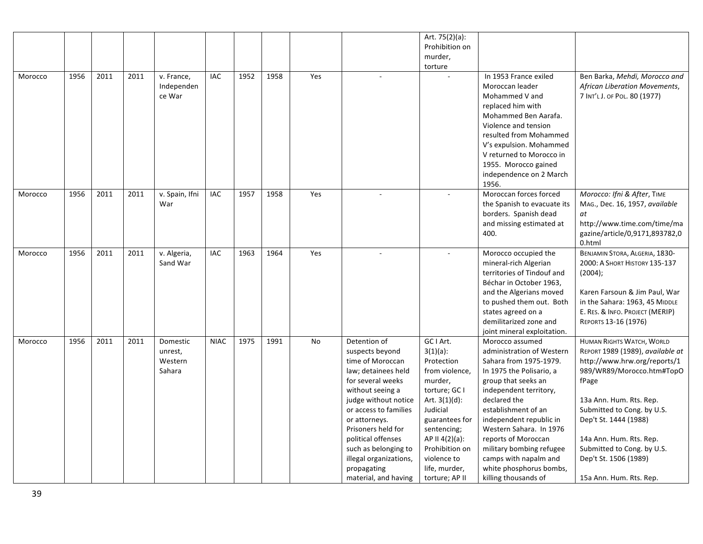|         |      |      |      |                |             |      |      |     |                        | Art. 75(2)(a):    |                                                       |                                  |
|---------|------|------|------|----------------|-------------|------|------|-----|------------------------|-------------------|-------------------------------------------------------|----------------------------------|
|         |      |      |      |                |             |      |      |     |                        | Prohibition on    |                                                       |                                  |
|         |      |      |      |                |             |      |      |     |                        | murder,           |                                                       |                                  |
|         |      |      |      |                |             |      |      |     |                        | torture           |                                                       |                                  |
| Morocco | 1956 | 2011 | 2011 | v. France,     | <b>IAC</b>  | 1952 | 1958 | Yes | $\sim$                 |                   | In 1953 France exiled                                 | Ben Barka, Mehdi, Morocco and    |
|         |      |      |      | Independen     |             |      |      |     |                        |                   | Moroccan leader                                       | African Liberation Movements,    |
|         |      |      |      | ce War         |             |      |      |     |                        |                   | Mohammed V and                                        | 7 INT'L J. OF POL. 80 (1977)     |
|         |      |      |      |                |             |      |      |     |                        |                   | replaced him with                                     |                                  |
|         |      |      |      |                |             |      |      |     |                        |                   | Mohammed Ben Aarafa.                                  |                                  |
|         |      |      |      |                |             |      |      |     |                        |                   | Violence and tension                                  |                                  |
|         |      |      |      |                |             |      |      |     |                        |                   | resulted from Mohammed                                |                                  |
|         |      |      |      |                |             |      |      |     |                        |                   | V's expulsion. Mohammed                               |                                  |
|         |      |      |      |                |             |      |      |     |                        |                   | V returned to Morocco in                              |                                  |
|         |      |      |      |                |             |      |      |     |                        |                   | 1955. Morocco gained                                  |                                  |
|         |      |      |      |                |             |      |      |     |                        |                   | independence on 2 March                               |                                  |
|         |      |      |      |                |             |      |      |     |                        |                   | 1956.                                                 |                                  |
| Morocco | 1956 | 2011 | 2011 | v. Spain, Ifni | <b>IAC</b>  | 1957 | 1958 | Yes |                        |                   | Moroccan forces forced                                | Morocco: Ifni & After, TIME      |
|         |      |      |      | War            |             |      |      |     |                        |                   | the Spanish to evacuate its                           | MAG., Dec. 16, 1957, available   |
|         |      |      |      |                |             |      |      |     |                        |                   | borders. Spanish dead                                 | at                               |
|         |      |      |      |                |             |      |      |     |                        |                   | and missing estimated at                              | http://www.time.com/time/ma      |
|         |      |      |      |                |             |      |      |     |                        |                   | 400.                                                  | gazine/article/0,9171,893782,0   |
|         |      |      |      |                |             |      |      |     |                        |                   |                                                       | 0.html                           |
| Morocco | 1956 | 2011 | 2011 | v. Algeria,    | <b>IAC</b>  | 1963 | 1964 | Yes |                        |                   | Morocco occupied the                                  | BENJAMIN STORA, ALGERIA, 1830-   |
|         |      |      |      | Sand War       |             |      |      |     |                        |                   | mineral-rich Algerian                                 | 2000: А Ѕнокт Ніѕтоку 135-137    |
|         |      |      |      |                |             |      |      |     |                        |                   | territories of Tindouf and<br>Béchar in October 1963, | (2004);                          |
|         |      |      |      |                |             |      |      |     |                        |                   | and the Algerians moved                               | Karen Farsoun & Jim Paul, War    |
|         |      |      |      |                |             |      |      |     |                        |                   | to pushed them out. Both                              | in the Sahara: 1963, 45 MIDDLE   |
|         |      |      |      |                |             |      |      |     |                        |                   | states agreed on a                                    | E. RES. & INFO. PROJECT (MERIP)  |
|         |      |      |      |                |             |      |      |     |                        |                   | demilitarized zone and                                | REPORTS 13-16 (1976)             |
|         |      |      |      |                |             |      |      |     |                        |                   | joint mineral exploitation.                           |                                  |
| Morocco | 1956 | 2011 | 2011 | Domestic       | <b>NIAC</b> | 1975 | 1991 | No  | Detention of           | GC I Art.         | Morocco assumed                                       | HUMAN RIGHTS WATCH, WORLD        |
|         |      |      |      | unrest,        |             |      |      |     | suspects beyond        | $3(1)(a)$ :       | administration of Western                             | REPORT 1989 (1989), available at |
|         |      |      |      | Western        |             |      |      |     | time of Moroccan       | Protection        | Sahara from 1975-1979.                                | http://www.hrw.org/reports/1     |
|         |      |      |      | Sahara         |             |      |      |     | law; detainees held    | from violence,    | In 1975 the Polisario, a                              | 989/WR89/Morocco.htm#TopO        |
|         |      |      |      |                |             |      |      |     | for several weeks      | murder,           | group that seeks an                                   | fPage                            |
|         |      |      |      |                |             |      |      |     | without seeing a       | torture; GC I     | independent territory,                                |                                  |
|         |      |      |      |                |             |      |      |     | judge without notice   | Art. $3(1)(d)$ :  | declared the                                          | 13a Ann. Hum. Rts. Rep.          |
|         |      |      |      |                |             |      |      |     | or access to families  | Judicial          | establishment of an                                   | Submitted to Cong. by U.S.       |
|         |      |      |      |                |             |      |      |     | or attorneys.          | guarantees for    | independent republic in                               | Dep't St. 1444 (1988)            |
|         |      |      |      |                |             |      |      |     | Prisoners held for     | sentencing;       | Western Sahara. In 1976                               |                                  |
|         |      |      |      |                |             |      |      |     | political offenses     | AP II $4(2)(a)$ : | reports of Moroccan                                   | 14a Ann. Hum. Rts. Rep.          |
|         |      |      |      |                |             |      |      |     | such as belonging to   | Prohibition on    | military bombing refugee                              | Submitted to Cong. by U.S.       |
|         |      |      |      |                |             |      |      |     | illegal organizations, | violence to       | camps with napalm and                                 | Dep't St. 1506 (1989)            |
|         |      |      |      |                |             |      |      |     | propagating            | life, murder,     | white phosphorus bombs,                               |                                  |
|         |      |      |      |                |             |      |      |     | material, and having   | torture; AP II    | killing thousands of                                  | 15a Ann. Hum. Rts. Rep.          |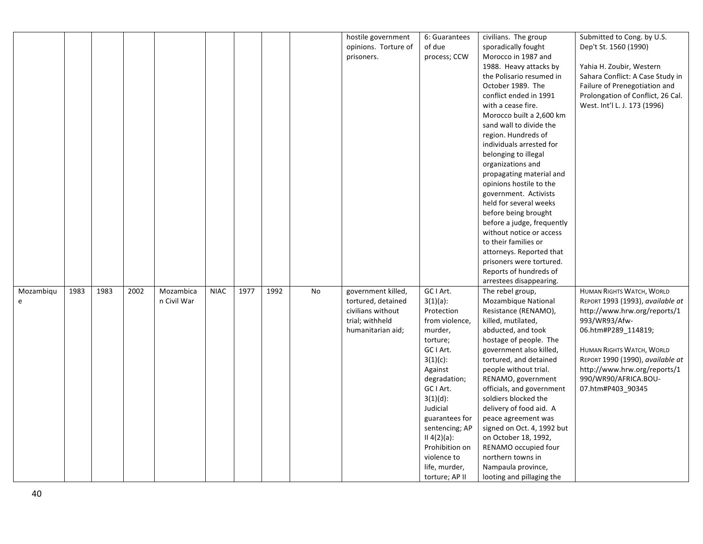|           |      |      |      |             |             |      |      |    | hostile government   | 6: Guarantees  | civilians. The group       | Submitted to Cong. by U.S.        |
|-----------|------|------|------|-------------|-------------|------|------|----|----------------------|----------------|----------------------------|-----------------------------------|
|           |      |      |      |             |             |      |      |    |                      | of due         |                            |                                   |
|           |      |      |      |             |             |      |      |    | opinions. Torture of |                | sporadically fought        | Dep't St. 1560 (1990)             |
|           |      |      |      |             |             |      |      |    | prisoners.           | process; CCW   | Morocco in 1987 and        |                                   |
|           |      |      |      |             |             |      |      |    |                      |                | 1988. Heavy attacks by     | Yahia H. Zoubir, Western          |
|           |      |      |      |             |             |      |      |    |                      |                | the Polisario resumed in   | Sahara Conflict: A Case Study in  |
|           |      |      |      |             |             |      |      |    |                      |                | October 1989. The          | Failure of Prenegotiation and     |
|           |      |      |      |             |             |      |      |    |                      |                | conflict ended in 1991     | Prolongation of Conflict, 26 Cal. |
|           |      |      |      |             |             |      |      |    |                      |                | with a cease fire.         | West. Int'l L. J. 173 (1996)      |
|           |      |      |      |             |             |      |      |    |                      |                | Morocco built a 2,600 km   |                                   |
|           |      |      |      |             |             |      |      |    |                      |                | sand wall to divide the    |                                   |
|           |      |      |      |             |             |      |      |    |                      |                | region. Hundreds of        |                                   |
|           |      |      |      |             |             |      |      |    |                      |                | individuals arrested for   |                                   |
|           |      |      |      |             |             |      |      |    |                      |                | belonging to illegal       |                                   |
|           |      |      |      |             |             |      |      |    |                      |                | organizations and          |                                   |
|           |      |      |      |             |             |      |      |    |                      |                | propagating material and   |                                   |
|           |      |      |      |             |             |      |      |    |                      |                | opinions hostile to the    |                                   |
|           |      |      |      |             |             |      |      |    |                      |                | government. Activists      |                                   |
|           |      |      |      |             |             |      |      |    |                      |                | held for several weeks     |                                   |
|           |      |      |      |             |             |      |      |    |                      |                | before being brought       |                                   |
|           |      |      |      |             |             |      |      |    |                      |                | before a judge, frequently |                                   |
|           |      |      |      |             |             |      |      |    |                      |                | without notice or access   |                                   |
|           |      |      |      |             |             |      |      |    |                      |                | to their families or       |                                   |
|           |      |      |      |             |             |      |      |    |                      |                | attorneys. Reported that   |                                   |
|           |      |      |      |             |             |      |      |    |                      |                | prisoners were tortured.   |                                   |
|           |      |      |      |             |             |      |      |    |                      |                | Reports of hundreds of     |                                   |
|           |      |      |      |             |             |      |      |    |                      |                | arrestees disappearing.    |                                   |
| Mozambiqu | 1983 | 1983 | 2002 | Mozambica   | <b>NIAC</b> | 1977 | 1992 | No | government killed,   | GC I Art.      | The rebel group,           | <b>HUMAN RIGHTS WATCH, WORLD</b>  |
| e         |      |      |      | n Civil War |             |      |      |    | tortured, detained   | $3(1)(a)$ :    | Mozambique National        | REPORT 1993 (1993), available at  |
|           |      |      |      |             |             |      |      |    | civilians without    | Protection     | Resistance (RENAMO),       | http://www.hrw.org/reports/1      |
|           |      |      |      |             |             |      |      |    | trial; withheld      | from violence, | killed, mutilated,         | 993/WR93/Afw-                     |
|           |      |      |      |             |             |      |      |    | humanitarian aid;    | murder,        | abducted, and took         | 06.htm#P289_114819;               |
|           |      |      |      |             |             |      |      |    |                      | torture;       | hostage of people. The     |                                   |
|           |      |      |      |             |             |      |      |    |                      | GC I Art.      | government also killed,    | HUMAN RIGHTS WATCH, WORLD         |
|           |      |      |      |             |             |      |      |    |                      | $3(1)(c)$ :    | tortured, and detained     | REPORT 1990 (1990), available at  |
|           |      |      |      |             |             |      |      |    |                      | Against        | people without trial.      | http://www.hrw.org/reports/1      |
|           |      |      |      |             |             |      |      |    |                      | degradation;   | RENAMO, government         | 990/WR90/AFRICA.BOU-              |
|           |      |      |      |             |             |      |      |    |                      | GC I Art.      | officials, and government  | 07.htm#P403 90345                 |
|           |      |      |      |             |             |      |      |    |                      | $3(1)(d)$ :    | soldiers blocked the       |                                   |
|           |      |      |      |             |             |      |      |    |                      | Judicial       | delivery of food aid. A    |                                   |
|           |      |      |      |             |             |      |      |    |                      | guarantees for | peace agreement was        |                                   |
|           |      |      |      |             |             |      |      |    |                      | sentencing; AP | signed on Oct. 4, 1992 but |                                   |
|           |      |      |      |             |             |      |      |    |                      | II 4(2)(a):    | on October 18, 1992,       |                                   |
|           |      |      |      |             |             |      |      |    |                      | Prohibition on | RENAMO occupied four       |                                   |
|           |      |      |      |             |             |      |      |    |                      | violence to    | northern towns in          |                                   |
|           |      |      |      |             |             |      |      |    |                      | life, murder,  | Nampaula province,         |                                   |
|           |      |      |      |             |             |      |      |    |                      | torture; AP II | looting and pillaging the  |                                   |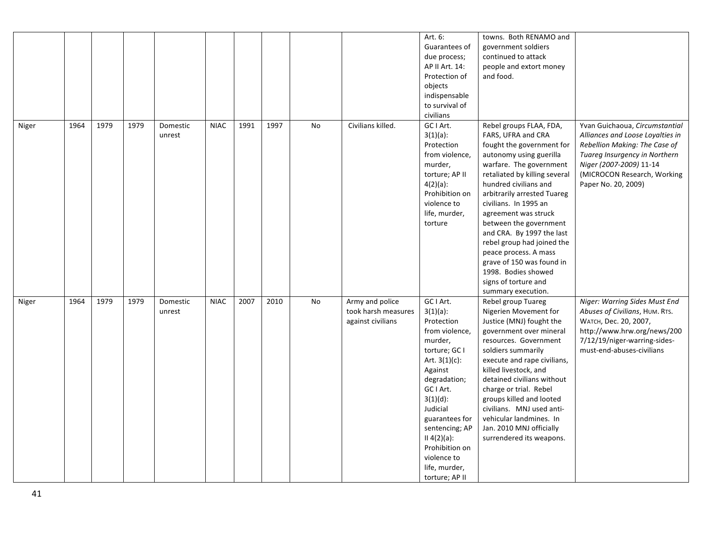|       |      |      |      |          |             |      |      |    |                     | Art. 6:          | towns. Both RENAMO and        |                                  |
|-------|------|------|------|----------|-------------|------|------|----|---------------------|------------------|-------------------------------|----------------------------------|
|       |      |      |      |          |             |      |      |    |                     | Guarantees of    | government soldiers           |                                  |
|       |      |      |      |          |             |      |      |    |                     | due process;     | continued to attack           |                                  |
|       |      |      |      |          |             |      |      |    |                     | AP II Art. 14:   | people and extort money       |                                  |
|       |      |      |      |          |             |      |      |    |                     | Protection of    | and food.                     |                                  |
|       |      |      |      |          |             |      |      |    |                     | objects          |                               |                                  |
|       |      |      |      |          |             |      |      |    |                     | indispensable    |                               |                                  |
|       |      |      |      |          |             |      |      |    |                     | to survival of   |                               |                                  |
|       |      |      |      |          |             |      |      |    |                     | civilians        |                               |                                  |
|       |      | 1979 | 1979 |          | <b>NIAC</b> | 1991 | 1997 |    | Civilians killed.   | GC I Art.        | Rebel groups FLAA, FDA,       |                                  |
| Niger | 1964 |      |      | Domestic |             |      |      | No |                     |                  | FARS, UFRA and CRA            | Yvan Guichaoua, Circumstantial   |
|       |      |      |      | unrest   |             |      |      |    |                     | $3(1)(a)$ :      |                               | Alliances and Loose Loyalties in |
|       |      |      |      |          |             |      |      |    |                     | Protection       | fought the government for     | Rebellion Making: The Case of    |
|       |      |      |      |          |             |      |      |    |                     | from violence,   | autonomy using guerilla       | Tuareg Insurgency in Northern    |
|       |      |      |      |          |             |      |      |    |                     | murder,          | warfare. The government       | Niger (2007-2009) 11-14          |
|       |      |      |      |          |             |      |      |    |                     | torture; AP II   | retaliated by killing several | (MICROCON Research, Working      |
|       |      |      |      |          |             |      |      |    |                     | $4(2)(a)$ :      | hundred civilians and         | Paper No. 20, 2009)              |
|       |      |      |      |          |             |      |      |    |                     | Prohibition on   | arbitrarily arrested Tuareg   |                                  |
|       |      |      |      |          |             |      |      |    |                     | violence to      | civilians. In 1995 an         |                                  |
|       |      |      |      |          |             |      |      |    |                     | life, murder,    | agreement was struck          |                                  |
|       |      |      |      |          |             |      |      |    |                     | torture          | between the government        |                                  |
|       |      |      |      |          |             |      |      |    |                     |                  | and CRA. By 1997 the last     |                                  |
|       |      |      |      |          |             |      |      |    |                     |                  | rebel group had joined the    |                                  |
|       |      |      |      |          |             |      |      |    |                     |                  | peace process. A mass         |                                  |
|       |      |      |      |          |             |      |      |    |                     |                  | grave of 150 was found in     |                                  |
|       |      |      |      |          |             |      |      |    |                     |                  | 1998. Bodies showed           |                                  |
|       |      |      |      |          |             |      |      |    |                     |                  | signs of torture and          |                                  |
|       |      |      |      |          |             |      |      |    |                     |                  | summary execution.            |                                  |
| Niger | 1964 | 1979 | 1979 | Domestic | <b>NIAC</b> | 2007 | 2010 | No | Army and police     | GC I Art.        | Rebel group Tuareg            | Niger: Warring Sides Must End    |
|       |      |      |      | unrest   |             |      |      |    | took harsh measures | $3(1)(a)$ :      | Nigerien Movement for         | Abuses of Civilians, HUM. RTS.   |
|       |      |      |      |          |             |      |      |    | against civilians   | Protection       | Justice (MNJ) fought the      | <b>WATCH, Dec. 20, 2007,</b>     |
|       |      |      |      |          |             |      |      |    |                     | from violence,   | government over mineral       | http://www.hrw.org/news/200      |
|       |      |      |      |          |             |      |      |    |                     | murder,          | resources. Government         | 7/12/19/niger-warring-sides-     |
|       |      |      |      |          |             |      |      |    |                     | torture; GC I    | soldiers summarily            | must-end-abuses-civilians        |
|       |      |      |      |          |             |      |      |    |                     | Art. $3(1)(c)$ : | execute and rape civilians,   |                                  |
|       |      |      |      |          |             |      |      |    |                     | Against          | killed livestock, and         |                                  |
|       |      |      |      |          |             |      |      |    |                     | degradation;     | detained civilians without    |                                  |
|       |      |      |      |          |             |      |      |    |                     | GC I Art.        | charge or trial. Rebel        |                                  |
|       |      |      |      |          |             |      |      |    |                     | $3(1)(d)$ :      | groups killed and looted      |                                  |
|       |      |      |      |          |             |      |      |    |                     | Judicial         | civilians. MNJ used anti-     |                                  |
|       |      |      |      |          |             |      |      |    |                     | guarantees for   | vehicular landmines. In       |                                  |
|       |      |      |      |          |             |      |      |    |                     | sentencing; AP   | Jan. 2010 MNJ officially      |                                  |
|       |      |      |      |          |             |      |      |    |                     | II 4(2)(a):      | surrendered its weapons.      |                                  |
|       |      |      |      |          |             |      |      |    |                     | Prohibition on   |                               |                                  |
|       |      |      |      |          |             |      |      |    |                     | violence to      |                               |                                  |
|       |      |      |      |          |             |      |      |    |                     | life, murder,    |                               |                                  |
|       |      |      |      |          |             |      |      |    |                     | torture; AP II   |                               |                                  |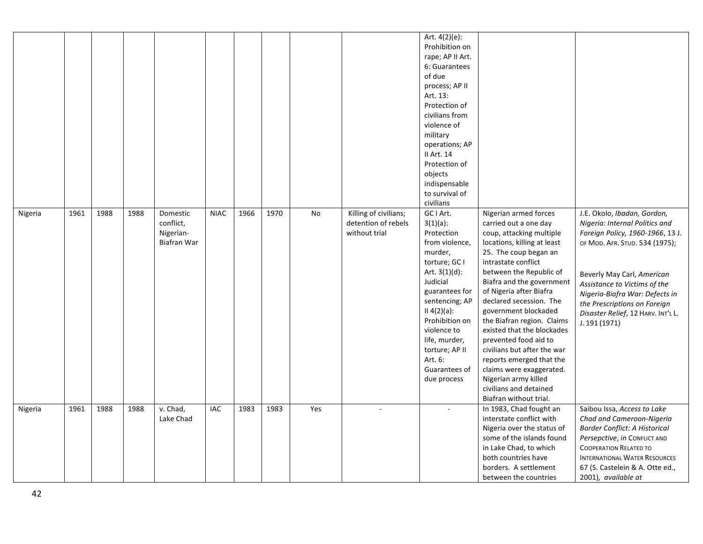|         |      |      |      |                                                   |             |      |      |     |                                                               | Art. 4(2)(e):<br>Prohibition on<br>rape; AP II Art.<br>6: Guarantees<br>of due<br>process; AP II<br>Art. 13:<br>Protection of<br>civilians from<br>violence of<br>military<br>operations; AP<br>II Art. 14<br>Protection of<br>objects<br>indispensable<br>to survival of<br>civilians |                                                                                                                                                                                                                                                                                                                                                                                                                                                                                                                                                         |                                                                                                                                                                                                                                                                                                                            |
|---------|------|------|------|---------------------------------------------------|-------------|------|------|-----|---------------------------------------------------------------|----------------------------------------------------------------------------------------------------------------------------------------------------------------------------------------------------------------------------------------------------------------------------------------|---------------------------------------------------------------------------------------------------------------------------------------------------------------------------------------------------------------------------------------------------------------------------------------------------------------------------------------------------------------------------------------------------------------------------------------------------------------------------------------------------------------------------------------------------------|----------------------------------------------------------------------------------------------------------------------------------------------------------------------------------------------------------------------------------------------------------------------------------------------------------------------------|
| Nigeria | 1961 | 1988 | 1988 | Domestic<br>conflict,<br>Nigerian-<br>Biafran War | <b>NIAC</b> | 1966 | 1970 | No  | Killing of civilians;<br>detention of rebels<br>without trial | GC I Art.<br>$3(1)(a)$ :<br>Protection<br>from violence,<br>murder,<br>torture; GC I<br>Art. $3(1)(d)$ :<br>Judicial<br>guarantees for<br>sentencing; AP<br>II 4(2)(a):<br>Prohibition on<br>violence to<br>life, murder,<br>torture; AP II<br>Art. 6:<br>Guarantees of<br>due process | Nigerian armed forces<br>carried out a one day<br>coup, attacking multiple<br>locations, killing at least<br>25. The coup began an<br>intrastate conflict<br>between the Republic of<br>Biafra and the government<br>of Nigeria after Biafra<br>declared secession. The<br>government blockaded<br>the Biafran region. Claims<br>existed that the blockades<br>prevented food aid to<br>civilians but after the war<br>reports emerged that the<br>claims were exaggerated.<br>Nigerian army killed<br>civilians and detained<br>Biafran without trial. | J.E. Okolo, Ibadan, Gordon,<br>Nigeria: Internal Politics and<br>Foreign Policy, 1960-1966, 13 J.<br>OF MOD. AFR. STUD. 534 (1975);<br>Beverly May Carl, American<br>Assistance to Victims of the<br>Nigeria-Biafra War: Defects in<br>the Prescriptions on Foreign<br>Disaster Relief, 12 HARV. INT'L L.<br>J. 191 (1971) |
| Nigeria | 1961 | 1988 | 1988 | v. Chad,<br>Lake Chad                             | IAC         | 1983 | 1983 | Yes |                                                               |                                                                                                                                                                                                                                                                                        | In 1983, Chad fought an<br>interstate conflict with<br>Nigeria over the status of<br>some of the islands found<br>in Lake Chad, to which<br>both countries have<br>borders. A settlement<br>between the countries                                                                                                                                                                                                                                                                                                                                       | Saibou Issa, Access to Lake<br>Chad and Cameroon-Nigeria<br>Border Conflict: A Historical<br>Persepctive, in CONFLICT AND<br><b>COOPERATION RELATED TO</b><br><b>INTERNATIONAL WATER RESOURCES</b><br>67 (S. Castelein & A. Otte ed.,<br>2001), available at                                                               |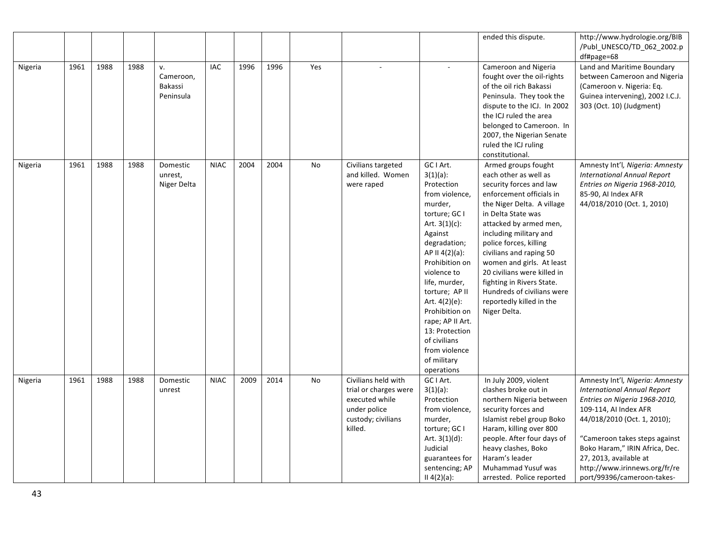|         |      |      |      |                                         |             |      |      |     |                                                                                                                 |                                                                                                                                                                                                                                                                                                                                                                  | ended this dispute.                                                                                                                                                                                                                                                                                                                                                                                                                 | http://www.hydrologie.org/BIB<br>/Publ_UNESCO/TD_062_2002.p<br>df#page=68                                                                                                                                                                                                                                                  |
|---------|------|------|------|-----------------------------------------|-------------|------|------|-----|-----------------------------------------------------------------------------------------------------------------|------------------------------------------------------------------------------------------------------------------------------------------------------------------------------------------------------------------------------------------------------------------------------------------------------------------------------------------------------------------|-------------------------------------------------------------------------------------------------------------------------------------------------------------------------------------------------------------------------------------------------------------------------------------------------------------------------------------------------------------------------------------------------------------------------------------|----------------------------------------------------------------------------------------------------------------------------------------------------------------------------------------------------------------------------------------------------------------------------------------------------------------------------|
| Nigeria | 1961 | 1988 | 1988 | v.<br>Cameroon,<br>Bakassi<br>Peninsula | IAC         | 1996 | 1996 | Yes |                                                                                                                 |                                                                                                                                                                                                                                                                                                                                                                  | Cameroon and Nigeria<br>fought over the oil-rights<br>of the oil rich Bakassi<br>Peninsula. They took the<br>dispute to the ICJ. In 2002<br>the ICJ ruled the area<br>belonged to Cameroon. In<br>2007, the Nigerian Senate<br>ruled the ICJ ruling<br>constitutional.                                                                                                                                                              | Land and Maritime Boundary<br>between Cameroon and Nigeria<br>(Cameroon v. Nigeria: Eq.<br>Guinea intervening), 2002 I.C.J.<br>303 (Oct. 10) (Judgment)                                                                                                                                                                    |
| Nigeria | 1961 | 1988 | 1988 | Domestic<br>unrest,<br>Niger Delta      | <b>NIAC</b> | 2004 | 2004 | No  | Civilians targeted<br>and killed. Women<br>were raped                                                           | GC I Art.<br>$3(1)(a)$ :<br>Protection<br>from violence,<br>murder,<br>torture; GC I<br>Art. $3(1)(c)$ :<br>Against<br>degradation;<br>AP II 4(2)(a):<br>Prohibition on<br>violence to<br>life, murder,<br>torture; AP II<br>Art. 4(2)(e):<br>Prohibition on<br>rape; AP II Art.<br>13: Protection<br>of civilians<br>from violence<br>of military<br>operations | Armed groups fought<br>each other as well as<br>security forces and law<br>enforcement officials in<br>the Niger Delta. A village<br>in Delta State was<br>attacked by armed men,<br>including military and<br>police forces, killing<br>civilians and raping 50<br>women and girls. At least<br>20 civilians were killed in<br>fighting in Rivers State.<br>Hundreds of civilians were<br>reportedly killed in the<br>Niger Delta. | Amnesty Int'l, Nigeria: Amnesty<br><b>International Annual Report</b><br>Entries on Nigeria 1968-2010,<br>85-90, AI Index AFR<br>44/018/2010 (Oct. 1, 2010)                                                                                                                                                                |
| Nigeria | 1961 | 1988 | 1988 | Domestic<br>unrest                      | <b>NIAC</b> | 2009 | 2014 | No  | Civilians held with<br>trial or charges were<br>executed while<br>under police<br>custody; civilians<br>killed. | GC I Art.<br>$3(1)(a)$ :<br>Protection<br>from violence,<br>murder,<br>torture; GC I<br>Art. $3(1)(d)$ :<br>Judicial<br>guarantees for<br>sentencing; AP<br>$II 4(2)(a)$ :                                                                                                                                                                                       | In July 2009, violent<br>clashes broke out in<br>northern Nigeria between<br>security forces and<br>Islamist rebel group Boko<br>Haram, killing over 800<br>people. After four days of<br>heavy clashes, Boko<br>Haram's leader<br>Muhammad Yusuf was<br>arrested. Police reported                                                                                                                                                  | Amnesty Int'l, Nigeria: Amnesty<br><b>International Annual Report</b><br>Entries on Nigeria 1968-2010,<br>109-114, AI Index AFR<br>44/018/2010 (Oct. 1, 2010);<br>"Cameroon takes steps against<br>Boko Haram," IRIN Africa, Dec.<br>27, 2013, available at<br>http://www.irinnews.org/fr/re<br>port/99396/cameroon-takes- |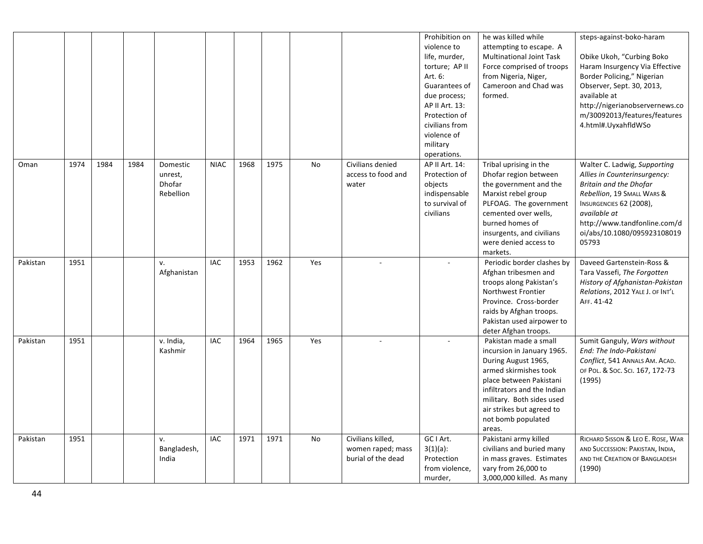|          |      |      |      |                                                   |             |      |      |     |                                                              | Prohibition on<br>violence to<br>life, murder,<br>torture; AP II<br>Art. 6:<br>Guarantees of<br>due process;<br>AP II Art. 13:<br>Protection of<br>civilians from<br>violence of<br>military<br>operations. | he was killed while<br>attempting to escape. A<br><b>Multinational Joint Task</b><br>Force comprised of troops<br>from Nigeria, Niger,<br>Cameroon and Chad was<br>formed.                                                                              | steps-against-boko-haram<br>Obike Ukoh, "Curbing Boko<br>Haram Insurgency Via Effective<br>Border Policing," Nigerian<br>Observer, Sept. 30, 2013,<br>available at<br>http://nigerianobservernews.co<br>m/30092013/features/features<br>4.html#.UyxahfldWSo |
|----------|------|------|------|---------------------------------------------------|-------------|------|------|-----|--------------------------------------------------------------|-------------------------------------------------------------------------------------------------------------------------------------------------------------------------------------------------------------|---------------------------------------------------------------------------------------------------------------------------------------------------------------------------------------------------------------------------------------------------------|-------------------------------------------------------------------------------------------------------------------------------------------------------------------------------------------------------------------------------------------------------------|
| Oman     | 1974 | 1984 | 1984 | Domestic<br>unrest,<br><b>Dhofar</b><br>Rebellion | <b>NIAC</b> | 1968 | 1975 | No  | Civilians denied<br>access to food and<br>water              | AP II Art. 14:<br>Protection of<br>objects<br>indispensable<br>to survival of<br>civilians                                                                                                                  | Tribal uprising in the<br>Dhofar region between<br>the government and the<br>Marxist rebel group<br>PLFOAG. The government<br>cemented over wells,<br>burned homes of<br>insurgents, and civilians<br>were denied access to<br>markets.                 | Walter C. Ladwig, Supporting<br>Allies in Counterinsurgency:<br><b>Britain and the Dhofar</b><br>Rebellion, 19 SMALL WARS &<br>INSURGENCIES 62 (2008),<br>available at<br>http://www.tandfonline.com/d<br>oi/abs/10.1080/095923108019<br>05793              |
| Pakistan | 1951 |      |      | v.<br>Afghanistan                                 | <b>IAC</b>  | 1953 | 1962 | Yes |                                                              |                                                                                                                                                                                                             | Periodic border clashes by<br>Afghan tribesmen and<br>troops along Pakistan's<br>Northwest Frontier<br>Province. Cross-border<br>raids by Afghan troops.<br>Pakistan used airpower to<br>deter Afghan troops.                                           | Daveed Gartenstein-Ross &<br>Tara Vassefi, The Forgotten<br>History of Afghanistan-Pakistan<br>Relations, 2012 YALE J. OF INT'L<br>AFF. 41-42                                                                                                               |
| Pakistan | 1951 |      |      | v. India,<br>Kashmir                              | <b>IAC</b>  | 1964 | 1965 | Yes |                                                              |                                                                                                                                                                                                             | Pakistan made a small<br>incursion in January 1965.<br>During August 1965,<br>armed skirmishes took<br>place between Pakistani<br>infiltrators and the Indian<br>military. Both sides used<br>air strikes but agreed to<br>not bomb populated<br>areas. | Sumit Ganguly, Wars without<br>End: The Indo-Pakistani<br>Conflict, 541 ANNALS AM. ACAD.<br>OF POL. & SOC. SCI. 167, 172-73<br>(1995)                                                                                                                       |
| Pakistan | 1951 |      |      | v.<br>Bangladesh,<br>India                        | <b>IAC</b>  | 1971 | 1971 | No  | Civilians killed,<br>women raped; mass<br>burial of the dead | GC I Art.<br>$3(1)(a)$ :<br>Protection<br>from violence,<br>murder,                                                                                                                                         | Pakistani army killed<br>civilians and buried many<br>in mass graves. Estimates<br>vary from 26,000 to<br>3,000,000 killed. As many                                                                                                                     | RICHARD SISSON & LEO E. ROSE, WAR<br>AND SUCCESSION: PAKISTAN, INDIA,<br>AND THE CREATION OF BANGLADESH<br>(1990)                                                                                                                                           |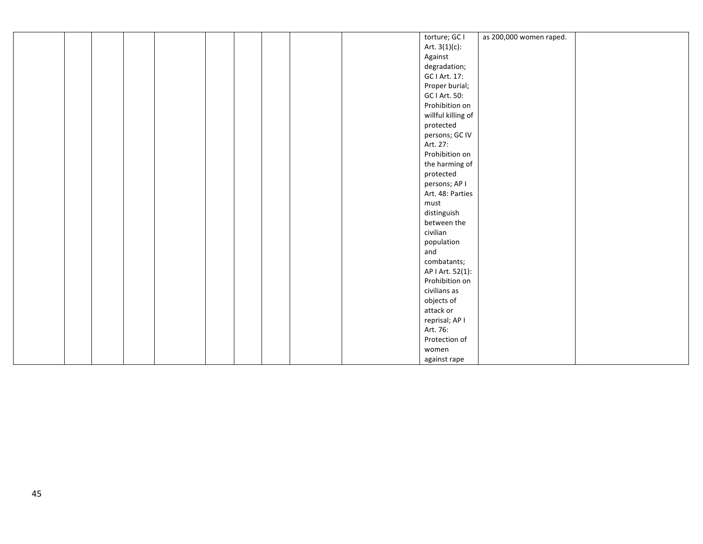| as 200,000 women raped.<br>torture; GC I<br>Art. $3(1)(c)$ :<br>Against<br>degradation;<br>GC I Art. 17:<br>Proper burial;<br>GC I Art. 50:<br>Prohibition on<br>willful killing of<br>protected<br>persons; GC IV<br>Art. 27:<br>Prohibition on<br>the harming of<br>protected<br>persons; AP I<br>Art. 48: Parties<br>must<br>distinguish<br>between the<br>civilian<br>population<br>and<br>combatants;<br>AP   Art. 52(1):<br>Prohibition on |  |  |  |  |  |  |  |
|--------------------------------------------------------------------------------------------------------------------------------------------------------------------------------------------------------------------------------------------------------------------------------------------------------------------------------------------------------------------------------------------------------------------------------------------------|--|--|--|--|--|--|--|
|                                                                                                                                                                                                                                                                                                                                                                                                                                                  |  |  |  |  |  |  |  |
|                                                                                                                                                                                                                                                                                                                                                                                                                                                  |  |  |  |  |  |  |  |
|                                                                                                                                                                                                                                                                                                                                                                                                                                                  |  |  |  |  |  |  |  |
|                                                                                                                                                                                                                                                                                                                                                                                                                                                  |  |  |  |  |  |  |  |
|                                                                                                                                                                                                                                                                                                                                                                                                                                                  |  |  |  |  |  |  |  |
|                                                                                                                                                                                                                                                                                                                                                                                                                                                  |  |  |  |  |  |  |  |
|                                                                                                                                                                                                                                                                                                                                                                                                                                                  |  |  |  |  |  |  |  |
|                                                                                                                                                                                                                                                                                                                                                                                                                                                  |  |  |  |  |  |  |  |
|                                                                                                                                                                                                                                                                                                                                                                                                                                                  |  |  |  |  |  |  |  |
|                                                                                                                                                                                                                                                                                                                                                                                                                                                  |  |  |  |  |  |  |  |
|                                                                                                                                                                                                                                                                                                                                                                                                                                                  |  |  |  |  |  |  |  |
|                                                                                                                                                                                                                                                                                                                                                                                                                                                  |  |  |  |  |  |  |  |
|                                                                                                                                                                                                                                                                                                                                                                                                                                                  |  |  |  |  |  |  |  |
|                                                                                                                                                                                                                                                                                                                                                                                                                                                  |  |  |  |  |  |  |  |
|                                                                                                                                                                                                                                                                                                                                                                                                                                                  |  |  |  |  |  |  |  |
|                                                                                                                                                                                                                                                                                                                                                                                                                                                  |  |  |  |  |  |  |  |
|                                                                                                                                                                                                                                                                                                                                                                                                                                                  |  |  |  |  |  |  |  |
|                                                                                                                                                                                                                                                                                                                                                                                                                                                  |  |  |  |  |  |  |  |
|                                                                                                                                                                                                                                                                                                                                                                                                                                                  |  |  |  |  |  |  |  |
|                                                                                                                                                                                                                                                                                                                                                                                                                                                  |  |  |  |  |  |  |  |
|                                                                                                                                                                                                                                                                                                                                                                                                                                                  |  |  |  |  |  |  |  |
|                                                                                                                                                                                                                                                                                                                                                                                                                                                  |  |  |  |  |  |  |  |
|                                                                                                                                                                                                                                                                                                                                                                                                                                                  |  |  |  |  |  |  |  |
|                                                                                                                                                                                                                                                                                                                                                                                                                                                  |  |  |  |  |  |  |  |
|                                                                                                                                                                                                                                                                                                                                                                                                                                                  |  |  |  |  |  |  |  |
|                                                                                                                                                                                                                                                                                                                                                                                                                                                  |  |  |  |  |  |  |  |
|                                                                                                                                                                                                                                                                                                                                                                                                                                                  |  |  |  |  |  |  |  |
| civilians as                                                                                                                                                                                                                                                                                                                                                                                                                                     |  |  |  |  |  |  |  |
| objects of                                                                                                                                                                                                                                                                                                                                                                                                                                       |  |  |  |  |  |  |  |
| attack or                                                                                                                                                                                                                                                                                                                                                                                                                                        |  |  |  |  |  |  |  |
| reprisal; AP I                                                                                                                                                                                                                                                                                                                                                                                                                                   |  |  |  |  |  |  |  |
| Art. 76:                                                                                                                                                                                                                                                                                                                                                                                                                                         |  |  |  |  |  |  |  |
| Protection of                                                                                                                                                                                                                                                                                                                                                                                                                                    |  |  |  |  |  |  |  |
| women                                                                                                                                                                                                                                                                                                                                                                                                                                            |  |  |  |  |  |  |  |
| against rape                                                                                                                                                                                                                                                                                                                                                                                                                                     |  |  |  |  |  |  |  |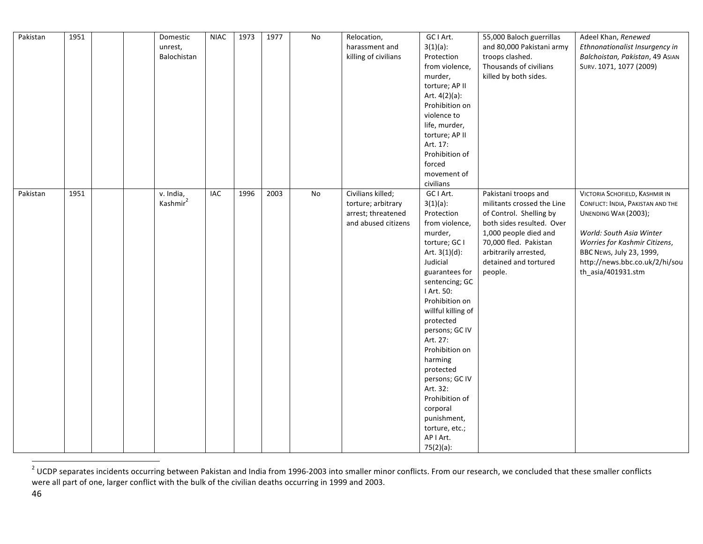| Pakistan | 1951 | Domestic<br>unrest,<br>Balochistan | <b>NIAC</b> | 1973 | 1977 | No             | Relocation,<br>harassment and<br>killing of civilians                                | GC I Art.<br>$3(1)(a)$ :<br>Protection<br>from violence,<br>murder,<br>torture; AP II<br>Art. $4(2)(a)$ :<br>Prohibition on                                                                                                                                                                                                                                                                                                   | 55,000 Baloch guerrillas<br>and 80,000 Pakistani army<br>troops clashed.<br>Thousands of civilians<br>killed by both sides.                                                                                               | Adeel Khan, Renewed<br>Ethnonationalist Insurgency in<br>Balchoistan, Pakistan, 49 AsIAN<br>SURV. 1071, 1077 (2009)                                                                                                                          |
|----------|------|------------------------------------|-------------|------|------|----------------|--------------------------------------------------------------------------------------|-------------------------------------------------------------------------------------------------------------------------------------------------------------------------------------------------------------------------------------------------------------------------------------------------------------------------------------------------------------------------------------------------------------------------------|---------------------------------------------------------------------------------------------------------------------------------------------------------------------------------------------------------------------------|----------------------------------------------------------------------------------------------------------------------------------------------------------------------------------------------------------------------------------------------|
|          |      |                                    |             |      |      |                |                                                                                      | violence to<br>life, murder,<br>torture; AP II<br>Art. 17:<br>Prohibition of<br>forced<br>movement of<br>civilians                                                                                                                                                                                                                                                                                                            |                                                                                                                                                                                                                           |                                                                                                                                                                                                                                              |
| Pakistan | 1951 | v. India,<br>Kashmir <sup>2</sup>  | <b>IAC</b>  | 1996 | 2003 | $\overline{N}$ | Civilians killed;<br>torture; arbitrary<br>arrest; threatened<br>and abused citizens | GC I Art.<br>$3(1)(a)$ :<br>Protection<br>from violence,<br>murder,<br>torture; GC I<br>Art. $3(1)(d)$ :<br>Judicial<br>guarantees for<br>sentencing; GC<br>I Art. 50:<br>Prohibition on<br>willful killing of<br>protected<br>persons; GC IV<br>Art. 27:<br>Prohibition on<br>harming<br>protected<br>persons; GC IV<br>Art. 32:<br>Prohibition of<br>corporal<br>punishment,<br>torture, etc.;<br>AP I Art.<br>$75(2)(a)$ : | Pakistani troops and<br>militants crossed the Line<br>of Control. Shelling by<br>both sides resulted. Over<br>1,000 people died and<br>70,000 fled. Pakistan<br>arbitrarily arrested,<br>detained and tortured<br>people. | VICTORIA SCHOFIELD, KASHMIR IN<br>CONFLICT: INDIA, PAKISTAN AND THE<br>UNENDING WAR (2003);<br>World: South Asia Winter<br>Worries for Kashmir Citizens,<br>BBC NEws, July 23, 1999,<br>http://news.bbc.co.uk/2/hi/sou<br>th_asia/401931.stm |

 $^2$  UCDP separates incidents occurring between Pakistan and India from 1996-2003 into smaller minor conflicts. From our research, we concluded that these smaller conflicts were all part of one, larger conflict with the bulk of the civilian deaths occurring in 1999 and 2003.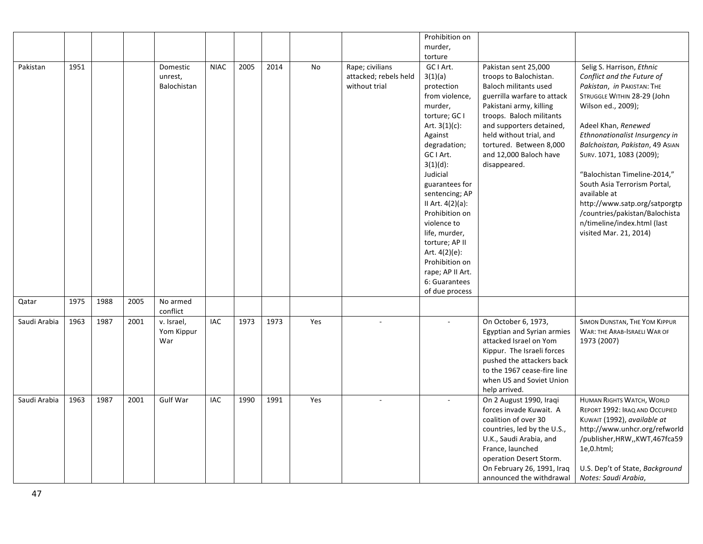|              |      |      |      |                 |             |      |      |           |                       | Prohibition on   |                             |                                 |
|--------------|------|------|------|-----------------|-------------|------|------|-----------|-----------------------|------------------|-----------------------------|---------------------------------|
|              |      |      |      |                 |             |      |      |           |                       | murder,          |                             |                                 |
|              |      |      |      |                 |             |      |      |           |                       | torture          |                             |                                 |
| Pakistan     | 1951 |      |      |                 | <b>NIAC</b> | 2005 | 2014 | <b>No</b> | Rape; civilians       | GC I Art.        | Pakistan sent 25,000        | Selig S. Harrison, Ethnic       |
|              |      |      |      | Domestic        |             |      |      |           |                       |                  |                             |                                 |
|              |      |      |      | unrest,         |             |      |      |           | attacked; rebels held | 3(1)(a)          | troops to Balochistan.      | Conflict and the Future of      |
|              |      |      |      | Balochistan     |             |      |      |           | without trial         | protection       | Baloch militants used       | Pakistan, in PAKISTAN: THE      |
|              |      |      |      |                 |             |      |      |           |                       | from violence,   | guerrilla warfare to attack | STRUGGLE WITHIN 28-29 (John     |
|              |      |      |      |                 |             |      |      |           |                       | murder,          | Pakistani army, killing     | Wilson ed., 2009);              |
|              |      |      |      |                 |             |      |      |           |                       | torture; GC I    | troops. Baloch militants    |                                 |
|              |      |      |      |                 |             |      |      |           |                       | Art. $3(1)(c)$ : | and supporters detained,    | Adeel Khan, Renewed             |
|              |      |      |      |                 |             |      |      |           |                       | Against          | held without trial, and     | Ethnonationalist Insurgency in  |
|              |      |      |      |                 |             |      |      |           |                       | degradation;     | tortured. Between 8,000     | Balchoistan, Pakistan, 49 AsIAN |
|              |      |      |      |                 |             |      |      |           |                       | GC I Art.        | and 12,000 Baloch have      | SURV. 1071, 1083 (2009);        |
|              |      |      |      |                 |             |      |      |           |                       | $3(1)(d)$ :      | disappeared.                |                                 |
|              |      |      |      |                 |             |      |      |           |                       | Judicial         |                             | "Balochistan Timeline-2014,"    |
|              |      |      |      |                 |             |      |      |           |                       | guarantees for   |                             | South Asia Terrorism Portal,    |
|              |      |      |      |                 |             |      |      |           |                       | sentencing; AP   |                             | available at                    |
|              |      |      |      |                 |             |      |      |           |                       | II Art. 4(2)(a): |                             | http://www.satp.org/satporgtp   |
|              |      |      |      |                 |             |      |      |           |                       | Prohibition on   |                             | /countries/pakistan/Balochista  |
|              |      |      |      |                 |             |      |      |           |                       | violence to      |                             | n/timeline/index.html (last     |
|              |      |      |      |                 |             |      |      |           |                       | life, murder,    |                             | visited Mar. 21, 2014)          |
|              |      |      |      |                 |             |      |      |           |                       | torture; AP II   |                             |                                 |
|              |      |      |      |                 |             |      |      |           |                       | Art. 4(2)(e):    |                             |                                 |
|              |      |      |      |                 |             |      |      |           |                       |                  |                             |                                 |
|              |      |      |      |                 |             |      |      |           |                       | Prohibition on   |                             |                                 |
|              |      |      |      |                 |             |      |      |           |                       | rape; AP II Art. |                             |                                 |
|              |      |      |      |                 |             |      |      |           |                       | 6: Guarantees    |                             |                                 |
|              |      |      |      |                 |             |      |      |           |                       | of due process   |                             |                                 |
| Qatar        | 1975 | 1988 | 2005 | No armed        |             |      |      |           |                       |                  |                             |                                 |
|              |      |      |      | conflict        |             |      |      |           |                       |                  |                             |                                 |
| Saudi Arabia | 1963 | 1987 | 2001 | v. Israel,      | <b>IAC</b>  | 1973 | 1973 | Yes       |                       |                  | On October 6, 1973,         | SIMON DUNSTAN, THE YOM KIPPUR   |
|              |      |      |      | Yom Kippur      |             |      |      |           |                       |                  | Egyptian and Syrian armies  | WAR: THE ARAB-ISRAELI WAR OF    |
|              |      |      |      | War             |             |      |      |           |                       |                  | attacked Israel on Yom      | 1973 (2007)                     |
|              |      |      |      |                 |             |      |      |           |                       |                  | Kippur. The Israeli forces  |                                 |
|              |      |      |      |                 |             |      |      |           |                       |                  | pushed the attackers back   |                                 |
|              |      |      |      |                 |             |      |      |           |                       |                  | to the 1967 cease-fire line |                                 |
|              |      |      |      |                 |             |      |      |           |                       |                  | when US and Soviet Union    |                                 |
|              |      |      |      |                 |             |      |      |           |                       |                  | help arrived.               |                                 |
| Saudi Arabia | 1963 | 1987 | 2001 | <b>Gulf War</b> | IAC         | 1990 | 1991 | Yes       |                       |                  | On 2 August 1990, Iraqi     | HUMAN RIGHTS WATCH, WORLD       |
|              |      |      |      |                 |             |      |      |           |                       |                  | forces invade Kuwait. A     | REPORT 1992: IRAQ AND OCCUPIED  |
|              |      |      |      |                 |             |      |      |           |                       |                  | coalition of over 30        | KUWAIT (1992), available at     |
|              |      |      |      |                 |             |      |      |           |                       |                  | countries, led by the U.S., | http://www.unhcr.org/refworld   |
|              |      |      |      |                 |             |      |      |           |                       |                  | U.K., Saudi Arabia, and     | /publisher, HRW,, KWT, 467fca59 |
|              |      |      |      |                 |             |      |      |           |                       |                  | France, launched            | $1e, 0.$ html;                  |
|              |      |      |      |                 |             |      |      |           |                       |                  | operation Desert Storm.     |                                 |
|              |      |      |      |                 |             |      |      |           |                       |                  | On February 26, 1991, Iraq  | U.S. Dep't of State, Background |
|              |      |      |      |                 |             |      |      |           |                       |                  | announced the withdrawal    | Notes: Saudi Arabia,            |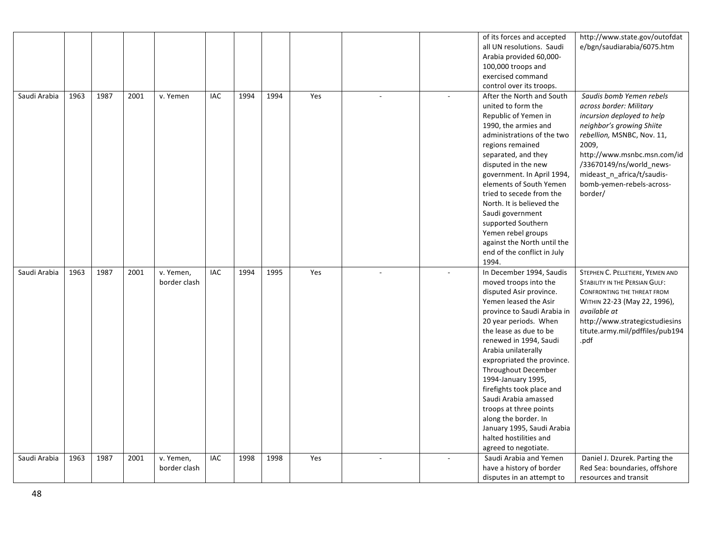|              |      |      |      |              |            |      |      |     |  | of its forces and accepted  | http://www.state.gov/outofdat    |
|--------------|------|------|------|--------------|------------|------|------|-----|--|-----------------------------|----------------------------------|
|              |      |      |      |              |            |      |      |     |  | all UN resolutions. Saudi   | e/bgn/saudiarabia/6075.htm       |
|              |      |      |      |              |            |      |      |     |  | Arabia provided 60,000-     |                                  |
|              |      |      |      |              |            |      |      |     |  | 100,000 troops and          |                                  |
|              |      |      |      |              |            |      |      |     |  | exercised command           |                                  |
|              |      |      |      |              |            |      |      |     |  | control over its troops.    |                                  |
| Saudi Arabia | 1963 | 1987 | 2001 | v. Yemen     | <b>IAC</b> | 1994 | 1994 | Yes |  | After the North and South   | Saudis bomb Yemen rebels         |
|              |      |      |      |              |            |      |      |     |  | united to form the          | across border: Military          |
|              |      |      |      |              |            |      |      |     |  | Republic of Yemen in        | incursion deployed to help       |
|              |      |      |      |              |            |      |      |     |  | 1990, the armies and        | neighbor's growing Shiite        |
|              |      |      |      |              |            |      |      |     |  | administrations of the two  | rebellion, MSNBC, Nov. 11,       |
|              |      |      |      |              |            |      |      |     |  | regions remained            | 2009,                            |
|              |      |      |      |              |            |      |      |     |  | separated, and they         | http://www.msnbc.msn.com/id      |
|              |      |      |      |              |            |      |      |     |  | disputed in the new         | /33670149/ns/world news-         |
|              |      |      |      |              |            |      |      |     |  | government. In April 1994,  | mideast_n_africa/t/saudis-       |
|              |      |      |      |              |            |      |      |     |  | elements of South Yemen     | bomb-yemen-rebels-across-        |
|              |      |      |      |              |            |      |      |     |  | tried to secede from the    | border/                          |
|              |      |      |      |              |            |      |      |     |  | North. It is believed the   |                                  |
|              |      |      |      |              |            |      |      |     |  | Saudi government            |                                  |
|              |      |      |      |              |            |      |      |     |  | supported Southern          |                                  |
|              |      |      |      |              |            |      |      |     |  | Yemen rebel groups          |                                  |
|              |      |      |      |              |            |      |      |     |  | against the North until the |                                  |
|              |      |      |      |              |            |      |      |     |  | end of the conflict in July |                                  |
|              |      |      |      |              |            |      |      |     |  | 1994.                       |                                  |
| Saudi Arabia | 1963 | 1987 | 2001 | v. Yemen,    | IAC        | 1994 | 1995 | Yes |  | In December 1994, Saudis    | STEPHEN C. PELLETIERE, YEMEN AND |
|              |      |      |      | border clash |            |      |      |     |  | moved troops into the       | STABILITY IN THE PERSIAN GULF:   |
|              |      |      |      |              |            |      |      |     |  | disputed Asir province.     | CONFRONTING THE THREAT FROM      |
|              |      |      |      |              |            |      |      |     |  | Yemen leased the Asir       | WITHIN 22-23 (May 22, 1996),     |
|              |      |      |      |              |            |      |      |     |  | province to Saudi Arabia in | available at                     |
|              |      |      |      |              |            |      |      |     |  | 20 year periods. When       | http://www.strategicstudiesins   |
|              |      |      |      |              |            |      |      |     |  | the lease as due to be      | titute.army.mil/pdffiles/pub194  |
|              |      |      |      |              |            |      |      |     |  | renewed in 1994, Saudi      | .pdf                             |
|              |      |      |      |              |            |      |      |     |  | Arabia unilaterally         |                                  |
|              |      |      |      |              |            |      |      |     |  |                             |                                  |
|              |      |      |      |              |            |      |      |     |  | expropriated the province.  |                                  |
|              |      |      |      |              |            |      |      |     |  | Throughout December         |                                  |
|              |      |      |      |              |            |      |      |     |  | 1994-January 1995,          |                                  |
|              |      |      |      |              |            |      |      |     |  | firefights took place and   |                                  |
|              |      |      |      |              |            |      |      |     |  | Saudi Arabia amassed        |                                  |
|              |      |      |      |              |            |      |      |     |  | troops at three points      |                                  |
|              |      |      |      |              |            |      |      |     |  | along the border. In        |                                  |
|              |      |      |      |              |            |      |      |     |  | January 1995, Saudi Arabia  |                                  |
|              |      |      |      |              |            |      |      |     |  | halted hostilities and      |                                  |
|              |      |      |      |              |            |      |      |     |  | agreed to negotiate.        |                                  |
| Saudi Arabia | 1963 | 1987 | 2001 | v. Yemen,    | IAC        | 1998 | 1998 | Yes |  | Saudi Arabia and Yemen      | Daniel J. Dzurek. Parting the    |
|              |      |      |      | border clash |            |      |      |     |  | have a history of border    | Red Sea: boundaries, offshore    |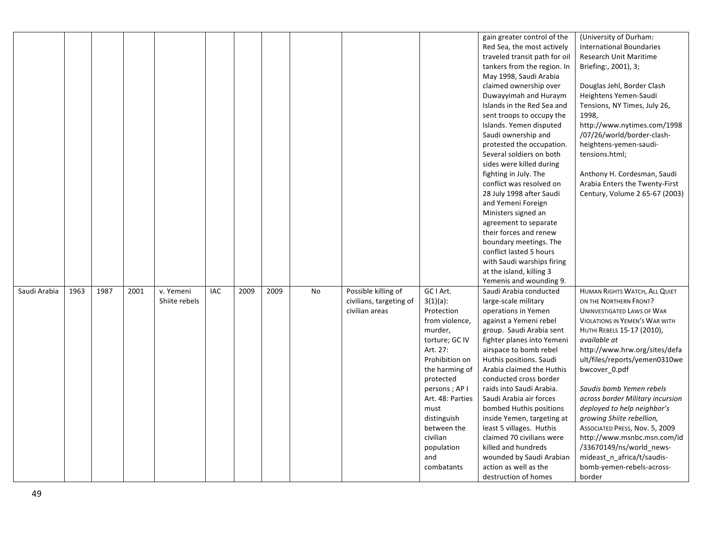|              |      |      |      |               |            |      |      |    |                         |                  | gain greater control of the   | (University of Durham:                |
|--------------|------|------|------|---------------|------------|------|------|----|-------------------------|------------------|-------------------------------|---------------------------------------|
|              |      |      |      |               |            |      |      |    |                         |                  | Red Sea, the most actively    | <b>International Boundaries</b>       |
|              |      |      |      |               |            |      |      |    |                         |                  | traveled transit path for oil | <b>Research Unit Maritime</b>         |
|              |      |      |      |               |            |      |      |    |                         |                  | tankers from the region. In   | Briefing:, 2001), 3;                  |
|              |      |      |      |               |            |      |      |    |                         |                  | May 1998, Saudi Arabia        |                                       |
|              |      |      |      |               |            |      |      |    |                         |                  | claimed ownership over        | Douglas Jehl, Border Clash            |
|              |      |      |      |               |            |      |      |    |                         |                  |                               |                                       |
|              |      |      |      |               |            |      |      |    |                         |                  | Duwayyimah and Huraym         | Heightens Yemen-Saudi                 |
|              |      |      |      |               |            |      |      |    |                         |                  | Islands in the Red Sea and    | Tensions, NY Times, July 26,          |
|              |      |      |      |               |            |      |      |    |                         |                  | sent troops to occupy the     | 1998,                                 |
|              |      |      |      |               |            |      |      |    |                         |                  | Islands. Yemen disputed       | http://www.nytimes.com/1998           |
|              |      |      |      |               |            |      |      |    |                         |                  | Saudi ownership and           | /07/26/world/border-clash-            |
|              |      |      |      |               |            |      |      |    |                         |                  | protested the occupation.     | heightens-yemen-saudi-                |
|              |      |      |      |               |            |      |      |    |                         |                  | Several soldiers on both      | tensions.html;                        |
|              |      |      |      |               |            |      |      |    |                         |                  | sides were killed during      |                                       |
|              |      |      |      |               |            |      |      |    |                         |                  | fighting in July. The         | Anthony H. Cordesman, Saudi           |
|              |      |      |      |               |            |      |      |    |                         |                  | conflict was resolved on      | Arabia Enters the Twenty-First        |
|              |      |      |      |               |            |      |      |    |                         |                  | 28 July 1998 after Saudi      | Century, Volume 2 65-67 (2003)        |
|              |      |      |      |               |            |      |      |    |                         |                  | and Yemeni Foreign            |                                       |
|              |      |      |      |               |            |      |      |    |                         |                  | Ministers signed an           |                                       |
|              |      |      |      |               |            |      |      |    |                         |                  | agreement to separate         |                                       |
|              |      |      |      |               |            |      |      |    |                         |                  | their forces and renew        |                                       |
|              |      |      |      |               |            |      |      |    |                         |                  | boundary meetings. The        |                                       |
|              |      |      |      |               |            |      |      |    |                         |                  | conflict lasted 5 hours       |                                       |
|              |      |      |      |               |            |      |      |    |                         |                  | with Saudi warships firing    |                                       |
|              |      |      |      |               |            |      |      |    |                         |                  | at the island, killing 3      |                                       |
|              |      |      |      |               |            |      |      |    |                         |                  | Yemenis and wounding 9.       |                                       |
| Saudi Arabia | 1963 | 1987 | 2001 | v. Yemeni     | <b>IAC</b> | 2009 | 2009 | No | Possible killing of     | GC I Art.        | Saudi Arabia conducted        | HUMAN RIGHTS WATCH, ALL QUIET         |
|              |      |      |      | Shiite rebels |            |      |      |    | civilians, targeting of | $3(1)(a)$ :      | large-scale military          | ON THE NORTHERN FRONT?                |
|              |      |      |      |               |            |      |      |    | civilian areas          | Protection       | operations in Yemen           | <b>UNINVESTIGATED LAWS OF WAR</b>     |
|              |      |      |      |               |            |      |      |    |                         | from violence,   | against a Yemeni rebel        | <b>VIOLATIONS IN YEMEN'S WAR WITH</b> |
|              |      |      |      |               |            |      |      |    |                         | murder,          | group. Saudi Arabia sent      | HUTHI REBELS 15-17 (2010),            |
|              |      |      |      |               |            |      |      |    |                         | torture; GC IV   | fighter planes into Yemeni    | available at                          |
|              |      |      |      |               |            |      |      |    |                         | Art. 27:         | airspace to bomb rebel        | http://www.hrw.org/sites/defa         |
|              |      |      |      |               |            |      |      |    |                         | Prohibition on   | Huthis positions. Saudi       | ult/files/reports/yemen0310we         |
|              |      |      |      |               |            |      |      |    |                         | the harming of   | Arabia claimed the Huthis     | bwcover_0.pdf                         |
|              |      |      |      |               |            |      |      |    |                         | protected        | conducted cross border        |                                       |
|              |      |      |      |               |            |      |      |    |                         | persons; AP I    | raids into Saudi Arabia.      | Saudis bomb Yemen rebels              |
|              |      |      |      |               |            |      |      |    |                         | Art. 48: Parties | Saudi Arabia air forces       | across border Military incursion      |
|              |      |      |      |               |            |      |      |    |                         | must             | bombed Huthis positions       | deployed to help neighbor's           |
|              |      |      |      |               |            |      |      |    |                         | distinguish      | inside Yemen, targeting at    | growing Shiite rebellion,             |
|              |      |      |      |               |            |      |      |    |                         | between the      | least 5 villages. Huthis      | ASSOCIATED PRESS, Nov. 5, 2009        |
|              |      |      |      |               |            |      |      |    |                         | civilian         | claimed 70 civilians were     | http://www.msnbc.msn.com/id           |
|              |      |      |      |               |            |      |      |    |                         | population       | killed and hundreds           | /33670149/ns/world news-              |
|              |      |      |      |               |            |      |      |    |                         | and              | wounded by Saudi Arabian      | mideast_n_africa/t/saudis-            |
|              |      |      |      |               |            |      |      |    |                         | combatants       | action as well as the         | bomb-yemen-rebels-across-             |
|              |      |      |      |               |            |      |      |    |                         |                  | destruction of homes          | border                                |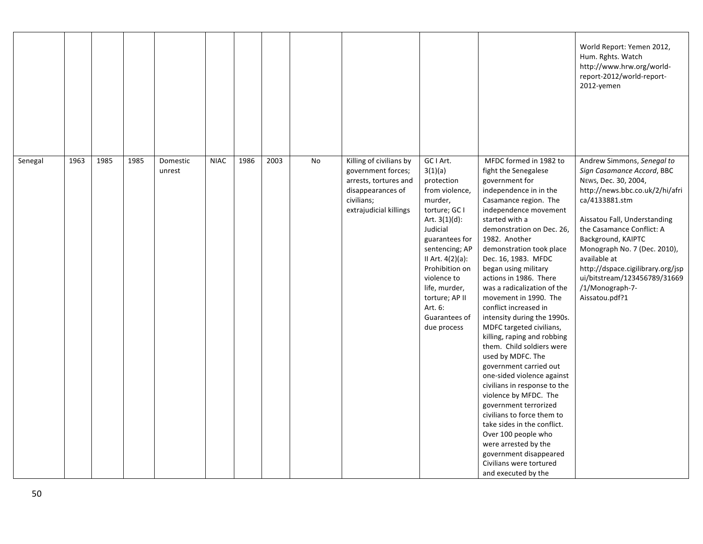|         |      |      |      |                    |             |      |      |    |                                                                                                                                     |                                                                                                                                                                                                                                                                                         |                                                                                                                                                                                                                                                                                                                                                                                                                                                                                                                                                                                                                                                                                                                                                                                                                                                                                  | World Report: Yemen 2012,<br>Hum. Rghts. Watch<br>http://www.hrw.org/world-<br>report-2012/world-report-<br>2012-yemen                                                                                                                                                                                                                                                             |
|---------|------|------|------|--------------------|-------------|------|------|----|-------------------------------------------------------------------------------------------------------------------------------------|-----------------------------------------------------------------------------------------------------------------------------------------------------------------------------------------------------------------------------------------------------------------------------------------|----------------------------------------------------------------------------------------------------------------------------------------------------------------------------------------------------------------------------------------------------------------------------------------------------------------------------------------------------------------------------------------------------------------------------------------------------------------------------------------------------------------------------------------------------------------------------------------------------------------------------------------------------------------------------------------------------------------------------------------------------------------------------------------------------------------------------------------------------------------------------------|------------------------------------------------------------------------------------------------------------------------------------------------------------------------------------------------------------------------------------------------------------------------------------------------------------------------------------------------------------------------------------|
| Senegal | 1963 | 1985 | 1985 | Domestic<br>unrest | <b>NIAC</b> | 1986 | 2003 | No | Killing of civilians by<br>government forces;<br>arrests, tortures and<br>disappearances of<br>civilians;<br>extrajudicial killings | GC I Art.<br>3(1)(a)<br>protection<br>from violence,<br>murder,<br>torture; GC I<br>Art. $3(1)(d)$ :<br>Judicial<br>guarantees for<br>sentencing; AP<br>II Art. 4(2)(a):<br>Prohibition on<br>violence to<br>life, murder,<br>torture; AP II<br>Art. 6:<br>Guarantees of<br>due process | MFDC formed in 1982 to<br>fight the Senegalese<br>government for<br>independence in in the<br>Casamance region. The<br>independence movement<br>started with a<br>demonstration on Dec. 26,<br>1982. Another<br>demonstration took place<br>Dec. 16, 1983. MFDC<br>began using military<br>actions in 1986. There<br>was a radicalization of the<br>movement in 1990. The<br>conflict increased in<br>intensity during the 1990s.<br>MDFC targeted civilians,<br>killing, raping and robbing<br>them. Child soldiers were<br>used by MDFC. The<br>government carried out<br>one-sided violence against<br>civilians in response to the<br>violence by MFDC. The<br>government terrorized<br>civilians to force them to<br>take sides in the conflict.<br>Over 100 people who<br>were arrested by the<br>government disappeared<br>Civilians were tortured<br>and executed by the | Andrew Simmons, Senegal to<br>Sign Casamance Accord, BBC<br>NEws, Dec. 30, 2004,<br>http://news.bbc.co.uk/2/hi/afri<br>ca/4133881.stm<br>Aissatou Fall, Understanding<br>the Casamance Conflict: A<br>Background, KAIPTC<br>Monograph No. 7 (Dec. 2010),<br>available at<br>http://dspace.cigilibrary.org/jsp<br>ui/bitstream/123456789/31669<br>/1/Monograph-7-<br>Aissatou.pdf?1 |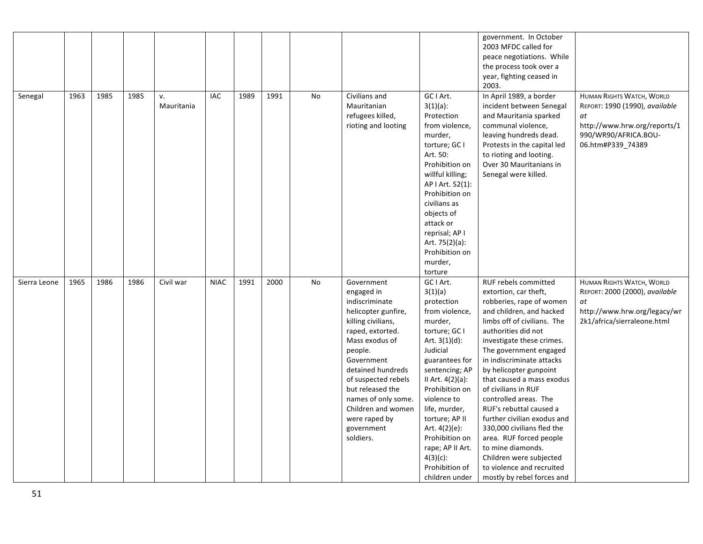|              |      |      |      |                  |             |      |      |    |                                                                                                                                                                                                                                                                                                                 |                                                                                                                                                                                                                                                                                                                                                              | government. In October<br>2003 MFDC called for<br>peace negotiations. While<br>the process took over a<br>year, fighting ceased in<br>2003.                                                                                                                                                                                                                                                                                                                                                                                                                                          |                                                                                                                                                |
|--------------|------|------|------|------------------|-------------|------|------|----|-----------------------------------------------------------------------------------------------------------------------------------------------------------------------------------------------------------------------------------------------------------------------------------------------------------------|--------------------------------------------------------------------------------------------------------------------------------------------------------------------------------------------------------------------------------------------------------------------------------------------------------------------------------------------------------------|--------------------------------------------------------------------------------------------------------------------------------------------------------------------------------------------------------------------------------------------------------------------------------------------------------------------------------------------------------------------------------------------------------------------------------------------------------------------------------------------------------------------------------------------------------------------------------------|------------------------------------------------------------------------------------------------------------------------------------------------|
| Senegal      | 1963 | 1985 | 1985 | v.<br>Mauritania | <b>IAC</b>  | 1989 | 1991 | No | Civilians and<br>Mauritanian<br>refugees killed,<br>rioting and looting                                                                                                                                                                                                                                         | GC I Art.<br>$3(1)(a)$ :<br>Protection<br>from violence,<br>murder,<br>torture; GC I<br>Art. 50:<br>Prohibition on<br>willful killing;<br>AP   Art. 52(1):<br>Prohibition on<br>civilians as<br>objects of<br>attack or<br>reprisal; AP I<br>Art. 75(2)(a):<br>Prohibition on<br>murder,<br>torture                                                          | In April 1989, a border<br>incident between Senegal<br>and Mauritania sparked<br>communal violence,<br>leaving hundreds dead.<br>Protests in the capital led<br>to rioting and looting.<br>Over 30 Mauritanians in<br>Senegal were killed.                                                                                                                                                                                                                                                                                                                                           | HUMAN RIGHTS WATCH, WORLD<br>REPORT: 1990 (1990), available<br>at<br>http://www.hrw.org/reports/1<br>990/WR90/AFRICA.BOU-<br>06.htm#P339_74389 |
| Sierra Leone | 1965 | 1986 | 1986 | Civil war        | <b>NIAC</b> | 1991 | 2000 | No | Government<br>engaged in<br>indiscriminate<br>helicopter gunfire,<br>killing civilians,<br>raped, extorted.<br>Mass exodus of<br>people.<br>Government<br>detained hundreds<br>of suspected rebels<br>but released the<br>names of only some.<br>Children and women<br>were raped by<br>government<br>soldiers. | GC I Art.<br>3(1)(a)<br>protection<br>from violence,<br>murder,<br>torture; GC I<br>Art. $3(1)(d)$ :<br>Judicial<br>guarantees for<br>sentencing; AP<br>II Art. $4(2)(a)$ :<br>Prohibition on<br>violence to<br>life, murder,<br>torture; AP II<br>Art. $4(2)(e)$ :<br>Prohibition on<br>rape; AP II Art.<br>$4(3)(c)$ :<br>Prohibition of<br>children under | RUF rebels committed<br>extortion, car theft,<br>robberies, rape of women<br>and children, and hacked<br>limbs off of civilians. The<br>authorities did not<br>investigate these crimes.<br>The government engaged<br>in indiscriminate attacks<br>by helicopter gunpoint<br>that caused a mass exodus<br>of civilians in RUF<br>controlled areas. The<br>RUF's rebuttal caused a<br>further civilian exodus and<br>330,000 civilians fled the<br>area. RUF forced people<br>to mine diamonds.<br>Children were subjected<br>to violence and recruited<br>mostly by rebel forces and | <b>HUMAN RIGHTS WATCH, WORLD</b><br>REPORT: 2000 (2000), available<br>at<br>http://www.hrw.org/legacy/wr<br>2k1/africa/sierraleone.html        |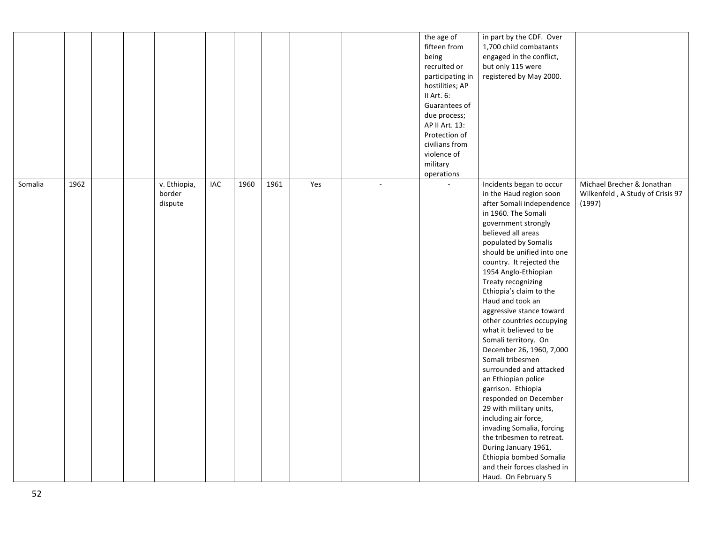|         |      |  |              |     |      |      |     |                | the age of       | in part by the CDF. Over    |                                  |
|---------|------|--|--------------|-----|------|------|-----|----------------|------------------|-----------------------------|----------------------------------|
|         |      |  |              |     |      |      |     |                | fifteen from     | 1,700 child combatants      |                                  |
|         |      |  |              |     |      |      |     |                | being            | engaged in the conflict,    |                                  |
|         |      |  |              |     |      |      |     |                | recruited or     | but only 115 were           |                                  |
|         |      |  |              |     |      |      |     |                | participating in | registered by May 2000.     |                                  |
|         |      |  |              |     |      |      |     |                | hostilities; AP  |                             |                                  |
|         |      |  |              |     |      |      |     |                | II Art. 6:       |                             |                                  |
|         |      |  |              |     |      |      |     |                | Guarantees of    |                             |                                  |
|         |      |  |              |     |      |      |     |                | due process;     |                             |                                  |
|         |      |  |              |     |      |      |     |                | AP II Art. 13:   |                             |                                  |
|         |      |  |              |     |      |      |     |                | Protection of    |                             |                                  |
|         |      |  |              |     |      |      |     |                | civilians from   |                             |                                  |
|         |      |  |              |     |      |      |     |                | violence of      |                             |                                  |
|         |      |  |              |     |      |      |     |                | military         |                             |                                  |
|         |      |  |              |     |      |      |     |                | operations       |                             |                                  |
| Somalia | 1962 |  | v. Ethiopia, | IAC | 1960 | 1961 | Yes | $\blacksquare$ |                  | Incidents began to occur    | Michael Brecher & Jonathan       |
|         |      |  | border       |     |      |      |     |                |                  | in the Haud region soon     | Wilkenfeld, A Study of Crisis 97 |
|         |      |  | dispute      |     |      |      |     |                |                  | after Somali independence   | (1997)                           |
|         |      |  |              |     |      |      |     |                |                  | in 1960. The Somali         |                                  |
|         |      |  |              |     |      |      |     |                |                  | government strongly         |                                  |
|         |      |  |              |     |      |      |     |                |                  | believed all areas          |                                  |
|         |      |  |              |     |      |      |     |                |                  | populated by Somalis        |                                  |
|         |      |  |              |     |      |      |     |                |                  | should be unified into one  |                                  |
|         |      |  |              |     |      |      |     |                |                  | country. It rejected the    |                                  |
|         |      |  |              |     |      |      |     |                |                  | 1954 Anglo-Ethiopian        |                                  |
|         |      |  |              |     |      |      |     |                |                  | Treaty recognizing          |                                  |
|         |      |  |              |     |      |      |     |                |                  | Ethiopia's claim to the     |                                  |
|         |      |  |              |     |      |      |     |                |                  | Haud and took an            |                                  |
|         |      |  |              |     |      |      |     |                |                  | aggressive stance toward    |                                  |
|         |      |  |              |     |      |      |     |                |                  | other countries occupying   |                                  |
|         |      |  |              |     |      |      |     |                |                  | what it believed to be      |                                  |
|         |      |  |              |     |      |      |     |                |                  | Somali territory. On        |                                  |
|         |      |  |              |     |      |      |     |                |                  | December 26, 1960, 7,000    |                                  |
|         |      |  |              |     |      |      |     |                |                  | Somali tribesmen            |                                  |
|         |      |  |              |     |      |      |     |                |                  | surrounded and attacked     |                                  |
|         |      |  |              |     |      |      |     |                |                  | an Ethiopian police         |                                  |
|         |      |  |              |     |      |      |     |                |                  | garrison. Ethiopia          |                                  |
|         |      |  |              |     |      |      |     |                |                  | responded on December       |                                  |
|         |      |  |              |     |      |      |     |                |                  | 29 with military units,     |                                  |
|         |      |  |              |     |      |      |     |                |                  | including air force,        |                                  |
|         |      |  |              |     |      |      |     |                |                  | invading Somalia, forcing   |                                  |
|         |      |  |              |     |      |      |     |                |                  | the tribesmen to retreat.   |                                  |
|         |      |  |              |     |      |      |     |                |                  | During January 1961,        |                                  |
|         |      |  |              |     |      |      |     |                |                  | Ethiopia bombed Somalia     |                                  |
|         |      |  |              |     |      |      |     |                |                  | and their forces clashed in |                                  |
|         |      |  |              |     |      |      |     |                |                  | Haud. On February 5         |                                  |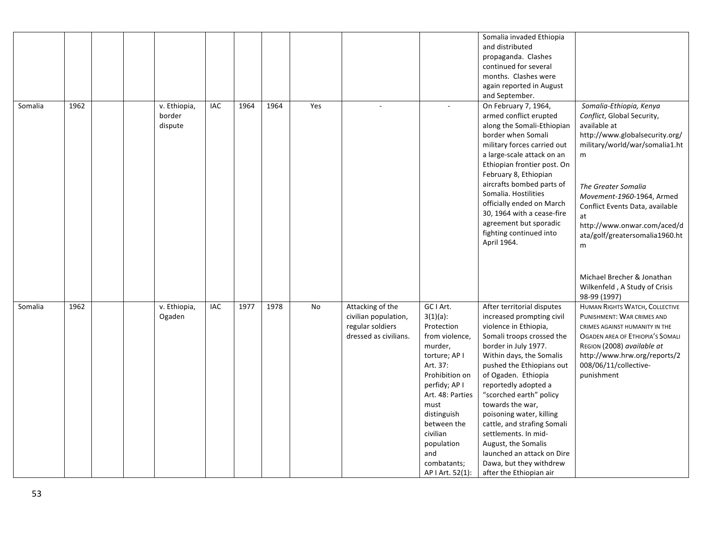|         |      |  |                                   |     |      |      |     |                                                                                       |                                                                                                                                                                                                                                                                   | Somalia invaded Ethiopia<br>and distributed<br>propaganda. Clashes<br>continued for several<br>months. Clashes were<br>again reported in August<br>and September.                                                                                                                                                                                                                                                                                                                          |                                                                                                                                                                                                                                                                                                                                                                                                  |
|---------|------|--|-----------------------------------|-----|------|------|-----|---------------------------------------------------------------------------------------|-------------------------------------------------------------------------------------------------------------------------------------------------------------------------------------------------------------------------------------------------------------------|--------------------------------------------------------------------------------------------------------------------------------------------------------------------------------------------------------------------------------------------------------------------------------------------------------------------------------------------------------------------------------------------------------------------------------------------------------------------------------------------|--------------------------------------------------------------------------------------------------------------------------------------------------------------------------------------------------------------------------------------------------------------------------------------------------------------------------------------------------------------------------------------------------|
| Somalia | 1962 |  | v. Ethiopia,<br>border<br>dispute | IAC | 1964 | 1964 | Yes |                                                                                       |                                                                                                                                                                                                                                                                   | On February 7, 1964,<br>armed conflict erupted<br>along the Somali-Ethiopian<br>border when Somali<br>military forces carried out<br>a large-scale attack on an<br>Ethiopian frontier post. On<br>February 8, Ethiopian<br>aircrafts bombed parts of<br>Somalia. Hostilities<br>officially ended on March<br>30, 1964 with a cease-fire<br>agreement but sporadic<br>fighting continued into<br>April 1964.                                                                                | Somalia-Ethiopia, Kenya<br>Conflict, Global Security,<br>available at<br>http://www.globalsecurity.org/<br>military/world/war/somalia1.ht<br>m<br>The Greater Somalia<br>Movement-1960-1964, Armed<br>Conflict Events Data, available<br>at<br>http://www.onwar.com/aced/d<br>ata/golf/greatersomalia1960.ht<br>m<br>Michael Brecher & Jonathan<br>Wilkenfeld, A Study of Crisis<br>98-99 (1997) |
| Somalia | 1962 |  | v. Ethiopia,<br>Ogaden            | IAC | 1977 | 1978 | No  | Attacking of the<br>civilian population,<br>regular soldiers<br>dressed as civilians. | GC I Art.<br>$3(1)(a)$ :<br>Protection<br>from violence,<br>murder,<br>torture; AP I<br>Art. 37:<br>Prohibition on<br>perfidy; AP I<br>Art. 48: Parties<br>must<br>distinguish<br>between the<br>civilian<br>population<br>and<br>combatants;<br>AP I Art. 52(1): | After territorial disputes<br>increased prompting civil<br>violence in Ethiopia,<br>Somali troops crossed the<br>border in July 1977.<br>Within days, the Somalis<br>pushed the Ethiopians out<br>of Ogaden. Ethiopia<br>reportedly adopted a<br>"scorched earth" policy<br>towards the war,<br>poisoning water, killing<br>cattle, and strafing Somali<br>settlements. In mid-<br>August, the Somalis<br>launched an attack on Dire<br>Dawa, but they withdrew<br>after the Ethiopian air | HUMAN RIGHTS WATCH, COLLECTIVE<br>PUNISHMENT: WAR CRIMES AND<br>CRIMES AGAINST HUMANITY IN THE<br>OGADEN AREA OF ETHIOPIA'S SOMALI<br>REGION (2008) available at<br>http://www.hrw.org/reports/2<br>008/06/11/collective-<br>punishment                                                                                                                                                          |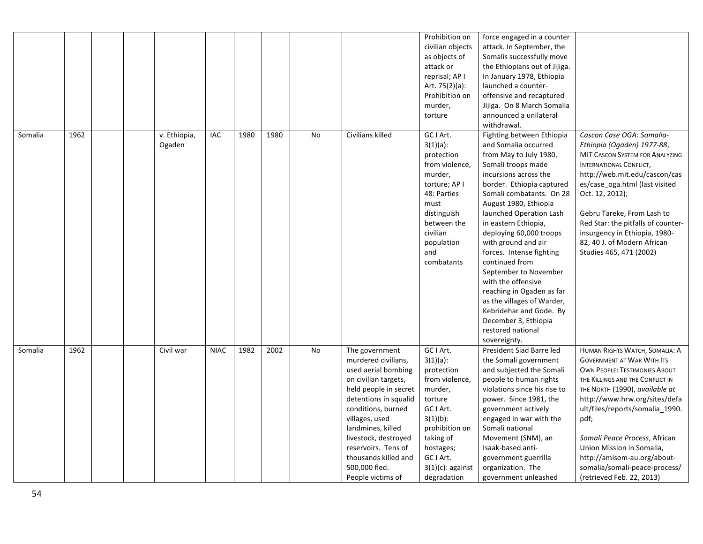|         |      |  |                        |             |      |      |    |                                                                                                                                                                                                                                                                                                                  | Prohibition on<br>civilian objects<br>as objects of<br>attack or<br>reprisal; AP I<br>Art. 75(2)(a):<br>Prohibition on<br>murder,<br>torture                                                              | force engaged in a counter<br>attack. In September, the<br>Somalis successfully move<br>the Ethiopians out of Jijiga.<br>In January 1978, Ethiopia<br>launched a counter-<br>offensive and recaptured<br>Jijiga. On 8 March Somalia<br>announced a unilateral<br>withdrawal.                                                                                                                                                                                                                                                                                      |                                                                                                                                                                                                                                                                                                                                                                                                                          |
|---------|------|--|------------------------|-------------|------|------|----|------------------------------------------------------------------------------------------------------------------------------------------------------------------------------------------------------------------------------------------------------------------------------------------------------------------|-----------------------------------------------------------------------------------------------------------------------------------------------------------------------------------------------------------|-------------------------------------------------------------------------------------------------------------------------------------------------------------------------------------------------------------------------------------------------------------------------------------------------------------------------------------------------------------------------------------------------------------------------------------------------------------------------------------------------------------------------------------------------------------------|--------------------------------------------------------------------------------------------------------------------------------------------------------------------------------------------------------------------------------------------------------------------------------------------------------------------------------------------------------------------------------------------------------------------------|
| Somalia | 1962 |  | v. Ethiopia,<br>Ogaden | IAC         | 1980 | 1980 | No | Civilians killed                                                                                                                                                                                                                                                                                                 | GC I Art.<br>$3(1)(a)$ :<br>protection<br>from violence,<br>murder,<br>torture; AP I<br>48: Parties<br>must<br>distinguish<br>between the<br>civilian<br>population<br>and<br>combatants                  | Fighting between Ethiopia<br>and Somalia occurred<br>from May to July 1980.<br>Somali troops made<br>incursions across the<br>border. Ethiopia captured<br>Somali combatants. On 28<br>August 1980, Ethiopia<br>launched Operation Lash<br>in eastern Ethiopia,<br>deploying 60,000 troops<br>with ground and air<br>forces. Intense fighting<br>continued from<br>September to November<br>with the offensive<br>reaching in Ogaden as far<br>as the villages of Warder,<br>Kebridehar and Gode. By<br>December 3, Ethiopia<br>restored national<br>sovereignty. | Cascon Case OGA: Somalia-<br>Ethiopia (Ogaden) 1977-88,<br>MIT CASCON SYSTEM FOR ANALYZING<br><b>INTERNATIONAL CONFLICT,</b><br>http://web.mit.edu/cascon/cas<br>es/case_oga.html (last visited<br>Oct. 12, 2012);<br>Gebru Tareke, From Lash to<br>Red Star: the pitfalls of counter-<br>insurgency in Ethiopia, 1980-<br>82, 40 J. of Modern African<br>Studies 465, 471 (2002)                                        |
| Somalia | 1962 |  | Civil war              | <b>NIAC</b> | 1982 | 2002 | No | The government<br>murdered civilians,<br>used aerial bombing<br>on civilian targets,<br>held people in secret<br>detentions in squalid<br>conditions, burned<br>villages, used<br>landmines, killed<br>livestock, destroyed<br>reservoirs. Tens of<br>thousands killed and<br>500,000 fled.<br>People victims of | GC I Art.<br>$3(1)(a)$ :<br>protection<br>from violence,<br>murder,<br>torture<br>GC I Art.<br>$3(1)(b)$ :<br>prohibition on<br>taking of<br>hostages;<br>GC I Art.<br>$3(1)(c)$ : against<br>degradation | President Siad Barre led<br>the Somali government<br>and subjected the Somali<br>people to human rights<br>violations since his rise to<br>power. Since 1981, the<br>government actively<br>engaged in war with the<br>Somali national<br>Movement (SNM), an<br>Isaak-based anti-<br>government guerrilla<br>organization. The<br>government unleashed                                                                                                                                                                                                            | HUMAN RIGHTS WATCH, SOMALIA: A<br><b>GOVERNMENT AT WAR WITH ITS</b><br><b>OWN PEOPLE: TESTIMONIES ABOUT</b><br>THE KILLINGS AND THE CONFLICT IN<br>THE NORTH (1990), available at<br>http://www.hrw.org/sites/defa<br>ult/files/reports/somalia 1990.<br>pdf;<br>Somali Peace Process, African<br>Union Mission in Somalia,<br>http://amisom-au.org/about-<br>somalia/somali-peace-process/<br>(retrieved Feb. 22, 2013) |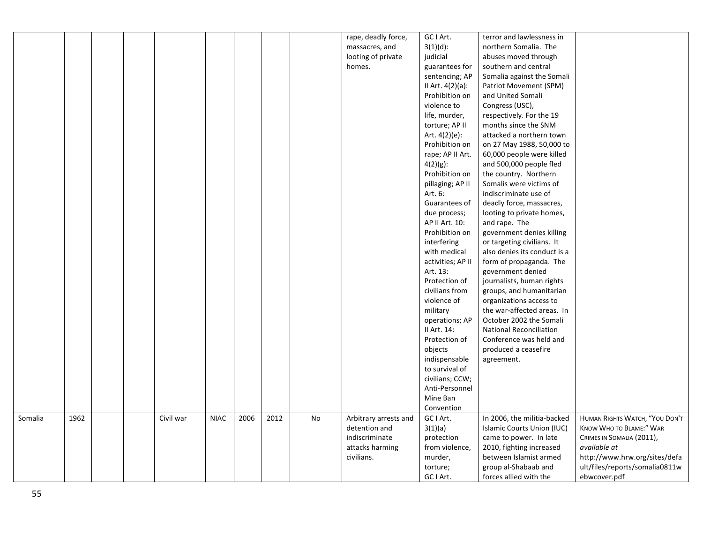|         |      |  |           |             |      |      |               | rape, deadly force,   | GC I Art.         | terror and lawlessness in      |                                |
|---------|------|--|-----------|-------------|------|------|---------------|-----------------------|-------------------|--------------------------------|--------------------------------|
|         |      |  |           |             |      |      |               | massacres, and        | $3(1)(d)$ :       | northern Somalia. The          |                                |
|         |      |  |           |             |      |      |               | looting of private    | judicial          | abuses moved through           |                                |
|         |      |  |           |             |      |      |               | homes.                | guarantees for    | southern and central           |                                |
|         |      |  |           |             |      |      |               |                       | sentencing; AP    | Somalia against the Somali     |                                |
|         |      |  |           |             |      |      |               |                       | II Art. 4(2)(a):  | Patriot Movement (SPM)         |                                |
|         |      |  |           |             |      |      |               |                       | Prohibition on    | and United Somali              |                                |
|         |      |  |           |             |      |      |               |                       | violence to       | Congress (USC),                |                                |
|         |      |  |           |             |      |      |               |                       | life, murder,     | respectively. For the 19       |                                |
|         |      |  |           |             |      |      |               |                       | torture; AP II    | months since the SNM           |                                |
|         |      |  |           |             |      |      |               |                       | Art. $4(2)(e)$ :  | attacked a northern town       |                                |
|         |      |  |           |             |      |      |               |                       | Prohibition on    | on 27 May 1988, 50,000 to      |                                |
|         |      |  |           |             |      |      |               |                       | rape; AP II Art.  | 60,000 people were killed      |                                |
|         |      |  |           |             |      |      |               |                       | $4(2)(g)$ :       | and 500,000 people fled        |                                |
|         |      |  |           |             |      |      |               |                       | Prohibition on    | the country. Northern          |                                |
|         |      |  |           |             |      |      |               |                       | pillaging; AP II  | Somalis were victims of        |                                |
|         |      |  |           |             |      |      |               |                       | Art. 6:           | indiscriminate use of          |                                |
|         |      |  |           |             |      |      |               |                       | Guarantees of     | deadly force, massacres,       |                                |
|         |      |  |           |             |      |      |               |                       | due process;      | looting to private homes,      |                                |
|         |      |  |           |             |      |      |               |                       | AP II Art. 10:    | and rape. The                  |                                |
|         |      |  |           |             |      |      |               |                       | Prohibition on    | government denies killing      |                                |
|         |      |  |           |             |      |      |               |                       | interfering       | or targeting civilians. It     |                                |
|         |      |  |           |             |      |      |               |                       | with medical      | also denies its conduct is a   |                                |
|         |      |  |           |             |      |      |               |                       | activities; AP II | form of propaganda. The        |                                |
|         |      |  |           |             |      |      |               |                       | Art. 13:          | government denied              |                                |
|         |      |  |           |             |      |      |               |                       | Protection of     | journalists, human rights      |                                |
|         |      |  |           |             |      |      |               |                       | civilians from    | groups, and humanitarian       |                                |
|         |      |  |           |             |      |      |               |                       | violence of       | organizations access to        |                                |
|         |      |  |           |             |      |      |               |                       | military          | the war-affected areas. In     |                                |
|         |      |  |           |             |      |      |               |                       | operations; AP    | October 2002 the Somali        |                                |
|         |      |  |           |             |      |      |               |                       | II Art. 14:       | <b>National Reconciliation</b> |                                |
|         |      |  |           |             |      |      |               |                       | Protection of     | Conference was held and        |                                |
|         |      |  |           |             |      |      |               |                       | objects           | produced a ceasefire           |                                |
|         |      |  |           |             |      |      |               |                       | indispensable     | agreement.                     |                                |
|         |      |  |           |             |      |      |               |                       | to survival of    |                                |                                |
|         |      |  |           |             |      |      |               |                       | civilians; CCW;   |                                |                                |
|         |      |  |           |             |      |      |               |                       | Anti-Personnel    |                                |                                |
|         |      |  |           |             |      |      |               |                       | Mine Ban          |                                |                                |
|         |      |  |           |             |      |      |               |                       | Convention        |                                |                                |
| Somalia | 1962 |  | Civil war | <b>NIAC</b> | 2006 | 2012 | $\mathsf{No}$ | Arbitrary arrests and | GC I Art.         | In 2006, the militia-backed    | HUMAN RIGHTS WATCH, "YOU DON'T |
|         |      |  |           |             |      |      |               | detention and         | 3(1)(a)           | Islamic Courts Union (IUC)     | KNOW WHO TO BLAME:" WAR        |
|         |      |  |           |             |      |      |               | indiscriminate        | protection        | came to power. In late         | CRIMES IN SOMALIA (2011),      |
|         |      |  |           |             |      |      |               | attacks harming       | from violence,    | 2010, fighting increased       | available at                   |
|         |      |  |           |             |      |      |               | civilians.            | murder,           | between Islamist armed         | http://www.hrw.org/sites/defa  |
|         |      |  |           |             |      |      |               |                       | torture;          | group al-Shabaab and           | ult/files/reports/somalia0811w |
|         |      |  |           |             |      |      |               |                       | GC I Art.         | forces allied with the         | ebwcover.pdf                   |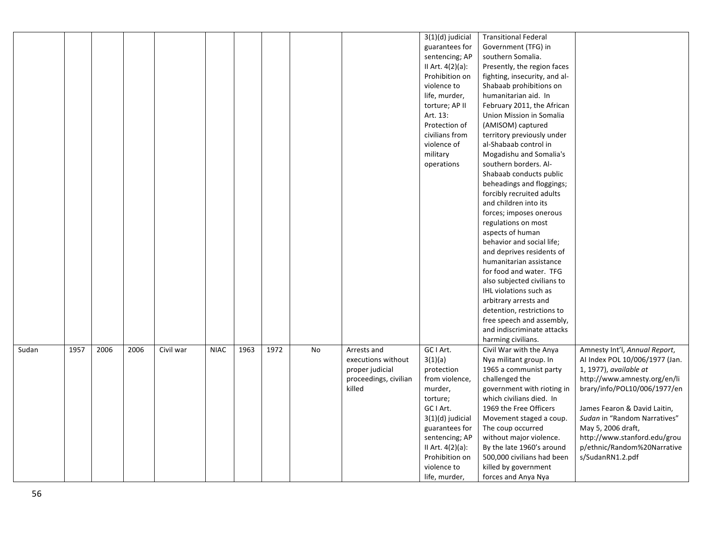|       |      |      |      |           |             |      |      |    |                                                                                         | 3(1)(d) judicial<br>guarantees for<br>sentencing; AP<br>II Art. 4(2)(a):<br>Prohibition on<br>violence to<br>life, murder,<br>torture; AP II<br>Art. 13: | <b>Transitional Federal</b><br>Government (TFG) in<br>southern Somalia.<br>Presently, the region faces<br>fighting, insecurity, and al-<br>Shabaab prohibitions on<br>humanitarian aid. In<br>February 2011, the African<br>Union Mission in Somalia |                                                                                                                                                                       |
|-------|------|------|------|-----------|-------------|------|------|----|-----------------------------------------------------------------------------------------|----------------------------------------------------------------------------------------------------------------------------------------------------------|------------------------------------------------------------------------------------------------------------------------------------------------------------------------------------------------------------------------------------------------------|-----------------------------------------------------------------------------------------------------------------------------------------------------------------------|
|       |      |      |      |           |             |      |      |    |                                                                                         | Protection of<br>civilians from<br>violence of<br>military<br>operations                                                                                 | (AMISOM) captured<br>territory previously under<br>al-Shabaab control in<br>Mogadishu and Somalia's<br>southern borders. Al-<br>Shabaab conducts public<br>beheadings and floggings;                                                                 |                                                                                                                                                                       |
|       |      |      |      |           |             |      |      |    |                                                                                         |                                                                                                                                                          | forcibly recruited adults<br>and children into its<br>forces; imposes onerous<br>regulations on most<br>aspects of human<br>behavior and social life;                                                                                                |                                                                                                                                                                       |
|       |      |      |      |           |             |      |      |    |                                                                                         |                                                                                                                                                          | and deprives residents of<br>humanitarian assistance<br>for food and water. TFG<br>also subjected civilians to<br>IHL violations such as<br>arbitrary arrests and                                                                                    |                                                                                                                                                                       |
|       |      |      |      |           |             |      |      |    |                                                                                         |                                                                                                                                                          | detention, restrictions to<br>free speech and assembly,<br>and indiscriminate attacks<br>harming civilians.                                                                                                                                          |                                                                                                                                                                       |
| Sudan | 1957 | 2006 | 2006 | Civil war | <b>NIAC</b> | 1963 | 1972 | No | Arrests and<br>executions without<br>proper judicial<br>proceedings, civilian<br>killed | GC I Art.<br>3(1)(a)<br>protection<br>from violence,<br>murder,<br>torture;                                                                              | Civil War with the Anya<br>Nya militant group. In<br>1965 a communist party<br>challenged the<br>government with rioting in<br>which civilians died. In                                                                                              | Amnesty Int'l, Annual Report,<br>Al Index POL 10/006/1977 (Jan.<br>1, 1977), available at<br>http://www.amnesty.org/en/li<br>brary/info/POL10/006/1977/en             |
|       |      |      |      |           |             |      |      |    |                                                                                         | GC I Art.<br>3(1)(d) judicial<br>guarantees for<br>sentencing; AP<br>II Art. 4(2)(a):<br>Prohibition on<br>violence to<br>life, murder,                  | 1969 the Free Officers<br>Movement staged a coup.<br>The coup occurred<br>without major violence.<br>By the late 1960's around<br>500,000 civilians had been<br>killed by government<br>forces and Anya Nya                                          | James Fearon & David Laitin,<br>Sudan in "Random Narratives"<br>May 5, 2006 draft,<br>http://www.stanford.edu/grou<br>p/ethnic/Random%20Narrative<br>s/SudanRN1.2.pdf |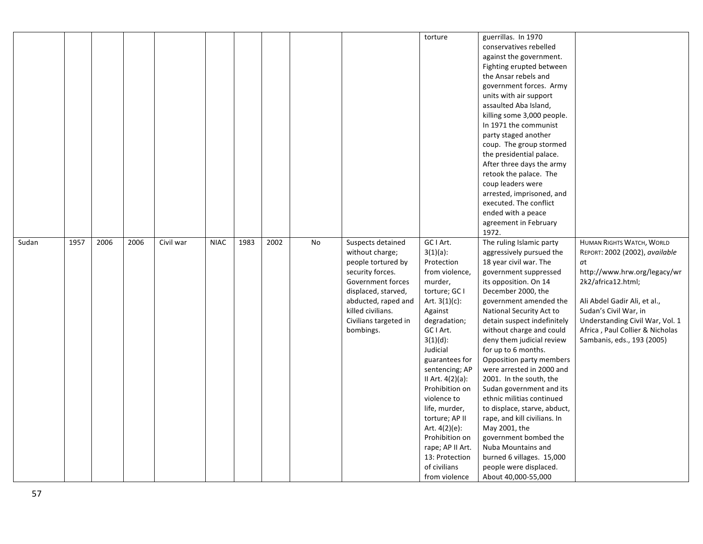|       |      |      |      |           |             |      |      |    |                                                                                                                                                                                                              | torture                                                                                                                                                                                                                                                                                                                                                                                                              | guerrillas. In 1970<br>conservatives rebelled<br>against the government.<br>Fighting erupted between<br>the Ansar rebels and<br>government forces. Army<br>units with air support<br>assaulted Aba Island,<br>killing some 3,000 people.<br>In 1971 the communist<br>party staged another<br>coup. The group stormed<br>the presidential palace.<br>After three days the army<br>retook the palace. The<br>coup leaders were<br>arrested, imprisoned, and<br>executed. The conflict<br>ended with a peace<br>agreement in February<br>1972.                                                                                                                                            |                                                                                                                                                                                                                                                                                      |
|-------|------|------|------|-----------|-------------|------|------|----|--------------------------------------------------------------------------------------------------------------------------------------------------------------------------------------------------------------|----------------------------------------------------------------------------------------------------------------------------------------------------------------------------------------------------------------------------------------------------------------------------------------------------------------------------------------------------------------------------------------------------------------------|----------------------------------------------------------------------------------------------------------------------------------------------------------------------------------------------------------------------------------------------------------------------------------------------------------------------------------------------------------------------------------------------------------------------------------------------------------------------------------------------------------------------------------------------------------------------------------------------------------------------------------------------------------------------------------------|--------------------------------------------------------------------------------------------------------------------------------------------------------------------------------------------------------------------------------------------------------------------------------------|
| Sudan | 1957 | 2006 | 2006 | Civil war | <b>NIAC</b> | 1983 | 2002 | No | Suspects detained<br>without charge;<br>people tortured by<br>security forces.<br>Government forces<br>displaced, starved,<br>abducted, raped and<br>killed civilians.<br>Civilians targeted in<br>bombings. | GC I Art.<br>$3(1)(a)$ :<br>Protection<br>from violence,<br>murder,<br>torture; GC I<br>Art. $3(1)(c)$ :<br>Against<br>degradation;<br>GC I Art.<br>$3(1)(d)$ :<br>Judicial<br>guarantees for<br>sentencing; AP<br>II Art. 4(2)(a):<br>Prohibition on<br>violence to<br>life, murder,<br>torture; AP II<br>Art. $4(2)(e)$ :<br>Prohibition on<br>rape; AP II Art.<br>13: Protection<br>of civilians<br>from violence | The ruling Islamic party<br>aggressively pursued the<br>18 year civil war. The<br>government suppressed<br>its opposition. On 14<br>December 2000, the<br>government amended the<br>National Security Act to<br>detain suspect indefinitely<br>without charge and could<br>deny them judicial review<br>for up to 6 months.<br>Opposition party members<br>were arrested in 2000 and<br>2001. In the south, the<br>Sudan government and its<br>ethnic militias continued<br>to displace, starve, abduct,<br>rape, and kill civilians. In<br>May 2001, the<br>government bombed the<br>Nuba Mountains and<br>burned 6 villages. 15,000<br>people were displaced.<br>About 40,000-55,000 | HUMAN RIGHTS WATCH, WORLD<br>REPORT: 2002 (2002), available<br>at<br>http://www.hrw.org/legacy/wr<br>2k2/africa12.html;<br>Ali Abdel Gadir Ali, et al.,<br>Sudan's Civil War, in<br>Understanding Civil War, Vol. 1<br>Africa, Paul Collier & Nicholas<br>Sambanis, eds., 193 (2005) |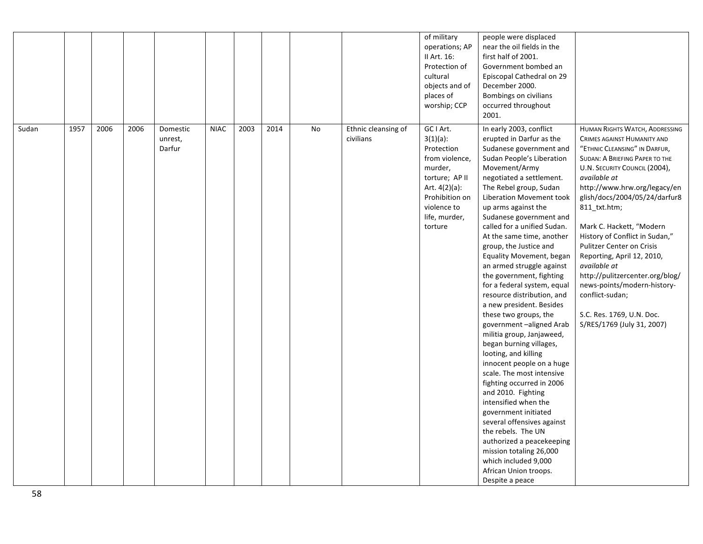|       |      |      |      |                               |             |      |      |    |                                  | of military<br>operations; AP<br>II Art. 16:<br>Protection of<br>cultural<br>objects and of<br>places of<br>worship; CCP                                            | people were displaced<br>near the oil fields in the<br>first half of 2001.<br>Government bombed an<br>Episcopal Cathedral on 29<br>December 2000.<br>Bombings on civilians<br>occurred throughout<br>2001.                                                                                                                                                                                                                                                                                                                                                                                                                                                                                                                                                                                                                                                                                                                                                                                                            |                                                                                                                                                                                                                                                                                                                                                                                                                                                                                                                                                                           |
|-------|------|------|------|-------------------------------|-------------|------|------|----|----------------------------------|---------------------------------------------------------------------------------------------------------------------------------------------------------------------|-----------------------------------------------------------------------------------------------------------------------------------------------------------------------------------------------------------------------------------------------------------------------------------------------------------------------------------------------------------------------------------------------------------------------------------------------------------------------------------------------------------------------------------------------------------------------------------------------------------------------------------------------------------------------------------------------------------------------------------------------------------------------------------------------------------------------------------------------------------------------------------------------------------------------------------------------------------------------------------------------------------------------|---------------------------------------------------------------------------------------------------------------------------------------------------------------------------------------------------------------------------------------------------------------------------------------------------------------------------------------------------------------------------------------------------------------------------------------------------------------------------------------------------------------------------------------------------------------------------|
| Sudan | 1957 | 2006 | 2006 | Domestic<br>unrest,<br>Darfur | <b>NIAC</b> | 2003 | 2014 | No | Ethnic cleansing of<br>civilians | GC I Art.<br>$3(1)(a)$ :<br>Protection<br>from violence,<br>murder,<br>torture; AP II<br>Art. 4(2)(a):<br>Prohibition on<br>violence to<br>life, murder,<br>torture | In early 2003, conflict<br>erupted in Darfur as the<br>Sudanese government and<br>Sudan People's Liberation<br>Movement/Army<br>negotiated a settlement.<br>The Rebel group, Sudan<br>Liberation Movement took<br>up arms against the<br>Sudanese government and<br>called for a unified Sudan.<br>At the same time, another<br>group, the Justice and<br>Equality Movement, began<br>an armed struggle against<br>the government, fighting<br>for a federal system, equal<br>resource distribution, and<br>a new president. Besides<br>these two groups, the<br>government-aligned Arab<br>militia group, Janjaweed,<br>began burning villages,<br>looting, and killing<br>innocent people on a huge<br>scale. The most intensive<br>fighting occurred in 2006<br>and 2010. Fighting<br>intensified when the<br>government initiated<br>several offensives against<br>the rebels. The UN<br>authorized a peacekeeping<br>mission totaling 26,000<br>which included 9,000<br>African Union troops.<br>Despite a peace | HUMAN RIGHTS WATCH, ADDRESSING<br>CRIMES AGAINST HUMANITY AND<br>"ETHNIC CLEANSING" IN DARFUR,<br><b>SUDAN: A BRIEFING PAPER TO THE</b><br>U.N. SECURITY COUNCIL (2004),<br>available at<br>http://www.hrw.org/legacy/en<br>glish/docs/2004/05/24/darfur8<br>811_txt.htm;<br>Mark C. Hackett, "Modern<br>History of Conflict in Sudan,"<br><b>Pulitzer Center on Crisis</b><br>Reporting, April 12, 2010,<br>available at<br>http://pulitzercenter.org/blog/<br>news-points/modern-history-<br>conflict-sudan;<br>S.C. Res. 1769, U.N. Doc.<br>S/RES/1769 (July 31, 2007) |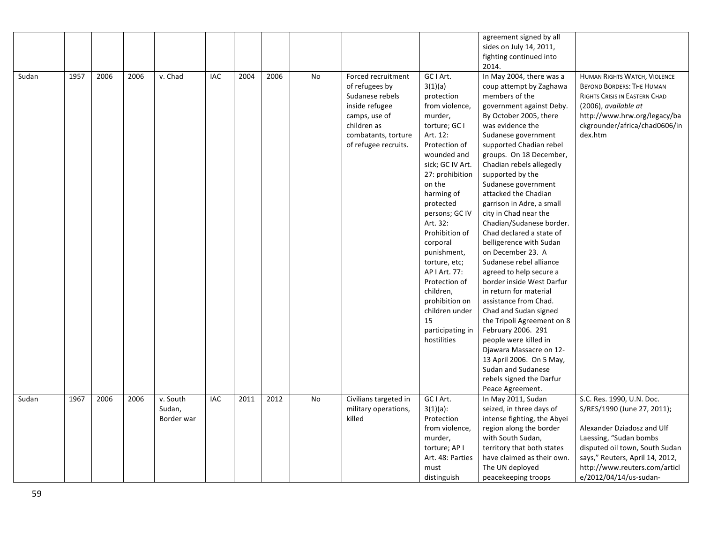|       |      |      |      |                                  |     |      |      |    |                                                                                                                                                          |                                                                                                                                                                                                                                                                                                                                                                                                                                  | agreement signed by all<br>sides on July 14, 2011,                                                                                                                                                                                                                                                                                                                                                                                                                                                                                                                                                                                                                                                                                                                                                                                                                 |                                                                                                                                                                                                                                                  |
|-------|------|------|------|----------------------------------|-----|------|------|----|----------------------------------------------------------------------------------------------------------------------------------------------------------|----------------------------------------------------------------------------------------------------------------------------------------------------------------------------------------------------------------------------------------------------------------------------------------------------------------------------------------------------------------------------------------------------------------------------------|--------------------------------------------------------------------------------------------------------------------------------------------------------------------------------------------------------------------------------------------------------------------------------------------------------------------------------------------------------------------------------------------------------------------------------------------------------------------------------------------------------------------------------------------------------------------------------------------------------------------------------------------------------------------------------------------------------------------------------------------------------------------------------------------------------------------------------------------------------------------|--------------------------------------------------------------------------------------------------------------------------------------------------------------------------------------------------------------------------------------------------|
|       |      |      |      |                                  |     |      |      |    |                                                                                                                                                          |                                                                                                                                                                                                                                                                                                                                                                                                                                  | fighting continued into<br>2014.                                                                                                                                                                                                                                                                                                                                                                                                                                                                                                                                                                                                                                                                                                                                                                                                                                   |                                                                                                                                                                                                                                                  |
| Sudan | 1957 | 2006 | 2006 | v. Chad                          | IAC | 2004 | 2006 | No | Forced recruitment<br>of refugees by<br>Sudanese rebels<br>inside refugee<br>camps, use of<br>children as<br>combatants, torture<br>of refugee recruits. | GC I Art.<br>3(1)(a)<br>protection<br>from violence,<br>murder,<br>torture; GC I<br>Art. 12:<br>Protection of<br>wounded and<br>sick; GC IV Art.<br>27: prohibition<br>on the<br>harming of<br>protected<br>persons; GC IV<br>Art. 32:<br>Prohibition of<br>corporal<br>punishment,<br>torture, etc;<br>AP   Art. 77:<br>Protection of<br>children,<br>prohibition on<br>children under<br>15<br>participating in<br>hostilities | In May 2004, there was a<br>coup attempt by Zaghawa<br>members of the<br>government against Deby.<br>By October 2005, there<br>was evidence the<br>Sudanese government<br>supported Chadian rebel<br>groups. On 18 December,<br>Chadian rebels allegedly<br>supported by the<br>Sudanese government<br>attacked the Chadian<br>garrison in Adre, a small<br>city in Chad near the<br>Chadian/Sudanese border.<br>Chad declared a state of<br>belligerence with Sudan<br>on December 23. A<br>Sudanese rebel alliance<br>agreed to help secure a<br>border inside West Darfur<br>in return for material<br>assistance from Chad.<br>Chad and Sudan signed<br>the Tripoli Agreement on 8<br>February 2006. 291<br>people were killed in<br>Djawara Massacre on 12-<br>13 April 2006. On 5 May,<br>Sudan and Sudanese<br>rebels signed the Darfur<br>Peace Agreement. | <b>HUMAN RIGHTS WATCH, VIOLENCE</b><br><b>BEYOND BORDERS: THE HUMAN</b><br>RIGHTS CRISIS IN EASTERN CHAD<br>(2006), available at<br>http://www.hrw.org/legacy/ba<br>ckgrounder/africa/chad0606/in<br>dex.htm                                     |
| Sudan | 1967 | 2006 | 2006 | v. South<br>Sudan,<br>Border war | IAC | 2011 | 2012 | No | Civilians targeted in<br>military operations,<br>killed                                                                                                  | GC I Art.<br>$3(1)(a)$ :<br>Protection<br>from violence,<br>murder,<br>torture; AP I<br>Art. 48: Parties<br>must<br>distinguish                                                                                                                                                                                                                                                                                                  | In May 2011, Sudan<br>seized, in three days of<br>intense fighting, the Abyei<br>region along the border<br>with South Sudan,<br>territory that both states<br>have claimed as their own.<br>The UN deployed<br>peacekeeping troops                                                                                                                                                                                                                                                                                                                                                                                                                                                                                                                                                                                                                                | S.C. Res. 1990, U.N. Doc.<br>S/RES/1990 (June 27, 2011);<br>Alexander Dziadosz and Ulf<br>Laessing, "Sudan bombs<br>disputed oil town, South Sudan<br>says," Reuters, April 14, 2012,<br>http://www.reuters.com/articl<br>e/2012/04/14/us-sudan- |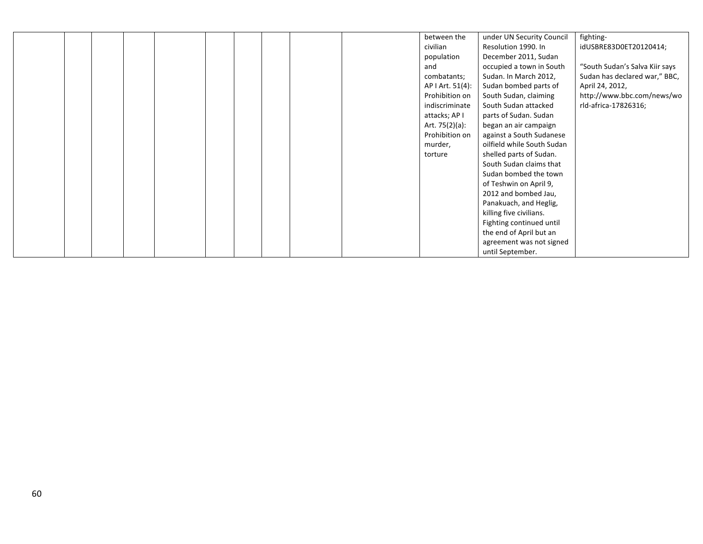|  |  |  |  |  | between the      | under UN Security Council  | fighting-                      |
|--|--|--|--|--|------------------|----------------------------|--------------------------------|
|  |  |  |  |  | civilian         | Resolution 1990. In        | idUSBRE83D0ET20120414;         |
|  |  |  |  |  | population       | December 2011, Sudan       |                                |
|  |  |  |  |  | and              | occupied a town in South   | "South Sudan's Salva Kiir says |
|  |  |  |  |  | combatants;      | Sudan. In March 2012,      | Sudan has declared war," BBC,  |
|  |  |  |  |  | AP I Art. 51(4): | Sudan bombed parts of      | April 24, 2012,                |
|  |  |  |  |  | Prohibition on   | South Sudan, claiming      | http://www.bbc.com/news/wo     |
|  |  |  |  |  | indiscriminate   | South Sudan attacked       | rld-africa-17826316;           |
|  |  |  |  |  | attacks; AP I    | parts of Sudan. Sudan      |                                |
|  |  |  |  |  | Art. 75(2)(a):   | began an air campaign      |                                |
|  |  |  |  |  | Prohibition on   | against a South Sudanese   |                                |
|  |  |  |  |  | murder,          | oilfield while South Sudan |                                |
|  |  |  |  |  | torture          | shelled parts of Sudan.    |                                |
|  |  |  |  |  |                  | South Sudan claims that    |                                |
|  |  |  |  |  |                  | Sudan bombed the town      |                                |
|  |  |  |  |  |                  | of Teshwin on April 9,     |                                |
|  |  |  |  |  |                  | 2012 and bombed Jau,       |                                |
|  |  |  |  |  |                  | Panakuach, and Heglig,     |                                |
|  |  |  |  |  |                  | killing five civilians.    |                                |
|  |  |  |  |  |                  | Fighting continued until   |                                |
|  |  |  |  |  |                  | the end of April but an    |                                |
|  |  |  |  |  |                  | agreement was not signed   |                                |
|  |  |  |  |  |                  | until September.           |                                |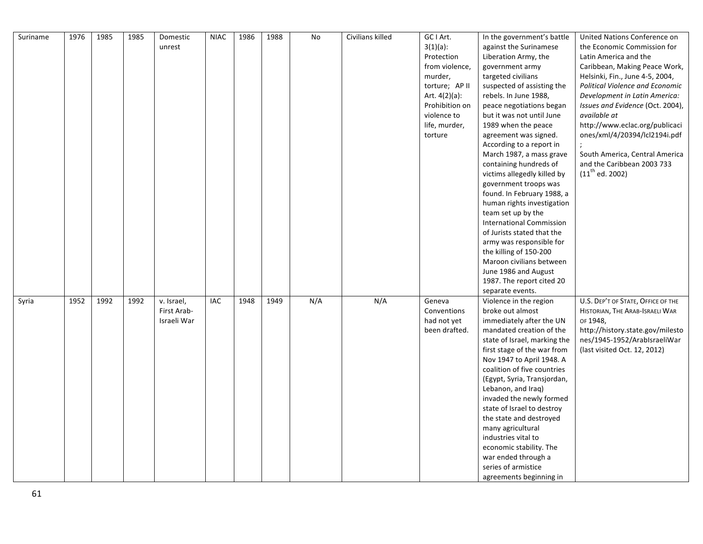| Suriname | 1976 | 1985 | 1985 | Domestic    | <b>NIAC</b> | 1986 | 1988 | No  | Civilians killed | GC I Art.        | In the government's battle      | United Nations Conference on       |
|----------|------|------|------|-------------|-------------|------|------|-----|------------------|------------------|---------------------------------|------------------------------------|
|          |      |      |      | unrest      |             |      |      |     |                  | $3(1)(a)$ :      | against the Surinamese          | the Economic Commission for        |
|          |      |      |      |             |             |      |      |     |                  | Protection       | Liberation Army, the            | Latin America and the              |
|          |      |      |      |             |             |      |      |     |                  | from violence,   | government army                 | Caribbean, Making Peace Work,      |
|          |      |      |      |             |             |      |      |     |                  | murder,          | targeted civilians              | Helsinki, Fin., June 4-5, 2004,    |
|          |      |      |      |             |             |      |      |     |                  | torture; AP II   | suspected of assisting the      | Political Violence and Economic    |
|          |      |      |      |             |             |      |      |     |                  | Art. $4(2)(a)$ : | rebels. In June 1988,           | Development in Latin America:      |
|          |      |      |      |             |             |      |      |     |                  | Prohibition on   | peace negotiations began        | Issues and Evidence (Oct. 2004),   |
|          |      |      |      |             |             |      |      |     |                  | violence to      | but it was not until June       | available at                       |
|          |      |      |      |             |             |      |      |     |                  | life, murder,    | 1989 when the peace             | http://www.eclac.org/publicaci     |
|          |      |      |      |             |             |      |      |     |                  | torture          | agreement was signed.           | ones/xml/4/20394/lcl2194i.pdf      |
|          |      |      |      |             |             |      |      |     |                  |                  | According to a report in        |                                    |
|          |      |      |      |             |             |      |      |     |                  |                  | March 1987, a mass grave        | South America, Central America     |
|          |      |      |      |             |             |      |      |     |                  |                  | containing hundreds of          | and the Caribbean 2003 733         |
|          |      |      |      |             |             |      |      |     |                  |                  | victims allegedly killed by     | $(11^{th}$ ed. 2002)               |
|          |      |      |      |             |             |      |      |     |                  |                  | government troops was           |                                    |
|          |      |      |      |             |             |      |      |     |                  |                  | found. In February 1988, a      |                                    |
|          |      |      |      |             |             |      |      |     |                  |                  | human rights investigation      |                                    |
|          |      |      |      |             |             |      |      |     |                  |                  | team set up by the              |                                    |
|          |      |      |      |             |             |      |      |     |                  |                  | <b>International Commission</b> |                                    |
|          |      |      |      |             |             |      |      |     |                  |                  | of Jurists stated that the      |                                    |
|          |      |      |      |             |             |      |      |     |                  |                  | army was responsible for        |                                    |
|          |      |      |      |             |             |      |      |     |                  |                  | the killing of 150-200          |                                    |
|          |      |      |      |             |             |      |      |     |                  |                  | Maroon civilians between        |                                    |
|          |      |      |      |             |             |      |      |     |                  |                  | June 1986 and August            |                                    |
|          |      |      |      |             |             |      |      |     |                  |                  | 1987. The report cited 20       |                                    |
|          |      |      |      |             |             |      |      |     |                  |                  | separate events.                |                                    |
| Syria    | 1952 | 1992 | 1992 | v. Israel,  | IAC         | 1948 | 1949 | N/A | N/A              | Geneva           | Violence in the region          | U.S. DEP'T OF STATE, OFFICE OF THE |
|          |      |      |      | First Arab- |             |      |      |     |                  | Conventions      | broke out almost                | HISTORIAN, THE ARAB-ISRAELI WAR    |
|          |      |      |      | Israeli War |             |      |      |     |                  | had not yet      | immediately after the UN        | OF 1948,                           |
|          |      |      |      |             |             |      |      |     |                  | been drafted.    | mandated creation of the        | http://history.state.gov/milesto   |
|          |      |      |      |             |             |      |      |     |                  |                  | state of Israel, marking the    | nes/1945-1952/ArabIsraeliWar       |
|          |      |      |      |             |             |      |      |     |                  |                  | first stage of the war from     | (last visited Oct. 12, 2012)       |
|          |      |      |      |             |             |      |      |     |                  |                  | Nov 1947 to April 1948. A       |                                    |
|          |      |      |      |             |             |      |      |     |                  |                  | coalition of five countries     |                                    |
|          |      |      |      |             |             |      |      |     |                  |                  | (Egypt, Syria, Transjordan,     |                                    |
|          |      |      |      |             |             |      |      |     |                  |                  | Lebanon, and Iraq)              |                                    |
|          |      |      |      |             |             |      |      |     |                  |                  | invaded the newly formed        |                                    |
|          |      |      |      |             |             |      |      |     |                  |                  | state of Israel to destroy      |                                    |
|          |      |      |      |             |             |      |      |     |                  |                  | the state and destroyed         |                                    |
|          |      |      |      |             |             |      |      |     |                  |                  | many agricultural               |                                    |
|          |      |      |      |             |             |      |      |     |                  |                  | industries vital to             |                                    |
|          |      |      |      |             |             |      |      |     |                  |                  | economic stability. The         |                                    |
|          |      |      |      |             |             |      |      |     |                  |                  | war ended through a             |                                    |
|          |      |      |      |             |             |      |      |     |                  |                  | series of armistice             |                                    |
|          |      |      |      |             |             |      |      |     |                  |                  | agreements beginning in         |                                    |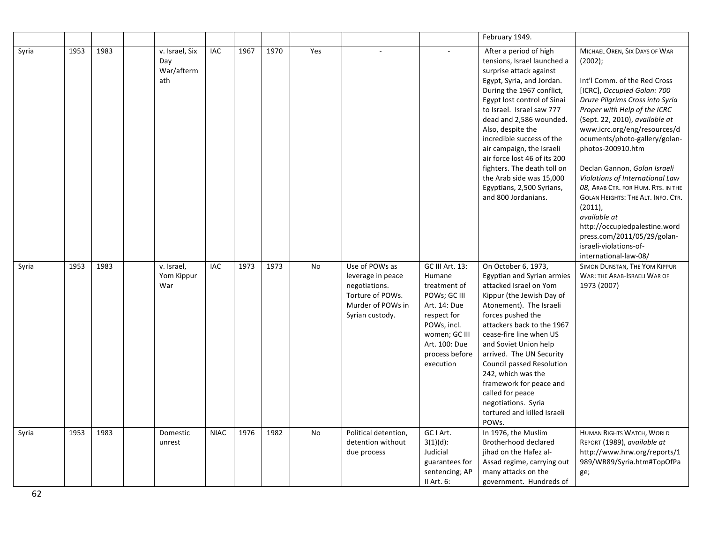|       |      |      |                                            |             |      |      |     |                                                                                                                  |                                                                                                                                                                          | February 1949.                                                                                                                                                                                                                                                                                                                                                                                                                                                  |                                                                                                                                                                                                                                                                                                                                                                                                                                                                                                                                                                                                              |
|-------|------|------|--------------------------------------------|-------------|------|------|-----|------------------------------------------------------------------------------------------------------------------|--------------------------------------------------------------------------------------------------------------------------------------------------------------------------|-----------------------------------------------------------------------------------------------------------------------------------------------------------------------------------------------------------------------------------------------------------------------------------------------------------------------------------------------------------------------------------------------------------------------------------------------------------------|--------------------------------------------------------------------------------------------------------------------------------------------------------------------------------------------------------------------------------------------------------------------------------------------------------------------------------------------------------------------------------------------------------------------------------------------------------------------------------------------------------------------------------------------------------------------------------------------------------------|
| Syria | 1953 | 1983 | v. Israel, Six<br>Day<br>War/afterm<br>ath | IAC         | 1967 | 1970 | Yes |                                                                                                                  |                                                                                                                                                                          | After a period of high<br>tensions, Israel launched a<br>surprise attack against<br>Egypt, Syria, and Jordan.<br>During the 1967 conflict,<br>Egypt lost control of Sinai<br>to Israel. Israel saw 777<br>dead and 2,586 wounded.<br>Also, despite the<br>incredible success of the<br>air campaign, the Israeli<br>air force lost 46 of its 200<br>fighters. The death toll on<br>the Arab side was 15,000<br>Egyptians, 2,500 Syrians,<br>and 800 Jordanians. | MICHAEL OREN, SIX DAYS OF WAR<br>$(2002)$ ;<br>Int'l Comm. of the Red Cross<br>[ICRC], Occupied Golan: 700<br>Druze Pilgrims Cross into Syria<br>Proper with Help of the ICRC<br>(Sept. 22, 2010), available at<br>www.icrc.org/eng/resources/d<br>ocuments/photo-gallery/golan-<br>photos-200910.htm<br>Declan Gannon, Golan Israeli<br>Violations of International Law<br>08, ARAB CTR. FOR HUM. RTS. IN THE<br><b>GOLAN HEIGHTS: THE ALT. INFO. CTR.</b><br>$(2011)$ ,<br>available at<br>http://occupiedpalestine.word<br>press.com/2011/05/29/golan-<br>israeli-violations-of-<br>international-law-08/ |
| Syria | 1953 | 1983 | v. Israel,<br>Yom Kippur<br>War            | IAC         | 1973 | 1973 | No  | Use of POWs as<br>leverage in peace<br>negotiations.<br>Torture of POWs.<br>Murder of POWs in<br>Syrian custody. | GC III Art. 13:<br>Humane<br>treatment of<br>POWs; GC III<br>Art. 14: Due<br>respect for<br>POWs, incl.<br>women; GC III<br>Art. 100: Due<br>process before<br>execution | On October 6, 1973,<br>Egyptian and Syrian armies<br>attacked Israel on Yom<br>Kippur (the Jewish Day of<br>Atonement). The Israeli<br>forces pushed the<br>attackers back to the 1967<br>cease-fire line when US<br>and Soviet Union help<br>arrived. The UN Security<br>Council passed Resolution<br>242, which was the<br>framework for peace and<br>called for peace<br>negotiations. Syria<br>tortured and killed Israeli<br>POWs.                         | SIMON DUNSTAN, THE YOM KIPPUR<br>WAR: THE ARAB-ISRAELI WAR OF<br>1973 (2007)                                                                                                                                                                                                                                                                                                                                                                                                                                                                                                                                 |
| Syria | 1953 | 1983 | Domestic<br>unrest                         | <b>NIAC</b> | 1976 | 1982 | No  | Political detention,<br>detention without<br>due process                                                         | GC I Art.<br>$3(1)(d)$ :<br>Judicial<br>guarantees for<br>sentencing; AP<br>$II$ Art. $6:$                                                                               | In 1976, the Muslim<br>Brotherhood declared<br>jihad on the Hafez al-<br>Assad regime, carrying out<br>many attacks on the<br>government. Hundreds of                                                                                                                                                                                                                                                                                                           | HUMAN RIGHTS WATCH, WORLD<br>REPORT (1989), available at<br>http://www.hrw.org/reports/1<br>989/WR89/Syria.htm#TopOfPa<br>ge;                                                                                                                                                                                                                                                                                                                                                                                                                                                                                |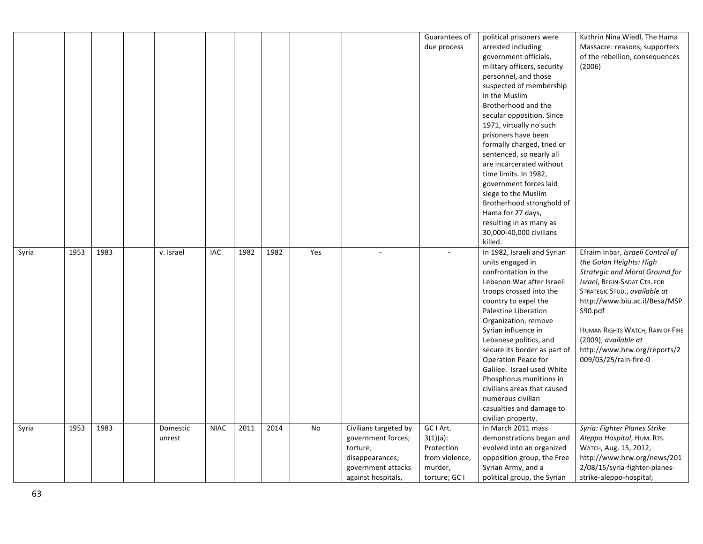|       |      |      |           |             |      |      |     |                       | Guarantees of  | political prisoners were     | Kathrin Nina Wiedl, The Hama          |
|-------|------|------|-----------|-------------|------|------|-----|-----------------------|----------------|------------------------------|---------------------------------------|
|       |      |      |           |             |      |      |     |                       | due process    | arrested including           |                                       |
|       |      |      |           |             |      |      |     |                       |                |                              | Massacre: reasons, supporters         |
|       |      |      |           |             |      |      |     |                       |                | government officials,        | of the rebellion, consequences        |
|       |      |      |           |             |      |      |     |                       |                | military officers, security  | (2006)                                |
|       |      |      |           |             |      |      |     |                       |                | personnel, and those         |                                       |
|       |      |      |           |             |      |      |     |                       |                | suspected of membership      |                                       |
|       |      |      |           |             |      |      |     |                       |                | in the Muslim                |                                       |
|       |      |      |           |             |      |      |     |                       |                | Brotherhood and the          |                                       |
|       |      |      |           |             |      |      |     |                       |                | secular opposition. Since    |                                       |
|       |      |      |           |             |      |      |     |                       |                | 1971, virtually no such      |                                       |
|       |      |      |           |             |      |      |     |                       |                | prisoners have been          |                                       |
|       |      |      |           |             |      |      |     |                       |                | formally charged, tried or   |                                       |
|       |      |      |           |             |      |      |     |                       |                | sentenced, so nearly all     |                                       |
|       |      |      |           |             |      |      |     |                       |                | are incarcerated without     |                                       |
|       |      |      |           |             |      |      |     |                       |                | time limits. In 1982,        |                                       |
|       |      |      |           |             |      |      |     |                       |                | government forces laid       |                                       |
|       |      |      |           |             |      |      |     |                       |                | siege to the Muslim          |                                       |
|       |      |      |           |             |      |      |     |                       |                | Brotherhood stronghold of    |                                       |
|       |      |      |           |             |      |      |     |                       |                | Hama for 27 days,            |                                       |
|       |      |      |           |             |      |      |     |                       |                | resulting in as many as      |                                       |
|       |      |      |           |             |      |      |     |                       |                | 30,000-40,000 civilians      |                                       |
|       |      |      |           |             |      |      |     |                       |                | killed.                      |                                       |
| Syria | 1953 | 1983 | v. Israel | IAC         | 1982 | 1982 | Yes |                       |                | In 1982, Israeli and Syrian  | Efraim Inbar, Israeli Control of      |
|       |      |      |           |             |      |      |     |                       |                | units engaged in             | the Golan Heights: High               |
|       |      |      |           |             |      |      |     |                       |                | confrontation in the         | <b>Strategic and Moral Ground for</b> |
|       |      |      |           |             |      |      |     |                       |                | Lebanon War after Israeli    | Israel, BEGIN-SADAT CTR. FOR          |
|       |      |      |           |             |      |      |     |                       |                | troops crossed into the      | STRATEGIC STUD., available at         |
|       |      |      |           |             |      |      |     |                       |                | country to expel the         | http://www.biu.ac.il/Besa/MSP         |
|       |      |      |           |             |      |      |     |                       |                | Palestine Liberation         | S90.pdf                               |
|       |      |      |           |             |      |      |     |                       |                | Organization, remove         |                                       |
|       |      |      |           |             |      |      |     |                       |                | Syrian influence in          | HUMAN RIGHTS WATCH, RAIN OF FIRE      |
|       |      |      |           |             |      |      |     |                       |                | Lebanese politics, and       | (2009), available at                  |
|       |      |      |           |             |      |      |     |                       |                | secure its border as part of | http://www.hrw.org/reports/2          |
|       |      |      |           |             |      |      |     |                       |                | <b>Operation Peace for</b>   | 009/03/25/rain-fire-0                 |
|       |      |      |           |             |      |      |     |                       |                | Galilee. Israel used White   |                                       |
|       |      |      |           |             |      |      |     |                       |                | Phosphorus munitions in      |                                       |
|       |      |      |           |             |      |      |     |                       |                | civilians areas that caused  |                                       |
|       |      |      |           |             |      |      |     |                       |                | numerous civilian            |                                       |
|       |      |      |           |             |      |      |     |                       |                | casualties and damage to     |                                       |
|       |      |      |           |             |      |      |     |                       |                |                              |                                       |
|       |      |      |           |             |      |      |     |                       | GC I Art.      | civilian property.           |                                       |
| Syria | 1953 | 1983 | Domestic  | <b>NIAC</b> | 2011 | 2014 | No  | Civilians targeted by |                | In March 2011 mass           | Syria: Fighter Planes Strike          |
|       |      |      | unrest    |             |      |      |     | government forces;    | $3(1)(a)$ :    | demonstrations began and     | Aleppo Hospital, HUM. RTS.            |
|       |      |      |           |             |      |      |     | torture;              | Protection     | evolved into an organized    | WATCH, Aug. 15, 2012,                 |
|       |      |      |           |             |      |      |     | disappearances;       | from violence, | opposition group, the Free   | http://www.hrw.org/news/201           |
|       |      |      |           |             |      |      |     | government attacks    | murder,        | Syrian Army, and a           | 2/08/15/syria-fighter-planes-         |
|       |      |      |           |             |      |      |     | against hospitals,    | torture; GC I  | political group, the Syrian  | strike-aleppo-hospital;               |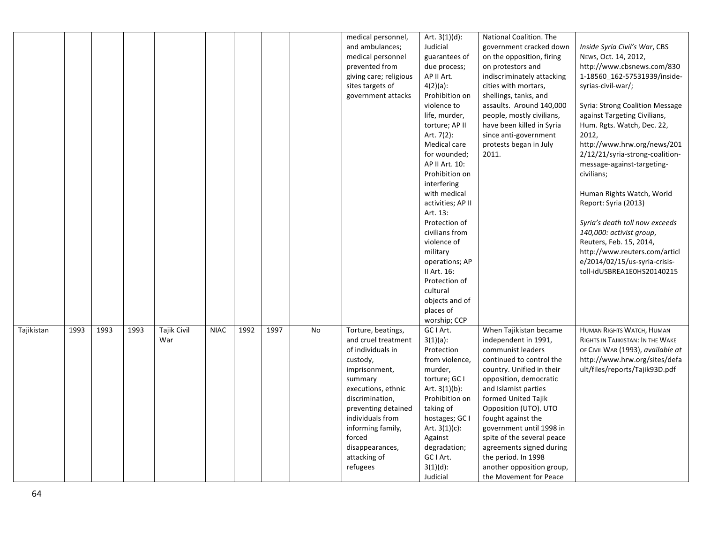|            |      |      |      |             |             |      |      |    | medical personnel,     | Art. $3(1)(d)$ :  | National Coalition. The    |                                   |
|------------|------|------|------|-------------|-------------|------|------|----|------------------------|-------------------|----------------------------|-----------------------------------|
|            |      |      |      |             |             |      |      |    | and ambulances;        | Judicial          | government cracked down    | Inside Syria Civil's War, CBS     |
|            |      |      |      |             |             |      |      |    | medical personnel      | guarantees of     | on the opposition, firing  | NEWS, Oct. 14, 2012,              |
|            |      |      |      |             |             |      |      |    | prevented from         | due process;      | on protestors and          | http://www.cbsnews.com/830        |
|            |      |      |      |             |             |      |      |    | giving care; religious | AP II Art.        | indiscriminately attacking | 1-18560_162-57531939/inside-      |
|            |      |      |      |             |             |      |      |    | sites targets of       | $4(2)(a)$ :       | cities with mortars,       | syrias-civil-war/;                |
|            |      |      |      |             |             |      |      |    |                        | Prohibition on    | shellings, tanks, and      |                                   |
|            |      |      |      |             |             |      |      |    | government attacks     |                   |                            |                                   |
|            |      |      |      |             |             |      |      |    |                        | violence to       | assaults. Around 140,000   | Syria: Strong Coalition Message   |
|            |      |      |      |             |             |      |      |    |                        | life, murder,     | people, mostly civilians,  | against Targeting Civilians,      |
|            |      |      |      |             |             |      |      |    |                        | torture; AP II    | have been killed in Syria  | Hum. Rgts. Watch, Dec. 22,        |
|            |      |      |      |             |             |      |      |    |                        | Art. 7(2):        | since anti-government      | 2012,                             |
|            |      |      |      |             |             |      |      |    |                        | Medical care      | protests began in July     | http://www.hrw.org/news/201       |
|            |      |      |      |             |             |      |      |    |                        | for wounded;      | 2011.                      | 2/12/21/syria-strong-coalition-   |
|            |      |      |      |             |             |      |      |    |                        | AP II Art. 10:    |                            | message-against-targeting-        |
|            |      |      |      |             |             |      |      |    |                        | Prohibition on    |                            | civilians;                        |
|            |      |      |      |             |             |      |      |    |                        | interfering       |                            |                                   |
|            |      |      |      |             |             |      |      |    |                        | with medical      |                            | Human Rights Watch, World         |
|            |      |      |      |             |             |      |      |    |                        | activities; AP II |                            | Report: Syria (2013)              |
|            |      |      |      |             |             |      |      |    |                        | Art. 13:          |                            |                                   |
|            |      |      |      |             |             |      |      |    |                        | Protection of     |                            | Syria's death toll now exceeds    |
|            |      |      |      |             |             |      |      |    |                        | civilians from    |                            | 140,000: activist group,          |
|            |      |      |      |             |             |      |      |    |                        | violence of       |                            | Reuters, Feb. 15, 2014,           |
|            |      |      |      |             |             |      |      |    |                        | military          |                            | http://www.reuters.com/articl     |
|            |      |      |      |             |             |      |      |    |                        | operations; AP    |                            | e/2014/02/15/us-syria-crisis-     |
|            |      |      |      |             |             |      |      |    |                        | II Art. 16:       |                            | toll-idUSBREA1E0HS20140215        |
|            |      |      |      |             |             |      |      |    |                        | Protection of     |                            |                                   |
|            |      |      |      |             |             |      |      |    |                        | cultural          |                            |                                   |
|            |      |      |      |             |             |      |      |    |                        | objects and of    |                            |                                   |
|            |      |      |      |             |             |      |      |    |                        | places of         |                            |                                   |
|            |      |      |      |             |             |      |      |    |                        | worship; CCP      |                            |                                   |
| Tajikistan | 1993 | 1993 | 1993 | Tajik Civil | <b>NIAC</b> | 1992 | 1997 | No | Torture, beatings,     | GC I Art.         | When Tajikistan became     | HUMAN RIGHTS WATCH, HUMAN         |
|            |      |      |      | War         |             |      |      |    | and cruel treatment    | $3(1)(a)$ :       | independent in 1991,       | RIGHTS IN TAJIKISTAN: IN THE WAKE |
|            |      |      |      |             |             |      |      |    | of individuals in      | Protection        | communist leaders          | OF CIVIL WAR (1993), available at |
|            |      |      |      |             |             |      |      |    | custody,               | from violence,    | continued to control the   | http://www.hrw.org/sites/defa     |
|            |      |      |      |             |             |      |      |    | imprisonment,          | murder,           | country. Unified in their  | ult/files/reports/Tajik93D.pdf    |
|            |      |      |      |             |             |      |      |    | summary                | torture; GC I     | opposition, democratic     |                                   |
|            |      |      |      |             |             |      |      |    | executions, ethnic     | Art. $3(1)(b)$ :  | and Islamist parties       |                                   |
|            |      |      |      |             |             |      |      |    | discrimination,        | Prohibition on    | formed United Tajik        |                                   |
|            |      |      |      |             |             |      |      |    | preventing detained    | taking of         | Opposition (UTO). UTO      |                                   |
|            |      |      |      |             |             |      |      |    | individuals from       | hostages; GC I    | fought against the         |                                   |
|            |      |      |      |             |             |      |      |    | informing family,      | Art. $3(1)(c)$ :  | government until 1998 in   |                                   |
|            |      |      |      |             |             |      |      |    | forced                 | Against           | spite of the several peace |                                   |
|            |      |      |      |             |             |      |      |    | disappearances,        | degradation;      | agreements signed during   |                                   |
|            |      |      |      |             |             |      |      |    | attacking of           | GC I Art.         | the period. In 1998        |                                   |
|            |      |      |      |             |             |      |      |    | refugees               | $3(1)(d)$ :       | another opposition group,  |                                   |
|            |      |      |      |             |             |      |      |    |                        | Judicial          | the Movement for Peace     |                                   |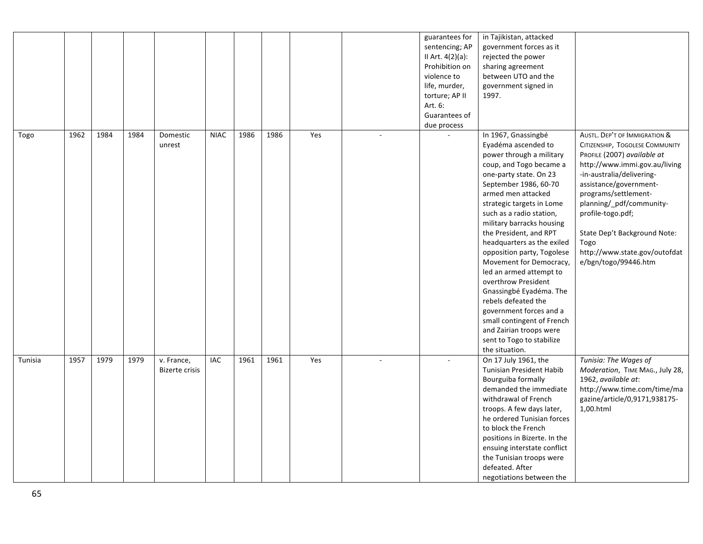|         |      |      |      |                                     |             |      |      |     |        | guarantees for<br>sentencing; AP<br>II Art. $4(2)(a)$ :<br>Prohibition on<br>violence to<br>life, murder,<br>torture; AP II<br>Art. 6:<br>Guarantees of<br>due process | in Tajikistan, attacked<br>government forces as it<br>rejected the power<br>sharing agreement<br>between UTO and the<br>government signed in<br>1997.                                                                                                                                                                                                                                                                                                                                                                                                                                                                    |                                                                                                                                                                                                                                                                                                                                                                   |
|---------|------|------|------|-------------------------------------|-------------|------|------|-----|--------|------------------------------------------------------------------------------------------------------------------------------------------------------------------------|--------------------------------------------------------------------------------------------------------------------------------------------------------------------------------------------------------------------------------------------------------------------------------------------------------------------------------------------------------------------------------------------------------------------------------------------------------------------------------------------------------------------------------------------------------------------------------------------------------------------------|-------------------------------------------------------------------------------------------------------------------------------------------------------------------------------------------------------------------------------------------------------------------------------------------------------------------------------------------------------------------|
| Togo    | 1962 | 1984 | 1984 | Domestic<br>unrest                  | <b>NIAC</b> | 1986 | 1986 | Yes | $\sim$ |                                                                                                                                                                        | In 1967, Gnassingbé<br>Eyadéma ascended to<br>power through a military<br>coup, and Togo became a<br>one-party state. On 23<br>September 1986, 60-70<br>armed men attacked<br>strategic targets in Lome<br>such as a radio station,<br>military barracks housing<br>the President, and RPT<br>headquarters as the exiled<br>opposition party, Togolese<br>Movement for Democracy,<br>led an armed attempt to<br>overthrow President<br>Gnassingbé Eyadéma. The<br>rebels defeated the<br>government forces and a<br>small contingent of French<br>and Zairian troops were<br>sent to Togo to stabilize<br>the situation. | AUSTL. DEP'T OF IMMIGRATION &<br>CITIZENSHIP, TOGOLESE COMMUNITY<br>PROFILE (2007) available at<br>http://www.immi.gov.au/living<br>-in-australia/delivering-<br>assistance/government-<br>programs/settlement-<br>planning/_pdf/community-<br>profile-togo.pdf;<br>State Dep't Background Note:<br>Togo<br>http://www.state.gov/outofdat<br>e/bgn/togo/99446.htm |
| Tunisia | 1957 | 1979 | 1979 | v. France,<br><b>Bizerte crisis</b> | IAC         | 1961 | 1961 | Yes |        |                                                                                                                                                                        | On 17 July 1961, the<br>Tunisian President Habib<br>Bourguiba formally<br>demanded the immediate<br>withdrawal of French<br>troops. A few days later,<br>he ordered Tunisian forces<br>to block the French<br>positions in Bizerte. In the<br>ensuing interstate conflict<br>the Tunisian troops were<br>defeated. After<br>negotiations between the                                                                                                                                                                                                                                                                     | Tunisia: The Wages of<br>Moderation, TIME MAG., July 28,<br>1962, available at:<br>http://www.time.com/time/ma<br>gazine/article/0,9171,938175-<br>1,00.html                                                                                                                                                                                                      |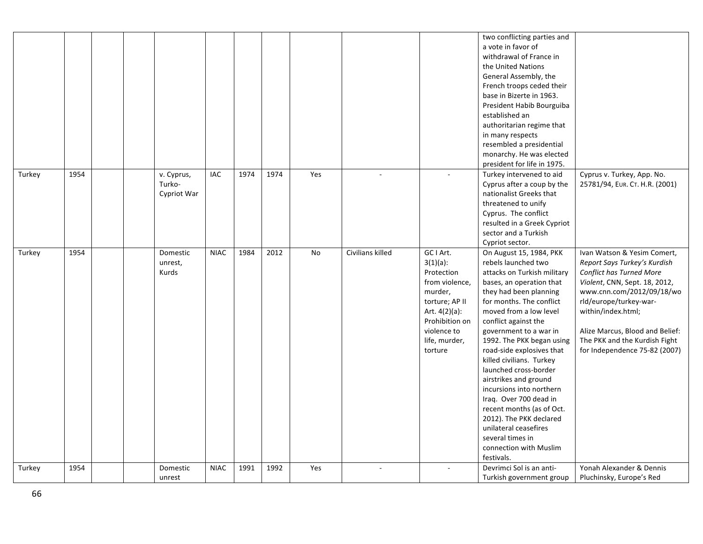|        |      |  |                                     |             |      |      |     |                  |                                                                                                                                                                     | two conflicting parties and<br>a vote in favor of<br>withdrawal of France in<br>the United Nations<br>General Assembly, the<br>French troops ceded their<br>base in Bizerte in 1963.<br>President Habib Bourguiba<br>established an<br>authoritarian regime that<br>in many respects<br>resembled a presidential<br>monarchy. He was elected<br>president for life in 1975.                                                                                                                                                                                                            |                                                                                                                                                                                                                                                                                                            |
|--------|------|--|-------------------------------------|-------------|------|------|-----|------------------|---------------------------------------------------------------------------------------------------------------------------------------------------------------------|----------------------------------------------------------------------------------------------------------------------------------------------------------------------------------------------------------------------------------------------------------------------------------------------------------------------------------------------------------------------------------------------------------------------------------------------------------------------------------------------------------------------------------------------------------------------------------------|------------------------------------------------------------------------------------------------------------------------------------------------------------------------------------------------------------------------------------------------------------------------------------------------------------|
| Turkey | 1954 |  | v. Cyprus,<br>Turko-<br>Cypriot War | IAC         | 1974 | 1974 | Yes |                  |                                                                                                                                                                     | Turkey intervened to aid<br>Cyprus after a coup by the<br>nationalist Greeks that<br>threatened to unify<br>Cyprus. The conflict<br>resulted in a Greek Cypriot<br>sector and a Turkish<br>Cypriot sector.                                                                                                                                                                                                                                                                                                                                                                             | Cyprus v. Turkey, App. No.<br>25781/94, EUR. CT. H.R. (2001)                                                                                                                                                                                                                                               |
| Turkey | 1954 |  | Domestic<br>unrest,<br>Kurds        | <b>NIAC</b> | 1984 | 2012 | No  | Civilians killed | GC I Art.<br>$3(1)(a)$ :<br>Protection<br>from violence,<br>murder,<br>torture; AP II<br>Art. 4(2)(a):<br>Prohibition on<br>violence to<br>life, murder,<br>torture | On August 15, 1984, PKK<br>rebels launched two<br>attacks on Turkish military<br>bases, an operation that<br>they had been planning<br>for months. The conflict<br>moved from a low level<br>conflict against the<br>government to a war in<br>1992. The PKK began using<br>road-side explosives that<br>killed civilians. Turkey<br>launched cross-border<br>airstrikes and ground<br>incursions into northern<br>Iraq. Over 700 dead in<br>recent months (as of Oct.<br>2012). The PKK declared<br>unilateral ceasefires<br>several times in<br>connection with Muslim<br>festivals. | Ivan Watson & Yesim Comert,<br>Report Says Turkey's Kurdish<br>Conflict has Turned More<br>Violent, CNN, Sept. 18, 2012,<br>www.cnn.com/2012/09/18/wo<br>rld/europe/turkey-war-<br>within/index.html;<br>Alize Marcus, Blood and Belief:<br>The PKK and the Kurdish Fight<br>for Independence 75-82 (2007) |
| Turkey | 1954 |  | Domestic<br>unrest                  | <b>NIAC</b> | 1991 | 1992 | Yes |                  |                                                                                                                                                                     | Devrimci Sol is an anti-<br>Turkish government group                                                                                                                                                                                                                                                                                                                                                                                                                                                                                                                                   | Yonah Alexander & Dennis<br>Pluchinsky, Europe's Red                                                                                                                                                                                                                                                       |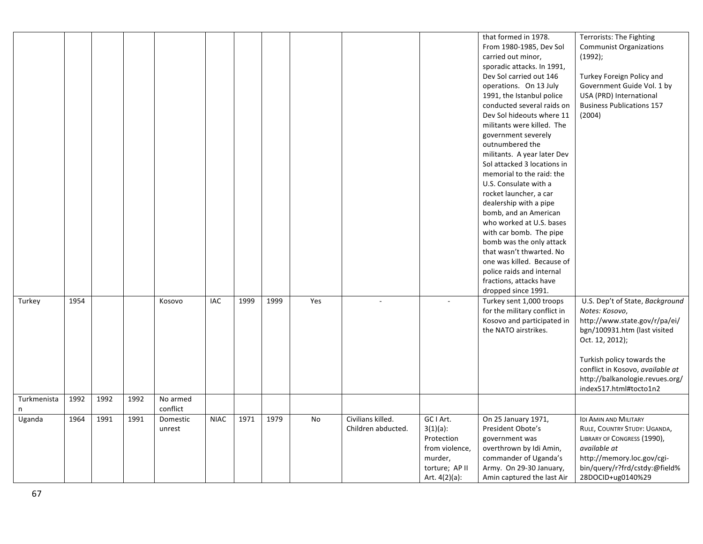|             |      |      |      |          |             |      |      |     |                    |                  | that formed in 1978.         | Terrorists: The Fighting         |
|-------------|------|------|------|----------|-------------|------|------|-----|--------------------|------------------|------------------------------|----------------------------------|
|             |      |      |      |          |             |      |      |     |                    |                  | From 1980-1985, Dev Sol      | <b>Communist Organizations</b>   |
|             |      |      |      |          |             |      |      |     |                    |                  | carried out minor,           | $(1992)$ ;                       |
|             |      |      |      |          |             |      |      |     |                    |                  | sporadic attacks. In 1991,   |                                  |
|             |      |      |      |          |             |      |      |     |                    |                  | Dev Sol carried out 146      | Turkey Foreign Policy and        |
|             |      |      |      |          |             |      |      |     |                    |                  | operations. On 13 July       | Government Guide Vol. 1 by       |
|             |      |      |      |          |             |      |      |     |                    |                  | 1991, the Istanbul police    | USA (PRD) International          |
|             |      |      |      |          |             |      |      |     |                    |                  | conducted several raids on   | <b>Business Publications 157</b> |
|             |      |      |      |          |             |      |      |     |                    |                  | Dev Sol hideouts where 11    | (2004)                           |
|             |      |      |      |          |             |      |      |     |                    |                  | militants were killed. The   |                                  |
|             |      |      |      |          |             |      |      |     |                    |                  | government severely          |                                  |
|             |      |      |      |          |             |      |      |     |                    |                  | outnumbered the              |                                  |
|             |      |      |      |          |             |      |      |     |                    |                  | militants. A year later Dev  |                                  |
|             |      |      |      |          |             |      |      |     |                    |                  | Sol attacked 3 locations in  |                                  |
|             |      |      |      |          |             |      |      |     |                    |                  | memorial to the raid: the    |                                  |
|             |      |      |      |          |             |      |      |     |                    |                  | U.S. Consulate with a        |                                  |
|             |      |      |      |          |             |      |      |     |                    |                  | rocket launcher, a car       |                                  |
|             |      |      |      |          |             |      |      |     |                    |                  | dealership with a pipe       |                                  |
|             |      |      |      |          |             |      |      |     |                    |                  | bomb, and an American        |                                  |
|             |      |      |      |          |             |      |      |     |                    |                  | who worked at U.S. bases     |                                  |
|             |      |      |      |          |             |      |      |     |                    |                  | with car bomb. The pipe      |                                  |
|             |      |      |      |          |             |      |      |     |                    |                  | bomb was the only attack     |                                  |
|             |      |      |      |          |             |      |      |     |                    |                  | that wasn't thwarted. No     |                                  |
|             |      |      |      |          |             |      |      |     |                    |                  | one was killed. Because of   |                                  |
|             |      |      |      |          |             |      |      |     |                    |                  | police raids and internal    |                                  |
|             |      |      |      |          |             |      |      |     |                    |                  | fractions, attacks have      |                                  |
|             |      |      |      |          |             |      |      |     |                    |                  | dropped since 1991.          |                                  |
| Turkey      | 1954 |      |      | Kosovo   | <b>IAC</b>  | 1999 | 1999 | Yes |                    |                  | Turkey sent 1,000 troops     | U.S. Dep't of State, Background  |
|             |      |      |      |          |             |      |      |     |                    |                  | for the military conflict in | Notes: Kosovo,                   |
|             |      |      |      |          |             |      |      |     |                    |                  | Kosovo and participated in   | http://www.state.gov/r/pa/ei/    |
|             |      |      |      |          |             |      |      |     |                    |                  | the NATO airstrikes.         | bgn/100931.htm (last visited     |
|             |      |      |      |          |             |      |      |     |                    |                  |                              | Oct. 12, 2012);                  |
|             |      |      |      |          |             |      |      |     |                    |                  |                              |                                  |
|             |      |      |      |          |             |      |      |     |                    |                  |                              | Turkish policy towards the       |
|             |      |      |      |          |             |      |      |     |                    |                  |                              | conflict in Kosovo, available at |
|             |      |      |      |          |             |      |      |     |                    |                  |                              | http://balkanologie.revues.org/  |
|             |      |      |      |          |             |      |      |     |                    |                  |                              | index517.html#tocto1n2           |
| Turkmenista | 1992 | 1992 | 1992 | No armed |             |      |      |     |                    |                  |                              |                                  |
| n           |      |      |      | conflict |             |      |      |     |                    |                  |                              |                                  |
| Uganda      | 1964 | 1991 | 1991 | Domestic | <b>NIAC</b> | 1971 | 1979 | No  | Civilians killed.  | GC I Art.        | On 25 January 1971,          | IDI AMIN AND MILITARY            |
|             |      |      |      | unrest   |             |      |      |     | Children abducted. | $3(1)(a)$ :      | President Obote's            | RULE, COUNTRY STUDY: UGANDA,     |
|             |      |      |      |          |             |      |      |     |                    | Protection       | government was               | LIBRARY OF CONGRESS (1990),      |
|             |      |      |      |          |             |      |      |     |                    | from violence,   | overthrown by Idi Amin,      | available at                     |
|             |      |      |      |          |             |      |      |     |                    | murder,          | commander of Uganda's        | http://memory.loc.gov/cgi-       |
|             |      |      |      |          |             |      |      |     |                    | torture; AP II   | Army. On 29-30 January,      | bin/query/r?frd/cstdy:@field%    |
|             |      |      |      |          |             |      |      |     |                    | Art. $4(2)(a)$ : | Amin captured the last Air   | 28DOCID+ug0140%29                |
|             |      |      |      |          |             |      |      |     |                    |                  |                              |                                  |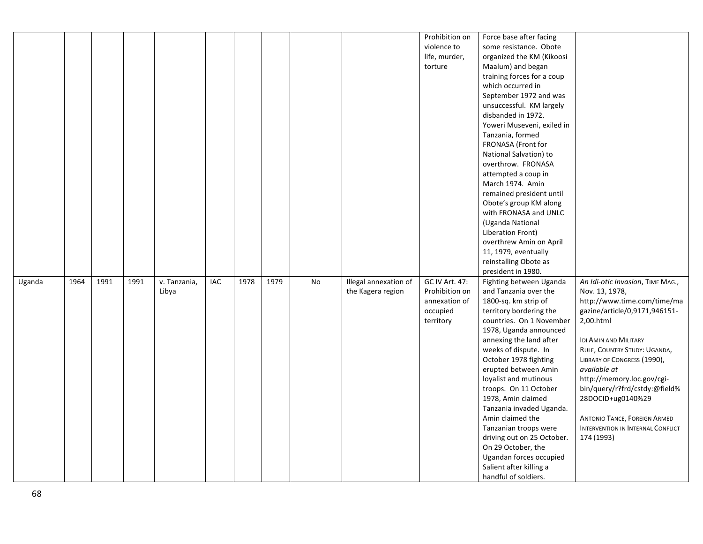|        |      |      |      |              |     |      |      |    |                       | Prohibition on | Force base after facing    |                                     |
|--------|------|------|------|--------------|-----|------|------|----|-----------------------|----------------|----------------------------|-------------------------------------|
|        |      |      |      |              |     |      |      |    |                       | violence to    | some resistance. Obote     |                                     |
|        |      |      |      |              |     |      |      |    |                       | life, murder,  | organized the KM (Kikoosi  |                                     |
|        |      |      |      |              |     |      |      |    |                       | torture        | Maalum) and began          |                                     |
|        |      |      |      |              |     |      |      |    |                       |                | training forces for a coup |                                     |
|        |      |      |      |              |     |      |      |    |                       |                | which occurred in          |                                     |
|        |      |      |      |              |     |      |      |    |                       |                | September 1972 and was     |                                     |
|        |      |      |      |              |     |      |      |    |                       |                | unsuccessful. KM largely   |                                     |
|        |      |      |      |              |     |      |      |    |                       |                | disbanded in 1972.         |                                     |
|        |      |      |      |              |     |      |      |    |                       |                | Yoweri Museveni, exiled in |                                     |
|        |      |      |      |              |     |      |      |    |                       |                | Tanzania, formed           |                                     |
|        |      |      |      |              |     |      |      |    |                       |                | FRONASA (Front for         |                                     |
|        |      |      |      |              |     |      |      |    |                       |                | National Salvation) to     |                                     |
|        |      |      |      |              |     |      |      |    |                       |                | overthrow. FRONASA         |                                     |
|        |      |      |      |              |     |      |      |    |                       |                | attempted a coup in        |                                     |
|        |      |      |      |              |     |      |      |    |                       |                | March 1974. Amin           |                                     |
|        |      |      |      |              |     |      |      |    |                       |                | remained president until   |                                     |
|        |      |      |      |              |     |      |      |    |                       |                | Obote's group KM along     |                                     |
|        |      |      |      |              |     |      |      |    |                       |                | with FRONASA and UNLC      |                                     |
|        |      |      |      |              |     |      |      |    |                       |                | (Uganda National           |                                     |
|        |      |      |      |              |     |      |      |    |                       |                | Liberation Front)          |                                     |
|        |      |      |      |              |     |      |      |    |                       |                | overthrew Amin on April    |                                     |
|        |      |      |      |              |     |      |      |    |                       |                | 11, 1979, eventually       |                                     |
|        |      |      |      |              |     |      |      |    |                       |                | reinstalling Obote as      |                                     |
|        |      |      |      |              |     |      |      |    |                       |                | president in 1980.         |                                     |
| Uganda | 1964 | 1991 | 1991 | v. Tanzania, | IAC | 1978 | 1979 | No | Illegal annexation of | GC IV Art. 47: | Fighting between Uganda    | An Idi-otic Invasion, TIME MAG.,    |
|        |      |      |      | Libya        |     |      |      |    | the Kagera region     | Prohibition on | and Tanzania over the      | Nov. 13, 1978,                      |
|        |      |      |      |              |     |      |      |    |                       | annexation of  | 1800-sq. km strip of       | http://www.time.com/time/ma         |
|        |      |      |      |              |     |      |      |    |                       | occupied       | territory bordering the    | gazine/article/0,9171,946151-       |
|        |      |      |      |              |     |      |      |    |                       | territory      | countries. On 1 November   | 2,00.html                           |
|        |      |      |      |              |     |      |      |    |                       |                | 1978, Uganda announced     |                                     |
|        |      |      |      |              |     |      |      |    |                       |                | annexing the land after    | <b>IDI AMIN AND MILITARY</b>        |
|        |      |      |      |              |     |      |      |    |                       |                | weeks of dispute. In       | RULE, COUNTRY STUDY: UGANDA,        |
|        |      |      |      |              |     |      |      |    |                       |                | October 1978 fighting      | LIBRARY OF CONGRESS (1990),         |
|        |      |      |      |              |     |      |      |    |                       |                | erupted between Amin       | available at                        |
|        |      |      |      |              |     |      |      |    |                       |                | loyalist and mutinous      | http://memory.loc.gov/cgi-          |
|        |      |      |      |              |     |      |      |    |                       |                | troops. On 11 October      | bin/query/r?frd/cstdy:@field%       |
|        |      |      |      |              |     |      |      |    |                       |                | 1978, Amin claimed         | 28DOCID+ug0140%29                   |
|        |      |      |      |              |     |      |      |    |                       |                | Tanzania invaded Uganda.   |                                     |
|        |      |      |      |              |     |      |      |    |                       |                | Amin claimed the           | <b>ANTONIO TANCE, FOREIGN ARMED</b> |
|        |      |      |      |              |     |      |      |    |                       |                | Tanzanian troops were      | INTERVENTION IN INTERNAL CONFLICT   |
|        |      |      |      |              |     |      |      |    |                       |                | driving out on 25 October. | 174 (1993)                          |
|        |      |      |      |              |     |      |      |    |                       |                | On 29 October, the         |                                     |
|        |      |      |      |              |     |      |      |    |                       |                | Ugandan forces occupied    |                                     |
|        |      |      |      |              |     |      |      |    |                       |                | Salient after killing a    |                                     |
|        |      |      |      |              |     |      |      |    |                       |                | handful of soldiers.       |                                     |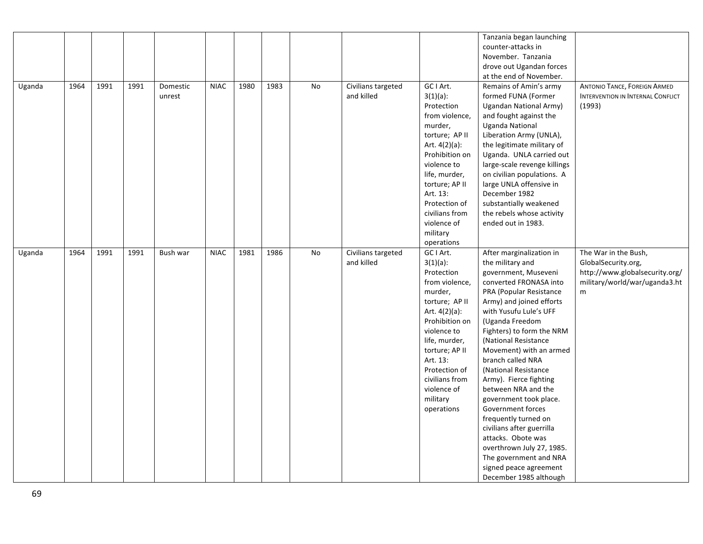|        |      |      |      |          |             |      |      |    |                    |                  | Tanzania began launching     |                                     |
|--------|------|------|------|----------|-------------|------|------|----|--------------------|------------------|------------------------------|-------------------------------------|
|        |      |      |      |          |             |      |      |    |                    |                  | counter-attacks in           |                                     |
|        |      |      |      |          |             |      |      |    |                    |                  | November. Tanzania           |                                     |
|        |      |      |      |          |             |      |      |    |                    |                  | drove out Ugandan forces     |                                     |
|        |      |      |      |          |             |      |      |    |                    |                  | at the end of November.      |                                     |
| Uganda | 1964 | 1991 | 1991 | Domestic | <b>NIAC</b> | 1980 | 1983 | No | Civilians targeted | GC I Art.        | Remains of Amin's army       | <b>ANTONIO TANCE, FOREIGN ARMED</b> |
|        |      |      |      | unrest   |             |      |      |    | and killed         | $3(1)(a)$ :      | formed FUNA (Former          | INTERVENTION IN INTERNAL CONFLICT   |
|        |      |      |      |          |             |      |      |    |                    | Protection       | Ugandan National Army)       | (1993)                              |
|        |      |      |      |          |             |      |      |    |                    | from violence,   | and fought against the       |                                     |
|        |      |      |      |          |             |      |      |    |                    | murder,          | <b>Uganda National</b>       |                                     |
|        |      |      |      |          |             |      |      |    |                    | torture; AP II   | Liberation Army (UNLA),      |                                     |
|        |      |      |      |          |             |      |      |    |                    | Art. $4(2)(a)$ : | the legitimate military of   |                                     |
|        |      |      |      |          |             |      |      |    |                    | Prohibition on   | Uganda. UNLA carried out     |                                     |
|        |      |      |      |          |             |      |      |    |                    | violence to      | large-scale revenge killings |                                     |
|        |      |      |      |          |             |      |      |    |                    | life, murder,    | on civilian populations. A   |                                     |
|        |      |      |      |          |             |      |      |    |                    | torture; AP II   | large UNLA offensive in      |                                     |
|        |      |      |      |          |             |      |      |    |                    | Art. 13:         | December 1982                |                                     |
|        |      |      |      |          |             |      |      |    |                    | Protection of    | substantially weakened       |                                     |
|        |      |      |      |          |             |      |      |    |                    | civilians from   | the rebels whose activity    |                                     |
|        |      |      |      |          |             |      |      |    |                    | violence of      | ended out in 1983.           |                                     |
|        |      |      |      |          |             |      |      |    |                    | military         |                              |                                     |
|        |      |      |      |          |             |      |      |    |                    | operations       |                              |                                     |
| Uganda | 1964 | 1991 | 1991 | Bush war | <b>NIAC</b> | 1981 | 1986 | No | Civilians targeted | GC I Art.        | After marginalization in     | The War in the Bush,                |
|        |      |      |      |          |             |      |      |    | and killed         | $3(1)(a)$ :      | the military and             | GlobalSecurity.org,                 |
|        |      |      |      |          |             |      |      |    |                    | Protection       | government, Museveni         | http://www.globalsecurity.org/      |
|        |      |      |      |          |             |      |      |    |                    | from violence,   | converted FRONASA into       | military/world/war/uganda3.ht       |
|        |      |      |      |          |             |      |      |    |                    | murder,          | PRA (Popular Resistance      | m                                   |
|        |      |      |      |          |             |      |      |    |                    | torture; AP II   | Army) and joined efforts     |                                     |
|        |      |      |      |          |             |      |      |    |                    | Art. $4(2)(a)$ : | with Yusufu Lule's UFF       |                                     |
|        |      |      |      |          |             |      |      |    |                    | Prohibition on   | (Uganda Freedom              |                                     |
|        |      |      |      |          |             |      |      |    |                    | violence to      | Fighters) to form the NRM    |                                     |
|        |      |      |      |          |             |      |      |    |                    | life, murder,    | (National Resistance         |                                     |
|        |      |      |      |          |             |      |      |    |                    | torture; AP II   | Movement) with an armed      |                                     |
|        |      |      |      |          |             |      |      |    |                    | Art. 13:         | branch called NRA            |                                     |
|        |      |      |      |          |             |      |      |    |                    | Protection of    | (National Resistance         |                                     |
|        |      |      |      |          |             |      |      |    |                    | civilians from   | Army). Fierce fighting       |                                     |
|        |      |      |      |          |             |      |      |    |                    | violence of      | between NRA and the          |                                     |
|        |      |      |      |          |             |      |      |    |                    | military         | government took place.       |                                     |
|        |      |      |      |          |             |      |      |    |                    | operations       | Government forces            |                                     |
|        |      |      |      |          |             |      |      |    |                    |                  | frequently turned on         |                                     |
|        |      |      |      |          |             |      |      |    |                    |                  | civilians after guerrilla    |                                     |
|        |      |      |      |          |             |      |      |    |                    |                  | attacks. Obote was           |                                     |
|        |      |      |      |          |             |      |      |    |                    |                  | overthrown July 27, 1985.    |                                     |
|        |      |      |      |          |             |      |      |    |                    |                  | The government and NRA       |                                     |
|        |      |      |      |          |             |      |      |    |                    |                  | signed peace agreement       |                                     |
|        |      |      |      |          |             |      |      |    |                    |                  | December 1985 although       |                                     |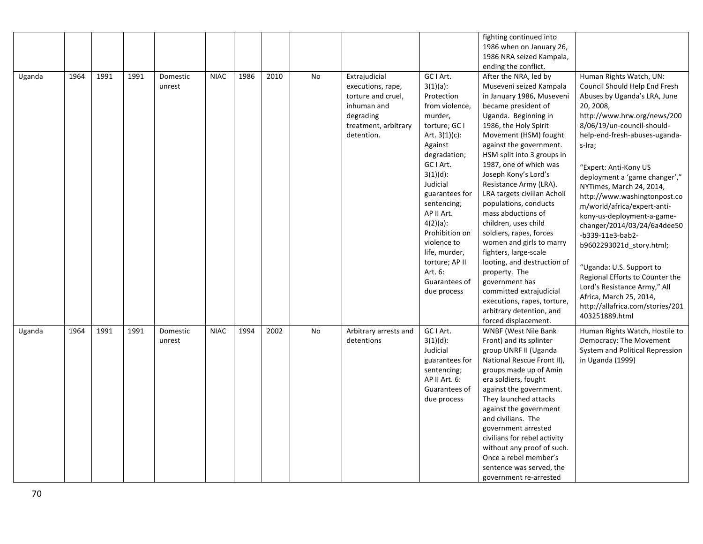|        |      |      |      |          |             |      |      |           |                       |                  | fighting continued into      |                                  |
|--------|------|------|------|----------|-------------|------|------|-----------|-----------------------|------------------|------------------------------|----------------------------------|
|        |      |      |      |          |             |      |      |           |                       |                  | 1986 when on January 26,     |                                  |
|        |      |      |      |          |             |      |      |           |                       |                  | 1986 NRA seized Kampala,     |                                  |
|        |      |      |      |          |             |      |      |           |                       |                  | ending the conflict.         |                                  |
| Uganda | 1964 | 1991 | 1991 | Domestic | <b>NIAC</b> | 1986 | 2010 | No        | Extrajudicial         | GC I Art.        | After the NRA, led by        | Human Rights Watch, UN:          |
|        |      |      |      | unrest   |             |      |      |           | executions, rape,     | $3(1)(a)$ :      | Museveni seized Kampala      | Council Should Help End Fresh    |
|        |      |      |      |          |             |      |      |           | torture and cruel,    | Protection       | in January 1986, Museveni    | Abuses by Uganda's LRA, June     |
|        |      |      |      |          |             |      |      |           | inhuman and           | from violence,   | became president of          | 20, 2008,                        |
|        |      |      |      |          |             |      |      |           | degrading             | murder,          | Uganda. Beginning in         | http://www.hrw.org/news/200      |
|        |      |      |      |          |             |      |      |           | treatment, arbitrary  | torture; GC I    | 1986, the Holy Spirit        | 8/06/19/un-council-should-       |
|        |      |      |      |          |             |      |      |           | detention.            | Art. $3(1)(c)$ : | Movement (HSM) fought        | help-end-fresh-abuses-uganda-    |
|        |      |      |      |          |             |      |      |           |                       | Against          | against the government.      | s-Ira;                           |
|        |      |      |      |          |             |      |      |           |                       | degradation;     | HSM split into 3 groups in   |                                  |
|        |      |      |      |          |             |      |      |           |                       | GC I Art.        | 1987, one of which was       | "Expert: Anti-Kony US            |
|        |      |      |      |          |             |      |      |           |                       | $3(1)(d)$ :      | Joseph Kony's Lord's         | deployment a 'game changer',"    |
|        |      |      |      |          |             |      |      |           |                       | Judicial         | Resistance Army (LRA).       | NYTimes, March 24, 2014,         |
|        |      |      |      |          |             |      |      |           |                       | guarantees for   | LRA targets civilian Acholi  | http://www.washingtonpost.co     |
|        |      |      |      |          |             |      |      |           |                       | sentencing;      | populations, conducts        | m/world/africa/expert-anti-      |
|        |      |      |      |          |             |      |      |           |                       | AP II Art.       | mass abductions of           | kony-us-deployment-a-game-       |
|        |      |      |      |          |             |      |      |           |                       | $4(2)(a)$ :      | children, uses child         | changer/2014/03/24/6a4dee50      |
|        |      |      |      |          |             |      |      |           |                       | Prohibition on   | soldiers, rapes, forces      |                                  |
|        |      |      |      |          |             |      |      |           |                       | violence to      | women and girls to marry     | -b339-11e3-bab2-                 |
|        |      |      |      |          |             |      |      |           |                       | life, murder,    | fighters, large-scale        | b9602293021d story.html;         |
|        |      |      |      |          |             |      |      |           |                       | torture; AP II   | looting, and destruction of  |                                  |
|        |      |      |      |          |             |      |      |           |                       | Art. 6:          | property. The                | "Uganda: U.S. Support to         |
|        |      |      |      |          |             |      |      |           |                       | Guarantees of    | government has               | Regional Efforts to Counter the  |
|        |      |      |      |          |             |      |      |           |                       | due process      | committed extrajudicial      | Lord's Resistance Army," All     |
|        |      |      |      |          |             |      |      |           |                       |                  | executions, rapes, torture,  | Africa, March 25, 2014,          |
|        |      |      |      |          |             |      |      |           |                       |                  | arbitrary detention, and     | http://allafrica.com/stories/201 |
|        |      |      |      |          |             |      |      |           |                       |                  | forced displacement.         | 403251889.html                   |
| Uganda | 1964 | 1991 | 1991 | Domestic | <b>NIAC</b> | 1994 | 2002 | <b>No</b> | Arbitrary arrests and | GC I Art.        | <b>WNBF (West Nile Bank)</b> | Human Rights Watch, Hostile to   |
|        |      |      |      | unrest   |             |      |      |           | detentions            | $3(1)(d)$ :      | Front) and its splinter      | Democracy: The Movement          |
|        |      |      |      |          |             |      |      |           |                       | Judicial         | group UNRF II (Uganda        | System and Political Repression  |
|        |      |      |      |          |             |      |      |           |                       | guarantees for   | National Rescue Front II),   | in Uganda (1999)                 |
|        |      |      |      |          |             |      |      |           |                       | sentencing;      | groups made up of Amin       |                                  |
|        |      |      |      |          |             |      |      |           |                       | AP II Art. 6:    | era soldiers, fought         |                                  |
|        |      |      |      |          |             |      |      |           |                       | Guarantees of    | against the government.      |                                  |
|        |      |      |      |          |             |      |      |           |                       | due process      | They launched attacks        |                                  |
|        |      |      |      |          |             |      |      |           |                       |                  | against the government       |                                  |
|        |      |      |      |          |             |      |      |           |                       |                  | and civilians. The           |                                  |
|        |      |      |      |          |             |      |      |           |                       |                  | government arrested          |                                  |
|        |      |      |      |          |             |      |      |           |                       |                  | civilians for rebel activity |                                  |
|        |      |      |      |          |             |      |      |           |                       |                  | without any proof of such.   |                                  |
|        |      |      |      |          |             |      |      |           |                       |                  | Once a rebel member's        |                                  |
|        |      |      |      |          |             |      |      |           |                       |                  | sentence was served, the     |                                  |
|        |      |      |      |          |             |      |      |           |                       |                  | government re-arrested       |                                  |
|        |      |      |      |          |             |      |      |           |                       |                  |                              |                                  |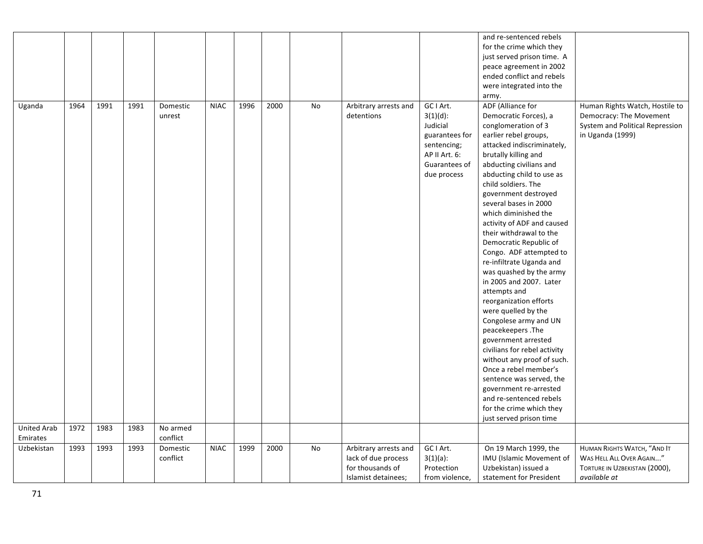|                    |      |      |      |          |             |      |      |    |                       |                | and re-sentenced rebels      |                                 |
|--------------------|------|------|------|----------|-------------|------|------|----|-----------------------|----------------|------------------------------|---------------------------------|
|                    |      |      |      |          |             |      |      |    |                       |                | for the crime which they     |                                 |
|                    |      |      |      |          |             |      |      |    |                       |                | just served prison time. A   |                                 |
|                    |      |      |      |          |             |      |      |    |                       |                | peace agreement in 2002      |                                 |
|                    |      |      |      |          |             |      |      |    |                       |                | ended conflict and rebels    |                                 |
|                    |      |      |      |          |             |      |      |    |                       |                | were integrated into the     |                                 |
|                    |      |      |      |          |             |      |      |    |                       |                | army.                        |                                 |
| Uganda             | 1964 | 1991 | 1991 | Domestic | <b>NIAC</b> | 1996 | 2000 | No | Arbitrary arrests and | GC I Art.      | ADF (Alliance for            | Human Rights Watch, Hostile to  |
|                    |      |      |      | unrest   |             |      |      |    | detentions            | $3(1)(d)$ :    | Democratic Forces), a        | Democracy: The Movement         |
|                    |      |      |      |          |             |      |      |    |                       | Judicial       | conglomeration of 3          | System and Political Repression |
|                    |      |      |      |          |             |      |      |    |                       | guarantees for | earlier rebel groups,        | in Uganda (1999)                |
|                    |      |      |      |          |             |      |      |    |                       | sentencing;    | attacked indiscriminately,   |                                 |
|                    |      |      |      |          |             |      |      |    |                       | AP II Art. 6:  | brutally killing and         |                                 |
|                    |      |      |      |          |             |      |      |    |                       |                |                              |                                 |
|                    |      |      |      |          |             |      |      |    |                       | Guarantees of  | abducting civilians and      |                                 |
|                    |      |      |      |          |             |      |      |    |                       | due process    | abducting child to use as    |                                 |
|                    |      |      |      |          |             |      |      |    |                       |                | child soldiers. The          |                                 |
|                    |      |      |      |          |             |      |      |    |                       |                | government destroyed         |                                 |
|                    |      |      |      |          |             |      |      |    |                       |                | several bases in 2000        |                                 |
|                    |      |      |      |          |             |      |      |    |                       |                | which diminished the         |                                 |
|                    |      |      |      |          |             |      |      |    |                       |                | activity of ADF and caused   |                                 |
|                    |      |      |      |          |             |      |      |    |                       |                | their withdrawal to the      |                                 |
|                    |      |      |      |          |             |      |      |    |                       |                | Democratic Republic of       |                                 |
|                    |      |      |      |          |             |      |      |    |                       |                | Congo. ADF attempted to      |                                 |
|                    |      |      |      |          |             |      |      |    |                       |                | re-infiltrate Uganda and     |                                 |
|                    |      |      |      |          |             |      |      |    |                       |                | was quashed by the army      |                                 |
|                    |      |      |      |          |             |      |      |    |                       |                | in 2005 and 2007. Later      |                                 |
|                    |      |      |      |          |             |      |      |    |                       |                | attempts and                 |                                 |
|                    |      |      |      |          |             |      |      |    |                       |                | reorganization efforts       |                                 |
|                    |      |      |      |          |             |      |      |    |                       |                | were quelled by the          |                                 |
|                    |      |      |      |          |             |      |      |    |                       |                | Congolese army and UN        |                                 |
|                    |      |      |      |          |             |      |      |    |                       |                | peacekeepers. The            |                                 |
|                    |      |      |      |          |             |      |      |    |                       |                | government arrested          |                                 |
|                    |      |      |      |          |             |      |      |    |                       |                | civilians for rebel activity |                                 |
|                    |      |      |      |          |             |      |      |    |                       |                | without any proof of such.   |                                 |
|                    |      |      |      |          |             |      |      |    |                       |                | Once a rebel member's        |                                 |
|                    |      |      |      |          |             |      |      |    |                       |                | sentence was served, the     |                                 |
|                    |      |      |      |          |             |      |      |    |                       |                | government re-arrested       |                                 |
|                    |      |      |      |          |             |      |      |    |                       |                | and re-sentenced rebels      |                                 |
|                    |      |      |      |          |             |      |      |    |                       |                | for the crime which they     |                                 |
|                    |      |      |      |          |             |      |      |    |                       |                | just served prison time      |                                 |
| <b>United Arab</b> | 1972 | 1983 | 1983 | No armed |             |      |      |    |                       |                |                              |                                 |
| Emirates           |      |      |      | conflict |             |      |      |    |                       |                |                              |                                 |
| Uzbekistan         | 1993 | 1993 | 1993 | Domestic | <b>NIAC</b> | 1999 | 2000 | No | Arbitrary arrests and | GC I Art.      | On 19 March 1999, the        | HUMAN RIGHTS WATCH, "AND IT     |
|                    |      |      |      | conflict |             |      |      |    | lack of due process   | $3(1)(a)$ :    | IMU (Islamic Movement of     | WAS HELL ALL OVER AGAIN"        |
|                    |      |      |      |          |             |      |      |    | for thousands of      | Protection     | Uzbekistan) issued a         | TORTURE IN UZBEKISTAN (2000),   |
|                    |      |      |      |          |             |      |      |    | Islamist detainees;   | from violence, | statement for President      | available at                    |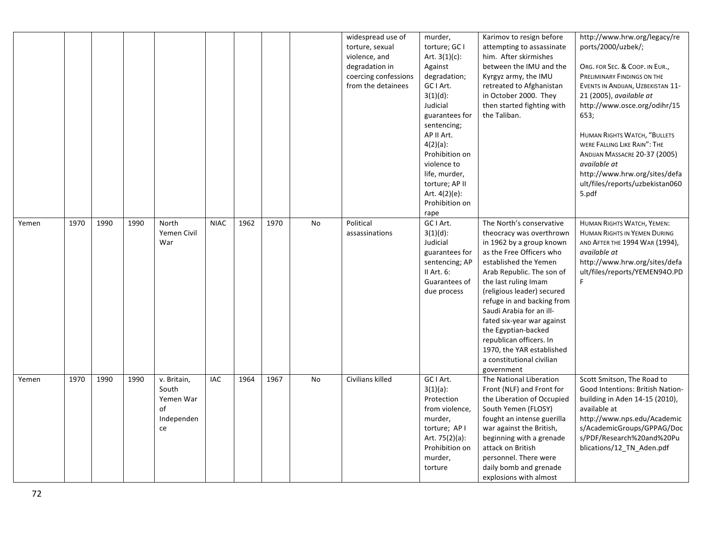|       |      |      |      |             |             |      |      |    | widespread use of                | murder,                           | Karimov to resign before                           | http://www.hrw.org/legacy/re<br>ports/2000/uzbek/; |
|-------|------|------|------|-------------|-------------|------|------|----|----------------------------------|-----------------------------------|----------------------------------------------------|----------------------------------------------------|
|       |      |      |      |             |             |      |      |    | torture, sexual<br>violence, and | torture; GC I<br>Art. $3(1)(c)$ : | attempting to assassinate<br>him. After skirmishes |                                                    |
|       |      |      |      |             |             |      |      |    | degradation in                   | Against                           | between the IMU and the                            | ORG. FOR SEC. & COOP. IN EUR.,                     |
|       |      |      |      |             |             |      |      |    | coercing confessions             | degradation;                      | Kyrgyz army, the IMU                               | PRELIMINARY FINDINGS ON THE                        |
|       |      |      |      |             |             |      |      |    | from the detainees               | GC I Art.                         | retreated to Afghanistan                           | EVENTS IN ANDIJAN, UZBEKISTAN 11-                  |
|       |      |      |      |             |             |      |      |    |                                  | $3(1)(d)$ :                       | in October 2000. They                              | 21 (2005), available at                            |
|       |      |      |      |             |             |      |      |    |                                  | Judicial                          | then started fighting with                         | http://www.osce.org/odihr/15                       |
|       |      |      |      |             |             |      |      |    |                                  | guarantees for                    | the Taliban.                                       | 653;                                               |
|       |      |      |      |             |             |      |      |    |                                  | sentencing;                       |                                                    |                                                    |
|       |      |      |      |             |             |      |      |    |                                  | AP II Art.                        |                                                    | HUMAN RIGHTS WATCH, "BULLETS                       |
|       |      |      |      |             |             |      |      |    |                                  | $4(2)(a)$ :                       |                                                    | WERE FALLING LIKE RAIN": THE                       |
|       |      |      |      |             |             |      |      |    |                                  | Prohibition on                    |                                                    | ANDIJAN MASSACRE 20-37 (2005)                      |
|       |      |      |      |             |             |      |      |    |                                  | violence to                       |                                                    | available at                                       |
|       |      |      |      |             |             |      |      |    |                                  | life, murder,                     |                                                    | http://www.hrw.org/sites/defa                      |
|       |      |      |      |             |             |      |      |    |                                  | torture; AP II                    |                                                    | ult/files/reports/uzbekistan060                    |
|       |      |      |      |             |             |      |      |    |                                  | Art. 4(2)(e):                     |                                                    | 5.pdf                                              |
|       |      |      |      |             |             |      |      |    |                                  | Prohibition on                    |                                                    |                                                    |
| Yemen | 1970 | 1990 | 1990 | North       | <b>NIAC</b> | 1962 | 1970 | No | Political                        | rape<br>GC I Art.                 | The North's conservative                           | HUMAN RIGHTS WATCH, YEMEN:                         |
|       |      |      |      | Yemen Civil |             |      |      |    | assassinations                   | $3(1)(d)$ :                       | theocracy was overthrown                           | HUMAN RIGHTS IN YEMEN DURING                       |
|       |      |      |      | War         |             |      |      |    |                                  | Judicial                          | in 1962 by a group known                           | AND AFTER THE 1994 WAR (1994),                     |
|       |      |      |      |             |             |      |      |    |                                  | guarantees for                    | as the Free Officers who                           | available at                                       |
|       |      |      |      |             |             |      |      |    |                                  | sentencing; AP                    | established the Yemen                              | http://www.hrw.org/sites/defa                      |
|       |      |      |      |             |             |      |      |    |                                  | II Art. 6:                        | Arab Republic. The son of                          | ult/files/reports/YEMEN94O.PD                      |
|       |      |      |      |             |             |      |      |    |                                  | Guarantees of                     | the last ruling Imam                               | F.                                                 |
|       |      |      |      |             |             |      |      |    |                                  | due process                       | (religious leader) secured                         |                                                    |
|       |      |      |      |             |             |      |      |    |                                  |                                   | refuge in and backing from                         |                                                    |
|       |      |      |      |             |             |      |      |    |                                  |                                   | Saudi Arabia for an ill-                           |                                                    |
|       |      |      |      |             |             |      |      |    |                                  |                                   | fated six-year war against                         |                                                    |
|       |      |      |      |             |             |      |      |    |                                  |                                   | the Egyptian-backed                                |                                                    |
|       |      |      |      |             |             |      |      |    |                                  |                                   | republican officers. In                            |                                                    |
|       |      |      |      |             |             |      |      |    |                                  |                                   | 1970, the YAR established                          |                                                    |
|       |      |      |      |             |             |      |      |    |                                  |                                   | a constitutional civilian                          |                                                    |
| Yemen | 1970 | 1990 | 1990 | v. Britain, | <b>IAC</b>  | 1964 | 1967 | No | Civilians killed                 | GC I Art.                         | government<br>The National Liberation              | Scott Smitson, The Road to                         |
|       |      |      |      | South       |             |      |      |    |                                  | $3(1)(a)$ :                       | Front (NLF) and Front for                          | Good Intentions: British Nation-                   |
|       |      |      |      | Yemen War   |             |      |      |    |                                  | Protection                        | the Liberation of Occupied                         | building in Aden 14-15 (2010),                     |
|       |      |      |      | οf          |             |      |      |    |                                  | from violence,                    | South Yemen (FLOSY)                                | available at                                       |
|       |      |      |      | Independen  |             |      |      |    |                                  | murder,                           | fought an intense guerilla                         | http://www.nps.edu/Academic                        |
|       |      |      |      | ce          |             |      |      |    |                                  | torture; API                      | war against the British,                           | s/AcademicGroups/GPPAG/Doc                         |
|       |      |      |      |             |             |      |      |    |                                  | Art. 75(2)(a):                    | beginning with a grenade                           | s/PDF/Research%20and%20Pu                          |
|       |      |      |      |             |             |      |      |    |                                  | Prohibition on                    | attack on British                                  | blications/12_TN_Aden.pdf                          |
|       |      |      |      |             |             |      |      |    |                                  | murder,                           | personnel. There were                              |                                                    |
|       |      |      |      |             |             |      |      |    |                                  | torture                           | daily bomb and grenade                             |                                                    |
|       |      |      |      |             |             |      |      |    |                                  |                                   | explosions with almost                             |                                                    |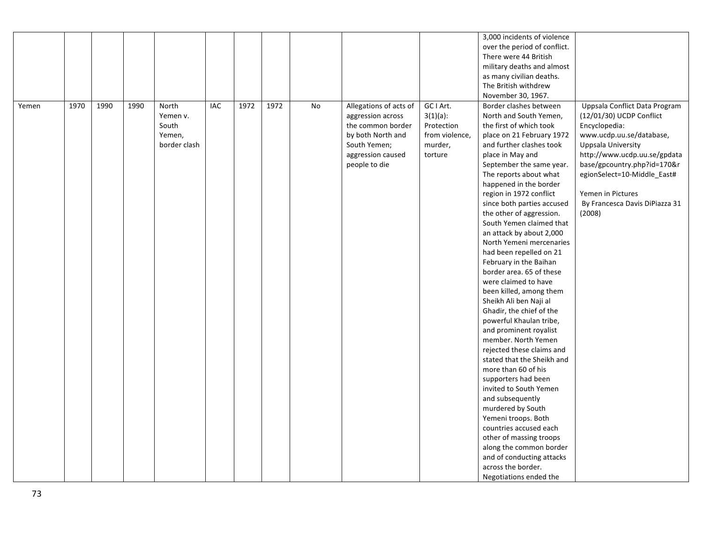|       |      |      |      |              |            |      |      |    |                        |                | 3,000 incidents of violence  |                                |
|-------|------|------|------|--------------|------------|------|------|----|------------------------|----------------|------------------------------|--------------------------------|
|       |      |      |      |              |            |      |      |    |                        |                | over the period of conflict. |                                |
|       |      |      |      |              |            |      |      |    |                        |                | There were 44 British        |                                |
|       |      |      |      |              |            |      |      |    |                        |                | military deaths and almost   |                                |
|       |      |      |      |              |            |      |      |    |                        |                | as many civilian deaths.     |                                |
|       |      |      |      |              |            |      |      |    |                        |                | The British withdrew         |                                |
|       |      |      |      |              |            |      |      |    |                        |                | November 30, 1967.           |                                |
| Yemen | 1970 | 1990 | 1990 | North        | <b>IAC</b> | 1972 | 1972 | No | Allegations of acts of | GC I Art.      | Border clashes between       | Uppsala Conflict Data Program  |
|       |      |      |      | Yemen v.     |            |      |      |    | aggression across      | $3(1)(a)$ :    | North and South Yemen,       | (12/01/30) UCDP Conflict       |
|       |      |      |      | South        |            |      |      |    | the common border      | Protection     | the first of which took      | Encyclopedia:                  |
|       |      |      |      | Yemen,       |            |      |      |    | by both North and      | from violence, | place on 21 February 1972    | www.ucdp.uu.se/database,       |
|       |      |      |      | border clash |            |      |      |    | South Yemen;           | murder,        | and further clashes took     | <b>Uppsala University</b>      |
|       |      |      |      |              |            |      |      |    | aggression caused      | torture        | place in May and             | http://www.ucdp.uu.se/gpdata   |
|       |      |      |      |              |            |      |      |    | people to die          |                | September the same year.     | base/gpcountry.php?id=170&r    |
|       |      |      |      |              |            |      |      |    |                        |                | The reports about what       | egionSelect=10-Middle_East#    |
|       |      |      |      |              |            |      |      |    |                        |                | happened in the border       |                                |
|       |      |      |      |              |            |      |      |    |                        |                | region in 1972 conflict      | Yemen in Pictures              |
|       |      |      |      |              |            |      |      |    |                        |                | since both parties accused   | By Francesca Davis DiPiazza 31 |
|       |      |      |      |              |            |      |      |    |                        |                | the other of aggression.     | (2008)                         |
|       |      |      |      |              |            |      |      |    |                        |                | South Yemen claimed that     |                                |
|       |      |      |      |              |            |      |      |    |                        |                | an attack by about 2,000     |                                |
|       |      |      |      |              |            |      |      |    |                        |                | North Yemeni mercenaries     |                                |
|       |      |      |      |              |            |      |      |    |                        |                | had been repelled on 21      |                                |
|       |      |      |      |              |            |      |      |    |                        |                | February in the Baihan       |                                |
|       |      |      |      |              |            |      |      |    |                        |                | border area. 65 of these     |                                |
|       |      |      |      |              |            |      |      |    |                        |                | were claimed to have         |                                |
|       |      |      |      |              |            |      |      |    |                        |                | been killed, among them      |                                |
|       |      |      |      |              |            |      |      |    |                        |                | Sheikh Ali ben Naji al       |                                |
|       |      |      |      |              |            |      |      |    |                        |                | Ghadir, the chief of the     |                                |
|       |      |      |      |              |            |      |      |    |                        |                | powerful Khaulan tribe,      |                                |
|       |      |      |      |              |            |      |      |    |                        |                | and prominent royalist       |                                |
|       |      |      |      |              |            |      |      |    |                        |                | member. North Yemen          |                                |
|       |      |      |      |              |            |      |      |    |                        |                | rejected these claims and    |                                |
|       |      |      |      |              |            |      |      |    |                        |                | stated that the Sheikh and   |                                |
|       |      |      |      |              |            |      |      |    |                        |                | more than 60 of his          |                                |
|       |      |      |      |              |            |      |      |    |                        |                | supporters had been          |                                |
|       |      |      |      |              |            |      |      |    |                        |                | invited to South Yemen       |                                |
|       |      |      |      |              |            |      |      |    |                        |                | and subsequently             |                                |
|       |      |      |      |              |            |      |      |    |                        |                | murdered by South            |                                |
|       |      |      |      |              |            |      |      |    |                        |                | Yemeni troops. Both          |                                |
|       |      |      |      |              |            |      |      |    |                        |                | countries accused each       |                                |
|       |      |      |      |              |            |      |      |    |                        |                | other of massing troops      |                                |
|       |      |      |      |              |            |      |      |    |                        |                | along the common border      |                                |
|       |      |      |      |              |            |      |      |    |                        |                | and of conducting attacks    |                                |
|       |      |      |      |              |            |      |      |    |                        |                | across the border.           |                                |
|       |      |      |      |              |            |      |      |    |                        |                | Negotiations ended the       |                                |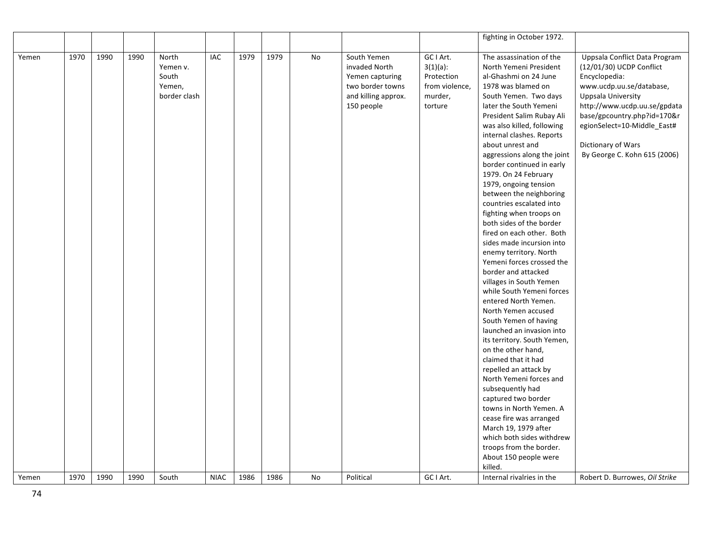|       |      |      |      |              |             |      |      |    |                     |                | fighting in October 1972.                        |                                |
|-------|------|------|------|--------------|-------------|------|------|----|---------------------|----------------|--------------------------------------------------|--------------------------------|
|       |      |      |      |              |             |      |      |    |                     |                |                                                  |                                |
| Yemen | 1970 | 1990 | 1990 | North        | IAC         | 1979 | 1979 | No | South Yemen         | GC I Art.      | The assassination of the                         | Uppsala Conflict Data Program  |
|       |      |      |      | Yemen v.     |             |      |      |    | invaded North       | $3(1)(a)$ :    | North Yemeni President                           | (12/01/30) UCDP Conflict       |
|       |      |      |      | South        |             |      |      |    | Yemen capturing     | Protection     | al-Ghashmi on 24 June                            | Encyclopedia:                  |
|       |      |      |      | Yemen,       |             |      |      |    | two border towns    | from violence, | 1978 was blamed on                               | www.ucdp.uu.se/database,       |
|       |      |      |      | border clash |             |      |      |    | and killing approx. | murder,        | South Yemen. Two days                            | <b>Uppsala University</b>      |
|       |      |      |      |              |             |      |      |    | 150 people          | torture        | later the South Yemeni                           | http://www.ucdp.uu.se/gpdata   |
|       |      |      |      |              |             |      |      |    |                     |                | President Salim Rubay Ali                        | base/gpcountry.php?id=170&r    |
|       |      |      |      |              |             |      |      |    |                     |                | was also killed, following                       | egionSelect=10-Middle_East#    |
|       |      |      |      |              |             |      |      |    |                     |                | internal clashes. Reports                        |                                |
|       |      |      |      |              |             |      |      |    |                     |                | about unrest and                                 | Dictionary of Wars             |
|       |      |      |      |              |             |      |      |    |                     |                | aggressions along the joint                      | By George C. Kohn 615 (2006)   |
|       |      |      |      |              |             |      |      |    |                     |                | border continued in early                        |                                |
|       |      |      |      |              |             |      |      |    |                     |                | 1979. On 24 February                             |                                |
|       |      |      |      |              |             |      |      |    |                     |                | 1979, ongoing tension                            |                                |
|       |      |      |      |              |             |      |      |    |                     |                | between the neighboring                          |                                |
|       |      |      |      |              |             |      |      |    |                     |                | countries escalated into                         |                                |
|       |      |      |      |              |             |      |      |    |                     |                | fighting when troops on                          |                                |
|       |      |      |      |              |             |      |      |    |                     |                | both sides of the border                         |                                |
|       |      |      |      |              |             |      |      |    |                     |                | fired on each other. Both                        |                                |
|       |      |      |      |              |             |      |      |    |                     |                | sides made incursion into                        |                                |
|       |      |      |      |              |             |      |      |    |                     |                | enemy territory. North                           |                                |
|       |      |      |      |              |             |      |      |    |                     |                | Yemeni forces crossed the                        |                                |
|       |      |      |      |              |             |      |      |    |                     |                | border and attacked                              |                                |
|       |      |      |      |              |             |      |      |    |                     |                | villages in South Yemen                          |                                |
|       |      |      |      |              |             |      |      |    |                     |                | while South Yemeni forces                        |                                |
|       |      |      |      |              |             |      |      |    |                     |                | entered North Yemen.                             |                                |
|       |      |      |      |              |             |      |      |    |                     |                | North Yemen accused                              |                                |
|       |      |      |      |              |             |      |      |    |                     |                | South Yemen of having                            |                                |
|       |      |      |      |              |             |      |      |    |                     |                | launched an invasion into                        |                                |
|       |      |      |      |              |             |      |      |    |                     |                | its territory. South Yemen,                      |                                |
|       |      |      |      |              |             |      |      |    |                     |                | on the other hand,<br>claimed that it had        |                                |
|       |      |      |      |              |             |      |      |    |                     |                |                                                  |                                |
|       |      |      |      |              |             |      |      |    |                     |                | repelled an attack by<br>North Yemeni forces and |                                |
|       |      |      |      |              |             |      |      |    |                     |                | subsequently had                                 |                                |
|       |      |      |      |              |             |      |      |    |                     |                | captured two border                              |                                |
|       |      |      |      |              |             |      |      |    |                     |                | towns in North Yemen. A                          |                                |
|       |      |      |      |              |             |      |      |    |                     |                | cease fire was arranged                          |                                |
|       |      |      |      |              |             |      |      |    |                     |                | March 19, 1979 after                             |                                |
|       |      |      |      |              |             |      |      |    |                     |                | which both sides withdrew                        |                                |
|       |      |      |      |              |             |      |      |    |                     |                | troops from the border.                          |                                |
|       |      |      |      |              |             |      |      |    |                     |                | About 150 people were                            |                                |
|       |      |      |      |              |             |      |      |    |                     |                | killed.                                          |                                |
| Yemen | 1970 | 1990 | 1990 | South        | <b>NIAC</b> | 1986 | 1986 | No | Political           | GC I Art.      | Internal rivalries in the                        | Robert D. Burrowes, Oil Strike |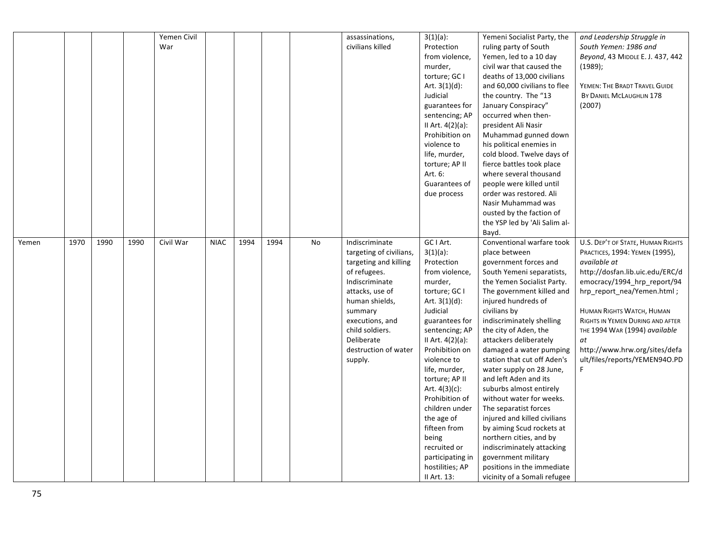|       |      |      |      | Yemen Civil |             |      |      |    | assassinations,         | $3(1)(a)$ :         | Yemeni Socialist Party, the   | and Leadership Struggle in        |
|-------|------|------|------|-------------|-------------|------|------|----|-------------------------|---------------------|-------------------------------|-----------------------------------|
|       |      |      |      | War         |             |      |      |    | civilians killed        | Protection          | ruling party of South         | South Yemen: 1986 and             |
|       |      |      |      |             |             |      |      |    |                         | from violence,      | Yemen, led to a 10 day        | Beyond, 43 MIDDLE E. J. 437, 442  |
|       |      |      |      |             |             |      |      |    |                         | murder,             | civil war that caused the     | (1989);                           |
|       |      |      |      |             |             |      |      |    |                         | torture; GC I       | deaths of 13,000 civilians    |                                   |
|       |      |      |      |             |             |      |      |    |                         | Art. $3(1)(d)$ :    | and 60,000 civilians to flee  | YEMEN: THE BRADT TRAVEL GUIDE     |
|       |      |      |      |             |             |      |      |    |                         | Judicial            | the country. The "13          | BY DANIEL MCLAUGHLIN 178          |
|       |      |      |      |             |             |      |      |    |                         | guarantees for      | January Conspiracy"           | (2007)                            |
|       |      |      |      |             |             |      |      |    |                         | sentencing; AP      | occurred when then-           |                                   |
|       |      |      |      |             |             |      |      |    |                         | II Art. $4(2)(a)$ : | president Ali Nasir           |                                   |
|       |      |      |      |             |             |      |      |    |                         | Prohibition on      | Muhammad gunned down          |                                   |
|       |      |      |      |             |             |      |      |    |                         | violence to         | his political enemies in      |                                   |
|       |      |      |      |             |             |      |      |    |                         | life, murder,       | cold blood. Twelve days of    |                                   |
|       |      |      |      |             |             |      |      |    |                         | torture; AP II      | fierce battles took place     |                                   |
|       |      |      |      |             |             |      |      |    |                         | Art. 6:             | where several thousand        |                                   |
|       |      |      |      |             |             |      |      |    |                         | Guarantees of       | people were killed until      |                                   |
|       |      |      |      |             |             |      |      |    |                         | due process         | order was restored. Ali       |                                   |
|       |      |      |      |             |             |      |      |    |                         |                     | Nasir Muhammad was            |                                   |
|       |      |      |      |             |             |      |      |    |                         |                     | ousted by the faction of      |                                   |
|       |      |      |      |             |             |      |      |    |                         |                     | the YSP led by 'Ali Salim al- |                                   |
|       |      |      |      |             |             |      |      |    |                         |                     | Bayd.                         |                                   |
| Yemen | 1970 | 1990 | 1990 | Civil War   | <b>NIAC</b> | 1994 | 1994 | No | Indiscriminate          | GC I Art.           | Conventional warfare took     | U.S. DEP'T OF STATE, HUMAN RIGHTS |
|       |      |      |      |             |             |      |      |    | targeting of civilians, | $3(1)(a)$ :         | place between                 | PRACTICES, 1994: YEMEN (1995),    |
|       |      |      |      |             |             |      |      |    | targeting and killing   | Protection          | government forces and         | available at                      |
|       |      |      |      |             |             |      |      |    | of refugees.            | from violence,      | South Yemeni separatists,     | http://dosfan.lib.uic.edu/ERC/d   |
|       |      |      |      |             |             |      |      |    | Indiscriminate          | murder,             | the Yemen Socialist Party.    | emocracy/1994_hrp_report/94       |
|       |      |      |      |             |             |      |      |    | attacks, use of         | torture; GC I       | The government killed and     | hrp_report_nea/Yemen.html;        |
|       |      |      |      |             |             |      |      |    | human shields,          | Art. $3(1)(d)$ :    | injured hundreds of           |                                   |
|       |      |      |      |             |             |      |      |    | summary                 | Judicial            | civilians by                  | HUMAN RIGHTS WATCH, HUMAN         |
|       |      |      |      |             |             |      |      |    | executions, and         | guarantees for      | indiscriminately shelling     | RIGHTS IN YEMEN DURING AND AFTER  |
|       |      |      |      |             |             |      |      |    | child soldiers.         | sentencing; AP      | the city of Aden, the         | THE 1994 WAR (1994) available     |
|       |      |      |      |             |             |      |      |    | Deliberate              | II Art. 4(2)(a):    | attackers deliberately        | at                                |
|       |      |      |      |             |             |      |      |    | destruction of water    | Prohibition on      | damaged a water pumping       | http://www.hrw.org/sites/defa     |
|       |      |      |      |             |             |      |      |    | supply.                 | violence to         | station that cut off Aden's   | ult/files/reports/YEMEN94O.PD     |
|       |      |      |      |             |             |      |      |    |                         | life, murder,       | water supply on 28 June,      | F                                 |
|       |      |      |      |             |             |      |      |    |                         | torture; AP II      | and left Aden and its         |                                   |
|       |      |      |      |             |             |      |      |    |                         | Art. $4(3)(c)$ :    | suburbs almost entirely       |                                   |
|       |      |      |      |             |             |      |      |    |                         | Prohibition of      | without water for weeks.      |                                   |
|       |      |      |      |             |             |      |      |    |                         | children under      | The separatist forces         |                                   |
|       |      |      |      |             |             |      |      |    |                         | the age of          | injured and killed civilians  |                                   |
|       |      |      |      |             |             |      |      |    |                         | fifteen from        |                               |                                   |
|       |      |      |      |             |             |      |      |    |                         |                     | by aiming Scud rockets at     |                                   |
|       |      |      |      |             |             |      |      |    |                         | being               | northern cities, and by       |                                   |
|       |      |      |      |             |             |      |      |    |                         | recruited or        | indiscriminately attacking    |                                   |
|       |      |      |      |             |             |      |      |    |                         | participating in    | government military           |                                   |
|       |      |      |      |             |             |      |      |    |                         | hostilities; AP     | positions in the immediate    |                                   |
|       |      |      |      |             |             |      |      |    |                         | II Art. 13:         | vicinity of a Somali refugee  |                                   |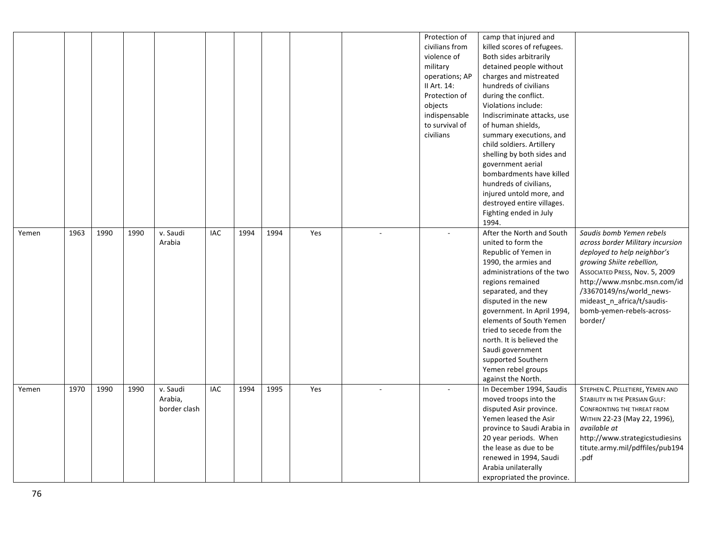|       |      |      |      |                                     |     |      |      |     |                | Protection of<br>civilians from<br>violence of<br>military<br>operations; AP<br>II Art. 14:<br>Protection of<br>objects<br>indispensable<br>to survival of<br>civilians | camp that injured and<br>killed scores of refugees.<br>Both sides arbitrarily<br>detained people without<br>charges and mistreated<br>hundreds of civilians<br>during the conflict.<br>Violations include:<br>Indiscriminate attacks, use<br>of human shields,<br>summary executions, and<br>child soldiers. Artillery<br>shelling by both sides and<br>government aerial<br>bombardments have killed<br>hundreds of civilians,<br>injured untold more, and<br>destroyed entire villages.<br>Fighting ended in July<br>1994. |                                                                                                                                                                                                                                                                                             |
|-------|------|------|------|-------------------------------------|-----|------|------|-----|----------------|-------------------------------------------------------------------------------------------------------------------------------------------------------------------------|------------------------------------------------------------------------------------------------------------------------------------------------------------------------------------------------------------------------------------------------------------------------------------------------------------------------------------------------------------------------------------------------------------------------------------------------------------------------------------------------------------------------------|---------------------------------------------------------------------------------------------------------------------------------------------------------------------------------------------------------------------------------------------------------------------------------------------|
| Yemen | 1963 | 1990 | 1990 | v. Saudi<br>Arabia                  | IAC | 1994 | 1994 | Yes | $\overline{a}$ | $\overline{a}$                                                                                                                                                          | After the North and South<br>united to form the<br>Republic of Yemen in<br>1990, the armies and<br>administrations of the two<br>regions remained<br>separated, and they<br>disputed in the new<br>government. In April 1994,<br>elements of South Yemen<br>tried to secede from the<br>north. It is believed the<br>Saudi government<br>supported Southern<br>Yemen rebel groups<br>against the North.                                                                                                                      | Saudis bomb Yemen rebels<br>across border Military incursion<br>deployed to help neighbor's<br>growing Shiite rebellion,<br>ASSOCIATED PRESS, Nov. 5, 2009<br>http://www.msnbc.msn.com/id<br>/33670149/ns/world_news-<br>mideast_n_africa/t/saudis-<br>bomb-yemen-rebels-across-<br>border/ |
| Yemen | 1970 | 1990 | 1990 | v. Saudi<br>Arabia,<br>border clash | IAC | 1994 | 1995 | Yes | $\sim$         | $\overline{\phantom{a}}$                                                                                                                                                | In December 1994, Saudis<br>moved troops into the<br>disputed Asir province.<br>Yemen leased the Asir<br>province to Saudi Arabia in<br>20 year periods. When<br>the lease as due to be<br>renewed in 1994, Saudi<br>Arabia unilaterally<br>expropriated the province.                                                                                                                                                                                                                                                       | STEPHEN C. PELLETIERE, YEMEN AND<br>STABILITY IN THE PERSIAN GULF:<br>CONFRONTING THE THREAT FROM<br>WITHIN 22-23 (May 22, 1996),<br>available at<br>http://www.strategicstudiesins<br>titute.army.mil/pdffiles/pub194<br>.pdf                                                              |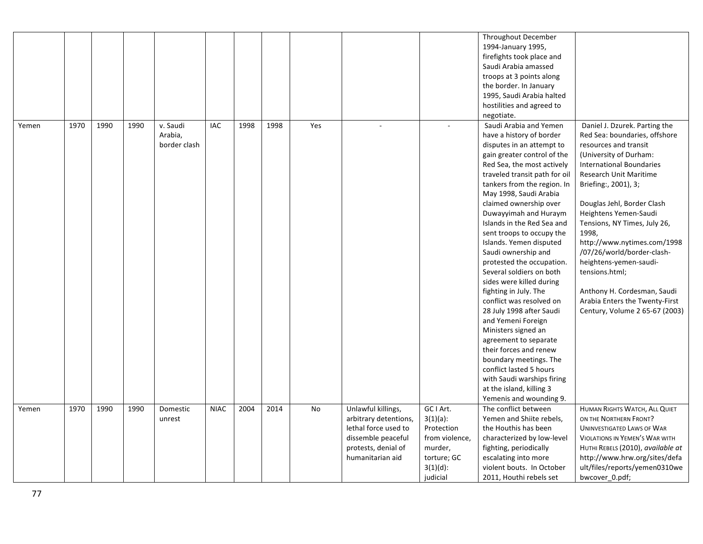|       |      |      |      |                                     |             |      |      |     |                                                                                                                                      |                                                                                                               | Throughout December<br>1994-January 1995,<br>firefights took place and<br>Saudi Arabia amassed<br>troops at 3 points along<br>the border. In January<br>1995, Saudi Arabia halted<br>hostilities and agreed to<br>negotiate.                                                                                                                                                                                                                                                                                                                                                                                                                                                                                                                                                                                           |                                                                                                                                                                                                                                                                                                                                                                                                                                                                                                                    |
|-------|------|------|------|-------------------------------------|-------------|------|------|-----|--------------------------------------------------------------------------------------------------------------------------------------|---------------------------------------------------------------------------------------------------------------|------------------------------------------------------------------------------------------------------------------------------------------------------------------------------------------------------------------------------------------------------------------------------------------------------------------------------------------------------------------------------------------------------------------------------------------------------------------------------------------------------------------------------------------------------------------------------------------------------------------------------------------------------------------------------------------------------------------------------------------------------------------------------------------------------------------------|--------------------------------------------------------------------------------------------------------------------------------------------------------------------------------------------------------------------------------------------------------------------------------------------------------------------------------------------------------------------------------------------------------------------------------------------------------------------------------------------------------------------|
| Yemen | 1970 | 1990 | 1990 | v. Saudi<br>Arabia,<br>border clash | IAC         | 1998 | 1998 | Yes |                                                                                                                                      |                                                                                                               | Saudi Arabia and Yemen<br>have a history of border<br>disputes in an attempt to<br>gain greater control of the<br>Red Sea, the most actively<br>traveled transit path for oil<br>tankers from the region. In<br>May 1998, Saudi Arabia<br>claimed ownership over<br>Duwayyimah and Huraym<br>Islands in the Red Sea and<br>sent troops to occupy the<br>Islands. Yemen disputed<br>Saudi ownership and<br>protested the occupation.<br>Several soldiers on both<br>sides were killed during<br>fighting in July. The<br>conflict was resolved on<br>28 July 1998 after Saudi<br>and Yemeni Foreign<br>Ministers signed an<br>agreement to separate<br>their forces and renew<br>boundary meetings. The<br>conflict lasted 5 hours<br>with Saudi warships firing<br>at the island, killing 3<br>Yemenis and wounding 9. | Daniel J. Dzurek. Parting the<br>Red Sea: boundaries, offshore<br>resources and transit<br>(University of Durham:<br><b>International Boundaries</b><br>Research Unit Maritime<br>Briefing:, 2001), 3;<br>Douglas Jehl, Border Clash<br>Heightens Yemen-Saudi<br>Tensions, NY Times, July 26,<br>1998,<br>http://www.nytimes.com/1998<br>/07/26/world/border-clash-<br>heightens-yemen-saudi-<br>tensions.html;<br>Anthony H. Cordesman, Saudi<br>Arabia Enters the Twenty-First<br>Century, Volume 2 65-67 (2003) |
| Yemen | 1970 | 1990 | 1990 | Domestic<br>unrest                  | <b>NIAC</b> | 2004 | 2014 | No  | Unlawful killings,<br>arbitrary detentions,<br>lethal force used to<br>dissemble peaceful<br>protests, denial of<br>humanitarian aid | GC I Art.<br>$3(1)(a)$ :<br>Protection<br>from violence,<br>murder,<br>torture; GC<br>$3(1)(d)$ :<br>judicial | The conflict between<br>Yemen and Shiite rebels,<br>the Houthis has been<br>characterized by low-level<br>fighting, periodically<br>escalating into more<br>violent bouts. In October<br>2011, Houthi rebels set                                                                                                                                                                                                                                                                                                                                                                                                                                                                                                                                                                                                       | HUMAN RIGHTS WATCH, ALL QUIET<br>ON THE NORTHERN FRONT?<br><b>UNINVESTIGATED LAWS OF WAR</b><br><b>VIOLATIONS IN YEMEN'S WAR WITH</b><br>HUTHI REBELS (2010), available at<br>http://www.hrw.org/sites/defa<br>ult/files/reports/yemen0310we<br>bwcover 0.pdf;                                                                                                                                                                                                                                                     |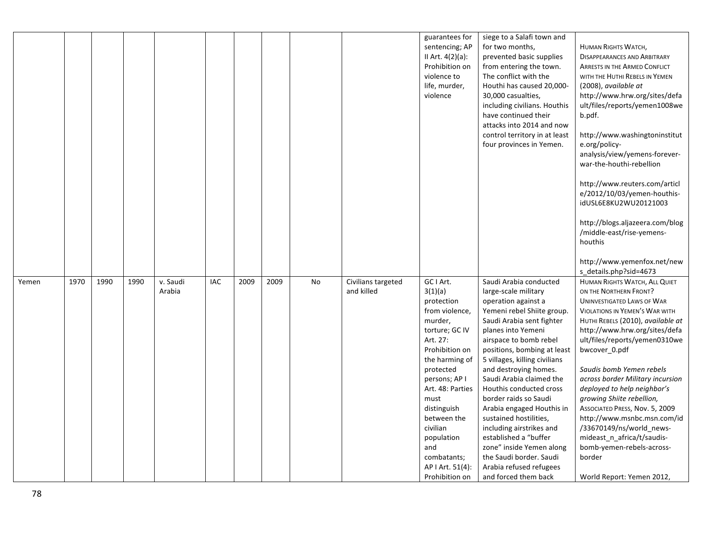|       |      |      |      |                    |            |      |      |           |                                  | guarantees for<br>sentencing; AP<br>II Art. 4(2)(a):<br>Prohibition on<br>violence to<br>life, murder,<br>violence                                                                                                                                                                                              | siege to a Salafi town and<br>for two months,<br>prevented basic supplies<br>from entering the town.<br>The conflict with the<br>Houthi has caused 20,000-<br>30,000 casualties,<br>including civilians. Houthis<br>have continued their<br>attacks into 2014 and now<br>control territory in at least<br>four provinces in Yemen.                                                                                                                                                                                                                                              | <b>HUMAN RIGHTS WATCH,</b><br><b>DISAPPEARANCES AND ARBITRARY</b><br><b>ARRESTS IN THE ARMED CONFLICT</b><br>WITH THE HUTHI REBELS IN YEMEN<br>(2008), available at<br>http://www.hrw.org/sites/defa<br>ult/files/reports/yemen1008we<br>b.pdf.<br>http://www.washingtoninstitut<br>e.org/policy-<br>analysis/view/yemens-forever-<br>war-the-houthi-rebellion<br>http://www.reuters.com/articl<br>e/2012/10/03/yemen-houthis-<br>idUSL6E8KU2WU20121003<br>http://blogs.aljazeera.com/blog                                                                                               |
|-------|------|------|------|--------------------|------------|------|------|-----------|----------------------------------|-----------------------------------------------------------------------------------------------------------------------------------------------------------------------------------------------------------------------------------------------------------------------------------------------------------------|---------------------------------------------------------------------------------------------------------------------------------------------------------------------------------------------------------------------------------------------------------------------------------------------------------------------------------------------------------------------------------------------------------------------------------------------------------------------------------------------------------------------------------------------------------------------------------|------------------------------------------------------------------------------------------------------------------------------------------------------------------------------------------------------------------------------------------------------------------------------------------------------------------------------------------------------------------------------------------------------------------------------------------------------------------------------------------------------------------------------------------------------------------------------------------|
|       |      |      |      |                    |            |      |      |           |                                  |                                                                                                                                                                                                                                                                                                                 |                                                                                                                                                                                                                                                                                                                                                                                                                                                                                                                                                                                 | /middle-east/rise-yemens-<br>houthis<br>http://www.yemenfox.net/new<br>s_details.php?sid=4673                                                                                                                                                                                                                                                                                                                                                                                                                                                                                            |
| Yemen | 1970 | 1990 | 1990 | v. Saudi<br>Arabia | <b>IAC</b> | 2009 | 2009 | <b>No</b> | Civilians targeted<br>and killed | GC I Art.<br>3(1)(a)<br>protection<br>from violence,<br>murder,<br>torture; GC IV<br>Art. 27:<br>Prohibition on<br>the harming of<br>protected<br>persons; AP I<br>Art. 48: Parties<br>must<br>distinguish<br>between the<br>civilian<br>population<br>and<br>combatants;<br>AP   Art. 51(4):<br>Prohibition on | Saudi Arabia conducted<br>large-scale military<br>operation against a<br>Yemeni rebel Shiite group.<br>Saudi Arabia sent fighter<br>planes into Yemeni<br>airspace to bomb rebel<br>positions, bombing at least<br>5 villages, killing civilians<br>and destroying homes.<br>Saudi Arabia claimed the<br>Houthis conducted cross<br>border raids so Saudi<br>Arabia engaged Houthis in<br>sustained hostilities,<br>including airstrikes and<br>established a "buffer<br>zone" inside Yemen along<br>the Saudi border. Saudi<br>Arabia refused refugees<br>and forced them back | HUMAN RIGHTS WATCH, ALL QUIET<br>ON THE NORTHERN FRONT?<br><b>UNINVESTIGATED LAWS OF WAR</b><br><b>VIOLATIONS IN YEMEN'S WAR WITH</b><br>HUTHI REBELS (2010), available at<br>http://www.hrw.org/sites/defa<br>ult/files/reports/yemen0310we<br>bwcover_0.pdf<br>Saudis bomb Yemen rebels<br>across border Military incursion<br>deployed to help neighbor's<br>growing Shiite rebellion,<br>ASSOCIATED PRESS, Nov. 5, 2009<br>http://www.msnbc.msn.com/id<br>/33670149/ns/world_news-<br>mideast_n_africa/t/saudis-<br>bomb-yemen-rebels-across-<br>border<br>World Report: Yemen 2012, |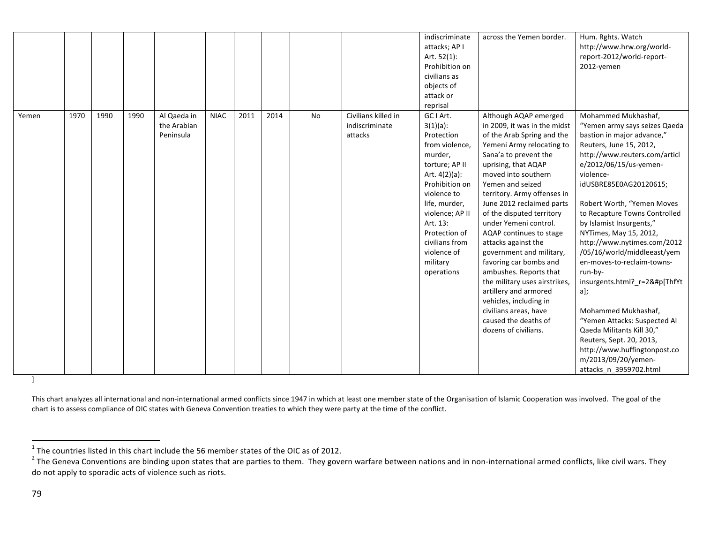|       |      |      |      |                                         |             |      |      |    |                                                  | indiscriminate<br>attacks; AP I<br>Art. 52(1):<br>Prohibition on<br>civilians as<br>objects of<br>attack or<br>reprisal                                                                                                                                                | across the Yemen border.                                                                                                                                                                                                                                                                                                                                                                                                                                                                                                                                                                                                     | Hum. Rghts. Watch<br>http://www.hrw.org/world-<br>report-2012/world-report-<br>2012-yemen                                                                                                                                                                                                                                                                                                                                                                                                                                                                                                                                                                                            |
|-------|------|------|------|-----------------------------------------|-------------|------|------|----|--------------------------------------------------|------------------------------------------------------------------------------------------------------------------------------------------------------------------------------------------------------------------------------------------------------------------------|------------------------------------------------------------------------------------------------------------------------------------------------------------------------------------------------------------------------------------------------------------------------------------------------------------------------------------------------------------------------------------------------------------------------------------------------------------------------------------------------------------------------------------------------------------------------------------------------------------------------------|--------------------------------------------------------------------------------------------------------------------------------------------------------------------------------------------------------------------------------------------------------------------------------------------------------------------------------------------------------------------------------------------------------------------------------------------------------------------------------------------------------------------------------------------------------------------------------------------------------------------------------------------------------------------------------------|
| Yemen | 1970 | 1990 | 1990 | Al Qaeda in<br>the Arabian<br>Peninsula | <b>NIAC</b> | 2011 | 2014 | No | Civilians killed in<br>indiscriminate<br>attacks | GC I Art.<br>$3(1)(a)$ :<br>Protection<br>from violence,<br>murder,<br>torture; AP II<br>Art. $4(2)(a)$ :<br>Prohibition on<br>violence to<br>life, murder,<br>violence; AP II<br>Art. 13:<br>Protection of<br>civilians from<br>violence of<br>military<br>operations | Although AQAP emerged<br>in 2009, it was in the midst<br>of the Arab Spring and the<br>Yemeni Army relocating to<br>Sana'a to prevent the<br>uprising, that AQAP<br>moved into southern<br>Yemen and seized<br>territory. Army offenses in<br>June 2012 reclaimed parts<br>of the disputed territory<br>under Yemeni control.<br>AQAP continues to stage<br>attacks against the<br>government and military,<br>favoring car bombs and<br>ambushes. Reports that<br>the military uses airstrikes,<br>artillery and armored<br>vehicles, including in<br>civilians areas, have<br>caused the deaths of<br>dozens of civilians. | Mohammed Mukhashaf,<br>"Yemen army says seizes Qaeda<br>bastion in major advance,"<br>Reuters, June 15, 2012,<br>http://www.reuters.com/articl<br>e/2012/06/15/us-yemen-<br>violence-<br>idUSBRE85E0AG20120615;<br>Robert Worth, "Yemen Moves<br>to Recapture Towns Controlled<br>by Islamist Insurgents,"<br>NYTimes, May 15, 2012,<br>http://www.nytimes.com/2012<br>/05/16/world/middleeast/yem<br>en-moves-to-reclaim-towns-<br>run-by-<br>insurgents.html? r=2&#p[ThfYt<br>a];<br>Mohammed Mukhashaf,<br>"Yemen Attacks: Suspected Al<br>Qaeda Militants Kill 30,"<br>Reuters, Sept. 20, 2013,<br>http://www.huffingtonpost.co<br>m/2013/09/20/yemen-<br>attacks n 3959702.html |
|       |      |      |      |                                         |             |      |      |    |                                                  |                                                                                                                                                                                                                                                                        |                                                                                                                                                                                                                                                                                                                                                                                                                                                                                                                                                                                                                              |                                                                                                                                                                                                                                                                                                                                                                                                                                                                                                                                                                                                                                                                                      |

This chart analyzes all international and non-international armed conflicts since 1947 in which at least one member state of the Organisation of Islamic Cooperation was involved. The goal of the chart is to assess compliance of OIC states with Geneva Convention treaties to which they were party at the time of the conflict.

 

<sup>&</sup>lt;sup>1</sup> The countries listed in this chart include the 56 member states of the OIC as of 2012.<br><sup>2</sup> The Geneva Conventions are binding upon states that are parties to them. They govern warfare between nations and in non-interna do not apply to sporadic acts of violence such as riots.